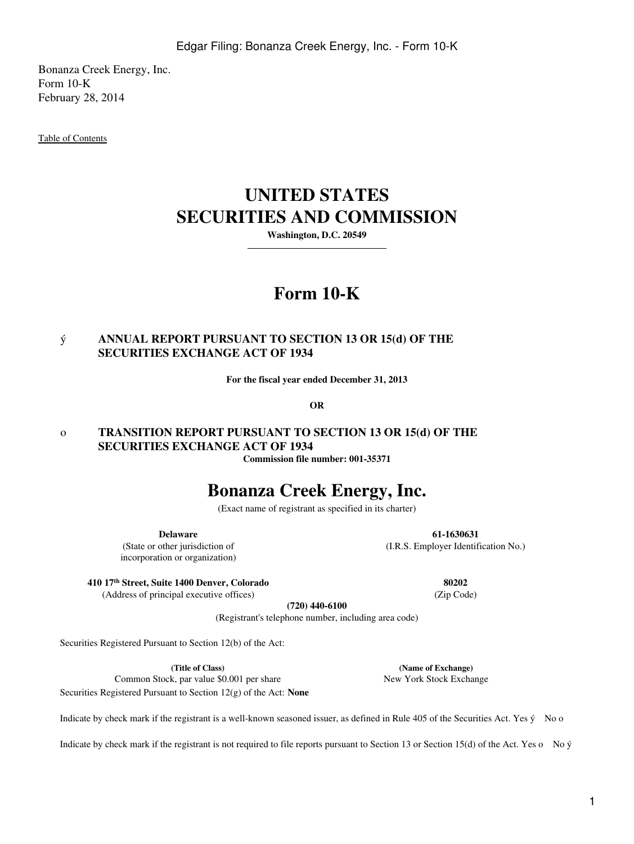Bonanza Creek Energy, Inc. Form 10-K February 28, 2014

[Table of Contents](#page-2-0)

# **UNITED STATES SECURITIES AND COMMISSION**

**Washington, D.C. 20549**

# **Form 10-K**

# ý **ANNUAL REPORT PURSUANT TO SECTION 13 OR 15(d) OF THE SECURITIES EXCHANGE ACT OF 1934**

**For the fiscal year ended December 31, 2013**

**OR**

o **TRANSITION REPORT PURSUANT TO SECTION 13 OR 15(d) OF THE SECURITIES EXCHANGE ACT OF 1934**

**Commission file number: 001-35371**

# **Bonanza Creek Energy, Inc.**

(Exact name of registrant as specified in its charter)

**Delaware** (State or other jurisdiction of

incorporation or organization)

**61-1630631**

(I.R.S. Employer Identification No.)

**410 17th Street, Suite 1400 Denver, Colorado** (Address of principal executive offices)

**(720) 440-6100**

(Registrant's telephone number, including area code)

Securities Registered Pursuant to Section 12(b) of the Act:

**(Title of Class) (Name of Exchange)** Common Stock, par value \$0.001 per share New York Stock Exchange Securities Registered Pursuant to Section 12(g) of the Act: **None**

Indicate by check mark if the registrant is a well-known seasoned issuer, as defined in Rule 405 of the Securities Act. Yes ý No o

Indicate by check mark if the registrant is not required to file reports pursuant to Section 13 or Section 15(d) of the Act. Yes o No ý

(Zip Code)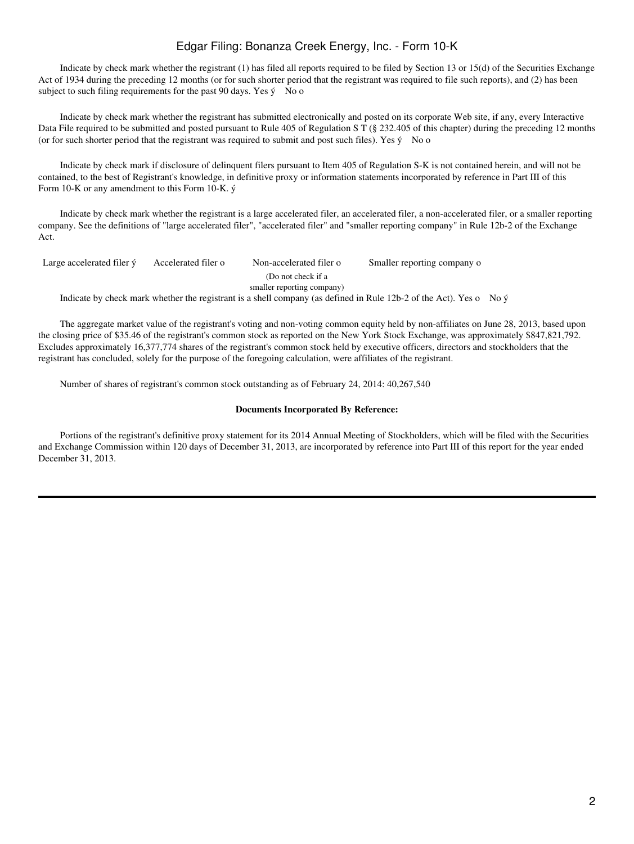Indicate by check mark whether the registrant (1) has filed all reports required to be filed by Section 13 or 15(d) of the Securities Exchange Act of 1934 during the preceding 12 months (or for such shorter period that the registrant was required to file such reports), and (2) has been subject to such filing requirements for the past 90 days. Yes ý No o

 Indicate by check mark whether the registrant has submitted electronically and posted on its corporate Web site, if any, every Interactive Data File required to be submitted and posted pursuant to Rule 405 of Regulation S T (§ 232.405 of this chapter) during the preceding 12 months (or for such shorter period that the registrant was required to submit and post such files). Yes  $\circ$  No o

 Indicate by check mark if disclosure of delinquent filers pursuant to Item 405 of Regulation S-K is not contained herein, and will not be contained, to the best of Registrant's knowledge, in definitive proxy or information statements incorporated by reference in Part III of this Form 10-K or any amendment to this Form 10-K. ý

 Indicate by check mark whether the registrant is a large accelerated filer, an accelerated filer, a non-accelerated filer, or a smaller reporting company. See the definitions of "large accelerated filer", "accelerated filer" and "smaller reporting company" in Rule 12b-2 of the Exchange Act.

Large accelerated filer ý Accelerated filer o Non-accelerated filer o (Do not check if a smaller reporting company) Smaller reporting company o Indicate by check mark whether the registrant is a shell company (as defined in Rule 12b-2 of the Act). Yes o No ý

 The aggregate market value of the registrant's voting and non-voting common equity held by non-affiliates on June 28, 2013, based upon the closing price of \$35.46 of the registrant's common stock as reported on the New York Stock Exchange, was approximately \$847,821,792. Excludes approximately 16,377,774 shares of the registrant's common stock held by executive officers, directors and stockholders that the registrant has concluded, solely for the purpose of the foregoing calculation, were affiliates of the registrant.

Number of shares of registrant's common stock outstanding as of February 24, 2014: 40,267,540

#### **Documents Incorporated By Reference:**

 Portions of the registrant's definitive proxy statement for its 2014 Annual Meeting of Stockholders, which will be filed with the Securities and Exchange Commission within 120 days of December 31, 2013, are incorporated by reference into Part III of this report for the year ended December 31, 2013.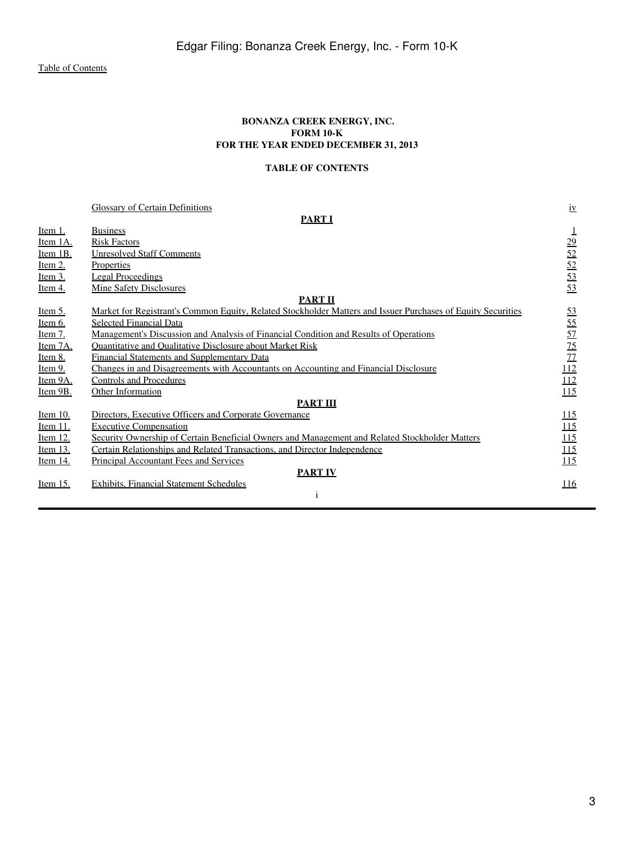### **BONANZA CREEK ENERGY, INC. FORM 10-K FOR THE YEAR ENDED DECEMBER 31, 2013**

## **TABLE OF CONTENTS**

| <b>Glossary of Certain Definitions</b> |  |
|----------------------------------------|--|
|                                        |  |
|                                        |  |
|                                        |  |

<span id="page-2-0"></span>

|                 | <b>PART I</b>                                                                                                |                                                 |
|-----------------|--------------------------------------------------------------------------------------------------------------|-------------------------------------------------|
| <u>Item 1.</u>  | <b>Business</b>                                                                                              | $\overline{1}$                                  |
| Item 1A.        | <b>Risk Factors</b>                                                                                          |                                                 |
| Item 1B.        | <b>Unresolved Staff Comments</b>                                                                             |                                                 |
| Item 2.         | Properties                                                                                                   |                                                 |
| <u>Item 3.</u>  | <b>Legal Proceedings</b>                                                                                     | $\frac{29}{52}$ $\frac{52}{53}$ $\frac{53}{53}$ |
| <u>Item 4.</u>  | <b>Mine Safety Disclosures</b>                                                                               |                                                 |
|                 | <b>PART II</b>                                                                                               |                                                 |
| Item 5.         | Market for Registrant's Common Equity, Related Stockholder Matters and Issuer Purchases of Equity Securities | 53                                              |
| <u>Item 6.</u>  | Selected Financial Data                                                                                      |                                                 |
| Item 7.         | Management's Discussion and Analysis of Financial Condition and Results of Operations                        |                                                 |
| Item 7A.        | <b>Ouantitative and Oualitative Disclosure about Market Risk</b>                                             | <u>55<br/>57<br/>75</u><br>77                   |
| Item 8.         | <b>Financial Statements and Supplementary Data</b>                                                           |                                                 |
| Item 9.         | Changes in and Disagreements with Accountants on Accounting and Financial Disclosure                         | 112                                             |
| Item 9A.        | <b>Controls and Procedures</b>                                                                               | <u>112</u>                                      |
| Item 9B.        | Other Information                                                                                            | 115                                             |
|                 | <b>PART III</b>                                                                                              |                                                 |
| <b>Item 10.</b> | Directors, Executive Officers and Corporate Governance                                                       | 115                                             |
| <u>Item 11.</u> | <b>Executive Compensation</b>                                                                                | 115                                             |
| Item $12$ .     | Security Ownership of Certain Beneficial Owners and Management and Related Stockholder Matters               | 115                                             |
| Item 13.        | Certain Relationships and Related Transactions, and Director Independence                                    | 115                                             |
| <u>Item 14.</u> | Principal Accountant Fees and Services                                                                       | 115                                             |
|                 | <b>PART IV</b>                                                                                               |                                                 |
| <u>Item 15.</u> | <b>Exhibits, Financial Statement Schedules</b>                                                               | 116                                             |
|                 |                                                                                                              |                                                 |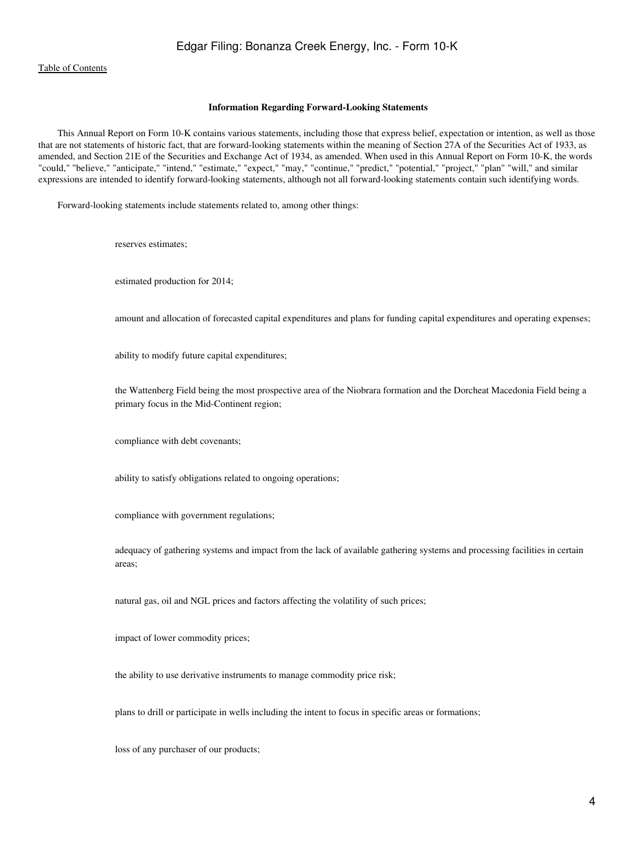#### **Information Regarding Forward-Looking Statements**

 This Annual Report on Form 10-K contains various statements, including those that express belief, expectation or intention, as well as those that are not statements of historic fact, that are forward-looking statements within the meaning of Section 27A of the Securities Act of 1933, as amended, and Section 21E of the Securities and Exchange Act of 1934, as amended. When used in this Annual Report on Form 10-K, the words "could," "believe," "anticipate," "intend," "estimate," "expect," "may," "continue," "predict," "potential," "project," "plan" "will," and similar expressions are intended to identify forward-looking statements, although not all forward-looking statements contain such identifying words.

Forward-looking statements include statements related to, among other things:

reserves estimates;

estimated production for 2014;

amount and allocation of forecasted capital expenditures and plans for funding capital expenditures and operating expenses;

ability to modify future capital expenditures;

the Wattenberg Field being the most prospective area of the Niobrara formation and the Dorcheat Macedonia Field being a primary focus in the Mid-Continent region;

compliance with debt covenants;

ability to satisfy obligations related to ongoing operations;

compliance with government regulations;

adequacy of gathering systems and impact from the lack of available gathering systems and processing facilities in certain areas;

natural gas, oil and NGL prices and factors affecting the volatility of such prices;

impact of lower commodity prices;

the ability to use derivative instruments to manage commodity price risk;

plans to drill or participate in wells including the intent to focus in specific areas or formations;

loss of any purchaser of our products;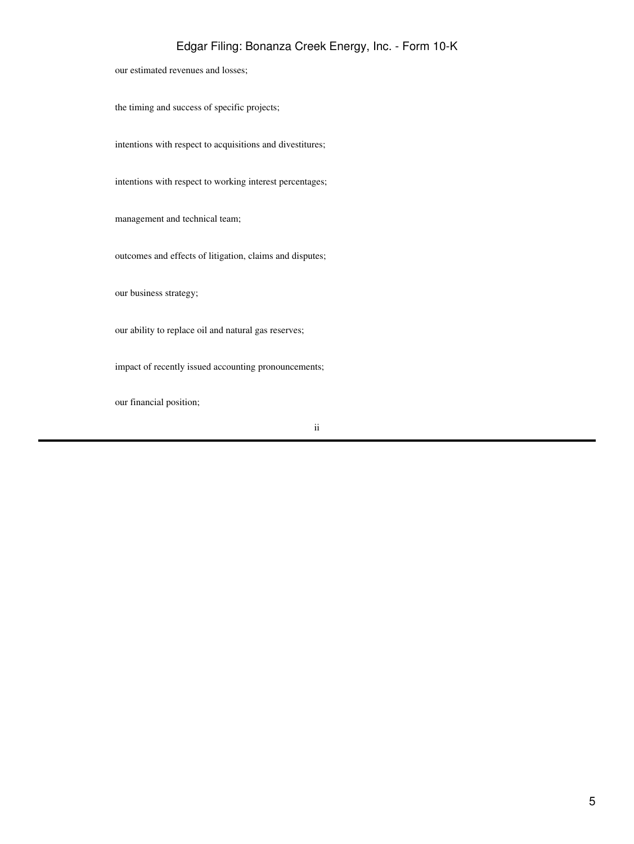our estimated revenues and losses;

the timing and success of specific projects;

intentions with respect to acquisitions and divestitures;

intentions with respect to working interest percentages;

management and technical team;

outcomes and effects of litigation, claims and disputes;

our business strategy;

our ability to replace oil and natural gas reserves;

impact of recently issued accounting pronouncements;

our financial position;

ii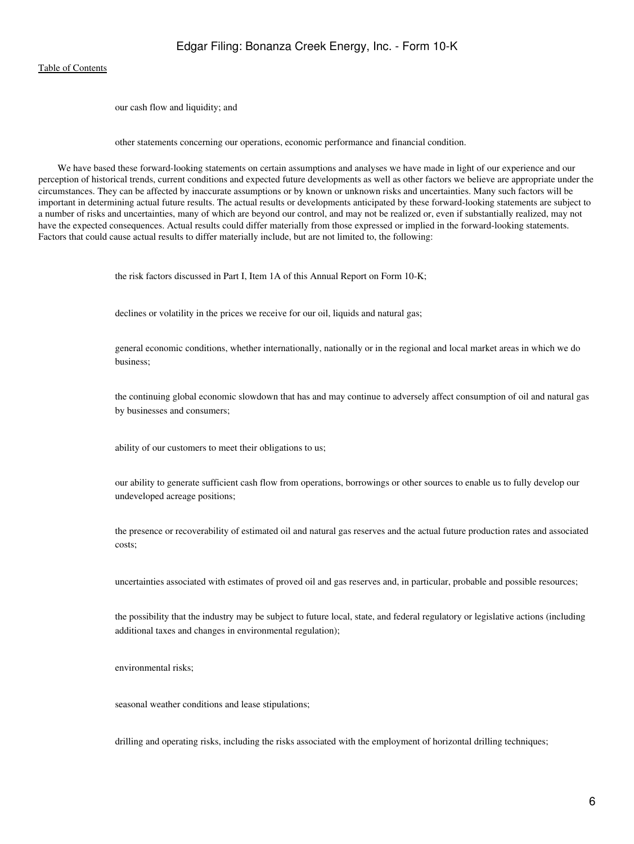our cash flow and liquidity; and

other statements concerning our operations, economic performance and financial condition.

 We have based these forward-looking statements on certain assumptions and analyses we have made in light of our experience and our perception of historical trends, current conditions and expected future developments as well as other factors we believe are appropriate under the circumstances. They can be affected by inaccurate assumptions or by known or unknown risks and uncertainties. Many such factors will be important in determining actual future results. The actual results or developments anticipated by these forward-looking statements are subject to a number of risks and uncertainties, many of which are beyond our control, and may not be realized or, even if substantially realized, may not have the expected consequences. Actual results could differ materially from those expressed or implied in the forward-looking statements. Factors that could cause actual results to differ materially include, but are not limited to, the following:

the risk factors discussed in Part I, Item 1A of this Annual Report on Form 10-K;

declines or volatility in the prices we receive for our oil, liquids and natural gas;

general economic conditions, whether internationally, nationally or in the regional and local market areas in which we do business;

the continuing global economic slowdown that has and may continue to adversely affect consumption of oil and natural gas by businesses and consumers;

ability of our customers to meet their obligations to us;

our ability to generate sufficient cash flow from operations, borrowings or other sources to enable us to fully develop our undeveloped acreage positions;

the presence or recoverability of estimated oil and natural gas reserves and the actual future production rates and associated costs;

uncertainties associated with estimates of proved oil and gas reserves and, in particular, probable and possible resources;

the possibility that the industry may be subject to future local, state, and federal regulatory or legislative actions (including additional taxes and changes in environmental regulation);

environmental risks;

seasonal weather conditions and lease stipulations;

drilling and operating risks, including the risks associated with the employment of horizontal drilling techniques;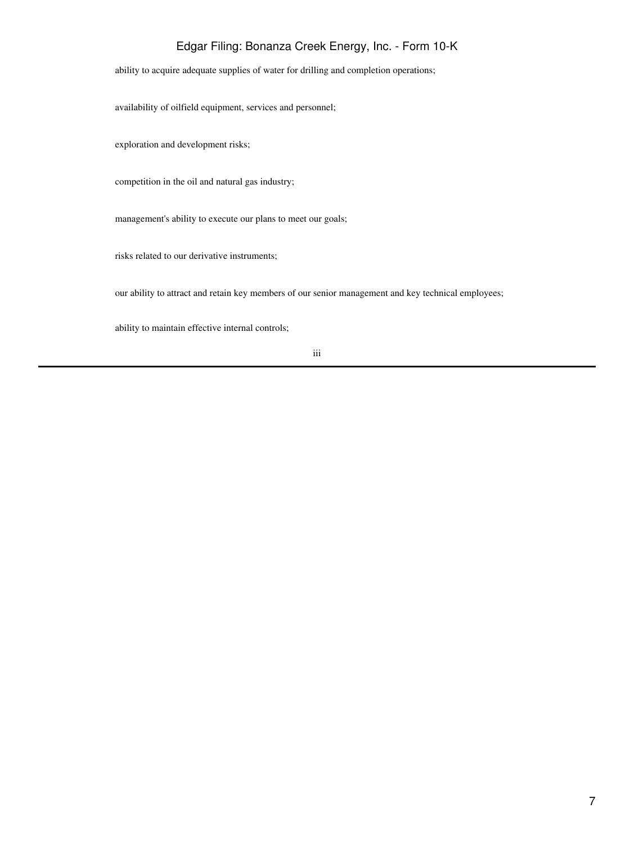ability to acquire adequate supplies of water for drilling and completion operations;

availability of oilfield equipment, services and personnel;

exploration and development risks;

competition in the oil and natural gas industry;

management's ability to execute our plans to meet our goals;

risks related to our derivative instruments;

our ability to attract and retain key members of our senior management and key technical employees;

ability to maintain effective internal controls;

## iii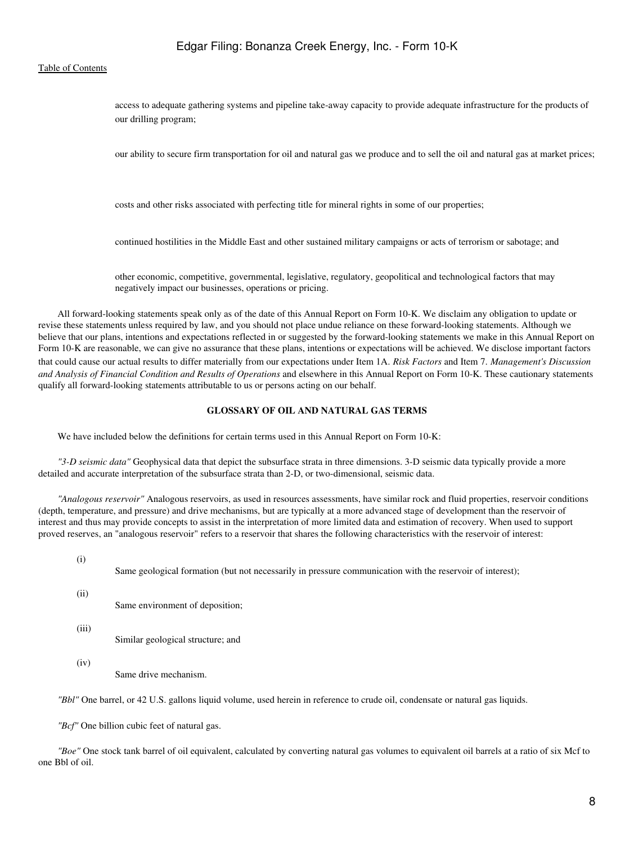access to adequate gathering systems and pipeline take-away capacity to provide adequate infrastructure for the products of our drilling program;

our ability to secure firm transportation for oil and natural gas we produce and to sell the oil and natural gas at market prices;

costs and other risks associated with perfecting title for mineral rights in some of our properties;

continued hostilities in the Middle East and other sustained military campaigns or acts of terrorism or sabotage; and

other economic, competitive, governmental, legislative, regulatory, geopolitical and technological factors that may negatively impact our businesses, operations or pricing.

 All forward-looking statements speak only as of the date of this Annual Report on Form 10-K. We disclaim any obligation to update or revise these statements unless required by law, and you should not place undue reliance on these forward-looking statements. Although we believe that our plans, intentions and expectations reflected in or suggested by the forward-looking statements we make in this Annual Report on Form 10-K are reasonable, we can give no assurance that these plans, intentions or expectations will be achieved. We disclose important factors that could cause our actual results to differ materially from our expectations under Item 1A. *Risk Factors* and Item 7. *Management's Discussion and Analysis of Financial Condition and Results of Operations* and elsewhere in this Annual Report on Form 10-K. These cautionary statements qualify all forward-looking statements attributable to us or persons acting on our behalf.

#### **GLOSSARY OF OIL AND NATURAL GAS TERMS**

<span id="page-7-0"></span>We have included below the definitions for certain terms used in this Annual Report on Form 10-K:

*"3-D seismic data"* Geophysical data that depict the subsurface strata in three dimensions. 3-D seismic data typically provide a more detailed and accurate interpretation of the subsurface strata than 2-D, or two-dimensional, seismic data.

*"Analogous reservoir"* Analogous reservoirs, as used in resources assessments, have similar rock and fluid properties, reservoir conditions (depth, temperature, and pressure) and drive mechanisms, but are typically at a more advanced stage of development than the reservoir of interest and thus may provide concepts to assist in the interpretation of more limited data and estimation of recovery. When used to support proved reserves, an "analogous reservoir" refers to a reservoir that shares the following characteristics with the reservoir of interest:

(i)

Same geological formation (but not necessarily in pressure communication with the reservoir of interest);

(ii)

Same environment of deposition;

 $(iii)$ 

Similar geological structure; and

 $(iv)$ 

Same drive mechanism.

*"Bbl"* One barrel, or 42 U.S. gallons liquid volume, used herein in reference to crude oil, condensate or natural gas liquids.

*"Bcf"* One billion cubic feet of natural gas.

*"Boe"* One stock tank barrel of oil equivalent, calculated by converting natural gas volumes to equivalent oil barrels at a ratio of six Mcf to one Bbl of oil.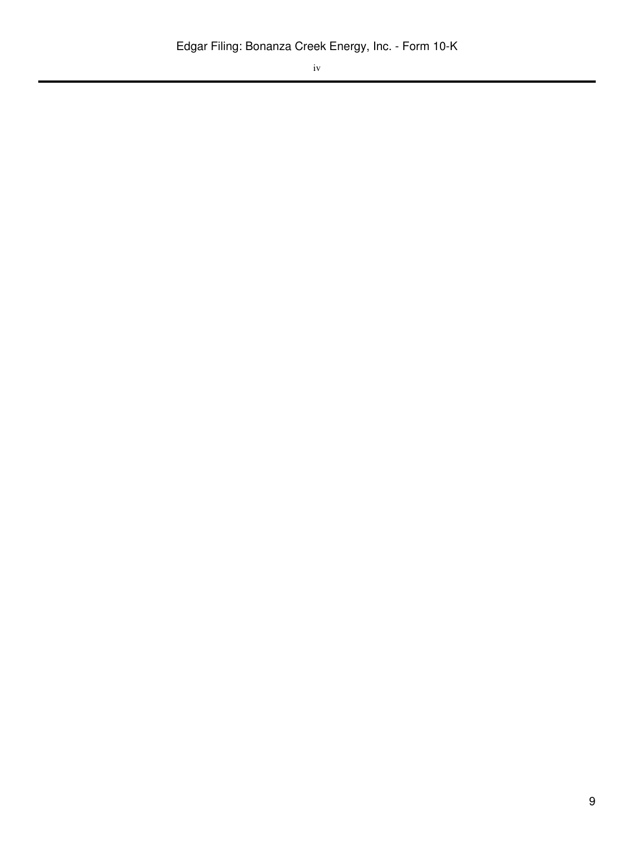iv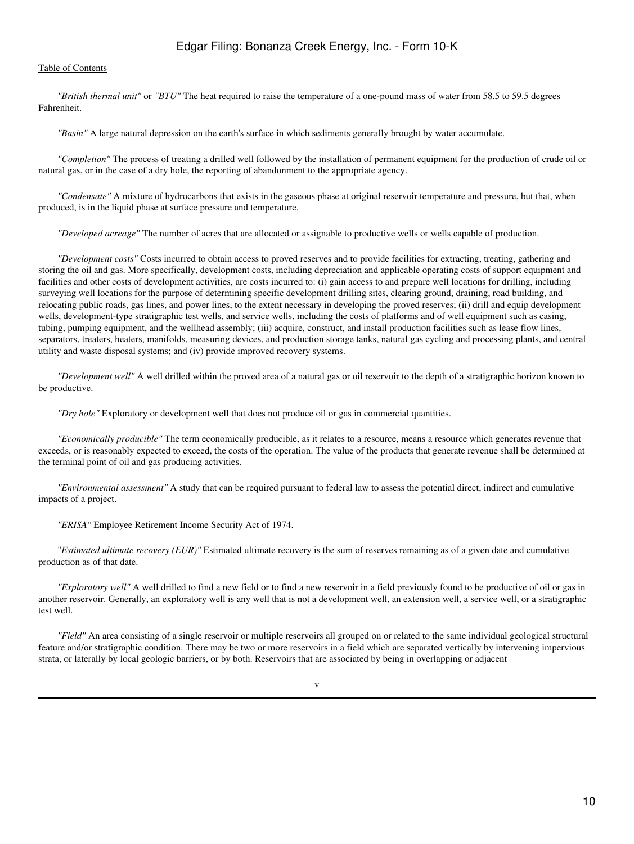#### [Table of Contents](#page-2-0)

*"British thermal unit"* or *"BTU"* The heat required to raise the temperature of a one-pound mass of water from 58.5 to 59.5 degrees Fahrenheit.

*"Basin"* A large natural depression on the earth's surface in which sediments generally brought by water accumulate.

*"Completion"* The process of treating a drilled well followed by the installation of permanent equipment for the production of crude oil or natural gas, or in the case of a dry hole, the reporting of abandonment to the appropriate agency.

*"Condensate"* A mixture of hydrocarbons that exists in the gaseous phase at original reservoir temperature and pressure, but that, when produced, is in the liquid phase at surface pressure and temperature.

*"Developed acreage"* The number of acres that are allocated or assignable to productive wells or wells capable of production.

*"Development costs"* Costs incurred to obtain access to proved reserves and to provide facilities for extracting, treating, gathering and storing the oil and gas. More specifically, development costs, including depreciation and applicable operating costs of support equipment and facilities and other costs of development activities, are costs incurred to: (i) gain access to and prepare well locations for drilling, including surveying well locations for the purpose of determining specific development drilling sites, clearing ground, draining, road building, and relocating public roads, gas lines, and power lines, to the extent necessary in developing the proved reserves; (ii) drill and equip development wells, development-type stratigraphic test wells, and service wells, including the costs of platforms and of well equipment such as casing, tubing, pumping equipment, and the wellhead assembly; (iii) acquire, construct, and install production facilities such as lease flow lines, separators, treaters, heaters, manifolds, measuring devices, and production storage tanks, natural gas cycling and processing plants, and central utility and waste disposal systems; and (iv) provide improved recovery systems.

*"Development well"* A well drilled within the proved area of a natural gas or oil reservoir to the depth of a stratigraphic horizon known to be productive.

*"Dry hole"* Exploratory or development well that does not produce oil or gas in commercial quantities.

*"Economically producible"* The term economically producible, as it relates to a resource, means a resource which generates revenue that exceeds, or is reasonably expected to exceed, the costs of the operation. The value of the products that generate revenue shall be determined at the terminal point of oil and gas producing activities.

*"Environmental assessment"* A study that can be required pursuant to federal law to assess the potential direct, indirect and cumulative impacts of a project.

*"ERISA"* Employee Retirement Income Security Act of 1974.

 "*Estimated ultimate recovery (EUR)"* Estimated ultimate recovery is the sum of reserves remaining as of a given date and cumulative production as of that date.

*"Exploratory well"* A well drilled to find a new field or to find a new reservoir in a field previously found to be productive of oil or gas in another reservoir. Generally, an exploratory well is any well that is not a development well, an extension well, a service well, or a stratigraphic test well.

*"Field"* An area consisting of a single reservoir or multiple reservoirs all grouped on or related to the same individual geological structural feature and/or stratigraphic condition. There may be two or more reservoirs in a field which are separated vertically by intervening impervious strata, or laterally by local geologic barriers, or by both. Reservoirs that are associated by being in overlapping or adjacent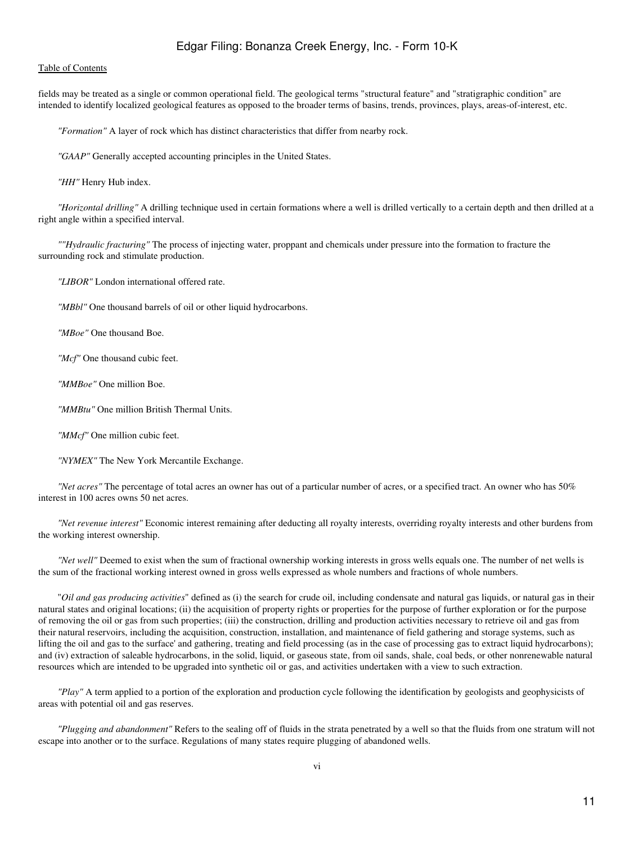#### [Table of Contents](#page-2-0)

fields may be treated as a single or common operational field. The geological terms "structural feature" and "stratigraphic condition" are intended to identify localized geological features as opposed to the broader terms of basins, trends, provinces, plays, areas-of-interest, etc.

*"Formation"* A layer of rock which has distinct characteristics that differ from nearby rock.

*"GAAP"* Generally accepted accounting principles in the United States.

*"HH"* Henry Hub index.

*"Horizontal drilling"* A drilling technique used in certain formations where a well is drilled vertically to a certain depth and then drilled at a right angle within a specified interval.

*""Hydraulic fracturing"* The process of injecting water, proppant and chemicals under pressure into the formation to fracture the surrounding rock and stimulate production.

*"LIBOR"* London international offered rate.

*"MBbl"* One thousand barrels of oil or other liquid hydrocarbons.

*"MBoe"* One thousand Boe.

*"Mcf"* One thousand cubic feet.

*"MMBoe"* One million Boe.

*"MMBtu"* One million British Thermal Units.

*"MMcf"* One million cubic feet.

*"NYMEX"* The New York Mercantile Exchange.

*"Net acres"* The percentage of total acres an owner has out of a particular number of acres, or a specified tract. An owner who has 50% interest in 100 acres owns 50 net acres.

*"Net revenue interest"* Economic interest remaining after deducting all royalty interests, overriding royalty interests and other burdens from the working interest ownership.

*"Net well"* Deemed to exist when the sum of fractional ownership working interests in gross wells equals one. The number of net wells is the sum of the fractional working interest owned in gross wells expressed as whole numbers and fractions of whole numbers.

 "*Oil and gas producing activities*" defined as (i) the search for crude oil, including condensate and natural gas liquids, or natural gas in their natural states and original locations; (ii) the acquisition of property rights or properties for the purpose of further exploration or for the purpose of removing the oil or gas from such properties; (iii) the construction, drilling and production activities necessary to retrieve oil and gas from their natural reservoirs, including the acquisition, construction, installation, and maintenance of field gathering and storage systems, such as lifting the oil and gas to the surface' and gathering, treating and field processing (as in the case of processing gas to extract liquid hydrocarbons); and (iv) extraction of saleable hydrocarbons, in the solid, liquid, or gaseous state, from oil sands, shale, coal beds, or other nonrenewable natural resources which are intended to be upgraded into synthetic oil or gas, and activities undertaken with a view to such extraction.

*"Play"* A term applied to a portion of the exploration and production cycle following the identification by geologists and geophysicists of areas with potential oil and gas reserves.

*"Plugging and abandonment"* Refers to the sealing off of fluids in the strata penetrated by a well so that the fluids from one stratum will not escape into another or to the surface. Regulations of many states require plugging of abandoned wells.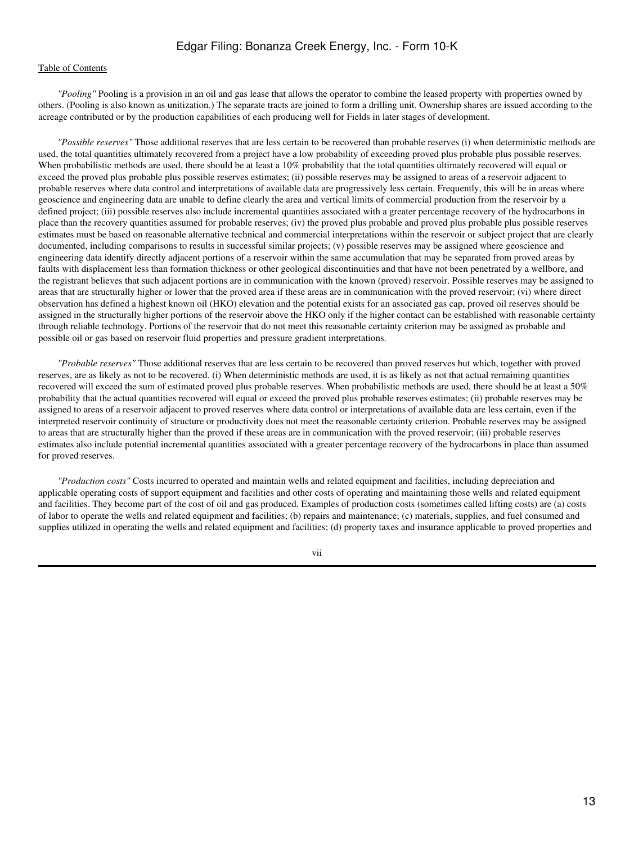*"Pooling"* Pooling is a provision in an oil and gas lease that allows the operator to combine the leased property with properties owned by others. (Pooling is also known as unitization.) The separate tracts are joined to form a drilling unit. Ownership shares are issued according to the acreage contributed or by the production capabilities of each producing well for Fields in later stages of development.

*"Possible reserves"* Those additional reserves that are less certain to be recovered than probable reserves (i) when deterministic methods are used, the total quantities ultimately recovered from a project have a low probability of exceeding proved plus probable plus possible reserves. When probabilistic methods are used, there should be at least a 10% probability that the total quantities ultimately recovered will equal or exceed the proved plus probable plus possible reserves estimates; (ii) possible reserves may be assigned to areas of a reservoir adjacent to probable reserves where data control and interpretations of available data are progressively less certain. Frequently, this will be in areas where geoscience and engineering data are unable to define clearly the area and vertical limits of commercial production from the reservoir by a defined project; (iii) possible reserves also include incremental quantities associated with a greater percentage recovery of the hydrocarbons in place than the recovery quantities assumed for probable reserves; (iv) the proved plus probable and proved plus probable plus possible reserves estimates must be based on reasonable alternative technical and commercial interpretations within the reservoir or subject project that are clearly documented, including comparisons to results in successful similar projects; (v) possible reserves may be assigned where geoscience and engineering data identify directly adjacent portions of a reservoir within the same accumulation that may be separated from proved areas by faults with displacement less than formation thickness or other geological discontinuities and that have not been penetrated by a wellbore, and the registrant believes that such adjacent portions are in communication with the known (proved) reservoir. Possible reserves may be assigned to areas that are structurally higher or lower that the proved area if these areas are in communication with the proved reservoir; (vi) where direct observation has defined a highest known oil (HKO) elevation and the potential exists for an associated gas cap, proved oil reserves should be assigned in the structurally higher portions of the reservoir above the HKO only if the higher contact can be established with reasonable certainty through reliable technology. Portions of the reservoir that do not meet this reasonable certainty criterion may be assigned as probable and possible oil or gas based on reservoir fluid properties and pressure gradient interpretations.

*"Probable reserves"* Those additional reserves that are less certain to be recovered than proved reserves but which, together with proved reserves, are as likely as not to be recovered. (i) When deterministic methods are used, it is as likely as not that actual remaining quantities recovered will exceed the sum of estimated proved plus probable reserves. When probabilistic methods are used, there should be at least a 50% probability that the actual quantities recovered will equal or exceed the proved plus probable reserves estimates; (ii) probable reserves may be assigned to areas of a reservoir adjacent to proved reserves where data control or interpretations of available data are less certain, even if the interpreted reservoir continuity of structure or productivity does not meet the reasonable certainty criterion. Probable reserves may be assigned to areas that are structurally higher than the proved if these areas are in communication with the proved reservoir; (iii) probable reserves estimates also include potential incremental quantities associated with a greater percentage recovery of the hydrocarbons in place than assumed for proved reserves.

*"Production costs"* Costs incurred to operated and maintain wells and related equipment and facilities, including depreciation and applicable operating costs of support equipment and facilities and other costs of operating and maintaining those wells and related equipment and facilities. They become part of the cost of oil and gas produced. Examples of production costs (sometimes called lifting costs) are (a) costs of labor to operate the wells and related equipment and facilities; (b) repairs and maintenance; (c) materials, supplies, and fuel consumed and supplies utilized in operating the wells and related equipment and facilities; (d) property taxes and insurance applicable to proved properties and

vii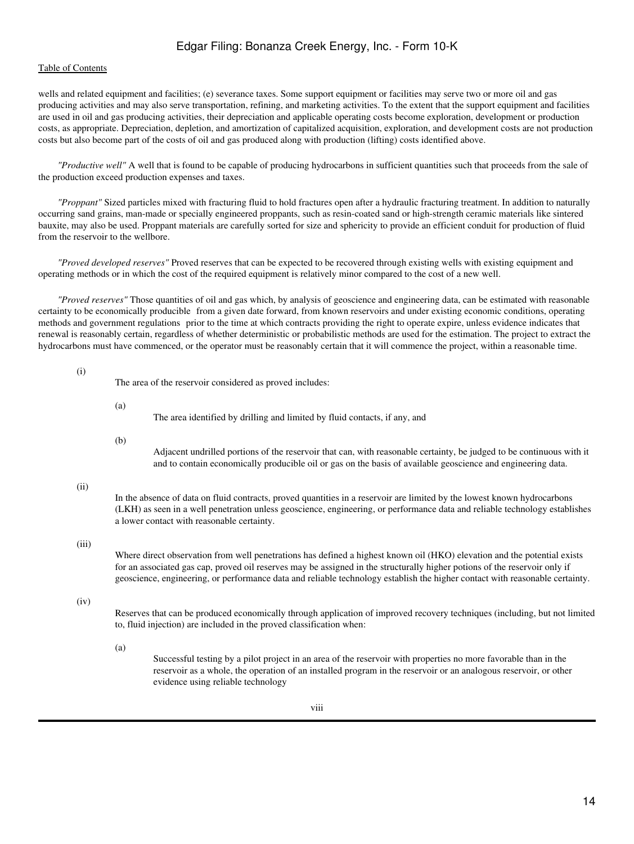#### [Table of Contents](#page-2-0)

wells and related equipment and facilities; (e) severance taxes. Some support equipment or facilities may serve two or more oil and gas producing activities and may also serve transportation, refining, and marketing activities. To the extent that the support equipment and facilities are used in oil and gas producing activities, their depreciation and applicable operating costs become exploration, development or production costs, as appropriate. Depreciation, depletion, and amortization of capitalized acquisition, exploration, and development costs are not production costs but also become part of the costs of oil and gas produced along with production (lifting) costs identified above.

*"Productive well"* A well that is found to be capable of producing hydrocarbons in sufficient quantities such that proceeds from the sale of the production exceed production expenses and taxes.

*"Proppant"* Sized particles mixed with fracturing fluid to hold fractures open after a hydraulic fracturing treatment. In addition to naturally occurring sand grains, man-made or specially engineered proppants, such as resin-coated sand or high-strength ceramic materials like sintered bauxite, may also be used. Proppant materials are carefully sorted for size and sphericity to provide an efficient conduit for production of fluid from the reservoir to the wellbore.

*"Proved developed reserves"* Proved reserves that can be expected to be recovered through existing wells with existing equipment and operating methods or in which the cost of the required equipment is relatively minor compared to the cost of a new well.

*"Proved reserves"* Those quantities of oil and gas which, by analysis of geoscience and engineering data, can be estimated with reasonable certainty to be economically producible from a given date forward, from known reservoirs and under existing economic conditions, operating methods and government regulations prior to the time at which contracts providing the right to operate expire, unless evidence indicates that renewal is reasonably certain, regardless of whether deterministic or probabilistic methods are used for the estimation. The project to extract the hydrocarbons must have commenced, or the operator must be reasonably certain that it will commence the project, within a reasonable time.

#### (i)

The area of the reservoir considered as proved includes:

(a)

The area identified by drilling and limited by fluid contacts, if any, and

(b)

Adjacent undrilled portions of the reservoir that can, with reasonable certainty, be judged to be continuous with it and to contain economically producible oil or gas on the basis of available geoscience and engineering data.

#### (ii)

In the absence of data on fluid contracts, proved quantities in a reservoir are limited by the lowest known hydrocarbons (LKH) as seen in a well penetration unless geoscience, engineering, or performance data and reliable technology establishes a lower contact with reasonable certainty.

(iii)

Where direct observation from well penetrations has defined a highest known oil (HKO) elevation and the potential exists for an associated gas cap, proved oil reserves may be assigned in the structurally higher potions of the reservoir only if geoscience, engineering, or performance data and reliable technology establish the higher contact with reasonable certainty.

#### (iv)

Reserves that can be produced economically through application of improved recovery techniques (including, but not limited to, fluid injection) are included in the proved classification when:

(a)

Successful testing by a pilot project in an area of the reservoir with properties no more favorable than in the reservoir as a whole, the operation of an installed program in the reservoir or an analogous reservoir, or other evidence using reliable technology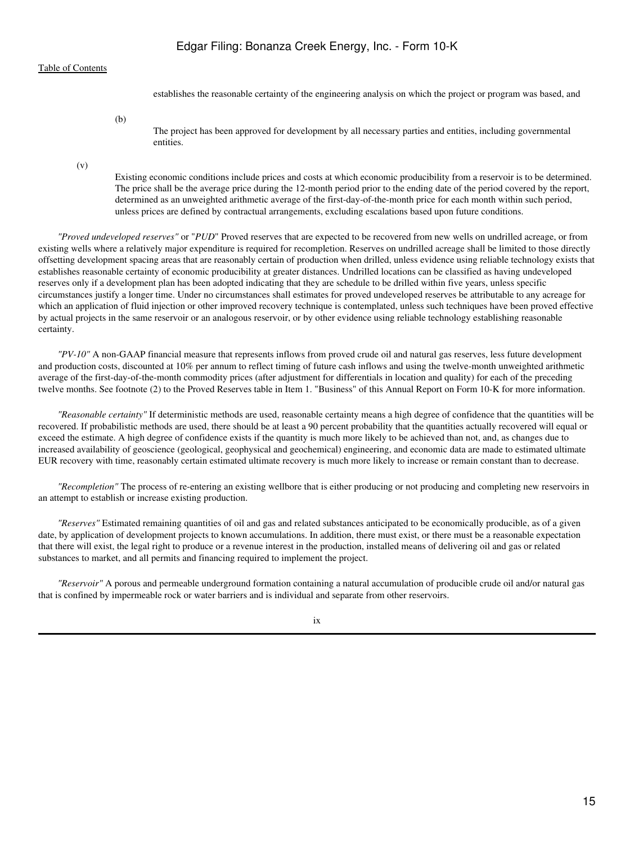establishes the reasonable certainty of the engineering analysis on which the project or program was based, and

(b)

The project has been approved for development by all necessary parties and entities, including governmental entities.

(v)

Existing economic conditions include prices and costs at which economic producibility from a reservoir is to be determined. The price shall be the average price during the 12-month period prior to the ending date of the period covered by the report, determined as an unweighted arithmetic average of the first-day-of-the-month price for each month within such period, unless prices are defined by contractual arrangements, excluding escalations based upon future conditions.

*"Proved undeveloped reserves"* or "*PUD*" Proved reserves that are expected to be recovered from new wells on undrilled acreage, or from existing wells where a relatively major expenditure is required for recompletion. Reserves on undrilled acreage shall be limited to those directly offsetting development spacing areas that are reasonably certain of production when drilled, unless evidence using reliable technology exists that establishes reasonable certainty of economic producibility at greater distances. Undrilled locations can be classified as having undeveloped reserves only if a development plan has been adopted indicating that they are schedule to be drilled within five years, unless specific circumstances justify a longer time. Under no circumstances shall estimates for proved undeveloped reserves be attributable to any acreage for which an application of fluid injection or other improved recovery technique is contemplated, unless such techniques have been proved effective by actual projects in the same reservoir or an analogous reservoir, or by other evidence using reliable technology establishing reasonable certainty.

*"PV-10"* A non-GAAP financial measure that represents inflows from proved crude oil and natural gas reserves, less future development and production costs, discounted at 10% per annum to reflect timing of future cash inflows and using the twelve-month unweighted arithmetic average of the first-day-of-the-month commodity prices (after adjustment for differentials in location and quality) for each of the preceding twelve months. See footnote (2) to the Proved Reserves table in Item 1. "Business" of this Annual Report on Form 10-K for more information.

*"Reasonable certainty"* If deterministic methods are used, reasonable certainty means a high degree of confidence that the quantities will be recovered. If probabilistic methods are used, there should be at least a 90 percent probability that the quantities actually recovered will equal or exceed the estimate. A high degree of confidence exists if the quantity is much more likely to be achieved than not, and, as changes due to increased availability of geoscience (geological, geophysical and geochemical) engineering, and economic data are made to estimated ultimate EUR recovery with time, reasonably certain estimated ultimate recovery is much more likely to increase or remain constant than to decrease.

*"Recompletion"* The process of re-entering an existing wellbore that is either producing or not producing and completing new reservoirs in an attempt to establish or increase existing production.

*"Reserves"* Estimated remaining quantities of oil and gas and related substances anticipated to be economically producible, as of a given date, by application of development projects to known accumulations. In addition, there must exist, or there must be a reasonable expectation that there will exist, the legal right to produce or a revenue interest in the production, installed means of delivering oil and gas or related substances to market, and all permits and financing required to implement the project.

*"Reservoir"* A porous and permeable underground formation containing a natural accumulation of producible crude oil and/or natural gas that is confined by impermeable rock or water barriers and is individual and separate from other reservoirs.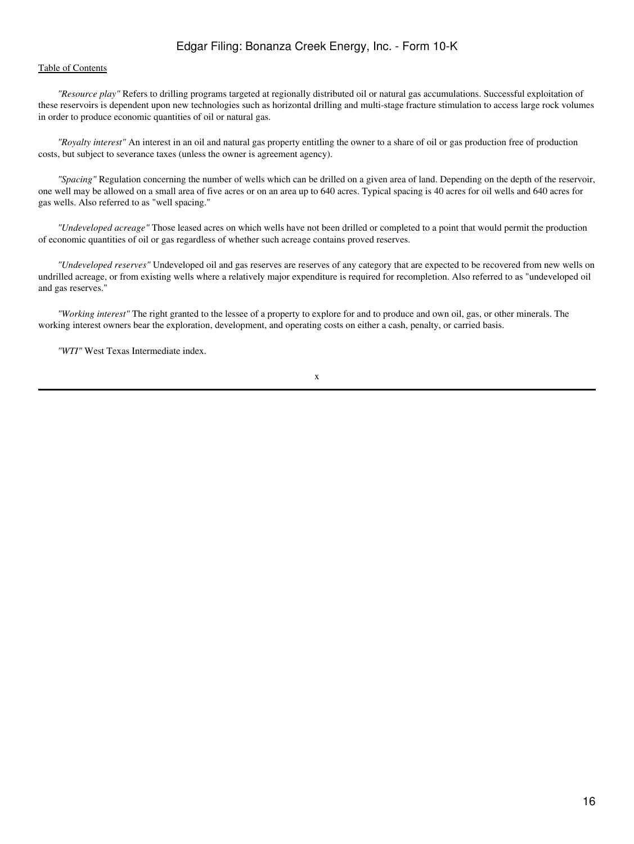#### [Table of Contents](#page-2-0)

*"Resource play"* Refers to drilling programs targeted at regionally distributed oil or natural gas accumulations. Successful exploitation of these reservoirs is dependent upon new technologies such as horizontal drilling and multi-stage fracture stimulation to access large rock volumes in order to produce economic quantities of oil or natural gas.

*"Royalty interest"* An interest in an oil and natural gas property entitling the owner to a share of oil or gas production free of production costs, but subject to severance taxes (unless the owner is agreement agency).

*"Spacing"* Regulation concerning the number of wells which can be drilled on a given area of land. Depending on the depth of the reservoir, one well may be allowed on a small area of five acres or on an area up to 640 acres. Typical spacing is 40 acres for oil wells and 640 acres for gas wells. Also referred to as "well spacing."

*"Undeveloped acreage"* Those leased acres on which wells have not been drilled or completed to a point that would permit the production of economic quantities of oil or gas regardless of whether such acreage contains proved reserves.

*"Undeveloped reserves"* Undeveloped oil and gas reserves are reserves of any category that are expected to be recovered from new wells on undrilled acreage, or from existing wells where a relatively major expenditure is required for recompletion. Also referred to as "undeveloped oil and gas reserves."

*"Working interest"* The right granted to the lessee of a property to explore for and to produce and own oil, gas, or other minerals. The working interest owners bear the exploration, development, and operating costs on either a cash, penalty, or carried basis.

*"WTI"* West Texas Intermediate index.

x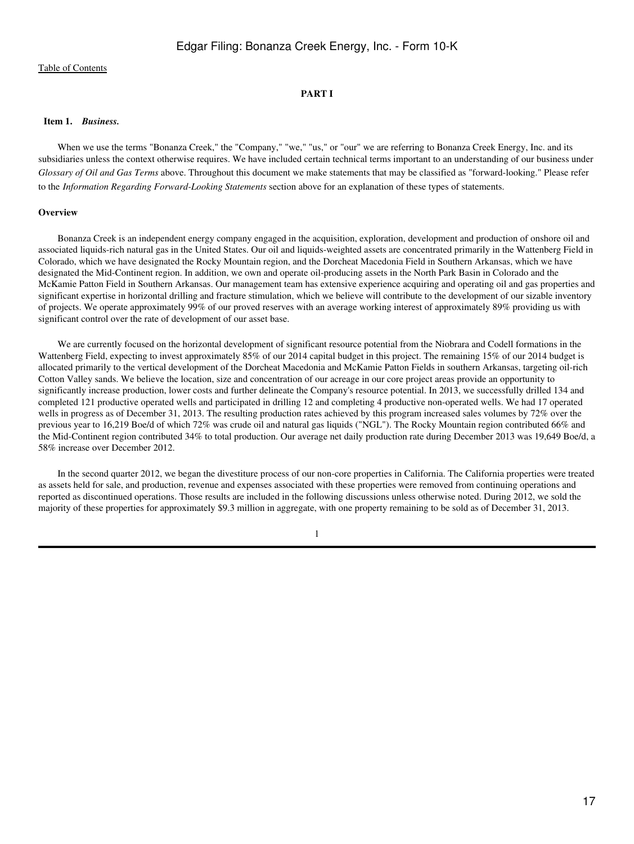### **PART I**

#### <span id="page-16-1"></span><span id="page-16-0"></span> **Item 1.** *Business.*

 When we use the terms "Bonanza Creek," the "Company," "we," "us," or "our" we are referring to Bonanza Creek Energy, Inc. and its subsidiaries unless the context otherwise requires. We have included certain technical terms important to an understanding of our business under *Glossary of Oil and Gas Terms* above. Throughout this document we make statements that may be classified as "forward-looking." Please refer to the *Information Regarding Forward-Looking Statements* section above for an explanation of these types of statements.

#### **Overview**

 Bonanza Creek is an independent energy company engaged in the acquisition, exploration, development and production of onshore oil and associated liquids-rich natural gas in the United States. Our oil and liquids-weighted assets are concentrated primarily in the Wattenberg Field in Colorado, which we have designated the Rocky Mountain region, and the Dorcheat Macedonia Field in Southern Arkansas, which we have designated the Mid-Continent region. In addition, we own and operate oil-producing assets in the North Park Basin in Colorado and the McKamie Patton Field in Southern Arkansas. Our management team has extensive experience acquiring and operating oil and gas properties and significant expertise in horizontal drilling and fracture stimulation, which we believe will contribute to the development of our sizable inventory of projects. We operate approximately 99% of our proved reserves with an average working interest of approximately 89% providing us with significant control over the rate of development of our asset base.

 We are currently focused on the horizontal development of significant resource potential from the Niobrara and Codell formations in the Wattenberg Field, expecting to invest approximately 85% of our 2014 capital budget in this project. The remaining 15% of our 2014 budget is allocated primarily to the vertical development of the Dorcheat Macedonia and McKamie Patton Fields in southern Arkansas, targeting oil-rich Cotton Valley sands. We believe the location, size and concentration of our acreage in our core project areas provide an opportunity to significantly increase production, lower costs and further delineate the Company's resource potential. In 2013, we successfully drilled 134 and completed 121 productive operated wells and participated in drilling 12 and completing 4 productive non-operated wells. We had 17 operated wells in progress as of December 31, 2013. The resulting production rates achieved by this program increased sales volumes by 72% over the previous year to 16,219 Boe/d of which 72% was crude oil and natural gas liquids ("NGL"). The Rocky Mountain region contributed 66% and the Mid-Continent region contributed 34% to total production. Our average net daily production rate during December 2013 was 19,649 Boe/d, a 58% increase over December 2012.

 In the second quarter 2012, we began the divestiture process of our non-core properties in California. The California properties were treated as assets held for sale, and production, revenue and expenses associated with these properties were removed from continuing operations and reported as discontinued operations. Those results are included in the following discussions unless otherwise noted. During 2012, we sold the majority of these properties for approximately \$9.3 million in aggregate, with one property remaining to be sold as of December 31, 2013.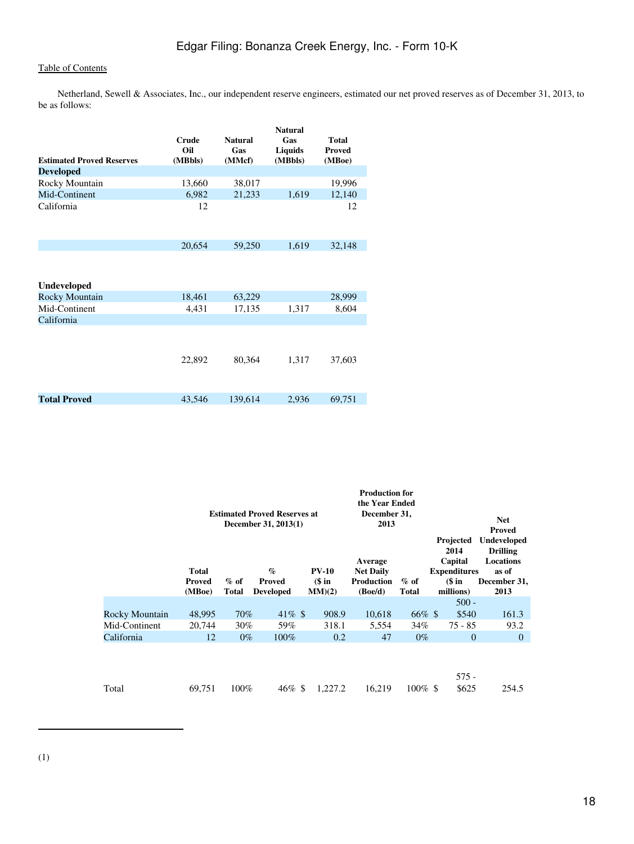Netherland, Sewell & Associates, Inc., our independent reserve engineers, estimated our net proved reserves as of December 31, 2013, to be as follows:

| <b>Estimated Proved Reserves</b> | Crude<br>Oil<br>(MBbls) | <b>Natural</b><br>Gas<br>(MMcf) | <b>Natural</b><br>Gas<br><b>Liquids</b><br>(MBbls) | <b>Total</b><br><b>Proved</b><br>(MBoe) |
|----------------------------------|-------------------------|---------------------------------|----------------------------------------------------|-----------------------------------------|
| <b>Developed</b>                 |                         |                                 |                                                    |                                         |
| Rocky Mountain                   | 13,660                  | 38,017                          |                                                    | 19,996                                  |
| Mid-Continent                    | 6,982                   | 21,233                          | 1,619                                              | 12,140                                  |
| California                       | 12                      |                                 |                                                    | 12                                      |
|                                  | 20,654                  | 59,250                          | 1,619                                              | 32,148                                  |
| <b>Undeveloped</b>               |                         |                                 |                                                    |                                         |
| Rocky Mountain                   | 18,461                  | 63,229                          |                                                    | 28,999                                  |
| Mid-Continent                    | 4,431                   | 17,135                          | 1,317                                              | 8,604                                   |
| California                       | 22,892                  | 80,364                          | 1,317                                              | 37,603                                  |
| <b>Total Proved</b>              | 43,546                  | 139,614                         | 2,936                                              | 69,751                                  |

|                             | <b>Estimated Proved Reserves at</b><br>December 31, 2013(1) |                        |                                                      |               |                                  | <b>Production for</b><br>the Year Ended<br>December 31,<br>2013 |                         |                                                                            | <b>Net</b><br>Proved                                                                |
|-----------------------------|-------------------------------------------------------------|------------------------|------------------------------------------------------|---------------|----------------------------------|-----------------------------------------------------------------|-------------------------|----------------------------------------------------------------------------|-------------------------------------------------------------------------------------|
|                             | <b>Total</b><br><b>Proved</b><br>(MBoe)                     | $%$ of<br><b>Total</b> | $\mathcal{G}_0$<br><b>Proved</b><br><b>Developed</b> |               | <b>PV-10</b><br>$$$ in<br>MM)(2) | Average<br><b>Net Daily</b><br><b>Production</b><br>(Boe/d)     | $\%$ of<br><b>Total</b> | Projected<br>2014<br>Capital<br><b>Expenditures</b><br>$$$ in<br>millions) | <b>Undeveloped</b><br><b>Drilling</b><br>Locations<br>as of<br>December 31,<br>2013 |
|                             |                                                             |                        |                                                      |               |                                  |                                                                 |                         | $500 -$                                                                    |                                                                                     |
| Rocky Mountain              | 48,995                                                      | 70%                    | $41\%$ \$                                            |               | 908.9                            | 10,618                                                          | $66\%$ \$               | \$540                                                                      | 161.3                                                                               |
| Mid-Continent<br>California | 20,744<br>12                                                | $30\%$<br>$0\%$        | 59%<br>100%                                          |               | 318.1<br>0.2                     | 5,554<br>47                                                     | 34%<br>$0\%$            | 75 - 85<br>$\overline{0}$                                                  | 93.2<br>$\overline{0}$                                                              |
| Total                       | 69,751                                                      | $100\%$                | 46%                                                  | <sup>\$</sup> | 1,227.2                          | 16,219                                                          | $100\%$ \$              | 575 -<br>\$625                                                             | 254.5                                                                               |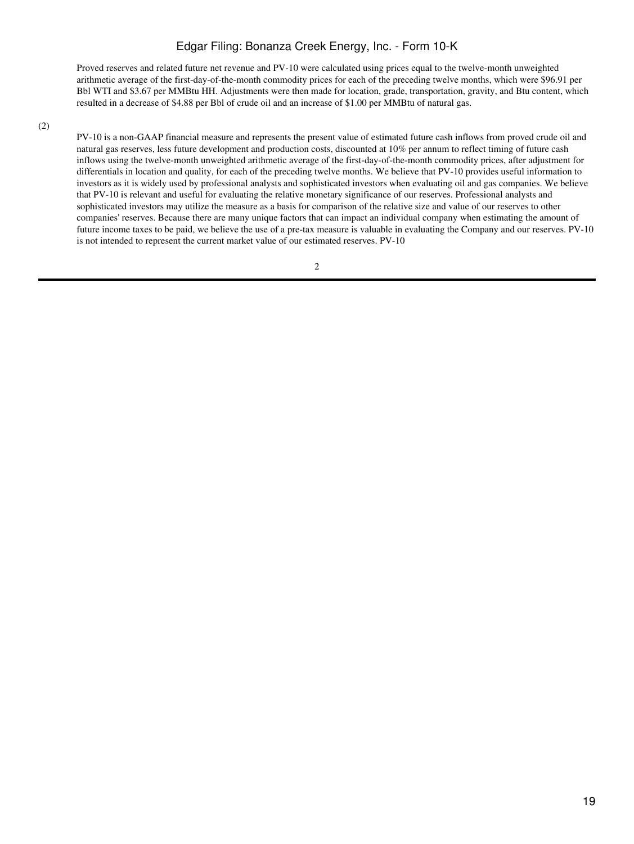Proved reserves and related future net revenue and PV-10 were calculated using prices equal to the twelve-month unweighted arithmetic average of the first-day-of-the-month commodity prices for each of the preceding twelve months, which were \$96.91 per Bbl WTI and \$3.67 per MMBtu HH. Adjustments were then made for location, grade, transportation, gravity, and Btu content, which resulted in a decrease of \$4.88 per Bbl of crude oil and an increase of \$1.00 per MMBtu of natural gas.

(2)

PV-10 is a non-GAAP financial measure and represents the present value of estimated future cash inflows from proved crude oil and natural gas reserves, less future development and production costs, discounted at 10% per annum to reflect timing of future cash inflows using the twelve-month unweighted arithmetic average of the first-day-of-the-month commodity prices, after adjustment for differentials in location and quality, for each of the preceding twelve months. We believe that PV-10 provides useful information to investors as it is widely used by professional analysts and sophisticated investors when evaluating oil and gas companies. We believe that PV-10 is relevant and useful for evaluating the relative monetary significance of our reserves. Professional analysts and sophisticated investors may utilize the measure as a basis for comparison of the relative size and value of our reserves to other companies' reserves. Because there are many unique factors that can impact an individual company when estimating the amount of future income taxes to be paid, we believe the use of a pre-tax measure is valuable in evaluating the Company and our reserves. PV-10 is not intended to represent the current market value of our estimated reserves. PV-10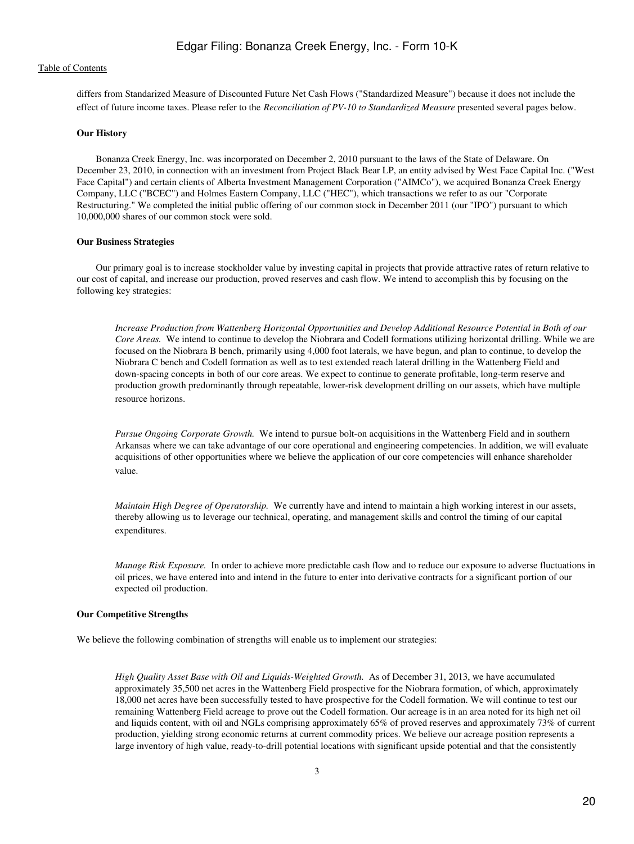differs from Standarized Measure of Discounted Future Net Cash Flows ("Standardized Measure") because it does not include the effect of future income taxes. Please refer to the *Reconciliation of PV-10 to Standardized Measure* presented several pages below.

#### **Our History**

 Bonanza Creek Energy, Inc. was incorporated on December 2, 2010 pursuant to the laws of the State of Delaware. On December 23, 2010, in connection with an investment from Project Black Bear LP, an entity advised by West Face Capital Inc. ("West Face Capital") and certain clients of Alberta Investment Management Corporation ("AIMCo"), we acquired Bonanza Creek Energy Company, LLC ("BCEC") and Holmes Eastern Company, LLC ("HEC"), which transactions we refer to as our "Corporate Restructuring." We completed the initial public offering of our common stock in December 2011 (our "IPO") pursuant to which 10,000,000 shares of our common stock were sold.

#### **Our Business Strategies**

 Our primary goal is to increase stockholder value by investing capital in projects that provide attractive rates of return relative to our cost of capital, and increase our production, proved reserves and cash flow. We intend to accomplish this by focusing on the following key strategies:

*Increase Production from Wattenberg Horizontal Opportunities and Develop Additional Resource Potential in Both of our Core Areas.* We intend to continue to develop the Niobrara and Codell formations utilizing horizontal drilling. While we are focused on the Niobrara B bench, primarily using 4,000 foot laterals, we have begun, and plan to continue, to develop the Niobrara C bench and Codell formation as well as to test extended reach lateral drilling in the Wattenberg Field and down-spacing concepts in both of our core areas. We expect to continue to generate profitable, long-term reserve and production growth predominantly through repeatable, lower-risk development drilling on our assets, which have multiple resource horizons.

*Pursue Ongoing Corporate Growth.* We intend to pursue bolt-on acquisitions in the Wattenberg Field and in southern Arkansas where we can take advantage of our core operational and engineering competencies. In addition, we will evaluate acquisitions of other opportunities where we believe the application of our core competencies will enhance shareholder value.

*Maintain High Degree of Operatorship.* We currently have and intend to maintain a high working interest in our assets, thereby allowing us to leverage our technical, operating, and management skills and control the timing of our capital expenditures.

*Manage Risk Exposure.* In order to achieve more predictable cash flow and to reduce our exposure to adverse fluctuations in oil prices, we have entered into and intend in the future to enter into derivative contracts for a significant portion of our expected oil production.

#### **Our Competitive Strengths**

We believe the following combination of strengths will enable us to implement our strategies:

*High Quality Asset Base with Oil and Liquids-Weighted Growth.* As of December 31, 2013, we have accumulated approximately 35,500 net acres in the Wattenberg Field prospective for the Niobrara formation, of which, approximately 18,000 net acres have been successfully tested to have prospective for the Codell formation. We will continue to test our remaining Wattenberg Field acreage to prove out the Codell formation. Our acreage is in an area noted for its high net oil and liquids content, with oil and NGLs comprising approximately 65% of proved reserves and approximately 73% of current production, yielding strong economic returns at current commodity prices. We believe our acreage position represents a large inventory of high value, ready-to-drill potential locations with significant upside potential and that the consistently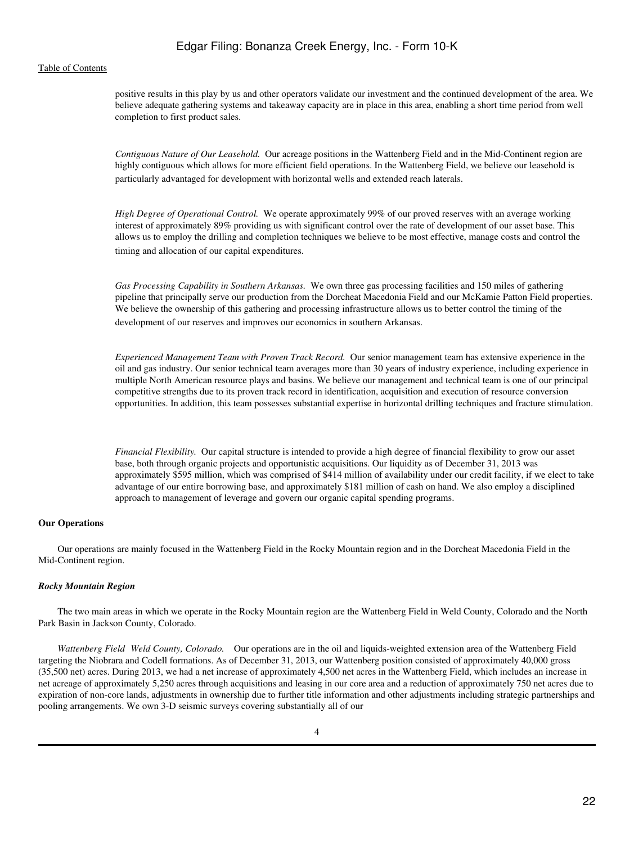positive results in this play by us and other operators validate our investment and the continued development of the area. We believe adequate gathering systems and takeaway capacity are in place in this area, enabling a short time period from well completion to first product sales.

*Contiguous Nature of Our Leasehold.* Our acreage positions in the Wattenberg Field and in the Mid-Continent region are highly contiguous which allows for more efficient field operations. In the Wattenberg Field, we believe our leasehold is particularly advantaged for development with horizontal wells and extended reach laterals.

*High Degree of Operational Control.* We operate approximately 99% of our proved reserves with an average working interest of approximately 89% providing us with significant control over the rate of development of our asset base. This allows us to employ the drilling and completion techniques we believe to be most effective, manage costs and control the timing and allocation of our capital expenditures.

*Gas Processing Capability in Southern Arkansas.* We own three gas processing facilities and 150 miles of gathering pipeline that principally serve our production from the Dorcheat Macedonia Field and our McKamie Patton Field properties. We believe the ownership of this gathering and processing infrastructure allows us to better control the timing of the development of our reserves and improves our economics in southern Arkansas.

*Experienced Management Team with Proven Track Record.* Our senior management team has extensive experience in the oil and gas industry. Our senior technical team averages more than 30 years of industry experience, including experience in multiple North American resource plays and basins. We believe our management and technical team is one of our principal competitive strengths due to its proven track record in identification, acquisition and execution of resource conversion opportunities. In addition, this team possesses substantial expertise in horizontal drilling techniques and fracture stimulation.

*Financial Flexibility.* Our capital structure is intended to provide a high degree of financial flexibility to grow our asset base, both through organic projects and opportunistic acquisitions. Our liquidity as of December 31, 2013 was approximately \$595 million, which was comprised of \$414 million of availability under our credit facility, if we elect to take advantage of our entire borrowing base, and approximately \$181 million of cash on hand. We also employ a disciplined approach to management of leverage and govern our organic capital spending programs.

#### **Our Operations**

 Our operations are mainly focused in the Wattenberg Field in the Rocky Mountain region and in the Dorcheat Macedonia Field in the Mid-Continent region.

#### *Rocky Mountain Region*

 The two main areas in which we operate in the Rocky Mountain region are the Wattenberg Field in Weld County, Colorado and the North Park Basin in Jackson County, Colorado.

Wattenberg Field Weld County, Colorado. Our operations are in the oil and liquids-weighted extension area of the Wattenberg Field targeting the Niobrara and Codell formations. As of December 31, 2013, our Wattenberg position consisted of approximately 40,000 gross (35,500 net) acres. During 2013, we had a net increase of approximately 4,500 net acres in the Wattenberg Field, which includes an increase in net acreage of approximately 5,250 acres through acquisitions and leasing in our core area and a reduction of approximately 750 net acres due to expiration of non-core lands, adjustments in ownership due to further title information and other adjustments including strategic partnerships and pooling arrangements. We own 3-D seismic surveys covering substantially all of our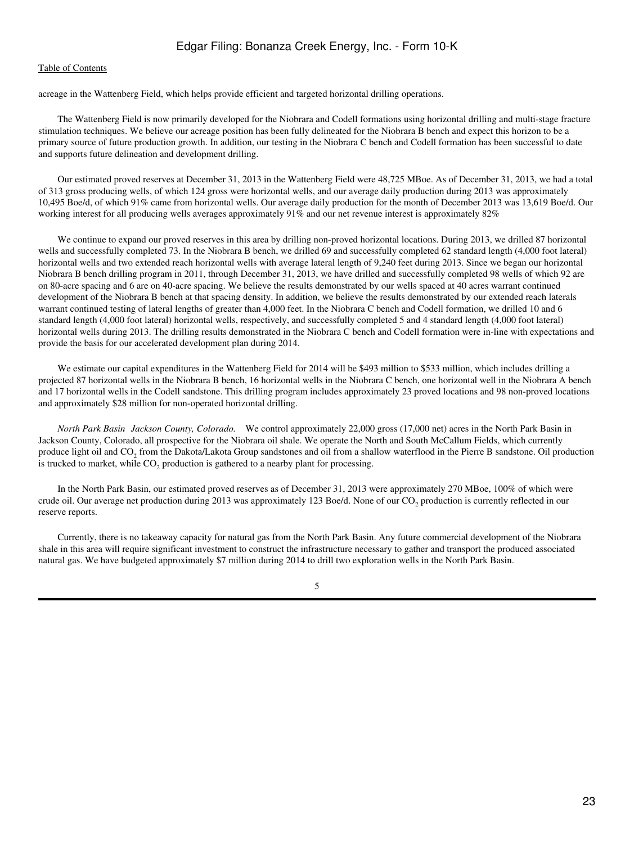acreage in the Wattenberg Field, which helps provide efficient and targeted horizontal drilling operations.

 The Wattenberg Field is now primarily developed for the Niobrara and Codell formations using horizontal drilling and multi-stage fracture stimulation techniques. We believe our acreage position has been fully delineated for the Niobrara B bench and expect this horizon to be a primary source of future production growth. In addition, our testing in the Niobrara C bench and Codell formation has been successful to date and supports future delineation and development drilling.

 Our estimated proved reserves at December 31, 2013 in the Wattenberg Field were 48,725 MBoe. As of December 31, 2013, we had a total of 313 gross producing wells, of which 124 gross were horizontal wells, and our average daily production during 2013 was approximately 10,495 Boe/d, of which 91% came from horizontal wells. Our average daily production for the month of December 2013 was 13,619 Boe/d. Our working interest for all producing wells averages approximately 91% and our net revenue interest is approximately 82%

 We continue to expand our proved reserves in this area by drilling non-proved horizontal locations. During 2013, we drilled 87 horizontal wells and successfully completed 73. In the Niobrara B bench, we drilled 69 and successfully completed 62 standard length (4,000 foot lateral) horizontal wells and two extended reach horizontal wells with average lateral length of 9,240 feet during 2013. Since we began our horizontal Niobrara B bench drilling program in 2011, through December 31, 2013, we have drilled and successfully completed 98 wells of which 92 are on 80-acre spacing and 6 are on 40-acre spacing. We believe the results demonstrated by our wells spaced at 40 acres warrant continued development of the Niobrara B bench at that spacing density. In addition, we believe the results demonstrated by our extended reach laterals warrant continued testing of lateral lengths of greater than 4,000 feet. In the Niobrara C bench and Codell formation, we drilled 10 and 6 standard length (4,000 foot lateral) horizontal wells, respectively, and successfully completed 5 and 4 standard length (4,000 foot lateral) horizontal wells during 2013. The drilling results demonstrated in the Niobrara C bench and Codell formation were in-line with expectations and provide the basis for our accelerated development plan during 2014.

We estimate our capital expenditures in the Wattenberg Field for 2014 will be \$493 million to \$533 million, which includes drilling a projected 87 horizontal wells in the Niobrara B bench, 16 horizontal wells in the Niobrara C bench, one horizontal well in the Niobrara A bench and 17 horizontal wells in the Codell sandstone. This drilling program includes approximately 23 proved locations and 98 non-proved locations and approximately \$28 million for non-operated horizontal drilling.

*North Park Basin Jackson County, Colorado.* We control approximately 22,000 gross (17,000 net) acres in the North Park Basin in Jackson County, Colorado, all prospective for the Niobrara oil shale. We operate the North and South McCallum Fields, which currently produce light oil and CO<sub>2</sub> from the Dakota/Lakota Group sandstones and oil from a shallow waterflood in the Pierre B sandstone. Oil production is trucked to market, while  $\mathrm{CO}_2$  production is gathered to a nearby plant for processing.

 In the North Park Basin, our estimated proved reserves as of December 31, 2013 were approximately 270 MBoe, 100% of which were crude oil. Our average net production during 2013 was approximately 123 Boe/d. None of our  $\rm{CO}_2$  production is currently reflected in our reserve reports.

 Currently, there is no takeaway capacity for natural gas from the North Park Basin. Any future commercial development of the Niobrara shale in this area will require significant investment to construct the infrastructure necessary to gather and transport the produced associated natural gas. We have budgeted approximately \$7 million during 2014 to drill two exploration wells in the North Park Basin.

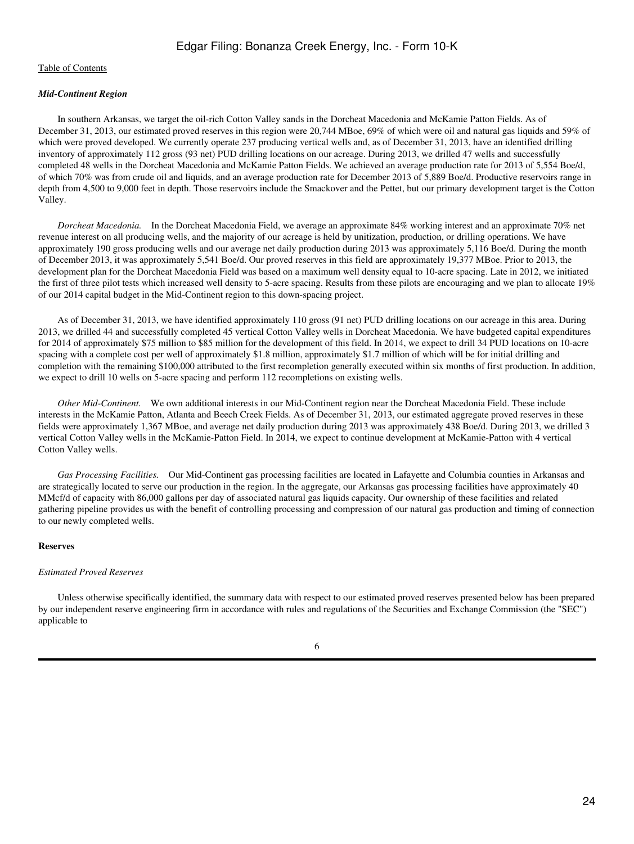#### [Table of Contents](#page-2-0)

#### *Mid-Continent Region*

 In southern Arkansas, we target the oil-rich Cotton Valley sands in the Dorcheat Macedonia and McKamie Patton Fields. As of December 31, 2013, our estimated proved reserves in this region were 20,744 MBoe, 69% of which were oil and natural gas liquids and 59% of which were proved developed. We currently operate 237 producing vertical wells and, as of December 31, 2013, have an identified drilling inventory of approximately 112 gross (93 net) PUD drilling locations on our acreage. During 2013, we drilled 47 wells and successfully completed 48 wells in the Dorcheat Macedonia and McKamie Patton Fields. We achieved an average production rate for 2013 of 5,554 Boe/d, of which 70% was from crude oil and liquids, and an average production rate for December 2013 of 5,889 Boe/d. Productive reservoirs range in depth from 4,500 to 9,000 feet in depth. Those reservoirs include the Smackover and the Pettet, but our primary development target is the Cotton Valley.

 *Dorcheat Macedonia.* In the Dorcheat Macedonia Field, we average an approximate 84% working interest and an approximate 70% net revenue interest on all producing wells, and the majority of our acreage is held by unitization, production, or drilling operations. We have approximately 190 gross producing wells and our average net daily production during 2013 was approximately 5,116 Boe/d. During the month of December 2013, it was approximately 5,541 Boe/d. Our proved reserves in this field are approximately 19,377 MBoe. Prior to 2013, the development plan for the Dorcheat Macedonia Field was based on a maximum well density equal to 10-acre spacing. Late in 2012, we initiated the first of three pilot tests which increased well density to 5-acre spacing. Results from these pilots are encouraging and we plan to allocate 19% of our 2014 capital budget in the Mid-Continent region to this down-spacing project.

 As of December 31, 2013, we have identified approximately 110 gross (91 net) PUD drilling locations on our acreage in this area. During 2013, we drilled 44 and successfully completed 45 vertical Cotton Valley wells in Dorcheat Macedonia. We have budgeted capital expenditures for 2014 of approximately \$75 million to \$85 million for the development of this field. In 2014, we expect to drill 34 PUD locations on 10-acre spacing with a complete cost per well of approximately \$1.8 million, approximately \$1.7 million of which will be for initial drilling and completion with the remaining \$100,000 attributed to the first recompletion generally executed within six months of first production. In addition, we expect to drill 10 wells on 5-acre spacing and perform 112 recompletions on existing wells.

 *Other Mid-Continent.* We own additional interests in our Mid-Continent region near the Dorcheat Macedonia Field. These include interests in the McKamie Patton, Atlanta and Beech Creek Fields. As of December 31, 2013, our estimated aggregate proved reserves in these fields were approximately 1,367 MBoe, and average net daily production during 2013 was approximately 438 Boe/d. During 2013, we drilled 3 vertical Cotton Valley wells in the McKamie-Patton Field. In 2014, we expect to continue development at McKamie-Patton with 4 vertical Cotton Valley wells.

 *Gas Processing Facilities.* Our Mid-Continent gas processing facilities are located in Lafayette and Columbia counties in Arkansas and are strategically located to serve our production in the region. In the aggregate, our Arkansas gas processing facilities have approximately 40 MMcf/d of capacity with 86,000 gallons per day of associated natural gas liquids capacity. Our ownership of these facilities and related gathering pipeline provides us with the benefit of controlling processing and compression of our natural gas production and timing of connection to our newly completed wells.

#### **Reserves**

#### *Estimated Proved Reserves*

 Unless otherwise specifically identified, the summary data with respect to our estimated proved reserves presented below has been prepared by our independent reserve engineering firm in accordance with rules and regulations of the Securities and Exchange Commission (the "SEC") applicable to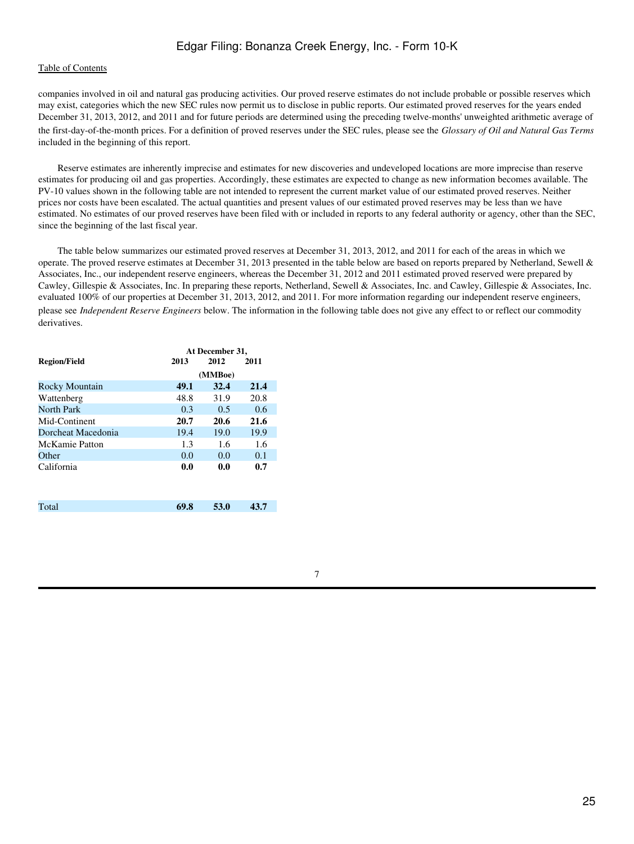#### [Table of Contents](#page-2-0)

companies involved in oil and natural gas producing activities. Our proved reserve estimates do not include probable or possible reserves which may exist, categories which the new SEC rules now permit us to disclose in public reports. Our estimated proved reserves for the years ended December 31, 2013, 2012, and 2011 and for future periods are determined using the preceding twelve-months' unweighted arithmetic average of the first-day-of-the-month prices. For a definition of proved reserves under the SEC rules, please see the *Glossary of Oil and Natural Gas Terms* included in the beginning of this report.

 Reserve estimates are inherently imprecise and estimates for new discoveries and undeveloped locations are more imprecise than reserve estimates for producing oil and gas properties. Accordingly, these estimates are expected to change as new information becomes available. The PV-10 values shown in the following table are not intended to represent the current market value of our estimated proved reserves. Neither prices nor costs have been escalated. The actual quantities and present values of our estimated proved reserves may be less than we have estimated. No estimates of our proved reserves have been filed with or included in reports to any federal authority or agency, other than the SEC, since the beginning of the last fiscal year.

 The table below summarizes our estimated proved reserves at December 31, 2013, 2012, and 2011 for each of the areas in which we operate. The proved reserve estimates at December 31, 2013 presented in the table below are based on reports prepared by Netherland, Sewell & Associates, Inc., our independent reserve engineers, whereas the December 31, 2012 and 2011 estimated proved reserved were prepared by Cawley, Gillespie & Associates, Inc. In preparing these reports, Netherland, Sewell & Associates, Inc. and Cawley, Gillespie & Associates, Inc. evaluated 100% of our properties at December 31, 2013, 2012, and 2011. For more information regarding our independent reserve engineers, please see *Independent Reserve Engineers* below. The information in the following table does not give any effect to or reflect our commodity derivatives.

|                       | At December 31, |         |      |  |  |  |  |
|-----------------------|-----------------|---------|------|--|--|--|--|
| <b>Region/Field</b>   | 2013            | 2012    | 2011 |  |  |  |  |
|                       |                 | (MMBoe) |      |  |  |  |  |
| <b>Rocky Mountain</b> | 49.1            | 32.4    | 21.4 |  |  |  |  |
| Wattenberg            | 48.8            | 31.9    | 20.8 |  |  |  |  |
| North Park            | 0.3             | 0.5     | 0.6  |  |  |  |  |
| Mid-Continent         | 20.7            | 20.6    | 21.6 |  |  |  |  |
| Dorcheat Macedonia    | 19.4            | 19.0    | 19.9 |  |  |  |  |
| McKamie Patton        | 1.3             | 1.6     | 1.6  |  |  |  |  |
| Other                 | 0.0             | 0.0     | 0.1  |  |  |  |  |
| California            | 0.0             | 0.0     | 0.7  |  |  |  |  |
|                       |                 |         |      |  |  |  |  |
| Total                 | 69.8            | 53.0    | 43.7 |  |  |  |  |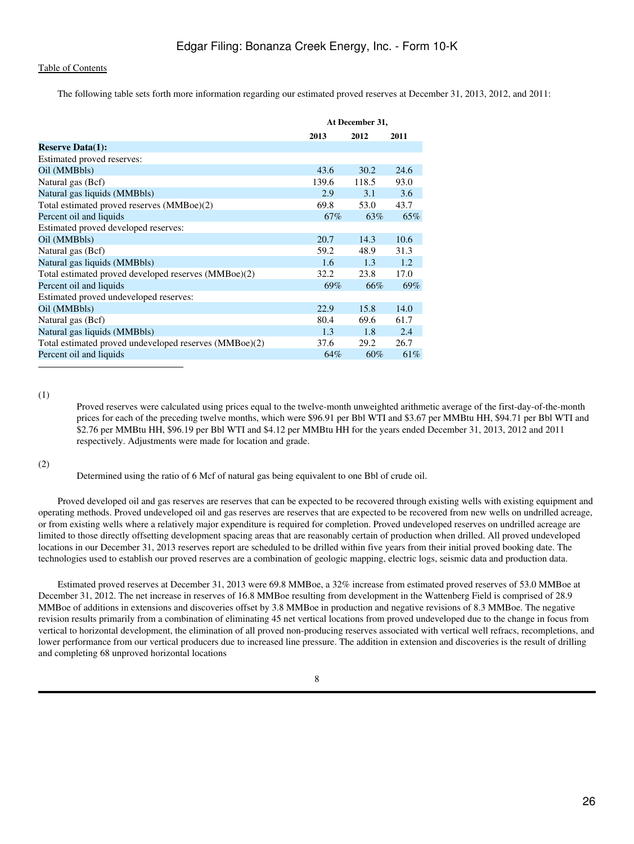The following table sets forth more information regarding our estimated proved reserves at December 31, 2013, 2012, and 2011:

|                                                        | At December 31, |       |      |  |
|--------------------------------------------------------|-----------------|-------|------|--|
|                                                        | 2013            | 2012  | 2011 |  |
| <b>Reserve Data(1):</b>                                |                 |       |      |  |
| Estimated proved reserves:                             |                 |       |      |  |
| Oil (MMBbls)                                           | 43.6            | 30.2  | 24.6 |  |
| Natural gas (Bcf)                                      | 139.6           | 118.5 | 93.0 |  |
| Natural gas liquids (MMBbls)                           | 2.9             | 3.1   | 3.6  |  |
| Total estimated proved reserves (MMBoe)(2)             | 69.8            | 53.0  | 43.7 |  |
| Percent oil and liquids                                | 67%             | 63%   | 65%  |  |
| Estimated proved developed reserves:                   |                 |       |      |  |
| Oil (MMBbls)                                           | 20.7            | 14.3  | 10.6 |  |
| Natural gas (Bcf)                                      | 59.2            | 48.9  | 31.3 |  |
| Natural gas liquids (MMBbls)                           | 1.6             | 1.3   | 1.2  |  |
| Total estimated proved developed reserves (MMBoe)(2)   | 32.2            | 23.8  | 17.0 |  |
| Percent oil and liquids                                | 69%             | 66%   | 69%  |  |
| Estimated proved undeveloped reserves:                 |                 |       |      |  |
| Oil (MMBbls)                                           | 22.9            | 15.8  | 14.0 |  |
| Natural gas (Bcf)                                      | 80.4            | 69.6  | 61.7 |  |
| Natural gas liquids (MMBbls)                           | 1.3             | 1.8   | 2.4  |  |
| Total estimated proved undeveloped reserves (MMBoe)(2) | 37.6            | 29.2  | 26.7 |  |
| Percent oil and liquids                                | 64%             | 60%   | 61%  |  |

(1)

Proved reserves were calculated using prices equal to the twelve-month unweighted arithmetic average of the first-day-of-the-month prices for each of the preceding twelve months, which were \$96.91 per Bbl WTI and \$3.67 per MMBtu HH, \$94.71 per Bbl WTI and \$2.76 per MMBtu HH, \$96.19 per Bbl WTI and \$4.12 per MMBtu HH for the years ended December 31, 2013, 2012 and 2011 respectively. Adjustments were made for location and grade.

#### (2)

Determined using the ratio of 6 Mcf of natural gas being equivalent to one Bbl of crude oil.

 Proved developed oil and gas reserves are reserves that can be expected to be recovered through existing wells with existing equipment and operating methods. Proved undeveloped oil and gas reserves are reserves that are expected to be recovered from new wells on undrilled acreage, or from existing wells where a relatively major expenditure is required for completion. Proved undeveloped reserves on undrilled acreage are limited to those directly offsetting development spacing areas that are reasonably certain of production when drilled. All proved undeveloped locations in our December 31, 2013 reserves report are scheduled to be drilled within five years from their initial proved booking date. The technologies used to establish our proved reserves are a combination of geologic mapping, electric logs, seismic data and production data.

 Estimated proved reserves at December 31, 2013 were 69.8 MMBoe, a 32% increase from estimated proved reserves of 53.0 MMBoe at December 31, 2012. The net increase in reserves of 16.8 MMBoe resulting from development in the Wattenberg Field is comprised of 28.9 MMBoe of additions in extensions and discoveries offset by 3.8 MMBoe in production and negative revisions of 8.3 MMBoe. The negative revision results primarily from a combination of eliminating 45 net vertical locations from proved undeveloped due to the change in focus from vertical to horizontal development, the elimination of all proved non-producing reserves associated with vertical well refracs, recompletions, and lower performance from our vertical producers due to increased line pressure. The addition in extension and discoveries is the result of drilling and completing 68 unproved horizontal locations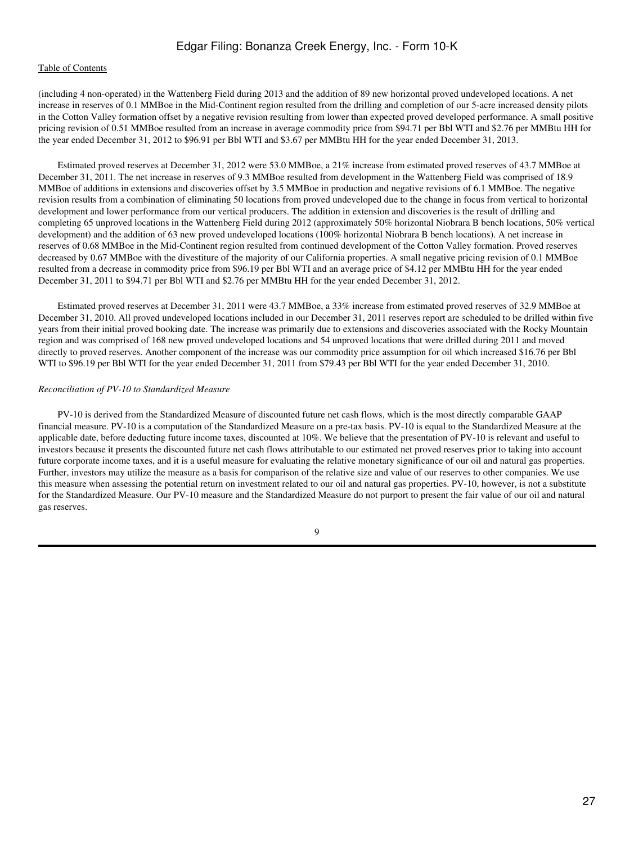(including 4 non-operated) in the Wattenberg Field during 2013 and the addition of 89 new horizontal proved undeveloped locations. A net increase in reserves of 0.1 MMBoe in the Mid-Continent region resulted from the drilling and completion of our 5-acre increased density pilots in the Cotton Valley formation offset by a negative revision resulting from lower than expected proved developed performance. A small positive pricing revision of 0.51 MMBoe resulted from an increase in average commodity price from \$94.71 per Bbl WTI and \$2.76 per MMBtu HH for the year ended December 31, 2012 to \$96.91 per Bbl WTI and \$3.67 per MMBtu HH for the year ended December 31, 2013.

 Estimated proved reserves at December 31, 2012 were 53.0 MMBoe, a 21% increase from estimated proved reserves of 43.7 MMBoe at December 31, 2011. The net increase in reserves of 9.3 MMBoe resulted from development in the Wattenberg Field was comprised of 18.9 MMBoe of additions in extensions and discoveries offset by 3.5 MMBoe in production and negative revisions of 6.1 MMBoe. The negative revision results from a combination of eliminating 50 locations from proved undeveloped due to the change in focus from vertical to horizontal development and lower performance from our vertical producers. The addition in extension and discoveries is the result of drilling and completing 65 unproved locations in the Wattenberg Field during 2012 (approximately 50% horizontal Niobrara B bench locations, 50% vertical development) and the addition of 63 new proved undeveloped locations (100% horizontal Niobrara B bench locations). A net increase in reserves of 0.68 MMBoe in the Mid-Continent region resulted from continued development of the Cotton Valley formation. Proved reserves decreased by 0.67 MMBoe with the divestiture of the majority of our California properties. A small negative pricing revision of 0.1 MMBoe resulted from a decrease in commodity price from \$96.19 per Bbl WTI and an average price of \$4.12 per MMBtu HH for the year ended December 31, 2011 to \$94.71 per Bbl WTI and \$2.76 per MMBtu HH for the year ended December 31, 2012.

 Estimated proved reserves at December 31, 2011 were 43.7 MMBoe, a 33% increase from estimated proved reserves of 32.9 MMBoe at December 31, 2010. All proved undeveloped locations included in our December 31, 2011 reserves report are scheduled to be drilled within five years from their initial proved booking date. The increase was primarily due to extensions and discoveries associated with the Rocky Mountain region and was comprised of 168 new proved undeveloped locations and 54 unproved locations that were drilled during 2011 and moved directly to proved reserves. Another component of the increase was our commodity price assumption for oil which increased \$16.76 per Bbl WTI to \$96.19 per Bbl WTI for the year ended December 31, 2011 from \$79.43 per Bbl WTI for the year ended December 31, 2010.

#### *Reconciliation of PV-10 to Standardized Measure*

 PV-10 is derived from the Standardized Measure of discounted future net cash flows, which is the most directly comparable GAAP financial measure. PV-10 is a computation of the Standardized Measure on a pre-tax basis. PV-10 is equal to the Standardized Measure at the applicable date, before deducting future income taxes, discounted at 10%. We believe that the presentation of PV-10 is relevant and useful to investors because it presents the discounted future net cash flows attributable to our estimated net proved reserves prior to taking into account future corporate income taxes, and it is a useful measure for evaluating the relative monetary significance of our oil and natural gas properties. Further, investors may utilize the measure as a basis for comparison of the relative size and value of our reserves to other companies. We use this measure when assessing the potential return on investment related to our oil and natural gas properties. PV-10, however, is not a substitute for the Standardized Measure. Our PV-10 measure and the Standardized Measure do not purport to present the fair value of our oil and natural gas reserves.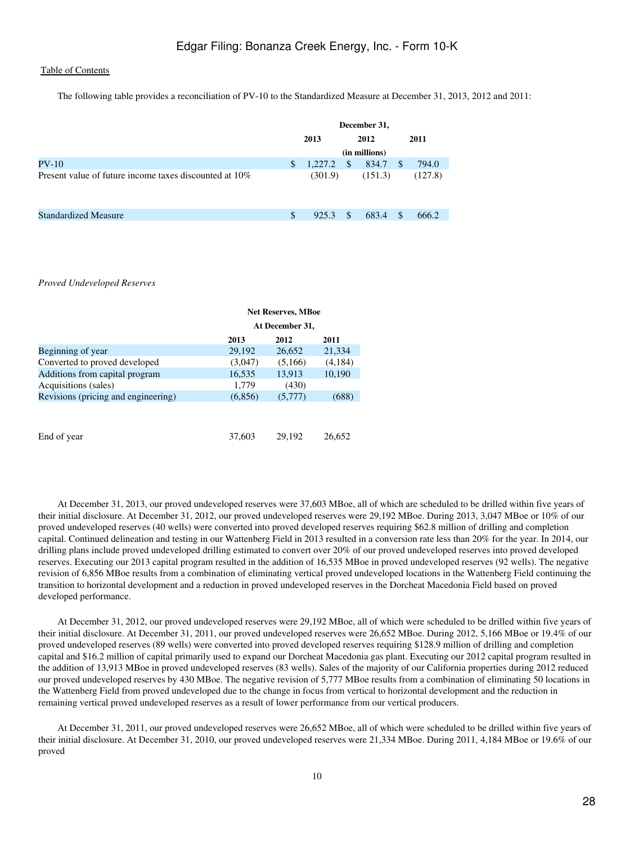The following table provides a reconciliation of PV-10 to the Standardized Measure at December 31, 2013, 2012 and 2011:

|                                                        | December 31,  |         |               |               |               |         |
|--------------------------------------------------------|---------------|---------|---------------|---------------|---------------|---------|
|                                                        |               | 2013    |               | 2012          |               | 2011    |
|                                                        |               |         |               | (in millions) |               |         |
| $PV-10$                                                | <sup>\$</sup> | 1,227.2 | <sup>\$</sup> | 834.7         | <sup>\$</sup> | 794.0   |
| Present value of future income taxes discounted at 10% |               | (301.9) |               | (151.3)       |               | (127.8) |
|                                                        |               |         |               |               |               |         |
| Standardized Measure                                   | S             | 925.3   | \$            | 683.4         | \$            | 666.2   |

#### *Proved Undeveloped Reserves*

|                                     |                 | <b>Net Reserves, MBoe</b> |         |  |  |  |
|-------------------------------------|-----------------|---------------------------|---------|--|--|--|
|                                     | At December 31, |                           |         |  |  |  |
|                                     | 2013            | 2012                      | 2011    |  |  |  |
| Beginning of year                   | 29,192          | 26,652                    | 21,334  |  |  |  |
| Converted to proved developed       | (3,047)         | (5,166)                   | (4,184) |  |  |  |
| Additions from capital program      | 16,535          | 13,913                    | 10,190  |  |  |  |
| Acquisitions (sales)                | 1,779           | (430)                     |         |  |  |  |
| Revisions (pricing and engineering) | (6, 856)        | (5,777)                   | (688)   |  |  |  |
|                                     |                 |                           |         |  |  |  |
| End of year                         | 37,603          | 29.192                    | 26,652  |  |  |  |

 At December 31, 2013, our proved undeveloped reserves were 37,603 MBoe, all of which are scheduled to be drilled within five years of their initial disclosure. At December 31, 2012, our proved undeveloped reserves were 29,192 MBoe. During 2013, 3,047 MBoe or 10% of our proved undeveloped reserves (40 wells) were converted into proved developed reserves requiring \$62.8 million of drilling and completion capital. Continued delineation and testing in our Wattenberg Field in 2013 resulted in a conversion rate less than 20% for the year. In 2014, our drilling plans include proved undeveloped drilling estimated to convert over 20% of our proved undeveloped reserves into proved developed reserves. Executing our 2013 capital program resulted in the addition of 16,535 MBoe in proved undeveloped reserves (92 wells). The negative revision of 6,856 MBoe results from a combination of eliminating vertical proved undeveloped locations in the Wattenberg Field continuing the transition to horizontal development and a reduction in proved undeveloped reserves in the Dorcheat Macedonia Field based on proved developed performance.

 At December 31, 2012, our proved undeveloped reserves were 29,192 MBoe, all of which were scheduled to be drilled within five years of their initial disclosure. At December 31, 2011, our proved undeveloped reserves were 26,652 MBoe. During 2012, 5,166 MBoe or 19.4% of our proved undeveloped reserves (89 wells) were converted into proved developed reserves requiring \$128.9 million of drilling and completion capital and \$16.2 million of capital primarily used to expand our Dorcheat Macedonia gas plant. Executing our 2012 capital program resulted in the addition of 13,913 MBoe in proved undeveloped reserves (83 wells). Sales of the majority of our California properties during 2012 reduced our proved undeveloped reserves by 430 MBoe. The negative revision of 5,777 MBoe results from a combination of eliminating 50 locations in the Wattenberg Field from proved undeveloped due to the change in focus from vertical to horizontal development and the reduction in remaining vertical proved undeveloped reserves as a result of lower performance from our vertical producers.

 At December 31, 2011, our proved undeveloped reserves were 26,652 MBoe, all of which were scheduled to be drilled within five years of their initial disclosure. At December 31, 2010, our proved undeveloped reserves were 21,334 MBoe. During 2011, 4,184 MBoe or 19.6% of our proved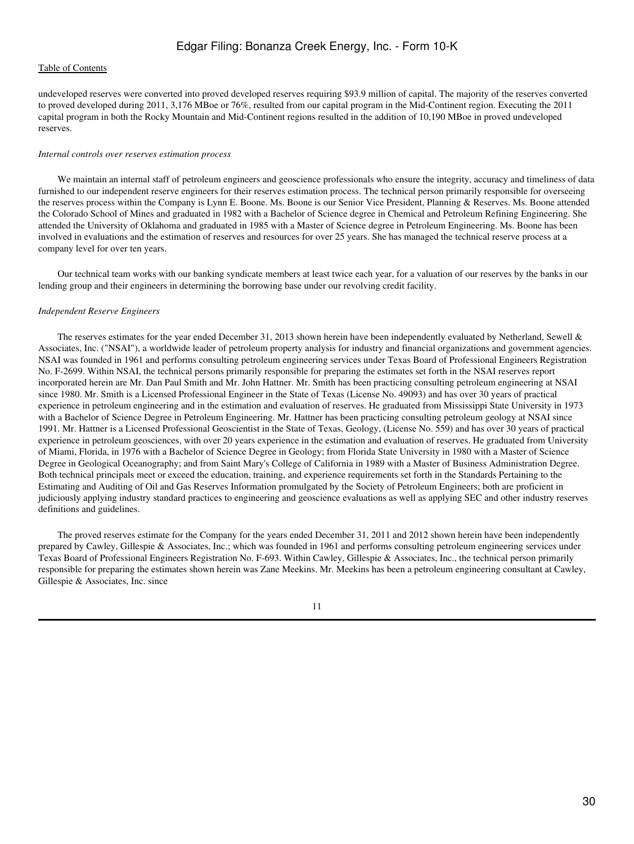undeveloped reserves were converted into proved developed reserves requiring \$93.9 million of capital. The majority of the reserves converted to proved developed during 2011, 3,176 MBoe or 76%, resulted from our capital program in the Mid-Continent region. Executing the 2011 capital program in both the Rocky Mountain and Mid-Continent regions resulted in the addition of 10,190 MBoe in proved undeveloped reserves.

#### *Internal controls over reserves estimation process*

 We maintain an internal staff of petroleum engineers and geoscience professionals who ensure the integrity, accuracy and timeliness of data furnished to our independent reserve engineers for their reserves estimation process. The technical person primarily responsible for overseeing the reserves process within the Company is Lynn E. Boone. Ms. Boone is our Senior Vice President, Planning & Reserves. Ms. Boone attended the Colorado School of Mines and graduated in 1982 with a Bachelor of Science degree in Chemical and Petroleum Refining Engineering. She attended the University of Oklahoma and graduated in 1985 with a Master of Science degree in Petroleum Engineering. Ms. Boone has been involved in evaluations and the estimation of reserves and resources for over 25 years. She has managed the technical reserve process at a company level for over ten years.

 Our technical team works with our banking syndicate members at least twice each year, for a valuation of our reserves by the banks in our lending group and their engineers in determining the borrowing base under our revolving credit facility.

#### *Independent Reserve Engineers*

The reserves estimates for the year ended December 31, 2013 shown herein have been independently evaluated by Netherland, Sewell & Associates, Inc. ("NSAI"), a worldwide leader of petroleum property analysis for industry and financial organizations and government agencies. NSAI was founded in 1961 and performs consulting petroleum engineering services under Texas Board of Professional Engineers Registration No. F-2699. Within NSAI, the technical persons primarily responsible for preparing the estimates set forth in the NSAI reserves report incorporated herein are Mr. Dan Paul Smith and Mr. John Hattner. Mr. Smith has been practicing consulting petroleum engineering at NSAI since 1980. Mr. Smith is a Licensed Professional Engineer in the State of Texas (License No. 49093) and has over 30 years of practical experience in petroleum engineering and in the estimation and evaluation of reserves. He graduated from Mississippi State University in 1973 with a Bachelor of Science Degree in Petroleum Engineering. Mr. Hattner has been practicing consulting petroleum geology at NSAI since 1991. Mr. Hattner is a Licensed Professional Geoscientist in the State of Texas, Geology, (License No. 559) and has over 30 years of practical experience in petroleum geosciences, with over 20 years experience in the estimation and evaluation of reserves. He graduated from University of Miami, Florida, in 1976 with a Bachelor of Science Degree in Geology; from Florida State University in 1980 with a Master of Science Degree in Geological Oceanography; and from Saint Mary's College of California in 1989 with a Master of Business Administration Degree. Both technical principals meet or exceed the education, training, and experience requirements set forth in the Standards Pertaining to the Estimating and Auditing of Oil and Gas Reserves Information promulgated by the Society of Petroleum Engineers; both are proficient in judiciously applying industry standard practices to engineering and geoscience evaluations as well as applying SEC and other industry reserves definitions and guidelines.

 The proved reserves estimate for the Company for the years ended December 31, 2011 and 2012 shown herein have been independently prepared by Cawley, Gillespie & Associates, Inc.; which was founded in 1961 and performs consulting petroleum engineering services under Texas Board of Professional Engineers Registration No. F-693. Within Cawley, Gillespie & Associates, Inc., the technical person primarily responsible for preparing the estimates shown herein was Zane Meekins. Mr. Meekins has been a petroleum engineering consultant at Cawley, Gillespie & Associates, Inc. since

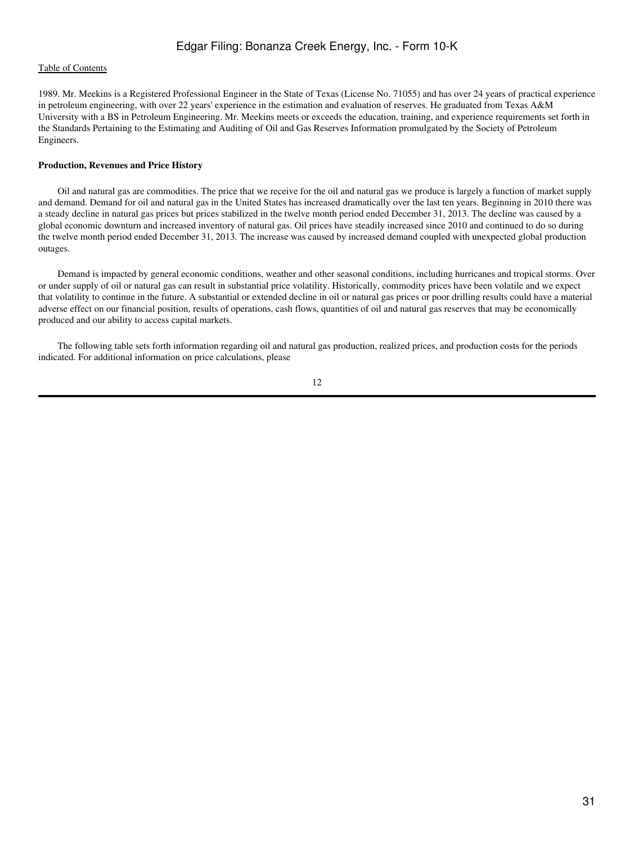1989. Mr. Meekins is a Registered Professional Engineer in the State of Texas (License No. 71055) and has over 24 years of practical experience in petroleum engineering, with over 22 years' experience in the estimation and evaluation of reserves. He graduated from Texas A&M University with a BS in Petroleum Engineering. Mr. Meekins meets or exceeds the education, training, and experience requirements set forth in the Standards Pertaining to the Estimating and Auditing of Oil and Gas Reserves Information promulgated by the Society of Petroleum Engineers.

#### **Production, Revenues and Price History**

 Oil and natural gas are commodities. The price that we receive for the oil and natural gas we produce is largely a function of market supply and demand. Demand for oil and natural gas in the United States has increased dramatically over the last ten years. Beginning in 2010 there was a steady decline in natural gas prices but prices stabilized in the twelve month period ended December 31, 2013. The decline was caused by a global economic downturn and increased inventory of natural gas. Oil prices have steadily increased since 2010 and continued to do so during the twelve month period ended December 31, 2013. The increase was caused by increased demand coupled with unexpected global production outages.

 Demand is impacted by general economic conditions, weather and other seasonal conditions, including hurricanes and tropical storms. Over or under supply of oil or natural gas can result in substantial price volatility. Historically, commodity prices have been volatile and we expect that volatility to continue in the future. A substantial or extended decline in oil or natural gas prices or poor drilling results could have a material adverse effect on our financial position, results of operations, cash flows, quantities of oil and natural gas reserves that may be economically produced and our ability to access capital markets.

 The following table sets forth information regarding oil and natural gas production, realized prices, and production costs for the periods indicated. For additional information on price calculations, please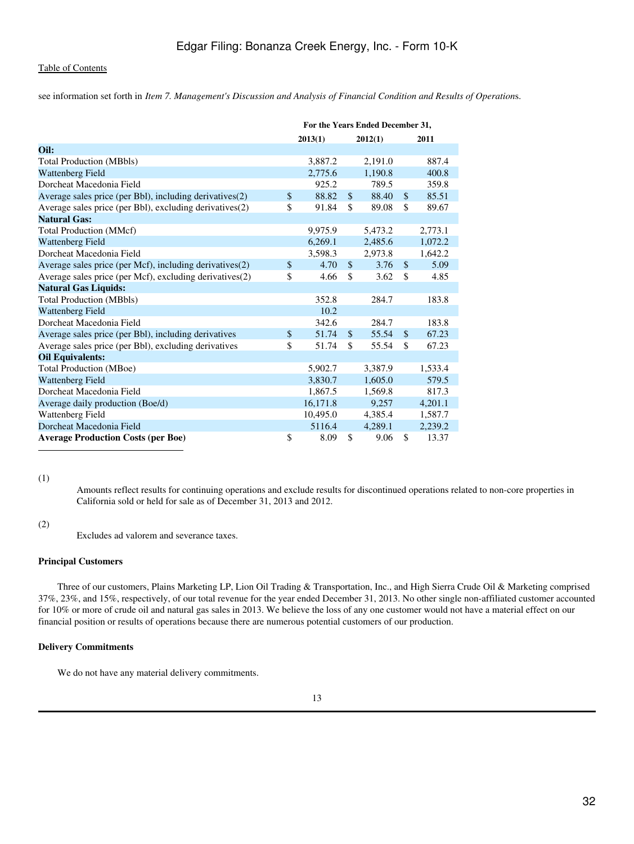see information set forth in *Item 7. Management's Discussion and Analysis of Financial Condition and Results of Operation*s.

|                                                         | For the Years Ended December 31, |          |              |         |               |         |
|---------------------------------------------------------|----------------------------------|----------|--------------|---------|---------------|---------|
|                                                         |                                  | 2013(1)  |              | 2012(1) |               | 2011    |
| Oil:                                                    |                                  |          |              |         |               |         |
| <b>Total Production (MBbls)</b>                         |                                  | 3,887.2  |              | 2,191.0 |               | 887.4   |
| <b>Wattenberg Field</b>                                 |                                  | 2,775.6  |              | 1,190.8 |               | 400.8   |
| Dorcheat Macedonia Field                                |                                  | 925.2    |              | 789.5   |               | 359.8   |
| Average sales price (per Bbl), including derivatives(2) | \$                               | 88.82    | $\sqrt{\ }$  | 88.40   | $\mathcal{S}$ | 85.51   |
| Average sales price (per Bbl), excluding derivatives(2) | \$                               | 91.84    | \$           | 89.08   | \$            | 89.67   |
| <b>Natural Gas:</b>                                     |                                  |          |              |         |               |         |
| Total Production (MMcf)                                 |                                  | 9,975.9  |              | 5,473.2 |               | 2,773.1 |
| Wattenberg Field                                        |                                  | 6,269.1  |              | 2,485.6 |               | 1,072.2 |
| Dorcheat Macedonia Field                                |                                  | 3,598.3  |              | 2,973.8 |               | 1,642.2 |
| Average sales price (per Mcf), including derivatives(2) | $\mathbb{S}$                     | 4.70     | $\mathbb{S}$ | 3.76    | $\mathbb{S}$  | 5.09    |
| Average sales price (per Mcf), excluding derivatives(2) | \$                               | 4.66     | \$           | 3.62    | \$            | 4.85    |
| <b>Natural Gas Liquids:</b>                             |                                  |          |              |         |               |         |
| <b>Total Production (MBbls)</b>                         |                                  | 352.8    |              | 284.7   |               | 183.8   |
| Wattenberg Field                                        |                                  | 10.2     |              |         |               |         |
| Dorcheat Macedonia Field                                |                                  | 342.6    |              | 284.7   |               | 183.8   |
| Average sales price (per Bbl), including derivatives    | $\mathcal{S}$                    | 51.74    | $\mathbb{S}$ | 55.54   | $\mathbb{S}$  | 67.23   |
| Average sales price (per Bbl), excluding derivatives    | \$                               | 51.74    | \$           | 55.54   | \$            | 67.23   |
| <b>Oil Equivalents:</b>                                 |                                  |          |              |         |               |         |
| Total Production (MBoe)                                 |                                  | 5,902.7  |              | 3,387.9 |               | 1,533.4 |
| Wattenberg Field                                        |                                  | 3,830.7  |              | 1,605.0 |               | 579.5   |
| Dorcheat Macedonia Field                                |                                  | 1,867.5  |              | 1,569.8 |               | 817.3   |
| Average daily production (Boe/d)                        |                                  | 16,171.8 |              | 9,257   |               | 4,201.1 |
| Wattenberg Field                                        |                                  | 10,495.0 |              | 4,385.4 |               | 1,587.7 |
| Dorcheat Macedonia Field                                |                                  | 5116.4   |              | 4,289.1 |               | 2,239.2 |
| <b>Average Production Costs (per Boe)</b>               | \$                               | 8.09     | \$           | 9.06    | \$            | 13.37   |

(1)

Amounts reflect results for continuing operations and exclude results for discontinued operations related to non-core properties in California sold or held for sale as of December 31, 2013 and 2012.

#### (2)

Excludes ad valorem and severance taxes.

#### **Principal Customers**

 Three of our customers, Plains Marketing LP, Lion Oil Trading & Transportation, Inc., and High Sierra Crude Oil & Marketing comprised 37%, 23%, and 15%, respectively, of our total revenue for the year ended December 31, 2013. No other single non-affiliated customer accounted for 10% or more of crude oil and natural gas sales in 2013. We believe the loss of any one customer would not have a material effect on our financial position or results of operations because there are numerous potential customers of our production.

### **Delivery Commitments**

We do not have any material delivery commitments.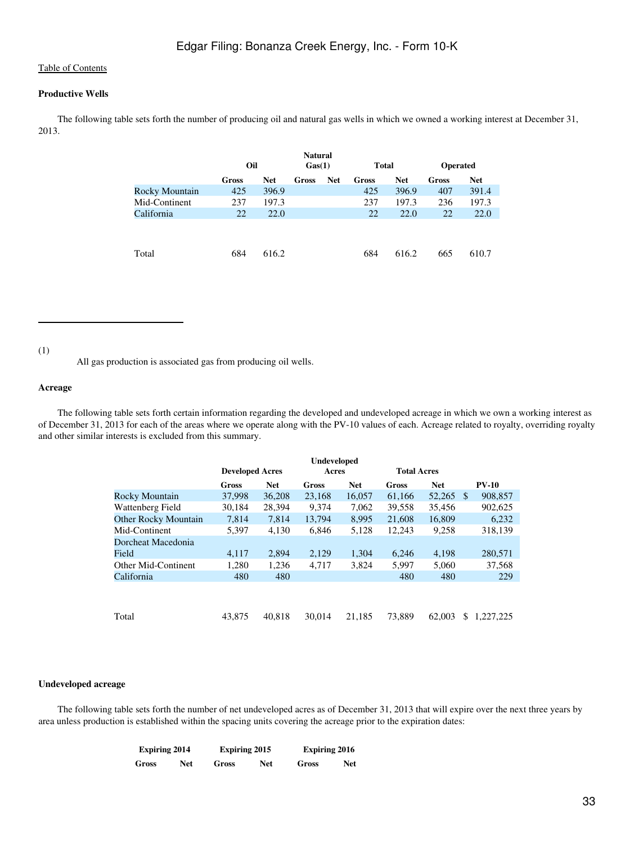## **Productive Wells**

 The following table sets forth the number of producing oil and natural gas wells in which we owned a working interest at December 31, 2013.

|                | Oil   |       | <b>Natural</b><br>Gas(1) |            |       | <b>Total</b> |       | <b>Operated</b> |  |
|----------------|-------|-------|--------------------------|------------|-------|--------------|-------|-----------------|--|
|                | Gross | Net   | Gross                    | <b>Net</b> | Gross | <b>Net</b>   | Gross | <b>Net</b>      |  |
| Rocky Mountain | 425   | 396.9 |                          |            | 425   | 396.9        | 407   | 391.4           |  |
| Mid-Continent  | 237   | 197.3 |                          |            | 237   | 197.3        | 236   | 197.3           |  |
| California     | 22    | 22.0  |                          |            | 22    | 22.0         | 22    | 22.0            |  |
|                |       |       |                          |            |       |              |       |                 |  |
| Total          | 684   | 616.2 |                          |            | 684   | 616.2        | 665   | 610.7           |  |

#### (1)

All gas production is associated gas from producing oil wells.

#### **Acreage**

 The following table sets forth certain information regarding the developed and undeveloped acreage in which we own a working interest as of December 31, 2013 for each of the areas where we operate along with the PV-10 values of each. Acreage related to royalty, overriding royalty and other similar interests is excluded from this summary.

|                             |                        |            | <b>Undeveloped</b> |            |                    |            |    |           |
|-----------------------------|------------------------|------------|--------------------|------------|--------------------|------------|----|-----------|
|                             | <b>Developed Acres</b> |            | Acres              |            | <b>Total Acres</b> |            |    |           |
|                             | Gross                  | <b>Net</b> | Gross              | <b>Net</b> | Gross              | <b>Net</b> |    | $PV-10$   |
| Rocky Mountain              | 37.998                 | 36,208     | 23,168             | 16,057     | 61.166             | 52,265     | -S | 908,857   |
| Wattenberg Field            | 30.184                 | 28.394     | 9.374              | 7.062      | 39,558             | 35.456     |    | 902,625   |
| <b>Other Rocky Mountain</b> | 7,814                  | 7,814      | 13.794             | 8.995      | 21,608             | 16,809     |    | 6,232     |
| Mid-Continent               | 5,397                  | 4,130      | 6,846              | 5,128      | 12,243             | 9,258      |    | 318,139   |
| Dorcheat Macedonia          |                        |            |                    |            |                    |            |    |           |
| Field                       | 4.117                  | 2.894      | 2.129              | 1.304      | 6.246              | 4.198      |    | 280,571   |
| Other Mid-Continent         | 1,280                  | 1,236      | 4,717              | 3,824      | 5,997              | 5,060      |    | 37,568    |
| California                  | 480                    | 480        |                    |            | 480                | 480        |    | 229       |
|                             |                        |            |                    |            |                    |            |    |           |
| Total                       | 43.875                 | 40.818     | 30.014             | 21.185     | 73.889             | 62,003     | S  | 1.227.225 |

#### **Undeveloped acreage**

 The following table sets forth the number of net undeveloped acres as of December 31, 2013 that will expire over the next three years by area unless production is established within the spacing units covering the acreage prior to the expiration dates:

| <b>Expiring 2014</b> |     | <b>Expiring 2015</b> |            |       | <b>Expiring 2016</b> |  |  |
|----------------------|-----|----------------------|------------|-------|----------------------|--|--|
| Gross                | Net | Gross                | <b>Net</b> | Gross | <b>Net</b>           |  |  |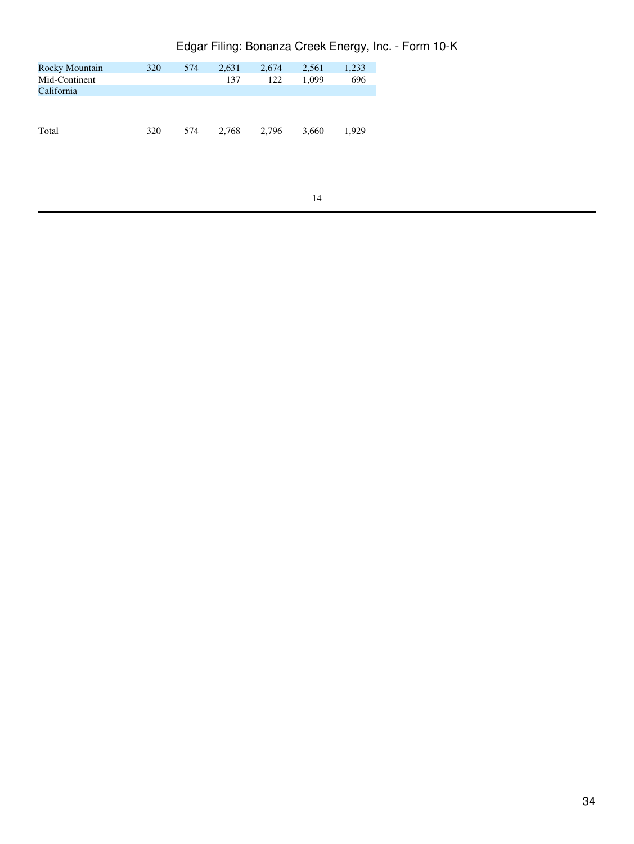| <b>Rocky Mountain</b> | 320 | 574 | 2,631 | 2,674 | 2,561 | 1,233 |
|-----------------------|-----|-----|-------|-------|-------|-------|
| Mid-Continent         |     |     | 137   | 122   | 1,099 | 696   |
| California            |     |     |       |       |       |       |
|                       |     |     |       |       |       |       |
|                       |     |     |       |       |       |       |
| Total                 | 320 | 574 | 2,768 | 2,796 | 3,660 | 1,929 |
|                       |     |     |       |       |       |       |
|                       |     |     |       |       |       |       |
|                       |     |     |       |       |       |       |
|                       |     |     |       |       |       |       |
|                       |     |     |       |       |       |       |
|                       |     |     |       |       | 14    |       |
|                       |     |     |       |       |       |       |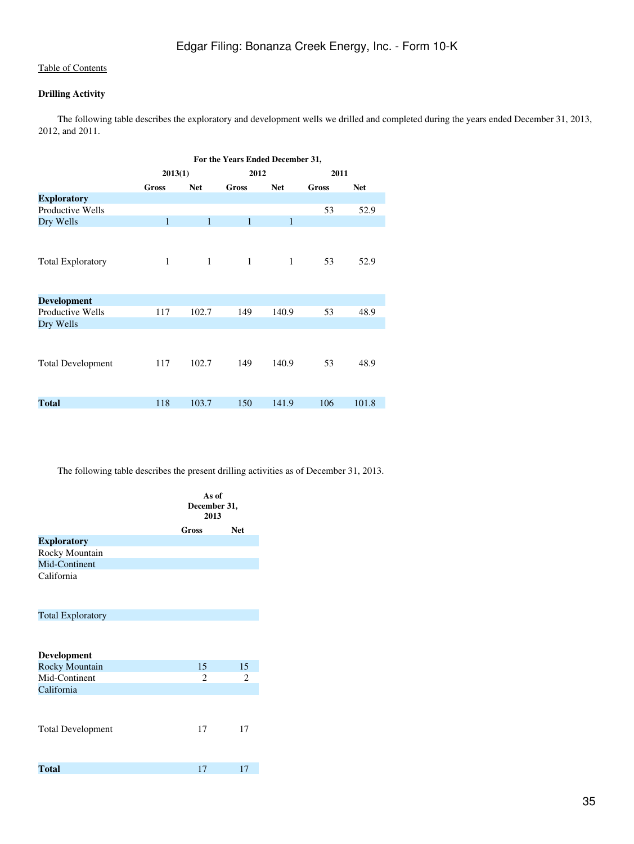## **Drilling Activity**

 The following table describes the exploratory and development wells we drilled and completed during the years ended December 31, 2013, 2012, and 2011.

|                          | For the Years Ended December 31, |              |              |              |       |            |  |  |  |
|--------------------------|----------------------------------|--------------|--------------|--------------|-------|------------|--|--|--|
|                          |                                  | 2013(1)      |              | 2012         |       | 2011       |  |  |  |
|                          | Gross                            | <b>Net</b>   | Gross        | <b>Net</b>   | Gross | <b>Net</b> |  |  |  |
| <b>Exploratory</b>       |                                  |              |              |              |       |            |  |  |  |
| Productive Wells         |                                  |              |              |              | 53    | 52.9       |  |  |  |
| Dry Wells                | 1                                | 1            | $\mathbf{1}$ | 1            |       |            |  |  |  |
| <b>Total Exploratory</b> | $\mathbf{1}$                     | $\mathbf{1}$ | $\mathbf{1}$ | $\mathbf{1}$ | 53    | 52.9       |  |  |  |
| <b>Development</b>       |                                  |              |              |              |       |            |  |  |  |
| Productive Wells         | 117                              | 102.7        | 149          | 140.9        | 53    | 48.9       |  |  |  |
| Dry Wells                |                                  |              |              |              |       |            |  |  |  |
| <b>Total Development</b> | 117                              | 102.7        | 149          | 140.9        | 53    | 48.9       |  |  |  |
| <b>Total</b>             | 118                              | 103.7        | 150          | 141.9        | 106   | 101.8      |  |  |  |
|                          |                                  |              |              |              |       |            |  |  |  |

The following table describes the present drilling activities as of December 31, 2013.

|                          | As of<br>December 31,<br>2013 |            |  |
|--------------------------|-------------------------------|------------|--|
|                          | <b>Gross</b>                  | <b>Net</b> |  |
| <b>Exploratory</b>       |                               |            |  |
| Rocky Mountain           |                               |            |  |
| Mid-Continent            |                               |            |  |
| California               |                               |            |  |
| <b>Total Exploratory</b> |                               |            |  |
| Development              |                               |            |  |
| <b>Rocky Mountain</b>    | 15                            | 15         |  |
| Mid-Continent            | 2                             | 2          |  |
| California               |                               |            |  |
| <b>Total Development</b> | 17                            | 17         |  |
| <b>Total</b>             | 17                            | 17         |  |
|                          |                               |            |  |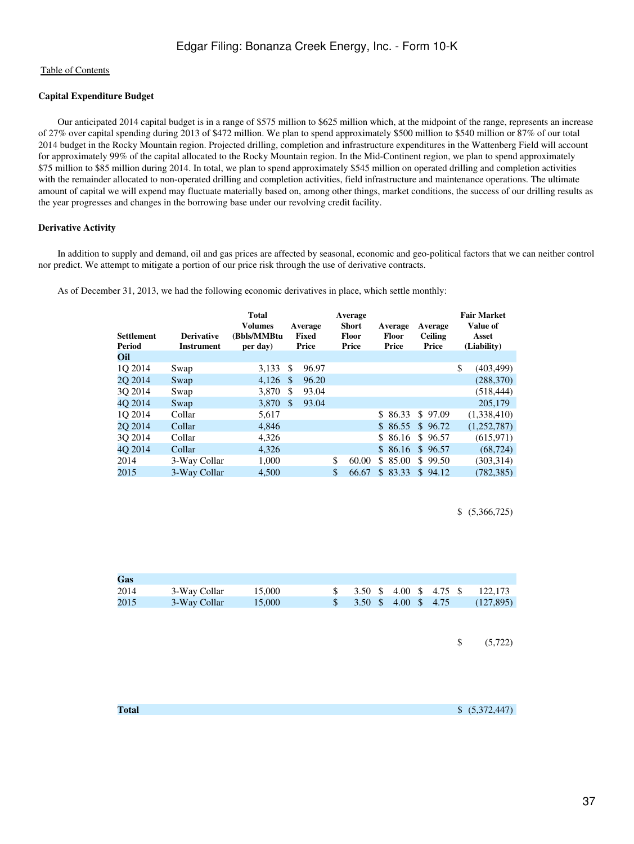# **Capital Expenditure Budget**

 Our anticipated 2014 capital budget is in a range of \$575 million to \$625 million which, at the midpoint of the range, represents an increase of 27% over capital spending during 2013 of \$472 million. We plan to spend approximately \$500 million to \$540 million or 87% of our total 2014 budget in the Rocky Mountain region. Projected drilling, completion and infrastructure expenditures in the Wattenberg Field will account for approximately 99% of the capital allocated to the Rocky Mountain region. In the Mid-Continent region, we plan to spend approximately \$75 million to \$85 million during 2014. In total, we plan to spend approximately \$545 million on operated drilling and completion activities with the remainder allocated to non-operated drilling and completion activities, field infrastructure and maintenance operations. The ultimate amount of capital we will expend may fluctuate materially based on, among other things, market conditions, the success of our drilling results as the year progresses and changes in the borrowing base under our revolving credit facility.

# **Derivative Activity**

 In addition to supply and demand, oil and gas prices are affected by seasonal, economic and geo-political factors that we can neither control nor predict. We attempt to mitigate a portion of our price risk through the use of derivative contracts.

As of December 31, 2013, we had the following economic derivatives in place, which settle monthly:

| <b>Settlement</b><br>Period | <b>Derivative</b><br>Instrument | <b>Total</b><br><b>Volumes</b><br>(Bbls/MMBtu<br>per day) | Average<br>Fixed<br>Price | Average<br><b>Short</b><br>Floor<br>Price | Average<br><b>Floor</b><br>Price | Average<br>Ceiling<br>Price | <b>Fair Market</b><br>Value of<br>Asset<br>(Liability) |
|-----------------------------|---------------------------------|-----------------------------------------------------------|---------------------------|-------------------------------------------|----------------------------------|-----------------------------|--------------------------------------------------------|
| Oil                         |                                 |                                                           |                           |                                           |                                  |                             |                                                        |
| 10 2014                     | Swap                            | 3,133                                                     | \$<br>96.97               |                                           |                                  |                             | \$<br>(403, 499)                                       |
| 2Q 2014                     | Swap                            | 4,126                                                     | 96.20<br><sup>\$</sup>    |                                           |                                  |                             | (288,370)                                              |
| 3Q 2014                     | Swap                            | 3,870                                                     | 93.04<br>S                |                                           |                                  |                             | (518, 444)                                             |
| 4Q 2014                     | Swap                            | 3,870                                                     | 93.04<br><sup>\$</sup>    |                                           |                                  |                             | 205,179                                                |
| 1Q 2014                     | Collar                          | 5,617                                                     |                           |                                           | \$.<br>86.33                     | \$97.09                     | (1,338,410)                                            |
| 2Q 2014                     | Collar                          | 4,846                                                     |                           |                                           | \$86.55                          | \$96.72                     | (1,252,787)                                            |
| 3Q 2014                     | Collar                          | 4,326                                                     |                           |                                           | \$<br>86.16                      | \$96.57                     | (615, 971)                                             |
| 4Q 2014                     | Collar                          | 4,326                                                     |                           |                                           | 86.16<br>\$                      | \$96.57                     | (68, 724)                                              |
| 2014                        | 3-Way Collar                    | 1,000                                                     |                           | \$<br>60.00                               | \$<br>85.00                      | \$99.50                     | (303, 314)                                             |
| 2015                        | 3-Way Collar                    | 4,500                                                     |                           | \$<br>66.67                               | 83.33<br>\$                      | \$94.12                     | (782, 385)                                             |

\$ (5,366,725)

| Gas          |              |        |                          |  |                 |                |
|--------------|--------------|--------|--------------------------|--|-----------------|----------------|
| 2014         | 3-Way Collar | 15,000 | \$<br>3.50 $\sqrt{ }$    |  | 4.00 \$ 4.75 \$ | 122,173        |
| 2015         | 3-Way Collar | 15,000 | \$<br>3.50 $\frac{1}{2}$ |  | 4.00 \$ 4.75    | (127, 895)     |
|              |              |        |                          |  |                 |                |
|              |              |        |                          |  |                 | \$<br>(5,722)  |
|              |              |        |                          |  |                 |                |
|              |              |        |                          |  |                 |                |
|              |              |        |                          |  |                 |                |
|              |              |        |                          |  |                 |                |
|              |              |        |                          |  |                 |                |
| <b>Total</b> |              |        |                          |  |                 | \$ (5,372,447) |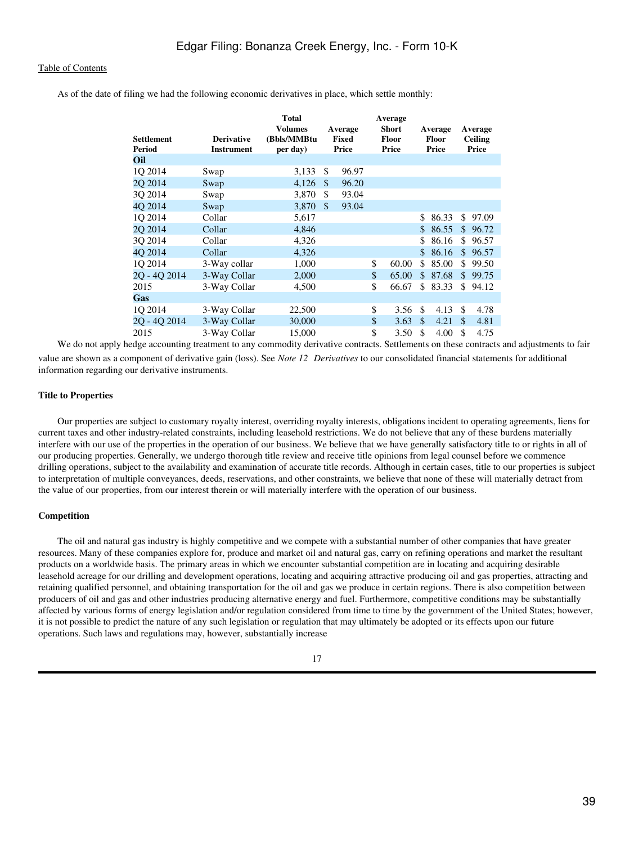As of the date of filing we had the following economic derivatives in place, which settle monthly:

|                                    |                                        | <b>Total</b>                              |                                  |       |                                | Average |                           |       |                                    |       |
|------------------------------------|----------------------------------------|-------------------------------------------|----------------------------------|-------|--------------------------------|---------|---------------------------|-------|------------------------------------|-------|
| <b>Settlement</b><br><b>Period</b> | <b>Derivative</b><br><b>Instrument</b> | <b>Volumes</b><br>(Bbls/MMBtu<br>per day) | Average<br><b>Fixed</b><br>Price |       | <b>Short</b><br>Floor<br>Price |         | Average<br>Floor<br>Price |       | Average<br><b>Ceiling</b><br>Price |       |
| Oil                                |                                        |                                           |                                  |       |                                |         |                           |       |                                    |       |
| 1Q 2014                            | Swap                                   | 3,133                                     | \$                               | 96.97 |                                |         |                           |       |                                    |       |
| 2Q 2014                            | Swap                                   | 4,126                                     | \$                               | 96.20 |                                |         |                           |       |                                    |       |
| 3Q 2014                            | Swap                                   | 3,870                                     | \$                               | 93.04 |                                |         |                           |       |                                    |       |
| 4Q 2014                            | Swap                                   | 3,870                                     | $\mathcal{S}$                    | 93.04 |                                |         |                           |       |                                    |       |
| 1Q 2014                            | Collar                                 | 5,617                                     |                                  |       |                                |         | \$                        | 86.33 | \$                                 | 97.09 |
| 2Q 2014                            | Collar                                 | 4,846                                     |                                  |       |                                |         | \$                        | 86.55 | \$                                 | 96.72 |
| 3Q 2014                            | Collar                                 | 4,326                                     |                                  |       |                                |         | \$                        | 86.16 | \$                                 | 96.57 |
| 4Q 2014                            | Collar                                 | 4,326                                     |                                  |       |                                |         | \$                        | 86.16 | \$.                                | 96.57 |
| 1Q 2014                            | 3-Way collar                           | 1,000                                     |                                  |       | \$                             | 60.00   | \$                        | 85.00 | \$                                 | 99.50 |
| 2Q - 4Q 2014                       | 3-Way Collar                           | 2,000                                     |                                  |       | \$                             | 65.00   | \$                        | 87.68 | \$                                 | 99.75 |
| 2015                               | 3-Way Collar                           | 4,500                                     |                                  |       | \$                             | 66.67   | \$                        | 83.33 | \$                                 | 94.12 |
| Gas                                |                                        |                                           |                                  |       |                                |         |                           |       |                                    |       |
| 1Q 2014                            | 3-Way Collar                           | 22,500                                    |                                  |       | \$                             | 3.56    | \$                        | 4.13  | \$                                 | 4.78  |
| 2Q - 4Q 2014                       | 3-Way Collar                           | 30,000                                    |                                  |       | \$                             | 3.63    | \$.                       | 4.21  | \$.                                | 4.81  |
| 2015                               | 3-Way Collar                           | 15,000                                    |                                  |       | \$                             | 3.50    | \$                        | 4.00  | \$                                 | 4.75  |

 We do not apply hedge accounting treatment to any commodity derivative contracts. Settlements on these contracts and adjustments to fair value are shown as a component of derivative gain (loss). See *Note 12 Derivatives* to our consolidated financial statements for additional information regarding our derivative instruments.

### **Title to Properties**

 Our properties are subject to customary royalty interest, overriding royalty interests, obligations incident to operating agreements, liens for current taxes and other industry-related constraints, including leasehold restrictions. We do not believe that any of these burdens materially interfere with our use of the properties in the operation of our business. We believe that we have generally satisfactory title to or rights in all of our producing properties. Generally, we undergo thorough title review and receive title opinions from legal counsel before we commence drilling operations, subject to the availability and examination of accurate title records. Although in certain cases, title to our properties is subject to interpretation of multiple conveyances, deeds, reservations, and other constraints, we believe that none of these will materially detract from the value of our properties, from our interest therein or will materially interfere with the operation of our business.

# **Competition**

 The oil and natural gas industry is highly competitive and we compete with a substantial number of other companies that have greater resources. Many of these companies explore for, produce and market oil and natural gas, carry on refining operations and market the resultant products on a worldwide basis. The primary areas in which we encounter substantial competition are in locating and acquiring desirable leasehold acreage for our drilling and development operations, locating and acquiring attractive producing oil and gas properties, attracting and retaining qualified personnel, and obtaining transportation for the oil and gas we produce in certain regions. There is also competition between producers of oil and gas and other industries producing alternative energy and fuel. Furthermore, competitive conditions may be substantially affected by various forms of energy legislation and/or regulation considered from time to time by the government of the United States; however, it is not possible to predict the nature of any such legislation or regulation that may ultimately be adopted or its effects upon our future operations. Such laws and regulations may, however, substantially increase

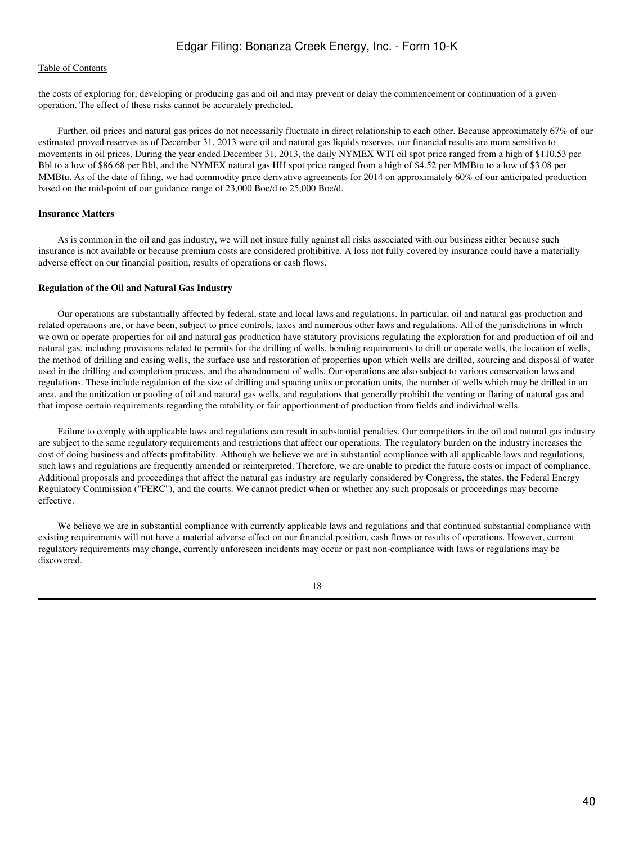the costs of exploring for, developing or producing gas and oil and may prevent or delay the commencement or continuation of a given operation. The effect of these risks cannot be accurately predicted.

 Further, oil prices and natural gas prices do not necessarily fluctuate in direct relationship to each other. Because approximately 67% of our estimated proved reserves as of December 31, 2013 were oil and natural gas liquids reserves, our financial results are more sensitive to movements in oil prices. During the year ended December 31, 2013, the daily NYMEX WTI oil spot price ranged from a high of \$110.53 per Bbl to a low of \$86.68 per Bbl, and the NYMEX natural gas HH spot price ranged from a high of \$4.52 per MMBtu to a low of \$3.08 per MMBtu. As of the date of filing, we had commodity price derivative agreements for 2014 on approximately 60% of our anticipated production based on the mid-point of our guidance range of 23,000 Boe/d to 25,000 Boe/d.

# **Insurance Matters**

 As is common in the oil and gas industry, we will not insure fully against all risks associated with our business either because such insurance is not available or because premium costs are considered prohibitive. A loss not fully covered by insurance could have a materially adverse effect on our financial position, results of operations or cash flows.

#### **Regulation of the Oil and Natural Gas Industry**

 Our operations are substantially affected by federal, state and local laws and regulations. In particular, oil and natural gas production and related operations are, or have been, subject to price controls, taxes and numerous other laws and regulations. All of the jurisdictions in which we own or operate properties for oil and natural gas production have statutory provisions regulating the exploration for and production of oil and natural gas, including provisions related to permits for the drilling of wells, bonding requirements to drill or operate wells, the location of wells, the method of drilling and casing wells, the surface use and restoration of properties upon which wells are drilled, sourcing and disposal of water used in the drilling and completion process, and the abandonment of wells. Our operations are also subject to various conservation laws and regulations. These include regulation of the size of drilling and spacing units or proration units, the number of wells which may be drilled in an area, and the unitization or pooling of oil and natural gas wells, and regulations that generally prohibit the venting or flaring of natural gas and that impose certain requirements regarding the ratability or fair apportionment of production from fields and individual wells.

 Failure to comply with applicable laws and regulations can result in substantial penalties. Our competitors in the oil and natural gas industry are subject to the same regulatory requirements and restrictions that affect our operations. The regulatory burden on the industry increases the cost of doing business and affects profitability. Although we believe we are in substantial compliance with all applicable laws and regulations, such laws and regulations are frequently amended or reinterpreted. Therefore, we are unable to predict the future costs or impact of compliance. Additional proposals and proceedings that affect the natural gas industry are regularly considered by Congress, the states, the Federal Energy Regulatory Commission ("FERC"), and the courts. We cannot predict when or whether any such proposals or proceedings may become effective.

We believe we are in substantial compliance with currently applicable laws and regulations and that continued substantial compliance with existing requirements will not have a material adverse effect on our financial position, cash flows or results of operations. However, current regulatory requirements may change, currently unforeseen incidents may occur or past non-compliance with laws or regulations may be discovered.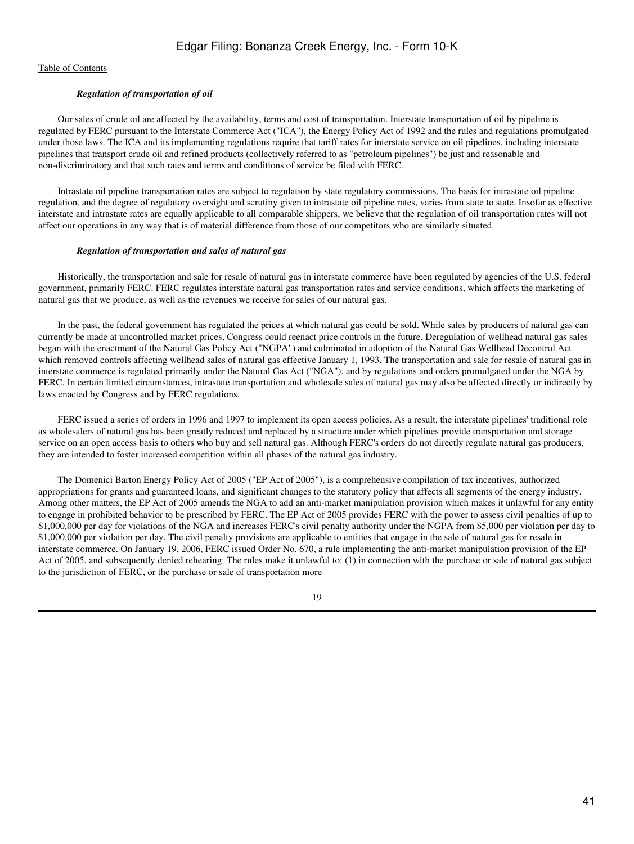#### *Regulation of transportation of oil*

 Our sales of crude oil are affected by the availability, terms and cost of transportation. Interstate transportation of oil by pipeline is regulated by FERC pursuant to the Interstate Commerce Act ("ICA"), the Energy Policy Act of 1992 and the rules and regulations promulgated under those laws. The ICA and its implementing regulations require that tariff rates for interstate service on oil pipelines, including interstate pipelines that transport crude oil and refined products (collectively referred to as "petroleum pipelines") be just and reasonable and non-discriminatory and that such rates and terms and conditions of service be filed with FERC.

 Intrastate oil pipeline transportation rates are subject to regulation by state regulatory commissions. The basis for intrastate oil pipeline regulation, and the degree of regulatory oversight and scrutiny given to intrastate oil pipeline rates, varies from state to state. Insofar as effective interstate and intrastate rates are equally applicable to all comparable shippers, we believe that the regulation of oil transportation rates will not affect our operations in any way that is of material difference from those of our competitors who are similarly situated.

#### *Regulation of transportation and sales of natural gas*

 Historically, the transportation and sale for resale of natural gas in interstate commerce have been regulated by agencies of the U.S. federal government, primarily FERC. FERC regulates interstate natural gas transportation rates and service conditions, which affects the marketing of natural gas that we produce, as well as the revenues we receive for sales of our natural gas.

 In the past, the federal government has regulated the prices at which natural gas could be sold. While sales by producers of natural gas can currently be made at uncontrolled market prices, Congress could reenact price controls in the future. Deregulation of wellhead natural gas sales began with the enactment of the Natural Gas Policy Act ("NGPA") and culminated in adoption of the Natural Gas Wellhead Decontrol Act which removed controls affecting wellhead sales of natural gas effective January 1, 1993. The transportation and sale for resale of natural gas in interstate commerce is regulated primarily under the Natural Gas Act ("NGA"), and by regulations and orders promulgated under the NGA by FERC. In certain limited circumstances, intrastate transportation and wholesale sales of natural gas may also be affected directly or indirectly by laws enacted by Congress and by FERC regulations.

 FERC issued a series of orders in 1996 and 1997 to implement its open access policies. As a result, the interstate pipelines' traditional role as wholesalers of natural gas has been greatly reduced and replaced by a structure under which pipelines provide transportation and storage service on an open access basis to others who buy and sell natural gas. Although FERC's orders do not directly regulate natural gas producers, they are intended to foster increased competition within all phases of the natural gas industry.

 The Domenici Barton Energy Policy Act of 2005 ("EP Act of 2005"), is a comprehensive compilation of tax incentives, authorized appropriations for grants and guaranteed loans, and significant changes to the statutory policy that affects all segments of the energy industry. Among other matters, the EP Act of 2005 amends the NGA to add an anti-market manipulation provision which makes it unlawful for any entity to engage in prohibited behavior to be prescribed by FERC. The EP Act of 2005 provides FERC with the power to assess civil penalties of up to \$1,000,000 per day for violations of the NGA and increases FERC's civil penalty authority under the NGPA from \$5,000 per violation per day to \$1,000,000 per violation per day. The civil penalty provisions are applicable to entities that engage in the sale of natural gas for resale in interstate commerce. On January 19, 2006, FERC issued Order No. 670, a rule implementing the anti-market manipulation provision of the EP Act of 2005, and subsequently denied rehearing. The rules make it unlawful to: (1) in connection with the purchase or sale of natural gas subject to the jurisdiction of FERC, or the purchase or sale of transportation more

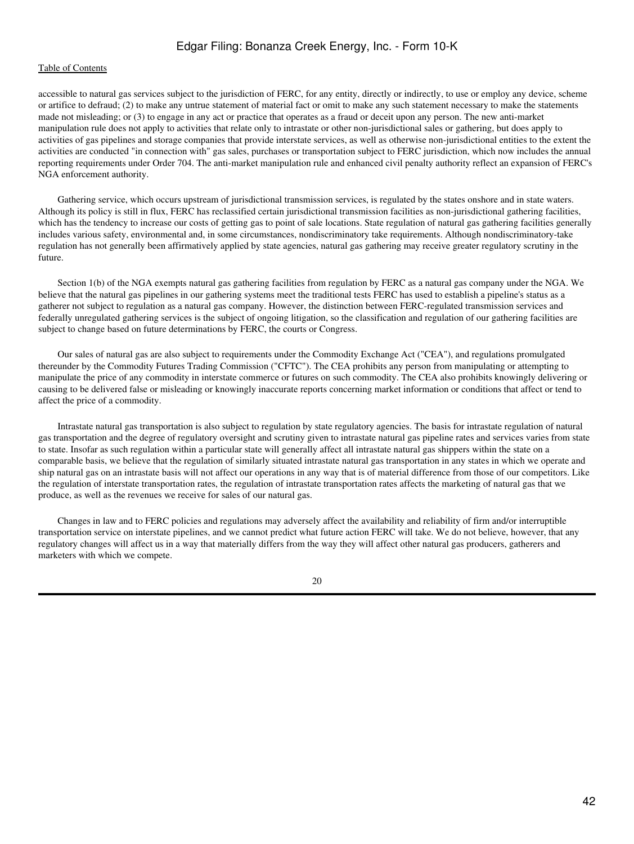#### [Table of Contents](#page-2-0)

accessible to natural gas services subject to the jurisdiction of FERC, for any entity, directly or indirectly, to use or employ any device, scheme or artifice to defraud; (2) to make any untrue statement of material fact or omit to make any such statement necessary to make the statements made not misleading; or (3) to engage in any act or practice that operates as a fraud or deceit upon any person. The new anti-market manipulation rule does not apply to activities that relate only to intrastate or other non-jurisdictional sales or gathering, but does apply to activities of gas pipelines and storage companies that provide interstate services, as well as otherwise non-jurisdictional entities to the extent the activities are conducted "in connection with" gas sales, purchases or transportation subject to FERC jurisdiction, which now includes the annual reporting requirements under Order 704. The anti-market manipulation rule and enhanced civil penalty authority reflect an expansion of FERC's NGA enforcement authority.

 Gathering service, which occurs upstream of jurisdictional transmission services, is regulated by the states onshore and in state waters. Although its policy is still in flux, FERC has reclassified certain jurisdictional transmission facilities as non-jurisdictional gathering facilities, which has the tendency to increase our costs of getting gas to point of sale locations. State regulation of natural gas gathering facilities generally includes various safety, environmental and, in some circumstances, nondiscriminatory take requirements. Although nondiscriminatory-take regulation has not generally been affirmatively applied by state agencies, natural gas gathering may receive greater regulatory scrutiny in the future.

 Section 1(b) of the NGA exempts natural gas gathering facilities from regulation by FERC as a natural gas company under the NGA. We believe that the natural gas pipelines in our gathering systems meet the traditional tests FERC has used to establish a pipeline's status as a gatherer not subject to regulation as a natural gas company. However, the distinction between FERC-regulated transmission services and federally unregulated gathering services is the subject of ongoing litigation, so the classification and regulation of our gathering facilities are subject to change based on future determinations by FERC, the courts or Congress.

 Our sales of natural gas are also subject to requirements under the Commodity Exchange Act ("CEA"), and regulations promulgated thereunder by the Commodity Futures Trading Commission ("CFTC"). The CEA prohibits any person from manipulating or attempting to manipulate the price of any commodity in interstate commerce or futures on such commodity. The CEA also prohibits knowingly delivering or causing to be delivered false or misleading or knowingly inaccurate reports concerning market information or conditions that affect or tend to affect the price of a commodity.

 Intrastate natural gas transportation is also subject to regulation by state regulatory agencies. The basis for intrastate regulation of natural gas transportation and the degree of regulatory oversight and scrutiny given to intrastate natural gas pipeline rates and services varies from state to state. Insofar as such regulation within a particular state will generally affect all intrastate natural gas shippers within the state on a comparable basis, we believe that the regulation of similarly situated intrastate natural gas transportation in any states in which we operate and ship natural gas on an intrastate basis will not affect our operations in any way that is of material difference from those of our competitors. Like the regulation of interstate transportation rates, the regulation of intrastate transportation rates affects the marketing of natural gas that we produce, as well as the revenues we receive for sales of our natural gas.

 Changes in law and to FERC policies and regulations may adversely affect the availability and reliability of firm and/or interruptible transportation service on interstate pipelines, and we cannot predict what future action FERC will take. We do not believe, however, that any regulatory changes will affect us in a way that materially differs from the way they will affect other natural gas producers, gatherers and marketers with which we compete.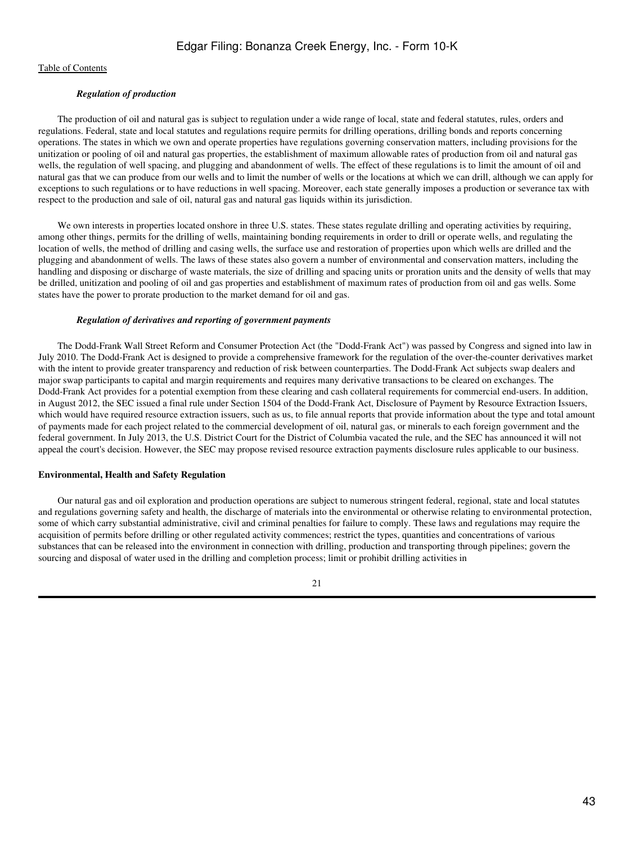### *Regulation of production*

 The production of oil and natural gas is subject to regulation under a wide range of local, state and federal statutes, rules, orders and regulations. Federal, state and local statutes and regulations require permits for drilling operations, drilling bonds and reports concerning operations. The states in which we own and operate properties have regulations governing conservation matters, including provisions for the unitization or pooling of oil and natural gas properties, the establishment of maximum allowable rates of production from oil and natural gas wells, the regulation of well spacing, and plugging and abandonment of wells. The effect of these regulations is to limit the amount of oil and natural gas that we can produce from our wells and to limit the number of wells or the locations at which we can drill, although we can apply for exceptions to such regulations or to have reductions in well spacing. Moreover, each state generally imposes a production or severance tax with respect to the production and sale of oil, natural gas and natural gas liquids within its jurisdiction.

We own interests in properties located onshore in three U.S. states. These states regulate drilling and operating activities by requiring, among other things, permits for the drilling of wells, maintaining bonding requirements in order to drill or operate wells, and regulating the location of wells, the method of drilling and casing wells, the surface use and restoration of properties upon which wells are drilled and the plugging and abandonment of wells. The laws of these states also govern a number of environmental and conservation matters, including the handling and disposing or discharge of waste materials, the size of drilling and spacing units or proration units and the density of wells that may be drilled, unitization and pooling of oil and gas properties and establishment of maximum rates of production from oil and gas wells. Some states have the power to prorate production to the market demand for oil and gas.

#### *Regulation of derivatives and reporting of government payments*

 The Dodd-Frank Wall Street Reform and Consumer Protection Act (the "Dodd-Frank Act") was passed by Congress and signed into law in July 2010. The Dodd-Frank Act is designed to provide a comprehensive framework for the regulation of the over-the-counter derivatives market with the intent to provide greater transparency and reduction of risk between counterparties. The Dodd-Frank Act subjects swap dealers and major swap participants to capital and margin requirements and requires many derivative transactions to be cleared on exchanges. The Dodd-Frank Act provides for a potential exemption from these clearing and cash collateral requirements for commercial end-users. In addition, in August 2012, the SEC issued a final rule under Section 1504 of the Dodd-Frank Act, Disclosure of Payment by Resource Extraction Issuers, which would have required resource extraction issuers, such as us, to file annual reports that provide information about the type and total amount of payments made for each project related to the commercial development of oil, natural gas, or minerals to each foreign government and the federal government. In July 2013, the U.S. District Court for the District of Columbia vacated the rule, and the SEC has announced it will not appeal the court's decision. However, the SEC may propose revised resource extraction payments disclosure rules applicable to our business.

#### **Environmental, Health and Safety Regulation**

 Our natural gas and oil exploration and production operations are subject to numerous stringent federal, regional, state and local statutes and regulations governing safety and health, the discharge of materials into the environmental or otherwise relating to environmental protection, some of which carry substantial administrative, civil and criminal penalties for failure to comply. These laws and regulations may require the acquisition of permits before drilling or other regulated activity commences; restrict the types, quantities and concentrations of various substances that can be released into the environment in connection with drilling, production and transporting through pipelines; govern the sourcing and disposal of water used in the drilling and completion process; limit or prohibit drilling activities in

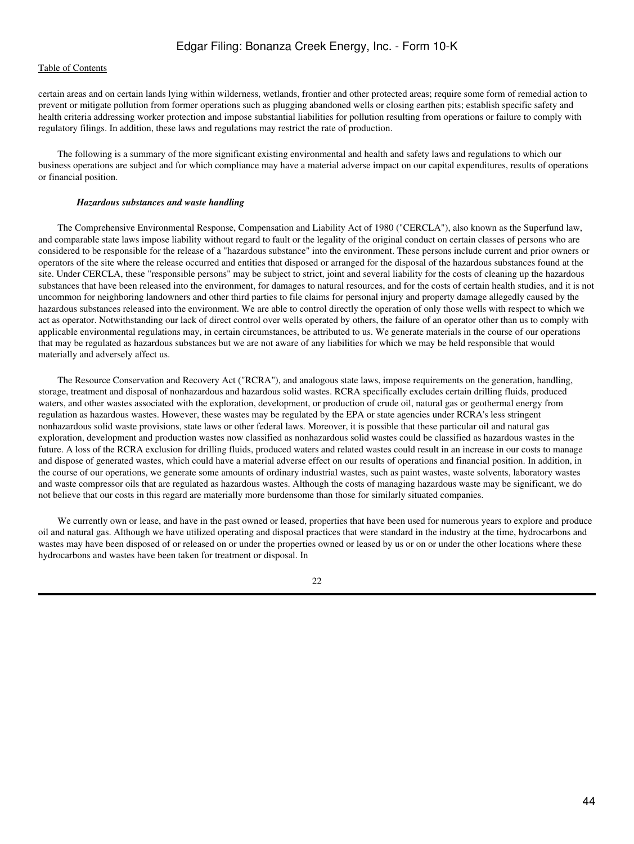certain areas and on certain lands lying within wilderness, wetlands, frontier and other protected areas; require some form of remedial action to prevent or mitigate pollution from former operations such as plugging abandoned wells or closing earthen pits; establish specific safety and health criteria addressing worker protection and impose substantial liabilities for pollution resulting from operations or failure to comply with regulatory filings. In addition, these laws and regulations may restrict the rate of production.

 The following is a summary of the more significant existing environmental and health and safety laws and regulations to which our business operations are subject and for which compliance may have a material adverse impact on our capital expenditures, results of operations or financial position.

#### *Hazardous substances and waste handling*

 The Comprehensive Environmental Response, Compensation and Liability Act of 1980 ("CERCLA"), also known as the Superfund law, and comparable state laws impose liability without regard to fault or the legality of the original conduct on certain classes of persons who are considered to be responsible for the release of a "hazardous substance" into the environment. These persons include current and prior owners or operators of the site where the release occurred and entities that disposed or arranged for the disposal of the hazardous substances found at the site. Under CERCLA, these "responsible persons" may be subject to strict, joint and several liability for the costs of cleaning up the hazardous substances that have been released into the environment, for damages to natural resources, and for the costs of certain health studies, and it is not uncommon for neighboring landowners and other third parties to file claims for personal injury and property damage allegedly caused by the hazardous substances released into the environment. We are able to control directly the operation of only those wells with respect to which we act as operator. Notwithstanding our lack of direct control over wells operated by others, the failure of an operator other than us to comply with applicable environmental regulations may, in certain circumstances, be attributed to us. We generate materials in the course of our operations that may be regulated as hazardous substances but we are not aware of any liabilities for which we may be held responsible that would materially and adversely affect us.

 The Resource Conservation and Recovery Act ("RCRA"), and analogous state laws, impose requirements on the generation, handling, storage, treatment and disposal of nonhazardous and hazardous solid wastes. RCRA specifically excludes certain drilling fluids, produced waters, and other wastes associated with the exploration, development, or production of crude oil, natural gas or geothermal energy from regulation as hazardous wastes. However, these wastes may be regulated by the EPA or state agencies under RCRA's less stringent nonhazardous solid waste provisions, state laws or other federal laws. Moreover, it is possible that these particular oil and natural gas exploration, development and production wastes now classified as nonhazardous solid wastes could be classified as hazardous wastes in the future. A loss of the RCRA exclusion for drilling fluids, produced waters and related wastes could result in an increase in our costs to manage and dispose of generated wastes, which could have a material adverse effect on our results of operations and financial position. In addition, in the course of our operations, we generate some amounts of ordinary industrial wastes, such as paint wastes, waste solvents, laboratory wastes and waste compressor oils that are regulated as hazardous wastes. Although the costs of managing hazardous waste may be significant, we do not believe that our costs in this regard are materially more burdensome than those for similarly situated companies.

 We currently own or lease, and have in the past owned or leased, properties that have been used for numerous years to explore and produce oil and natural gas. Although we have utilized operating and disposal practices that were standard in the industry at the time, hydrocarbons and wastes may have been disposed of or released on or under the properties owned or leased by us or on or under the other locations where these hydrocarbons and wastes have been taken for treatment or disposal. In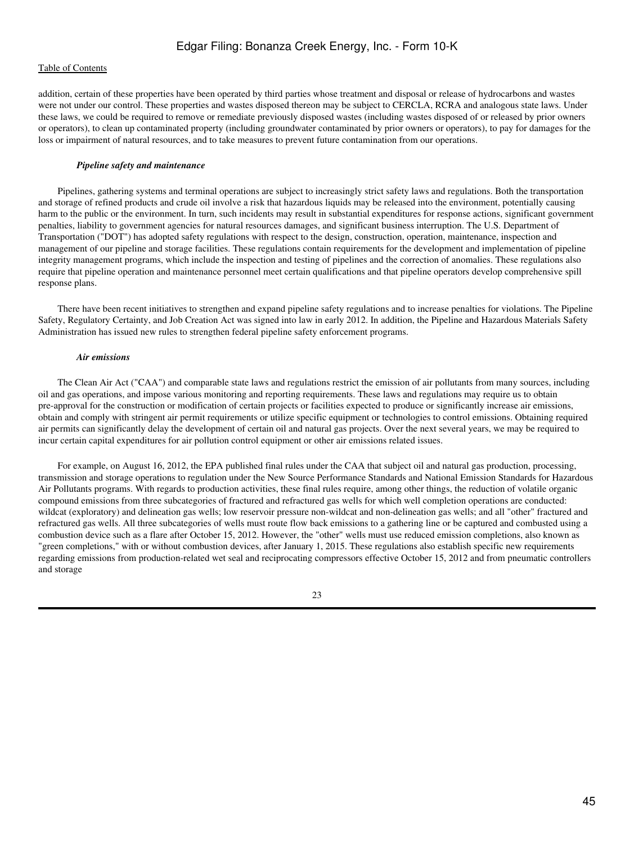addition, certain of these properties have been operated by third parties whose treatment and disposal or release of hydrocarbons and wastes were not under our control. These properties and wastes disposed thereon may be subject to CERCLA, RCRA and analogous state laws. Under these laws, we could be required to remove or remediate previously disposed wastes (including wastes disposed of or released by prior owners or operators), to clean up contaminated property (including groundwater contaminated by prior owners or operators), to pay for damages for the loss or impairment of natural resources, and to take measures to prevent future contamination from our operations.

#### *Pipeline safety and maintenance*

 Pipelines, gathering systems and terminal operations are subject to increasingly strict safety laws and regulations. Both the transportation and storage of refined products and crude oil involve a risk that hazardous liquids may be released into the environment, potentially causing harm to the public or the environment. In turn, such incidents may result in substantial expenditures for response actions, significant government penalties, liability to government agencies for natural resources damages, and significant business interruption. The U.S. Department of Transportation ("DOT") has adopted safety regulations with respect to the design, construction, operation, maintenance, inspection and management of our pipeline and storage facilities. These regulations contain requirements for the development and implementation of pipeline integrity management programs, which include the inspection and testing of pipelines and the correction of anomalies. These regulations also require that pipeline operation and maintenance personnel meet certain qualifications and that pipeline operators develop comprehensive spill response plans.

 There have been recent initiatives to strengthen and expand pipeline safety regulations and to increase penalties for violations. The Pipeline Safety, Regulatory Certainty, and Job Creation Act was signed into law in early 2012. In addition, the Pipeline and Hazardous Materials Safety Administration has issued new rules to strengthen federal pipeline safety enforcement programs.

#### *Air emissions*

 The Clean Air Act ("CAA") and comparable state laws and regulations restrict the emission of air pollutants from many sources, including oil and gas operations, and impose various monitoring and reporting requirements. These laws and regulations may require us to obtain pre-approval for the construction or modification of certain projects or facilities expected to produce or significantly increase air emissions, obtain and comply with stringent air permit requirements or utilize specific equipment or technologies to control emissions. Obtaining required air permits can significantly delay the development of certain oil and natural gas projects. Over the next several years, we may be required to incur certain capital expenditures for air pollution control equipment or other air emissions related issues.

 For example, on August 16, 2012, the EPA published final rules under the CAA that subject oil and natural gas production, processing, transmission and storage operations to regulation under the New Source Performance Standards and National Emission Standards for Hazardous Air Pollutants programs. With regards to production activities, these final rules require, among other things, the reduction of volatile organic compound emissions from three subcategories of fractured and refractured gas wells for which well completion operations are conducted: wildcat (exploratory) and delineation gas wells; low reservoir pressure non-wildcat and non-delineation gas wells; and all "other" fractured and refractured gas wells. All three subcategories of wells must route flow back emissions to a gathering line or be captured and combusted using a combustion device such as a flare after October 15, 2012. However, the "other" wells must use reduced emission completions, also known as "green completions," with or without combustion devices, after January 1, 2015. These regulations also establish specific new requirements regarding emissions from production-related wet seal and reciprocating compressors effective October 15, 2012 and from pneumatic controllers and storage

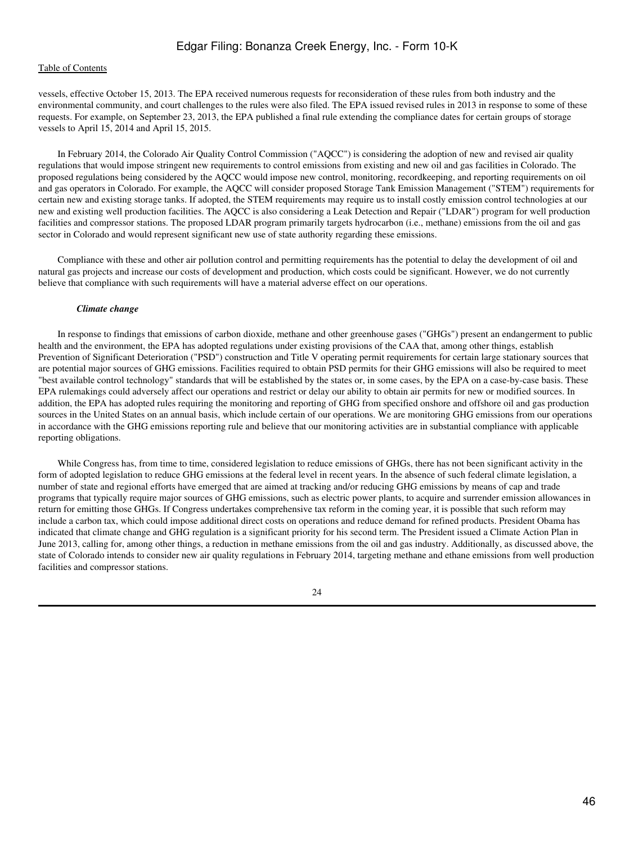vessels, effective October 15, 2013. The EPA received numerous requests for reconsideration of these rules from both industry and the environmental community, and court challenges to the rules were also filed. The EPA issued revised rules in 2013 in response to some of these requests. For example, on September 23, 2013, the EPA published a final rule extending the compliance dates for certain groups of storage vessels to April 15, 2014 and April 15, 2015.

 In February 2014, the Colorado Air Quality Control Commission ("AQCC") is considering the adoption of new and revised air quality regulations that would impose stringent new requirements to control emissions from existing and new oil and gas facilities in Colorado. The proposed regulations being considered by the AQCC would impose new control, monitoring, recordkeeping, and reporting requirements on oil and gas operators in Colorado. For example, the AQCC will consider proposed Storage Tank Emission Management ("STEM") requirements for certain new and existing storage tanks. If adopted, the STEM requirements may require us to install costly emission control technologies at our new and existing well production facilities. The AQCC is also considering a Leak Detection and Repair ("LDAR") program for well production facilities and compressor stations. The proposed LDAR program primarily targets hydrocarbon (i.e., methane) emissions from the oil and gas sector in Colorado and would represent significant new use of state authority regarding these emissions.

 Compliance with these and other air pollution control and permitting requirements has the potential to delay the development of oil and natural gas projects and increase our costs of development and production, which costs could be significant. However, we do not currently believe that compliance with such requirements will have a material adverse effect on our operations.

#### *Climate change*

 In response to findings that emissions of carbon dioxide, methane and other greenhouse gases ("GHGs") present an endangerment to public health and the environment, the EPA has adopted regulations under existing provisions of the CAA that, among other things, establish Prevention of Significant Deterioration ("PSD") construction and Title V operating permit requirements for certain large stationary sources that are potential major sources of GHG emissions. Facilities required to obtain PSD permits for their GHG emissions will also be required to meet "best available control technology" standards that will be established by the states or, in some cases, by the EPA on a case-by-case basis. These EPA rulemakings could adversely affect our operations and restrict or delay our ability to obtain air permits for new or modified sources. In addition, the EPA has adopted rules requiring the monitoring and reporting of GHG from specified onshore and offshore oil and gas production sources in the United States on an annual basis, which include certain of our operations. We are monitoring GHG emissions from our operations in accordance with the GHG emissions reporting rule and believe that our monitoring activities are in substantial compliance with applicable reporting obligations.

 While Congress has, from time to time, considered legislation to reduce emissions of GHGs, there has not been significant activity in the form of adopted legislation to reduce GHG emissions at the federal level in recent years. In the absence of such federal climate legislation, a number of state and regional efforts have emerged that are aimed at tracking and/or reducing GHG emissions by means of cap and trade programs that typically require major sources of GHG emissions, such as electric power plants, to acquire and surrender emission allowances in return for emitting those GHGs. If Congress undertakes comprehensive tax reform in the coming year, it is possible that such reform may include a carbon tax, which could impose additional direct costs on operations and reduce demand for refined products. President Obama has indicated that climate change and GHG regulation is a significant priority for his second term. The President issued a Climate Action Plan in June 2013, calling for, among other things, a reduction in methane emissions from the oil and gas industry. Additionally, as discussed above, the state of Colorado intends to consider new air quality regulations in February 2014, targeting methane and ethane emissions from well production facilities and compressor stations.

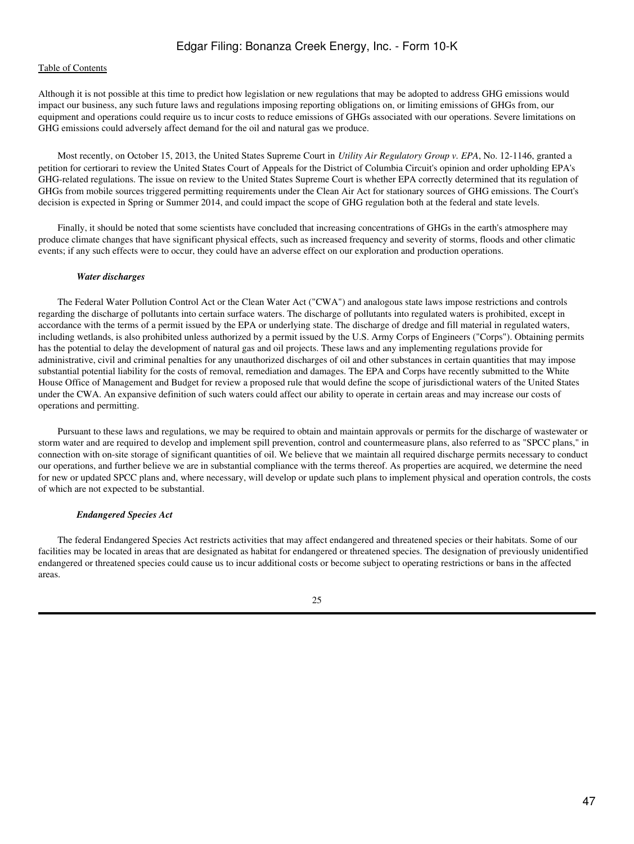Although it is not possible at this time to predict how legislation or new regulations that may be adopted to address GHG emissions would impact our business, any such future laws and regulations imposing reporting obligations on, or limiting emissions of GHGs from, our equipment and operations could require us to incur costs to reduce emissions of GHGs associated with our operations. Severe limitations on GHG emissions could adversely affect demand for the oil and natural gas we produce.

 Most recently, on October 15, 2013, the United States Supreme Court in *Utility Air Regulatory Group v. EPA*, No. 12-1146, granted a petition for certiorari to review the United States Court of Appeals for the District of Columbia Circuit's opinion and order upholding EPA's GHG-related regulations. The issue on review to the United States Supreme Court is whether EPA correctly determined that its regulation of GHGs from mobile sources triggered permitting requirements under the Clean Air Act for stationary sources of GHG emissions. The Court's decision is expected in Spring or Summer 2014, and could impact the scope of GHG regulation both at the federal and state levels.

Finally, it should be noted that some scientists have concluded that increasing concentrations of GHGs in the earth's atmosphere may produce climate changes that have significant physical effects, such as increased frequency and severity of storms, floods and other climatic events; if any such effects were to occur, they could have an adverse effect on our exploration and production operations.

# *Water discharges*

 The Federal Water Pollution Control Act or the Clean Water Act ("CWA") and analogous state laws impose restrictions and controls regarding the discharge of pollutants into certain surface waters. The discharge of pollutants into regulated waters is prohibited, except in accordance with the terms of a permit issued by the EPA or underlying state. The discharge of dredge and fill material in regulated waters, including wetlands, is also prohibited unless authorized by a permit issued by the U.S. Army Corps of Engineers ("Corps"). Obtaining permits has the potential to delay the development of natural gas and oil projects. These laws and any implementing regulations provide for administrative, civil and criminal penalties for any unauthorized discharges of oil and other substances in certain quantities that may impose substantial potential liability for the costs of removal, remediation and damages. The EPA and Corps have recently submitted to the White House Office of Management and Budget for review a proposed rule that would define the scope of jurisdictional waters of the United States under the CWA. An expansive definition of such waters could affect our ability to operate in certain areas and may increase our costs of operations and permitting.

 Pursuant to these laws and regulations, we may be required to obtain and maintain approvals or permits for the discharge of wastewater or storm water and are required to develop and implement spill prevention, control and countermeasure plans, also referred to as "SPCC plans," in connection with on-site storage of significant quantities of oil. We believe that we maintain all required discharge permits necessary to conduct our operations, and further believe we are in substantial compliance with the terms thereof. As properties are acquired, we determine the need for new or updated SPCC plans and, where necessary, will develop or update such plans to implement physical and operation controls, the costs of which are not expected to be substantial.

#### *Endangered Species Act*

 The federal Endangered Species Act restricts activities that may affect endangered and threatened species or their habitats. Some of our facilities may be located in areas that are designated as habitat for endangered or threatened species. The designation of previously unidentified endangered or threatened species could cause us to incur additional costs or become subject to operating restrictions or bans in the affected areas.

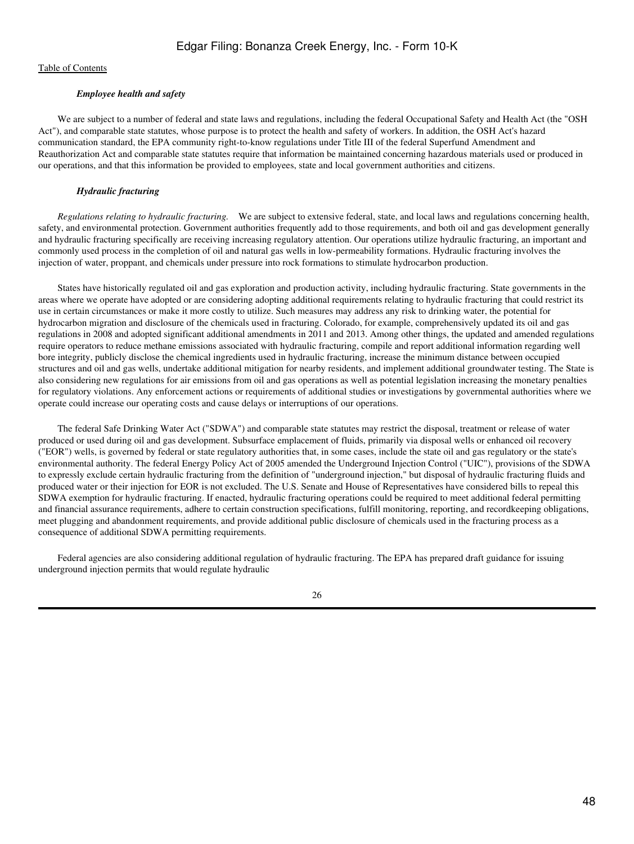# *Employee health and safety*

 We are subject to a number of federal and state laws and regulations, including the federal Occupational Safety and Health Act (the "OSH Act"), and comparable state statutes, whose purpose is to protect the health and safety of workers. In addition, the OSH Act's hazard communication standard, the EPA community right-to-know regulations under Title III of the federal Superfund Amendment and Reauthorization Act and comparable state statutes require that information be maintained concerning hazardous materials used or produced in our operations, and that this information be provided to employees, state and local government authorities and citizens.

### *Hydraulic fracturing*

 *Regulations relating to hydraulic fracturing.* We are subject to extensive federal, state, and local laws and regulations concerning health, safety, and environmental protection. Government authorities frequently add to those requirements, and both oil and gas development generally and hydraulic fracturing specifically are receiving increasing regulatory attention. Our operations utilize hydraulic fracturing, an important and commonly used process in the completion of oil and natural gas wells in low-permeability formations. Hydraulic fracturing involves the injection of water, proppant, and chemicals under pressure into rock formations to stimulate hydrocarbon production.

 States have historically regulated oil and gas exploration and production activity, including hydraulic fracturing. State governments in the areas where we operate have adopted or are considering adopting additional requirements relating to hydraulic fracturing that could restrict its use in certain circumstances or make it more costly to utilize. Such measures may address any risk to drinking water, the potential for hydrocarbon migration and disclosure of the chemicals used in fracturing. Colorado, for example, comprehensively updated its oil and gas regulations in 2008 and adopted significant additional amendments in 2011 and 2013. Among other things, the updated and amended regulations require operators to reduce methane emissions associated with hydraulic fracturing, compile and report additional information regarding well bore integrity, publicly disclose the chemical ingredients used in hydraulic fracturing, increase the minimum distance between occupied structures and oil and gas wells, undertake additional mitigation for nearby residents, and implement additional groundwater testing. The State is also considering new regulations for air emissions from oil and gas operations as well as potential legislation increasing the monetary penalties for regulatory violations. Any enforcement actions or requirements of additional studies or investigations by governmental authorities where we operate could increase our operating costs and cause delays or interruptions of our operations.

 The federal Safe Drinking Water Act ("SDWA") and comparable state statutes may restrict the disposal, treatment or release of water produced or used during oil and gas development. Subsurface emplacement of fluids, primarily via disposal wells or enhanced oil recovery ("EOR") wells, is governed by federal or state regulatory authorities that, in some cases, include the state oil and gas regulatory or the state's environmental authority. The federal Energy Policy Act of 2005 amended the Underground Injection Control ("UIC"), provisions of the SDWA to expressly exclude certain hydraulic fracturing from the definition of "underground injection," but disposal of hydraulic fracturing fluids and produced water or their injection for EOR is not excluded. The U.S. Senate and House of Representatives have considered bills to repeal this SDWA exemption for hydraulic fracturing. If enacted, hydraulic fracturing operations could be required to meet additional federal permitting and financial assurance requirements, adhere to certain construction specifications, fulfill monitoring, reporting, and recordkeeping obligations, meet plugging and abandonment requirements, and provide additional public disclosure of chemicals used in the fracturing process as a consequence of additional SDWA permitting requirements.

 Federal agencies are also considering additional regulation of hydraulic fracturing. The EPA has prepared draft guidance for issuing underground injection permits that would regulate hydraulic

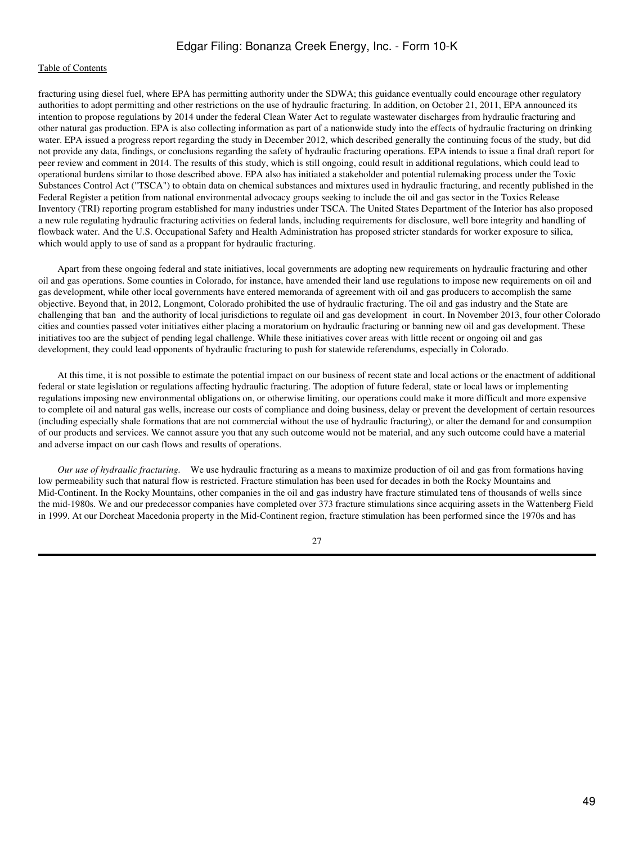#### [Table of Contents](#page-2-0)

fracturing using diesel fuel, where EPA has permitting authority under the SDWA; this guidance eventually could encourage other regulatory authorities to adopt permitting and other restrictions on the use of hydraulic fracturing. In addition, on October 21, 2011, EPA announced its intention to propose regulations by 2014 under the federal Clean Water Act to regulate wastewater discharges from hydraulic fracturing and other natural gas production. EPA is also collecting information as part of a nationwide study into the effects of hydraulic fracturing on drinking water. EPA issued a progress report regarding the study in December 2012, which described generally the continuing focus of the study, but did not provide any data, findings, or conclusions regarding the safety of hydraulic fracturing operations. EPA intends to issue a final draft report for peer review and comment in 2014. The results of this study, which is still ongoing, could result in additional regulations, which could lead to operational burdens similar to those described above. EPA also has initiated a stakeholder and potential rulemaking process under the Toxic Substances Control Act ("TSCA") to obtain data on chemical substances and mixtures used in hydraulic fracturing, and recently published in the Federal Register a petition from national environmental advocacy groups seeking to include the oil and gas sector in the Toxics Release Inventory (TRI) reporting program established for many industries under TSCA. The United States Department of the Interior has also proposed a new rule regulating hydraulic fracturing activities on federal lands, including requirements for disclosure, well bore integrity and handling of flowback water. And the U.S. Occupational Safety and Health Administration has proposed stricter standards for worker exposure to silica, which would apply to use of sand as a proppant for hydraulic fracturing.

 Apart from these ongoing federal and state initiatives, local governments are adopting new requirements on hydraulic fracturing and other oil and gas operations. Some counties in Colorado, for instance, have amended their land use regulations to impose new requirements on oil and gas development, while other local governments have entered memoranda of agreement with oil and gas producers to accomplish the same objective. Beyond that, in 2012, Longmont, Colorado prohibited the use of hydraulic fracturing. The oil and gas industry and the State are challenging that ban and the authority of local jurisdictions to regulate oil and gas development in court. In November 2013, four other Colorado cities and counties passed voter initiatives either placing a moratorium on hydraulic fracturing or banning new oil and gas development. These initiatives too are the subject of pending legal challenge. While these initiatives cover areas with little recent or ongoing oil and gas development, they could lead opponents of hydraulic fracturing to push for statewide referendums, especially in Colorado.

 At this time, it is not possible to estimate the potential impact on our business of recent state and local actions or the enactment of additional federal or state legislation or regulations affecting hydraulic fracturing. The adoption of future federal, state or local laws or implementing regulations imposing new environmental obligations on, or otherwise limiting, our operations could make it more difficult and more expensive to complete oil and natural gas wells, increase our costs of compliance and doing business, delay or prevent the development of certain resources (including especially shale formations that are not commercial without the use of hydraulic fracturing), or alter the demand for and consumption of our products and services. We cannot assure you that any such outcome would not be material, and any such outcome could have a material and adverse impact on our cash flows and results of operations.

 *Our use of hydraulic fracturing.* We use hydraulic fracturing as a means to maximize production of oil and gas from formations having low permeability such that natural flow is restricted. Fracture stimulation has been used for decades in both the Rocky Mountains and Mid-Continent. In the Rocky Mountains, other companies in the oil and gas industry have fracture stimulated tens of thousands of wells since the mid-1980s. We and our predecessor companies have completed over 373 fracture stimulations since acquiring assets in the Wattenberg Field in 1999. At our Dorcheat Macedonia property in the Mid-Continent region, fracture stimulation has been performed since the 1970s and has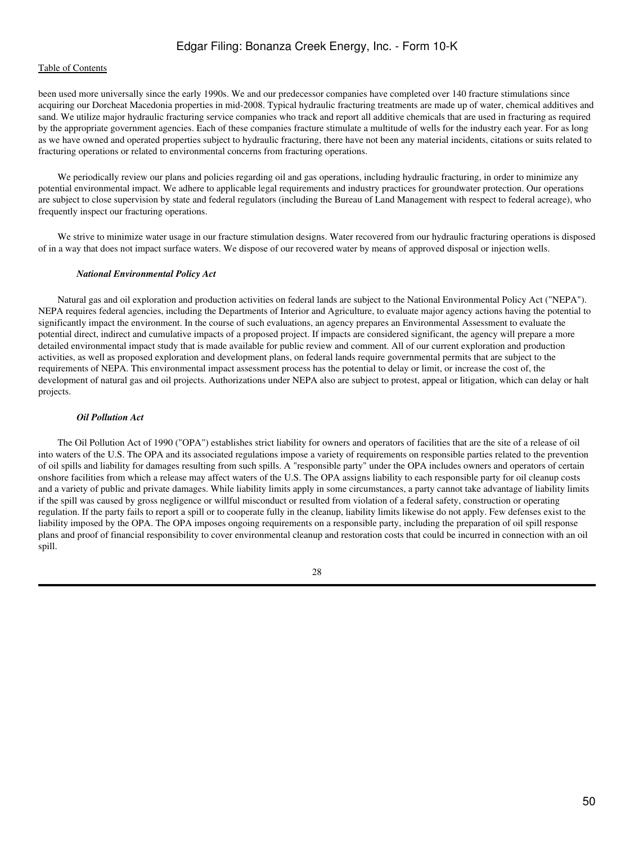# [Table of Contents](#page-2-0)

been used more universally since the early 1990s. We and our predecessor companies have completed over 140 fracture stimulations since acquiring our Dorcheat Macedonia properties in mid-2008. Typical hydraulic fracturing treatments are made up of water, chemical additives and sand. We utilize major hydraulic fracturing service companies who track and report all additive chemicals that are used in fracturing as required by the appropriate government agencies. Each of these companies fracture stimulate a multitude of wells for the industry each year. For as long as we have owned and operated properties subject to hydraulic fracturing, there have not been any material incidents, citations or suits related to fracturing operations or related to environmental concerns from fracturing operations.

We periodically review our plans and policies regarding oil and gas operations, including hydraulic fracturing, in order to minimize any potential environmental impact. We adhere to applicable legal requirements and industry practices for groundwater protection. Our operations are subject to close supervision by state and federal regulators (including the Bureau of Land Management with respect to federal acreage), who frequently inspect our fracturing operations.

 We strive to minimize water usage in our fracture stimulation designs. Water recovered from our hydraulic fracturing operations is disposed of in a way that does not impact surface waters. We dispose of our recovered water by means of approved disposal or injection wells.

#### *National Environmental Policy Act*

 Natural gas and oil exploration and production activities on federal lands are subject to the National Environmental Policy Act ("NEPA"). NEPA requires federal agencies, including the Departments of Interior and Agriculture, to evaluate major agency actions having the potential to significantly impact the environment. In the course of such evaluations, an agency prepares an Environmental Assessment to evaluate the potential direct, indirect and cumulative impacts of a proposed project. If impacts are considered significant, the agency will prepare a more detailed environmental impact study that is made available for public review and comment. All of our current exploration and production activities, as well as proposed exploration and development plans, on federal lands require governmental permits that are subject to the requirements of NEPA. This environmental impact assessment process has the potential to delay or limit, or increase the cost of, the development of natural gas and oil projects. Authorizations under NEPA also are subject to protest, appeal or litigation, which can delay or halt projects.

#### *Oil Pollution Act*

 The Oil Pollution Act of 1990 ("OPA") establishes strict liability for owners and operators of facilities that are the site of a release of oil into waters of the U.S. The OPA and its associated regulations impose a variety of requirements on responsible parties related to the prevention of oil spills and liability for damages resulting from such spills. A "responsible party" under the OPA includes owners and operators of certain onshore facilities from which a release may affect waters of the U.S. The OPA assigns liability to each responsible party for oil cleanup costs and a variety of public and private damages. While liability limits apply in some circumstances, a party cannot take advantage of liability limits if the spill was caused by gross negligence or willful misconduct or resulted from violation of a federal safety, construction or operating regulation. If the party fails to report a spill or to cooperate fully in the cleanup, liability limits likewise do not apply. Few defenses exist to the liability imposed by the OPA. The OPA imposes ongoing requirements on a responsible party, including the preparation of oil spill response plans and proof of financial responsibility to cover environmental cleanup and restoration costs that could be incurred in connection with an oil spill.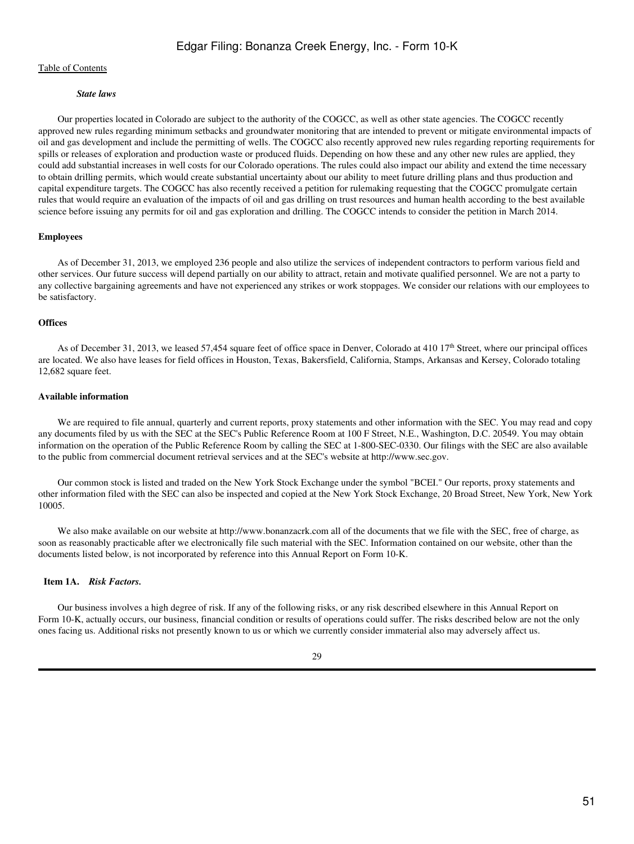### *State laws*

 Our properties located in Colorado are subject to the authority of the COGCC, as well as other state agencies. The COGCC recently approved new rules regarding minimum setbacks and groundwater monitoring that are intended to prevent or mitigate environmental impacts of oil and gas development and include the permitting of wells. The COGCC also recently approved new rules regarding reporting requirements for spills or releases of exploration and production waste or produced fluids. Depending on how these and any other new rules are applied, they could add substantial increases in well costs for our Colorado operations. The rules could also impact our ability and extend the time necessary to obtain drilling permits, which would create substantial uncertainty about our ability to meet future drilling plans and thus production and capital expenditure targets. The COGCC has also recently received a petition for rulemaking requesting that the COGCC promulgate certain rules that would require an evaluation of the impacts of oil and gas drilling on trust resources and human health according to the best available science before issuing any permits for oil and gas exploration and drilling. The COGCC intends to consider the petition in March 2014.

#### **Employees**

 As of December 31, 2013, we employed 236 people and also utilize the services of independent contractors to perform various field and other services. Our future success will depend partially on our ability to attract, retain and motivate qualified personnel. We are not a party to any collective bargaining agreements and have not experienced any strikes or work stoppages. We consider our relations with our employees to be satisfactory.

#### **Offices**

As of December 31, 2013, we leased 57,454 square feet of office space in Denver, Colorado at 410 17<sup>th</sup> Street, where our principal offices are located. We also have leases for field offices in Houston, Texas, Bakersfield, California, Stamps, Arkansas and Kersey, Colorado totaling 12,682 square feet.

#### **Available information**

 We are required to file annual, quarterly and current reports, proxy statements and other information with the SEC. You may read and copy any documents filed by us with the SEC at the SEC's Public Reference Room at 100 F Street, N.E., Washington, D.C. 20549. You may obtain information on the operation of the Public Reference Room by calling the SEC at 1-800-SEC-0330. Our filings with the SEC are also available to the public from commercial document retrieval services and at the SEC's website at http://www.sec.gov.

 Our common stock is listed and traded on the New York Stock Exchange under the symbol "BCEI." Our reports, proxy statements and other information filed with the SEC can also be inspected and copied at the New York Stock Exchange, 20 Broad Street, New York, New York 10005.

 We also make available on our website at http://www.bonanzacrk.com all of the documents that we file with the SEC, free of charge, as soon as reasonably practicable after we electronically file such material with the SEC. Information contained on our website, other than the documents listed below, is not incorporated by reference into this Annual Report on Form 10-K.

#### **Item 1A.** *Risk Factors.*

 Our business involves a high degree of risk. If any of the following risks, or any risk described elsewhere in this Annual Report on Form 10-K, actually occurs, our business, financial condition or results of operations could suffer. The risks described below are not the only ones facing us. Additional risks not presently known to us or which we currently consider immaterial also may adversely affect us.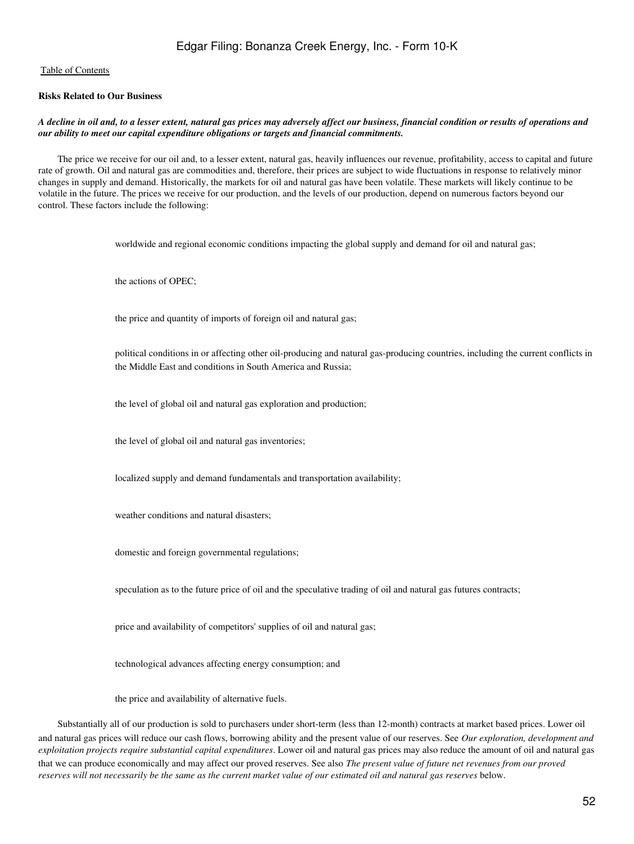# **Risks Related to Our Business**

### *A decline in oil and, to a lesser extent, natural gas prices may adversely affect our business, financial condition or results of operations and our ability to meet our capital expenditure obligations or targets and financial commitments.*

 The price we receive for our oil and, to a lesser extent, natural gas, heavily influences our revenue, profitability, access to capital and future rate of growth. Oil and natural gas are commodities and, therefore, their prices are subject to wide fluctuations in response to relatively minor changes in supply and demand. Historically, the markets for oil and natural gas have been volatile. These markets will likely continue to be volatile in the future. The prices we receive for our production, and the levels of our production, depend on numerous factors beyond our control. These factors include the following:

worldwide and regional economic conditions impacting the global supply and demand for oil and natural gas;

the actions of OPEC;

the price and quantity of imports of foreign oil and natural gas;

political conditions in or affecting other oil-producing and natural gas-producing countries, including the current conflicts in the Middle East and conditions in South America and Russia;

the level of global oil and natural gas exploration and production;

the level of global oil and natural gas inventories;

localized supply and demand fundamentals and transportation availability;

weather conditions and natural disasters;

domestic and foreign governmental regulations;

speculation as to the future price of oil and the speculative trading of oil and natural gas futures contracts;

price and availability of competitors' supplies of oil and natural gas;

technological advances affecting energy consumption; and

the price and availability of alternative fuels.

 Substantially all of our production is sold to purchasers under short-term (less than 12-month) contracts at market based prices. Lower oil and natural gas prices will reduce our cash flows, borrowing ability and the present value of our reserves. See *Our exploration, development and exploitation projects require substantial capital expenditures*. Lower oil and natural gas prices may also reduce the amount of oil and natural gas that we can produce economically and may affect our proved reserves. See also *The present value of future net revenues from our proved reserves will not necessarily be the same as the current market value of our estimated oil and natural gas reserves* below.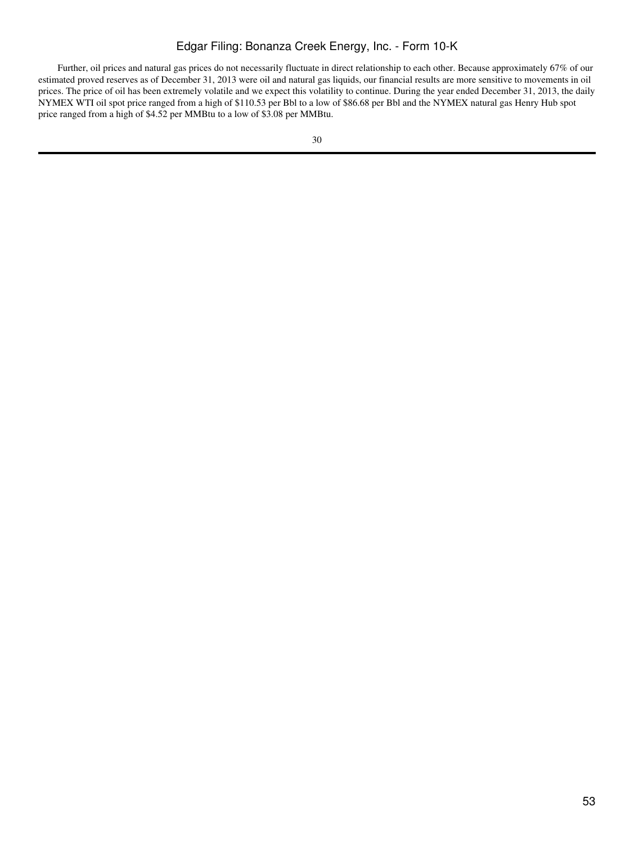Further, oil prices and natural gas prices do not necessarily fluctuate in direct relationship to each other. Because approximately 67% of our estimated proved reserves as of December 31, 2013 were oil and natural gas liquids, our financial results are more sensitive to movements in oil prices. The price of oil has been extremely volatile and we expect this volatility to continue. During the year ended December 31, 2013, the daily NYMEX WTI oil spot price ranged from a high of \$110.53 per Bbl to a low of \$86.68 per Bbl and the NYMEX natural gas Henry Hub spot price ranged from a high of \$4.52 per MMBtu to a low of \$3.08 per MMBtu.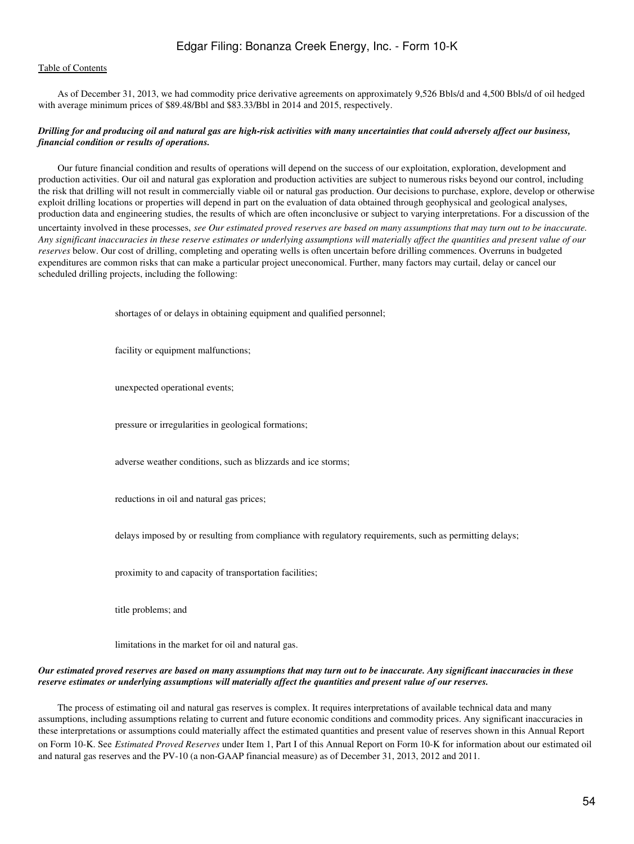#### [Table of Contents](#page-2-0)

 As of December 31, 2013, we had commodity price derivative agreements on approximately 9,526 Bbls/d and 4,500 Bbls/d of oil hedged with average minimum prices of \$89.48/Bbl and \$83.33/Bbl in 2014 and 2015, respectively.

#### *Drilling for and producing oil and natural gas are high-risk activities with many uncertainties that could adversely affect our business, financial condition or results of operations.*

 Our future financial condition and results of operations will depend on the success of our exploitation, exploration, development and production activities. Our oil and natural gas exploration and production activities are subject to numerous risks beyond our control, including the risk that drilling will not result in commercially viable oil or natural gas production. Our decisions to purchase, explore, develop or otherwise exploit drilling locations or properties will depend in part on the evaluation of data obtained through geophysical and geological analyses, production data and engineering studies, the results of which are often inconclusive or subject to varying interpretations. For a discussion of the uncertainty involved in these processes, *see Our estimated proved reserves are based on many assumptions that may turn out to be inaccurate. Any significant inaccuracies in these reserve estimates or underlying assumptions will materially affect the quantities and present value of our reserves* below. Our cost of drilling, completing and operating wells is often uncertain before drilling commences. Overruns in budgeted expenditures are common risks that can make a particular project uneconomical. Further, many factors may curtail, delay or cancel our scheduled drilling projects, including the following:

shortages of or delays in obtaining equipment and qualified personnel;

facility or equipment malfunctions;

unexpected operational events;

pressure or irregularities in geological formations;

adverse weather conditions, such as blizzards and ice storms;

reductions in oil and natural gas prices;

delays imposed by or resulting from compliance with regulatory requirements, such as permitting delays;

proximity to and capacity of transportation facilities;

title problems; and

limitations in the market for oil and natural gas.

#### *Our estimated proved reserves are based on many assumptions that may turn out to be inaccurate. Any significant inaccuracies in these reserve estimates or underlying assumptions will materially affect the quantities and present value of our reserves.*

 The process of estimating oil and natural gas reserves is complex. It requires interpretations of available technical data and many assumptions, including assumptions relating to current and future economic conditions and commodity prices. Any significant inaccuracies in these interpretations or assumptions could materially affect the estimated quantities and present value of reserves shown in this Annual Report on Form 10-K. See *Estimated Proved Reserves* under Item 1, Part I of this Annual Report on Form 10-K for information about our estimated oil and natural gas reserves and the PV-10 (a non-GAAP financial measure) as of December 31, 2013, 2012 and 2011.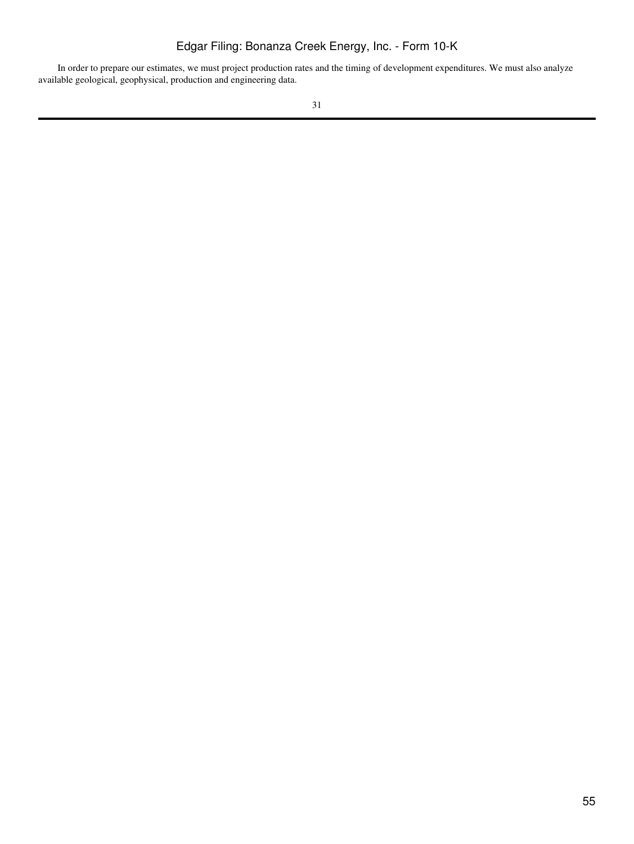In order to prepare our estimates, we must project production rates and the timing of development expenditures. We must also analyze available geological, geophysical, production and engineering data.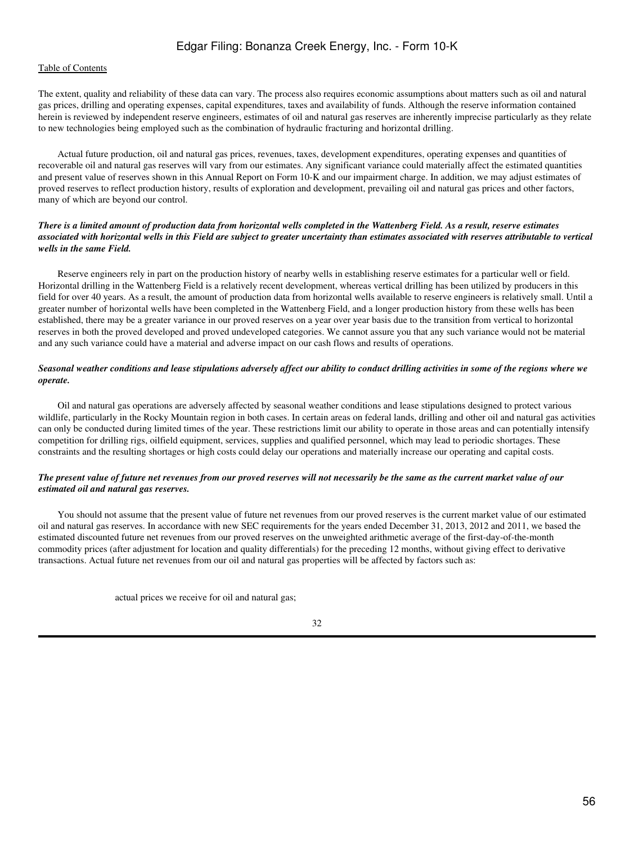The extent, quality and reliability of these data can vary. The process also requires economic assumptions about matters such as oil and natural gas prices, drilling and operating expenses, capital expenditures, taxes and availability of funds. Although the reserve information contained herein is reviewed by independent reserve engineers, estimates of oil and natural gas reserves are inherently imprecise particularly as they relate to new technologies being employed such as the combination of hydraulic fracturing and horizontal drilling.

 Actual future production, oil and natural gas prices, revenues, taxes, development expenditures, operating expenses and quantities of recoverable oil and natural gas reserves will vary from our estimates. Any significant variance could materially affect the estimated quantities and present value of reserves shown in this Annual Report on Form 10-K and our impairment charge. In addition, we may adjust estimates of proved reserves to reflect production history, results of exploration and development, prevailing oil and natural gas prices and other factors, many of which are beyond our control.

# *There is a limited amount of production data from horizontal wells completed in the Wattenberg Field. As a result, reserve estimates associated with horizontal wells in this Field are subject to greater uncertainty than estimates associated with reserves attributable to vertical wells in the same Field.*

 Reserve engineers rely in part on the production history of nearby wells in establishing reserve estimates for a particular well or field. Horizontal drilling in the Wattenberg Field is a relatively recent development, whereas vertical drilling has been utilized by producers in this field for over 40 years. As a result, the amount of production data from horizontal wells available to reserve engineers is relatively small. Until a greater number of horizontal wells have been completed in the Wattenberg Field, and a longer production history from these wells has been established, there may be a greater variance in our proved reserves on a year over year basis due to the transition from vertical to horizontal reserves in both the proved developed and proved undeveloped categories. We cannot assure you that any such variance would not be material and any such variance could have a material and adverse impact on our cash flows and results of operations.

# *Seasonal weather conditions and lease stipulations adversely affect our ability to conduct drilling activities in some of the regions where we operate.*

 Oil and natural gas operations are adversely affected by seasonal weather conditions and lease stipulations designed to protect various wildlife, particularly in the Rocky Mountain region in both cases. In certain areas on federal lands, drilling and other oil and natural gas activities can only be conducted during limited times of the year. These restrictions limit our ability to operate in those areas and can potentially intensify competition for drilling rigs, oilfield equipment, services, supplies and qualified personnel, which may lead to periodic shortages. These constraints and the resulting shortages or high costs could delay our operations and materially increase our operating and capital costs.

# *The present value of future net revenues from our proved reserves will not necessarily be the same as the current market value of our estimated oil and natural gas reserves.*

 You should not assume that the present value of future net revenues from our proved reserves is the current market value of our estimated oil and natural gas reserves. In accordance with new SEC requirements for the years ended December 31, 2013, 2012 and 2011, we based the estimated discounted future net revenues from our proved reserves on the unweighted arithmetic average of the first-day-of-the-month commodity prices (after adjustment for location and quality differentials) for the preceding 12 months, without giving effect to derivative transactions. Actual future net revenues from our oil and natural gas properties will be affected by factors such as:

actual prices we receive for oil and natural gas;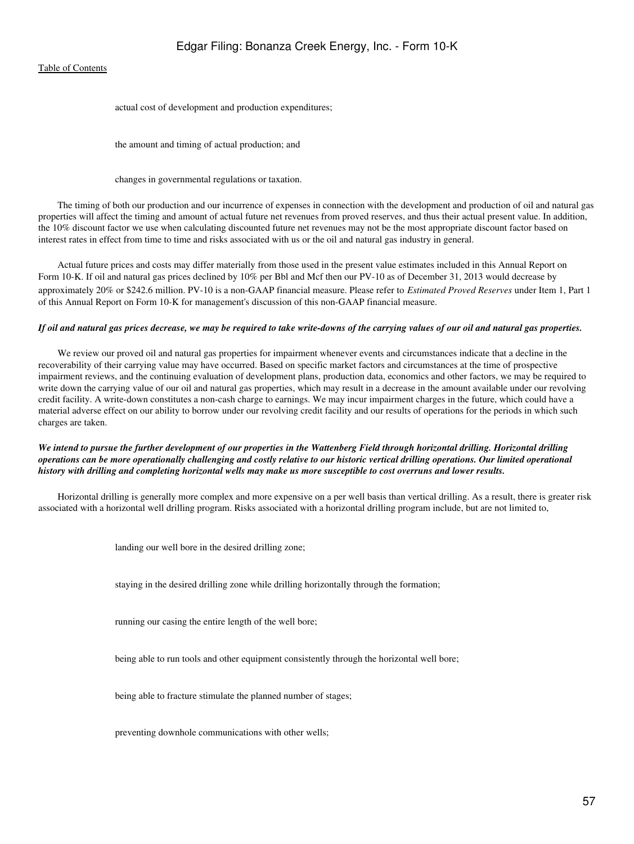actual cost of development and production expenditures;

the amount and timing of actual production; and

changes in governmental regulations or taxation.

 The timing of both our production and our incurrence of expenses in connection with the development and production of oil and natural gas properties will affect the timing and amount of actual future net revenues from proved reserves, and thus their actual present value. In addition, the 10% discount factor we use when calculating discounted future net revenues may not be the most appropriate discount factor based on interest rates in effect from time to time and risks associated with us or the oil and natural gas industry in general.

 Actual future prices and costs may differ materially from those used in the present value estimates included in this Annual Report on Form 10-K. If oil and natural gas prices declined by 10% per Bbl and Mcf then our PV-10 as of December 31, 2013 would decrease by approximately 20% or \$242.6 million. PV-10 is a non-GAAP financial measure. Please refer to *Estimated Proved Reserves* under Item 1, Part 1 of this Annual Report on Form 10-K for management's discussion of this non-GAAP financial measure.

#### *If oil and natural gas prices decrease, we may be required to take write-downs of the carrying values of our oil and natural gas properties.*

We review our proved oil and natural gas properties for impairment whenever events and circumstances indicate that a decline in the recoverability of their carrying value may have occurred. Based on specific market factors and circumstances at the time of prospective impairment reviews, and the continuing evaluation of development plans, production data, economics and other factors, we may be required to write down the carrying value of our oil and natural gas properties, which may result in a decrease in the amount available under our revolving credit facility. A write-down constitutes a non-cash charge to earnings. We may incur impairment charges in the future, which could have a material adverse effect on our ability to borrow under our revolving credit facility and our results of operations for the periods in which such charges are taken.

#### *We intend to pursue the further development of our properties in the Wattenberg Field through horizontal drilling. Horizontal drilling operations can be more operationally challenging and costly relative to our historic vertical drilling operations. Our limited operational history with drilling and completing horizontal wells may make us more susceptible to cost overruns and lower results.*

 Horizontal drilling is generally more complex and more expensive on a per well basis than vertical drilling. As a result, there is greater risk associated with a horizontal well drilling program. Risks associated with a horizontal drilling program include, but are not limited to,

landing our well bore in the desired drilling zone;

staying in the desired drilling zone while drilling horizontally through the formation;

running our casing the entire length of the well bore;

being able to run tools and other equipment consistently through the horizontal well bore;

being able to fracture stimulate the planned number of stages;

preventing downhole communications with other wells;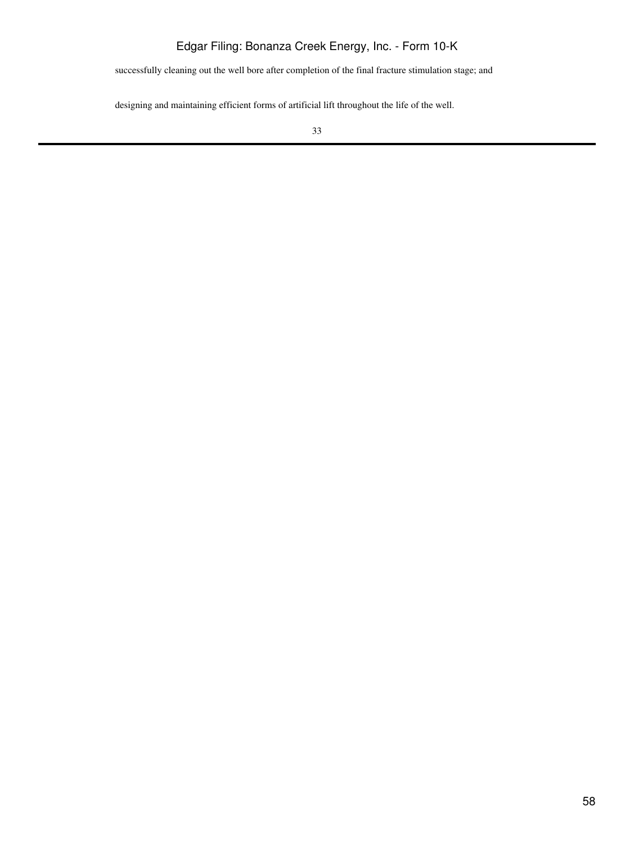successfully cleaning out the well bore after completion of the final fracture stimulation stage; and

designing and maintaining efficient forms of artificial lift throughout the life of the well.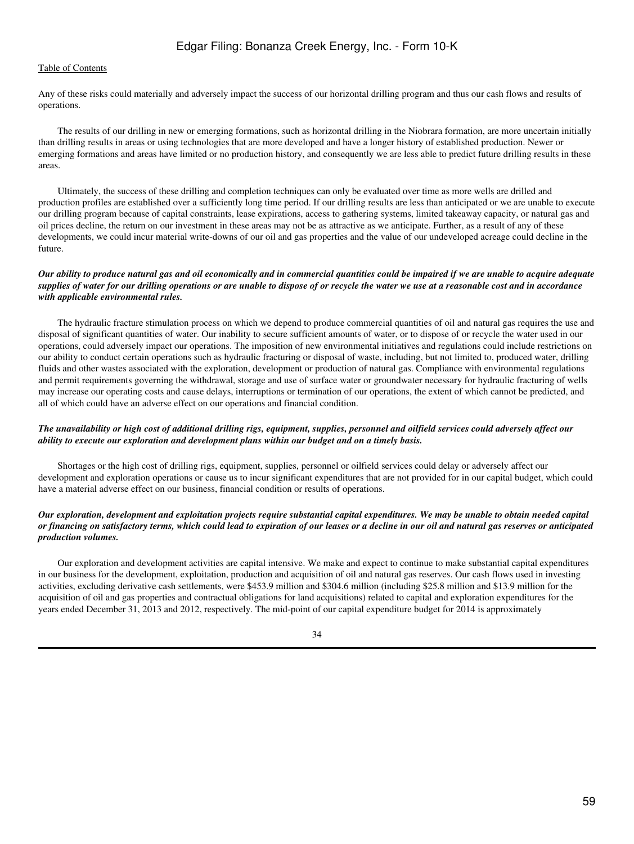Any of these risks could materially and adversely impact the success of our horizontal drilling program and thus our cash flows and results of operations.

 The results of our drilling in new or emerging formations, such as horizontal drilling in the Niobrara formation, are more uncertain initially than drilling results in areas or using technologies that are more developed and have a longer history of established production. Newer or emerging formations and areas have limited or no production history, and consequently we are less able to predict future drilling results in these areas.

 Ultimately, the success of these drilling and completion techniques can only be evaluated over time as more wells are drilled and production profiles are established over a sufficiently long time period. If our drilling results are less than anticipated or we are unable to execute our drilling program because of capital constraints, lease expirations, access to gathering systems, limited takeaway capacity, or natural gas and oil prices decline, the return on our investment in these areas may not be as attractive as we anticipate. Further, as a result of any of these developments, we could incur material write-downs of our oil and gas properties and the value of our undeveloped acreage could decline in the future.

# *Our ability to produce natural gas and oil economically and in commercial quantities could be impaired if we are unable to acquire adequate supplies of water for our drilling operations or are unable to dispose of or recycle the water we use at a reasonable cost and in accordance with applicable environmental rules.*

 The hydraulic fracture stimulation process on which we depend to produce commercial quantities of oil and natural gas requires the use and disposal of significant quantities of water. Our inability to secure sufficient amounts of water, or to dispose of or recycle the water used in our operations, could adversely impact our operations. The imposition of new environmental initiatives and regulations could include restrictions on our ability to conduct certain operations such as hydraulic fracturing or disposal of waste, including, but not limited to, produced water, drilling fluids and other wastes associated with the exploration, development or production of natural gas. Compliance with environmental regulations and permit requirements governing the withdrawal, storage and use of surface water or groundwater necessary for hydraulic fracturing of wells may increase our operating costs and cause delays, interruptions or termination of our operations, the extent of which cannot be predicted, and all of which could have an adverse effect on our operations and financial condition.

### *The unavailability or high cost of additional drilling rigs, equipment, supplies, personnel and oilfield services could adversely affect our ability to execute our exploration and development plans within our budget and on a timely basis.*

 Shortages or the high cost of drilling rigs, equipment, supplies, personnel or oilfield services could delay or adversely affect our development and exploration operations or cause us to incur significant expenditures that are not provided for in our capital budget, which could have a material adverse effect on our business, financial condition or results of operations.

# *Our exploration, development and exploitation projects require substantial capital expenditures. We may be unable to obtain needed capital or financing on satisfactory terms, which could lead to expiration of our leases or a decline in our oil and natural gas reserves or anticipated production volumes.*

 Our exploration and development activities are capital intensive. We make and expect to continue to make substantial capital expenditures in our business for the development, exploitation, production and acquisition of oil and natural gas reserves. Our cash flows used in investing activities, excluding derivative cash settlements, were \$453.9 million and \$304.6 million (including \$25.8 million and \$13.9 million for the acquisition of oil and gas properties and contractual obligations for land acquisitions) related to capital and exploration expenditures for the years ended December 31, 2013 and 2012, respectively. The mid-point of our capital expenditure budget for 2014 is approximately

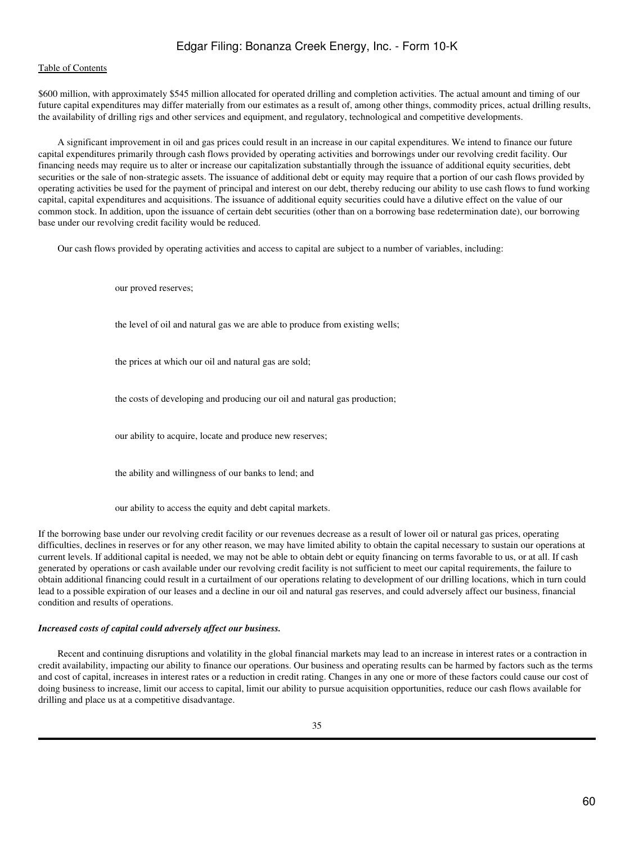#### [Table of Contents](#page-2-0)

\$600 million, with approximately \$545 million allocated for operated drilling and completion activities. The actual amount and timing of our future capital expenditures may differ materially from our estimates as a result of, among other things, commodity prices, actual drilling results, the availability of drilling rigs and other services and equipment, and regulatory, technological and competitive developments.

 A significant improvement in oil and gas prices could result in an increase in our capital expenditures. We intend to finance our future capital expenditures primarily through cash flows provided by operating activities and borrowings under our revolving credit facility. Our financing needs may require us to alter or increase our capitalization substantially through the issuance of additional equity securities, debt securities or the sale of non-strategic assets. The issuance of additional debt or equity may require that a portion of our cash flows provided by operating activities be used for the payment of principal and interest on our debt, thereby reducing our ability to use cash flows to fund working capital, capital expenditures and acquisitions. The issuance of additional equity securities could have a dilutive effect on the value of our common stock. In addition, upon the issuance of certain debt securities (other than on a borrowing base redetermination date), our borrowing base under our revolving credit facility would be reduced.

Our cash flows provided by operating activities and access to capital are subject to a number of variables, including:

our proved reserves;

the level of oil and natural gas we are able to produce from existing wells;

the prices at which our oil and natural gas are sold;

the costs of developing and producing our oil and natural gas production;

our ability to acquire, locate and produce new reserves;

the ability and willingness of our banks to lend; and

our ability to access the equity and debt capital markets.

If the borrowing base under our revolving credit facility or our revenues decrease as a result of lower oil or natural gas prices, operating difficulties, declines in reserves or for any other reason, we may have limited ability to obtain the capital necessary to sustain our operations at current levels. If additional capital is needed, we may not be able to obtain debt or equity financing on terms favorable to us, or at all. If cash generated by operations or cash available under our revolving credit facility is not sufficient to meet our capital requirements, the failure to obtain additional financing could result in a curtailment of our operations relating to development of our drilling locations, which in turn could lead to a possible expiration of our leases and a decline in our oil and natural gas reserves, and could adversely affect our business, financial condition and results of operations.

#### *Increased costs of capital could adversely affect our business.*

 Recent and continuing disruptions and volatility in the global financial markets may lead to an increase in interest rates or a contraction in credit availability, impacting our ability to finance our operations. Our business and operating results can be harmed by factors such as the terms and cost of capital, increases in interest rates or a reduction in credit rating. Changes in any one or more of these factors could cause our cost of doing business to increase, limit our access to capital, limit our ability to pursue acquisition opportunities, reduce our cash flows available for drilling and place us at a competitive disadvantage.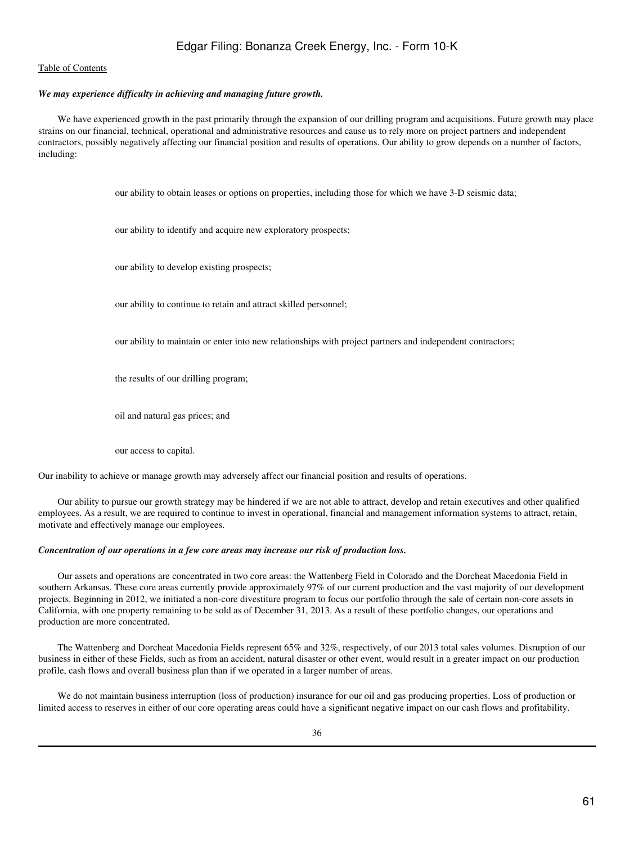# [Table of Contents](#page-2-0)

#### *We may experience difficulty in achieving and managing future growth.*

We have experienced growth in the past primarily through the expansion of our drilling program and acquisitions. Future growth may place strains on our financial, technical, operational and administrative resources and cause us to rely more on project partners and independent contractors, possibly negatively affecting our financial position and results of operations. Our ability to grow depends on a number of factors, including:

our ability to obtain leases or options on properties, including those for which we have 3-D seismic data;

our ability to identify and acquire new exploratory prospects;

our ability to develop existing prospects;

our ability to continue to retain and attract skilled personnel;

our ability to maintain or enter into new relationships with project partners and independent contractors;

the results of our drilling program;

oil and natural gas prices; and

our access to capital.

Our inability to achieve or manage growth may adversely affect our financial position and results of operations.

 Our ability to pursue our growth strategy may be hindered if we are not able to attract, develop and retain executives and other qualified employees. As a result, we are required to continue to invest in operational, financial and management information systems to attract, retain, motivate and effectively manage our employees.

#### *Concentration of our operations in a few core areas may increase our risk of production loss.*

 Our assets and operations are concentrated in two core areas: the Wattenberg Field in Colorado and the Dorcheat Macedonia Field in southern Arkansas. These core areas currently provide approximately 97% of our current production and the vast majority of our development projects. Beginning in 2012, we initiated a non-core divestiture program to focus our portfolio through the sale of certain non-core assets in California, with one property remaining to be sold as of December 31, 2013. As a result of these portfolio changes, our operations and production are more concentrated.

 The Wattenberg and Dorcheat Macedonia Fields represent 65% and 32%, respectively, of our 2013 total sales volumes. Disruption of our business in either of these Fields, such as from an accident, natural disaster or other event, would result in a greater impact on our production profile, cash flows and overall business plan than if we operated in a larger number of areas.

 We do not maintain business interruption (loss of production) insurance for our oil and gas producing properties. Loss of production or limited access to reserves in either of our core operating areas could have a significant negative impact on our cash flows and profitability.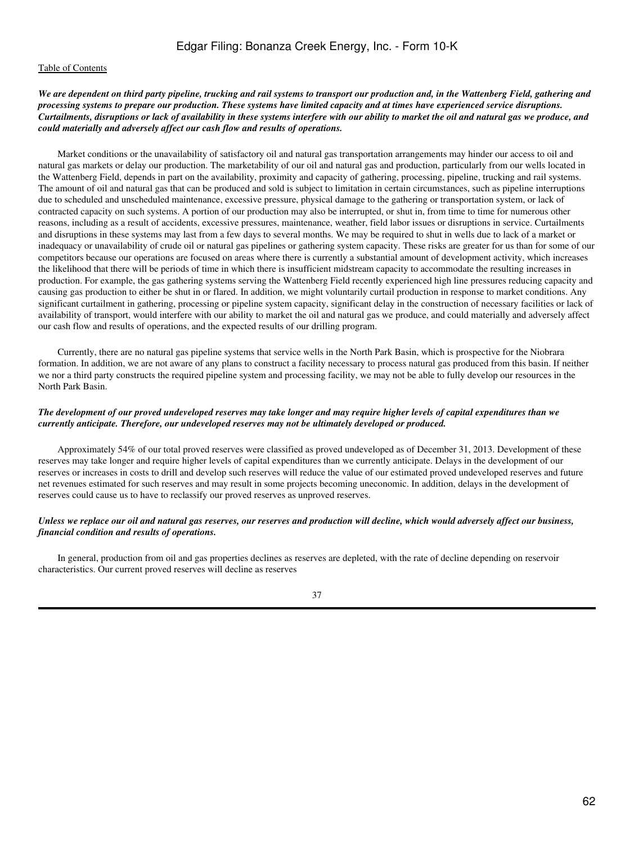# *We are dependent on third party pipeline, trucking and rail systems to transport our production and, in the Wattenberg Field, gathering and processing systems to prepare our production. These systems have limited capacity and at times have experienced service disruptions. Curtailments, disruptions or lack of availability in these systems interfere with our ability to market the oil and natural gas we produce, and could materially and adversely affect our cash flow and results of operations.*

 Market conditions or the unavailability of satisfactory oil and natural gas transportation arrangements may hinder our access to oil and natural gas markets or delay our production. The marketability of our oil and natural gas and production, particularly from our wells located in the Wattenberg Field, depends in part on the availability, proximity and capacity of gathering, processing, pipeline, trucking and rail systems. The amount of oil and natural gas that can be produced and sold is subject to limitation in certain circumstances, such as pipeline interruptions due to scheduled and unscheduled maintenance, excessive pressure, physical damage to the gathering or transportation system, or lack of contracted capacity on such systems. A portion of our production may also be interrupted, or shut in, from time to time for numerous other reasons, including as a result of accidents, excessive pressures, maintenance, weather, field labor issues or disruptions in service. Curtailments and disruptions in these systems may last from a few days to several months. We may be required to shut in wells due to lack of a market or inadequacy or unavailability of crude oil or natural gas pipelines or gathering system capacity. These risks are greater for us than for some of our competitors because our operations are focused on areas where there is currently a substantial amount of development activity, which increases the likelihood that there will be periods of time in which there is insufficient midstream capacity to accommodate the resulting increases in production. For example, the gas gathering systems serving the Wattenberg Field recently experienced high line pressures reducing capacity and causing gas production to either be shut in or flared. In addition, we might voluntarily curtail production in response to market conditions. Any significant curtailment in gathering, processing or pipeline system capacity, significant delay in the construction of necessary facilities or lack of availability of transport, would interfere with our ability to market the oil and natural gas we produce, and could materially and adversely affect our cash flow and results of operations, and the expected results of our drilling program.

 Currently, there are no natural gas pipeline systems that service wells in the North Park Basin, which is prospective for the Niobrara formation. In addition, we are not aware of any plans to construct a facility necessary to process natural gas produced from this basin. If neither we nor a third party constructs the required pipeline system and processing facility, we may not be able to fully develop our resources in the North Park Basin.

#### *The development of our proved undeveloped reserves may take longer and may require higher levels of capital expenditures than we currently anticipate. Therefore, our undeveloped reserves may not be ultimately developed or produced.*

 Approximately 54% of our total proved reserves were classified as proved undeveloped as of December 31, 2013. Development of these reserves may take longer and require higher levels of capital expenditures than we currently anticipate. Delays in the development of our reserves or increases in costs to drill and develop such reserves will reduce the value of our estimated proved undeveloped reserves and future net revenues estimated for such reserves and may result in some projects becoming uneconomic. In addition, delays in the development of reserves could cause us to have to reclassify our proved reserves as unproved reserves.

# *Unless we replace our oil and natural gas reserves, our reserves and production will decline, which would adversely affect our business, financial condition and results of operations.*

 In general, production from oil and gas properties declines as reserves are depleted, with the rate of decline depending on reservoir characteristics. Our current proved reserves will decline as reserves

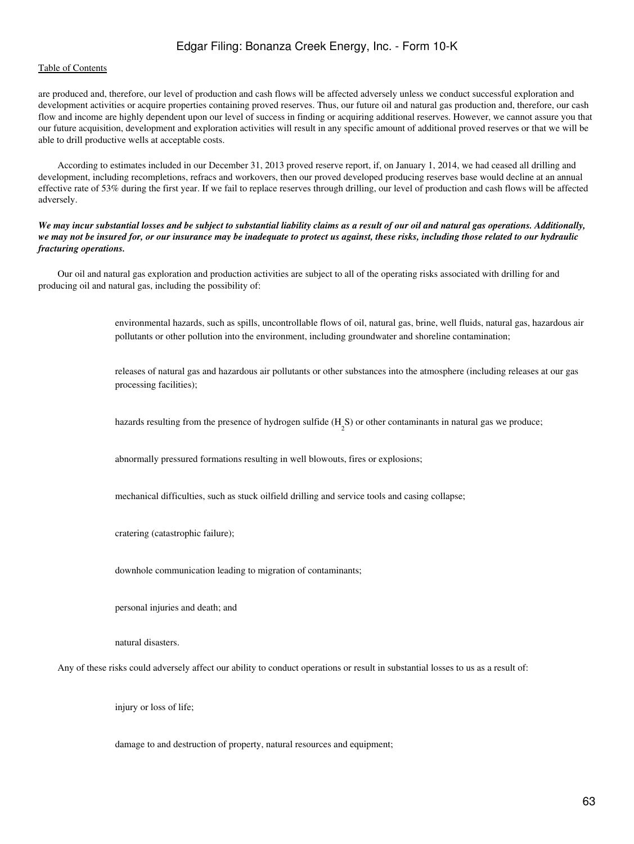#### [Table of Contents](#page-2-0)

are produced and, therefore, our level of production and cash flows will be affected adversely unless we conduct successful exploration and development activities or acquire properties containing proved reserves. Thus, our future oil and natural gas production and, therefore, our cash flow and income are highly dependent upon our level of success in finding or acquiring additional reserves. However, we cannot assure you that our future acquisition, development and exploration activities will result in any specific amount of additional proved reserves or that we will be able to drill productive wells at acceptable costs.

 According to estimates included in our December 31, 2013 proved reserve report, if, on January 1, 2014, we had ceased all drilling and development, including recompletions, refracs and workovers, then our proved developed producing reserves base would decline at an annual effective rate of 53% during the first year. If we fail to replace reserves through drilling, our level of production and cash flows will be affected adversely.

*We may incur substantial losses and be subject to substantial liability claims as a result of our oil and natural gas operations. Additionally, we may not be insured for, or our insurance may be inadequate to protect us against, these risks, including those related to our hydraulic fracturing operations.*

 Our oil and natural gas exploration and production activities are subject to all of the operating risks associated with drilling for and producing oil and natural gas, including the possibility of:

> environmental hazards, such as spills, uncontrollable flows of oil, natural gas, brine, well fluids, natural gas, hazardous air pollutants or other pollution into the environment, including groundwater and shoreline contamination;

releases of natural gas and hazardous air pollutants or other substances into the atmosphere (including releases at our gas processing facilities);

hazards resulting from the presence of hydrogen sulfide  $(H_2S)$  or other contaminants in natural gas we produce;

abnormally pressured formations resulting in well blowouts, fires or explosions;

mechanical difficulties, such as stuck oilfield drilling and service tools and casing collapse;

cratering (catastrophic failure);

downhole communication leading to migration of contaminants;

personal injuries and death; and

natural disasters.

Any of these risks could adversely affect our ability to conduct operations or result in substantial losses to us as a result of:

injury or loss of life;

damage to and destruction of property, natural resources and equipment;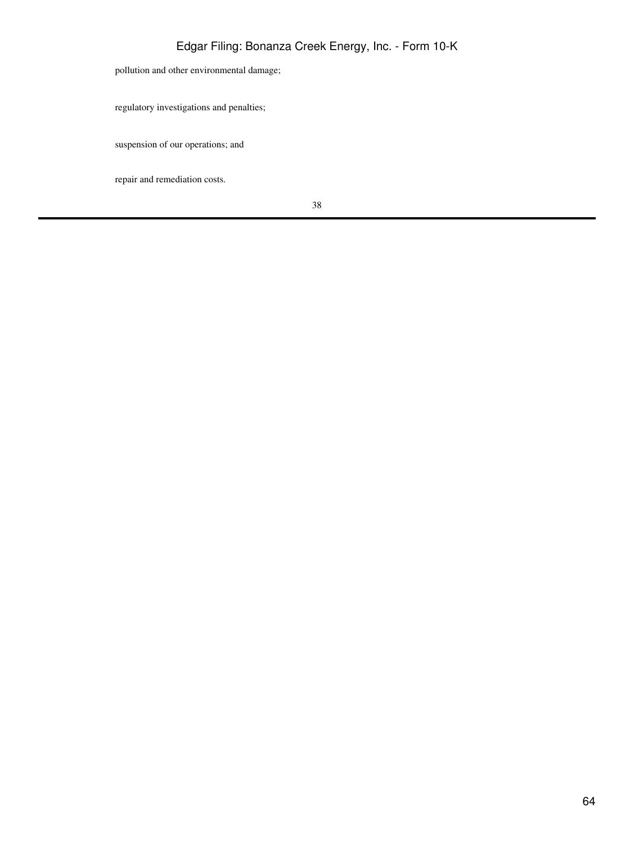pollution and other environmental damage;

regulatory investigations and penalties;

suspension of our operations; and

repair and remediation costs.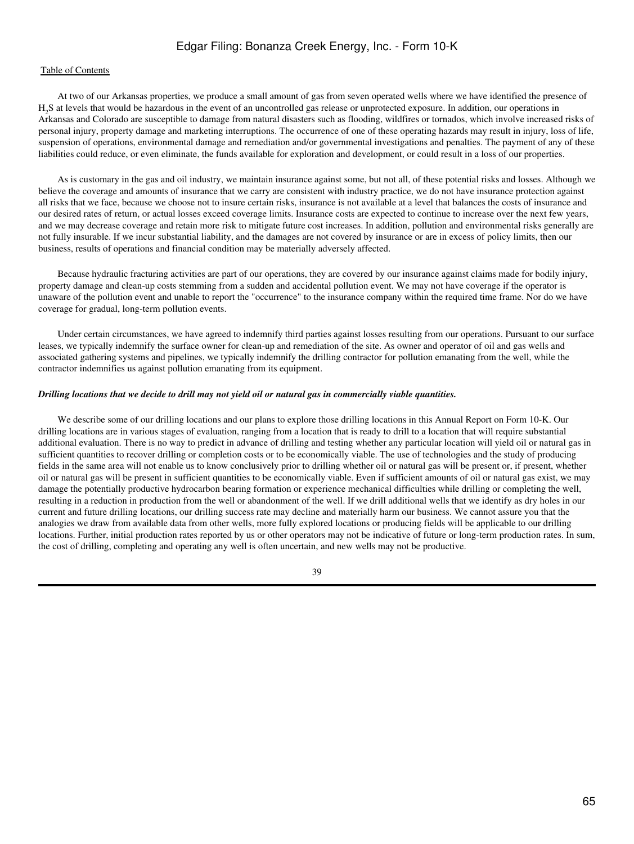# [Table of Contents](#page-2-0)

 At two of our Arkansas properties, we produce a small amount of gas from seven operated wells where we have identified the presence of  $_{2}$ S at levels that would be hazardous in the event of an uncontrolled gas release or unprotected exposure. In addition, our operations in Arkansas and Colorado are susceptible to damage from natural disasters such as flooding, wildfires or tornados, which involve increased risks of personal injury, property damage and marketing interruptions. The occurrence of one of these operating hazards may result in injury, loss of life, suspension of operations, environmental damage and remediation and/or governmental investigations and penalties. The payment of any of these liabilities could reduce, or even eliminate, the funds available for exploration and development, or could result in a loss of our properties.

 As is customary in the gas and oil industry, we maintain insurance against some, but not all, of these potential risks and losses. Although we believe the coverage and amounts of insurance that we carry are consistent with industry practice, we do not have insurance protection against all risks that we face, because we choose not to insure certain risks, insurance is not available at a level that balances the costs of insurance and our desired rates of return, or actual losses exceed coverage limits. Insurance costs are expected to continue to increase over the next few years, and we may decrease coverage and retain more risk to mitigate future cost increases. In addition, pollution and environmental risks generally are not fully insurable. If we incur substantial liability, and the damages are not covered by insurance or are in excess of policy limits, then our business, results of operations and financial condition may be materially adversely affected.

 Because hydraulic fracturing activities are part of our operations, they are covered by our insurance against claims made for bodily injury, property damage and clean-up costs stemming from a sudden and accidental pollution event. We may not have coverage if the operator is unaware of the pollution event and unable to report the "occurrence" to the insurance company within the required time frame. Nor do we have coverage for gradual, long-term pollution events.

 Under certain circumstances, we have agreed to indemnify third parties against losses resulting from our operations. Pursuant to our surface leases, we typically indemnify the surface owner for clean-up and remediation of the site. As owner and operator of oil and gas wells and associated gathering systems and pipelines, we typically indemnify the drilling contractor for pollution emanating from the well, while the contractor indemnifies us against pollution emanating from its equipment.

### *Drilling locations that we decide to drill may not yield oil or natural gas in commercially viable quantities.*

 We describe some of our drilling locations and our plans to explore those drilling locations in this Annual Report on Form 10-K. Our drilling locations are in various stages of evaluation, ranging from a location that is ready to drill to a location that will require substantial additional evaluation. There is no way to predict in advance of drilling and testing whether any particular location will yield oil or natural gas in sufficient quantities to recover drilling or completion costs or to be economically viable. The use of technologies and the study of producing fields in the same area will not enable us to know conclusively prior to drilling whether oil or natural gas will be present or, if present, whether oil or natural gas will be present in sufficient quantities to be economically viable. Even if sufficient amounts of oil or natural gas exist, we may damage the potentially productive hydrocarbon bearing formation or experience mechanical difficulties while drilling or completing the well, resulting in a reduction in production from the well or abandonment of the well. If we drill additional wells that we identify as dry holes in our current and future drilling locations, our drilling success rate may decline and materially harm our business. We cannot assure you that the analogies we draw from available data from other wells, more fully explored locations or producing fields will be applicable to our drilling locations. Further, initial production rates reported by us or other operators may not be indicative of future or long-term production rates. In sum, the cost of drilling, completing and operating any well is often uncertain, and new wells may not be productive.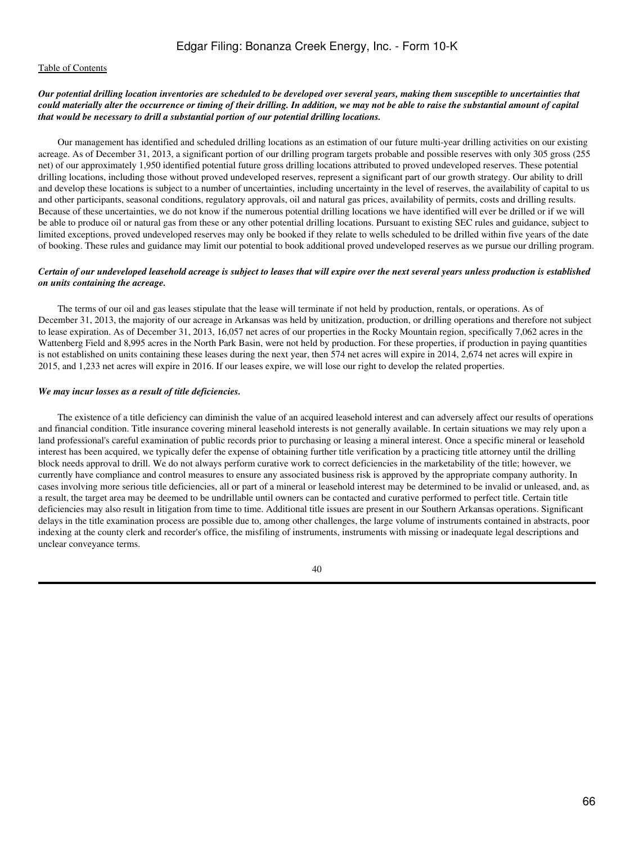# *Our potential drilling location inventories are scheduled to be developed over several years, making them susceptible to uncertainties that could materially alter the occurrence or timing of their drilling. In addition, we may not be able to raise the substantial amount of capital that would be necessary to drill a substantial portion of our potential drilling locations.*

 Our management has identified and scheduled drilling locations as an estimation of our future multi-year drilling activities on our existing acreage. As of December 31, 2013, a significant portion of our drilling program targets probable and possible reserves with only 305 gross (255 net) of our approximately 1,950 identified potential future gross drilling locations attributed to proved undeveloped reserves. These potential drilling locations, including those without proved undeveloped reserves, represent a significant part of our growth strategy. Our ability to drill and develop these locations is subject to a number of uncertainties, including uncertainty in the level of reserves, the availability of capital to us and other participants, seasonal conditions, regulatory approvals, oil and natural gas prices, availability of permits, costs and drilling results. Because of these uncertainties, we do not know if the numerous potential drilling locations we have identified will ever be drilled or if we will be able to produce oil or natural gas from these or any other potential drilling locations. Pursuant to existing SEC rules and guidance, subject to limited exceptions, proved undeveloped reserves may only be booked if they relate to wells scheduled to be drilled within five years of the date of booking. These rules and guidance may limit our potential to book additional proved undeveloped reserves as we pursue our drilling program.

#### *Certain of our undeveloped leasehold acreage is subject to leases that will expire over the next several years unless production is established on units containing the acreage.*

 The terms of our oil and gas leases stipulate that the lease will terminate if not held by production, rentals, or operations. As of December 31, 2013, the majority of our acreage in Arkansas was held by unitization, production, or drilling operations and therefore not subject to lease expiration. As of December 31, 2013, 16,057 net acres of our properties in the Rocky Mountain region, specifically 7,062 acres in the Wattenberg Field and 8,995 acres in the North Park Basin, were not held by production. For these properties, if production in paying quantities is not established on units containing these leases during the next year, then 574 net acres will expire in 2014, 2,674 net acres will expire in 2015, and 1,233 net acres will expire in 2016. If our leases expire, we will lose our right to develop the related properties.

#### *We may incur losses as a result of title deficiencies.*

 The existence of a title deficiency can diminish the value of an acquired leasehold interest and can adversely affect our results of operations and financial condition. Title insurance covering mineral leasehold interests is not generally available. In certain situations we may rely upon a land professional's careful examination of public records prior to purchasing or leasing a mineral interest. Once a specific mineral or leasehold interest has been acquired, we typically defer the expense of obtaining further title verification by a practicing title attorney until the drilling block needs approval to drill. We do not always perform curative work to correct deficiencies in the marketability of the title; however, we currently have compliance and control measures to ensure any associated business risk is approved by the appropriate company authority. In cases involving more serious title deficiencies, all or part of a mineral or leasehold interest may be determined to be invalid or unleased, and, as a result, the target area may be deemed to be undrillable until owners can be contacted and curative performed to perfect title. Certain title deficiencies may also result in litigation from time to time. Additional title issues are present in our Southern Arkansas operations. Significant delays in the title examination process are possible due to, among other challenges, the large volume of instruments contained in abstracts, poor indexing at the county clerk and recorder's office, the misfiling of instruments, instruments with missing or inadequate legal descriptions and unclear conveyance terms.

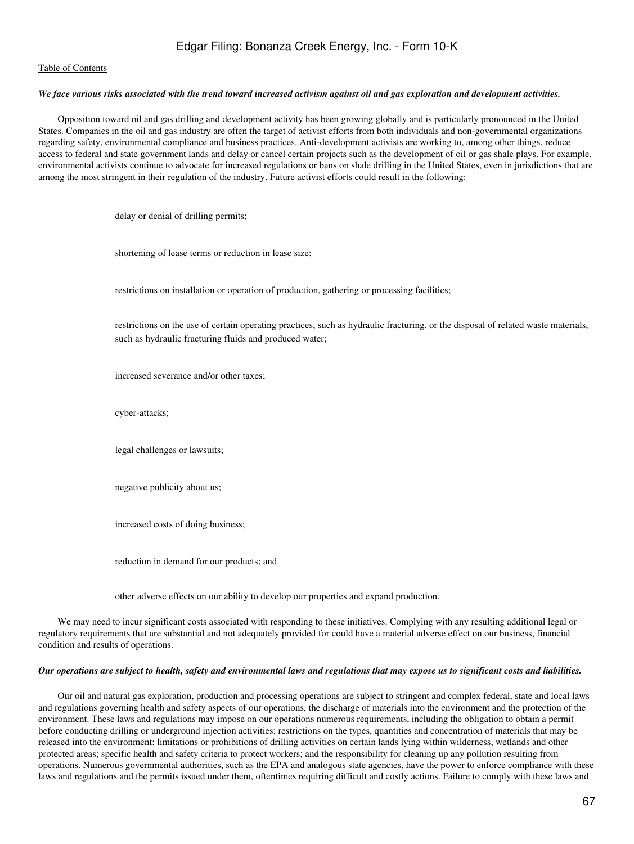#### *We face various risks associated with the trend toward increased activism against oil and gas exploration and development activities.*

 Opposition toward oil and gas drilling and development activity has been growing globally and is particularly pronounced in the United States. Companies in the oil and gas industry are often the target of activist efforts from both individuals and non-governmental organizations regarding safety, environmental compliance and business practices. Anti-development activists are working to, among other things, reduce access to federal and state government lands and delay or cancel certain projects such as the development of oil or gas shale plays. For example, environmental activists continue to advocate for increased regulations or bans on shale drilling in the United States, even in jurisdictions that are among the most stringent in their regulation of the industry. Future activist efforts could result in the following:

delay or denial of drilling permits;

shortening of lease terms or reduction in lease size;

restrictions on installation or operation of production, gathering or processing facilities;

restrictions on the use of certain operating practices, such as hydraulic fracturing, or the disposal of related waste materials, such as hydraulic fracturing fluids and produced water;

increased severance and/or other taxes;

cyber-attacks;

legal challenges or lawsuits;

negative publicity about us;

increased costs of doing business;

reduction in demand for our products; and

other adverse effects on our ability to develop our properties and expand production.

 We may need to incur significant costs associated with responding to these initiatives. Complying with any resulting additional legal or regulatory requirements that are substantial and not adequately provided for could have a material adverse effect on our business, financial condition and results of operations.

#### *Our operations are subject to health, safety and environmental laws and regulations that may expose us to significant costs and liabilities.*

 Our oil and natural gas exploration, production and processing operations are subject to stringent and complex federal, state and local laws and regulations governing health and safety aspects of our operations, the discharge of materials into the environment and the protection of the environment. These laws and regulations may impose on our operations numerous requirements, including the obligation to obtain a permit before conducting drilling or underground injection activities; restrictions on the types, quantities and concentration of materials that may be released into the environment; limitations or prohibitions of drilling activities on certain lands lying within wilderness, wetlands and other protected areas; specific health and safety criteria to protect workers; and the responsibility for cleaning up any pollution resulting from operations. Numerous governmental authorities, such as the EPA and analogous state agencies, have the power to enforce compliance with these laws and regulations and the permits issued under them, oftentimes requiring difficult and costly actions. Failure to comply with these laws and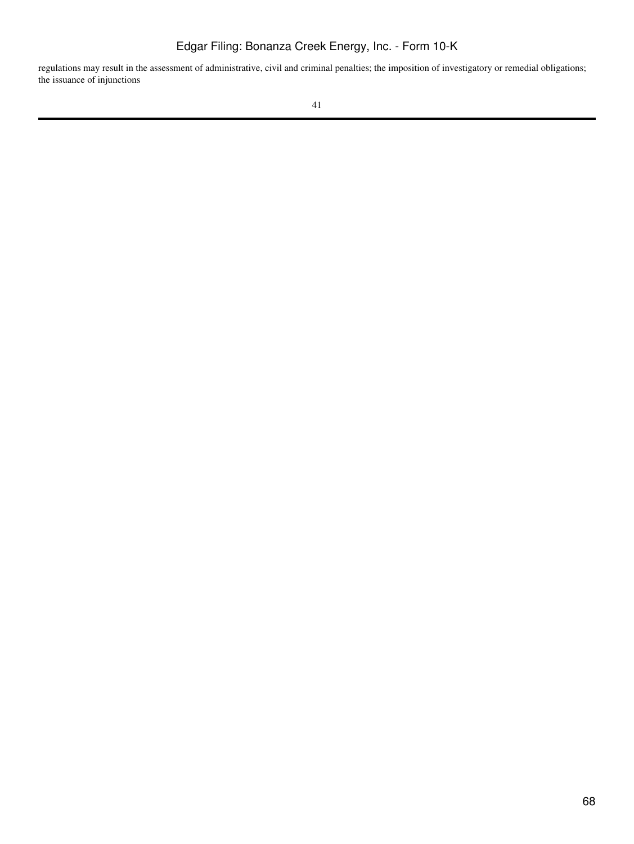regulations may result in the assessment of administrative, civil and criminal penalties; the imposition of investigatory or remedial obligations; the issuance of injunctions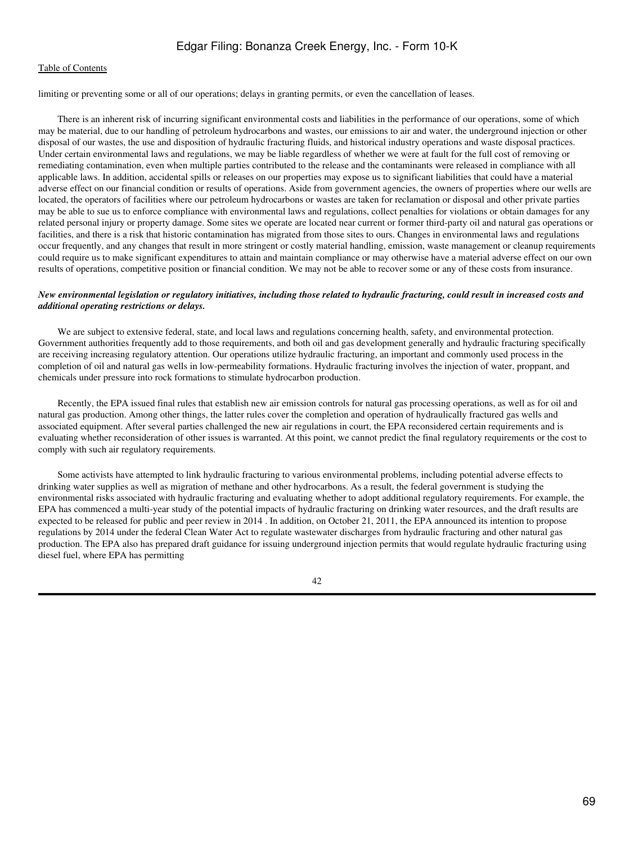limiting or preventing some or all of our operations; delays in granting permits, or even the cancellation of leases.

 There is an inherent risk of incurring significant environmental costs and liabilities in the performance of our operations, some of which may be material, due to our handling of petroleum hydrocarbons and wastes, our emissions to air and water, the underground injection or other disposal of our wastes, the use and disposition of hydraulic fracturing fluids, and historical industry operations and waste disposal practices. Under certain environmental laws and regulations, we may be liable regardless of whether we were at fault for the full cost of removing or remediating contamination, even when multiple parties contributed to the release and the contaminants were released in compliance with all applicable laws. In addition, accidental spills or releases on our properties may expose us to significant liabilities that could have a material adverse effect on our financial condition or results of operations. Aside from government agencies, the owners of properties where our wells are located, the operators of facilities where our petroleum hydrocarbons or wastes are taken for reclamation or disposal and other private parties may be able to sue us to enforce compliance with environmental laws and regulations, collect penalties for violations or obtain damages for any related personal injury or property damage. Some sites we operate are located near current or former third-party oil and natural gas operations or facilities, and there is a risk that historic contamination has migrated from those sites to ours. Changes in environmental laws and regulations occur frequently, and any changes that result in more stringent or costly material handling, emission, waste management or cleanup requirements could require us to make significant expenditures to attain and maintain compliance or may otherwise have a material adverse effect on our own results of operations, competitive position or financial condition. We may not be able to recover some or any of these costs from insurance.

#### *New environmental legislation or regulatory initiatives, including those related to hydraulic fracturing, could result in increased costs and additional operating restrictions or delays.*

We are subject to extensive federal, state, and local laws and regulations concerning health, safety, and environmental protection. Government authorities frequently add to those requirements, and both oil and gas development generally and hydraulic fracturing specifically are receiving increasing regulatory attention. Our operations utilize hydraulic fracturing, an important and commonly used process in the completion of oil and natural gas wells in low-permeability formations. Hydraulic fracturing involves the injection of water, proppant, and chemicals under pressure into rock formations to stimulate hydrocarbon production.

 Recently, the EPA issued final rules that establish new air emission controls for natural gas processing operations, as well as for oil and natural gas production. Among other things, the latter rules cover the completion and operation of hydraulically fractured gas wells and associated equipment. After several parties challenged the new air regulations in court, the EPA reconsidered certain requirements and is evaluating whether reconsideration of other issues is warranted. At this point, we cannot predict the final regulatory requirements or the cost to comply with such air regulatory requirements.

 Some activists have attempted to link hydraulic fracturing to various environmental problems, including potential adverse effects to drinking water supplies as well as migration of methane and other hydrocarbons. As a result, the federal government is studying the environmental risks associated with hydraulic fracturing and evaluating whether to adopt additional regulatory requirements. For example, the EPA has commenced a multi-year study of the potential impacts of hydraulic fracturing on drinking water resources, and the draft results are expected to be released for public and peer review in 2014 . In addition, on October 21, 2011, the EPA announced its intention to propose regulations by 2014 under the federal Clean Water Act to regulate wastewater discharges from hydraulic fracturing and other natural gas production. The EPA also has prepared draft guidance for issuing underground injection permits that would regulate hydraulic fracturing using diesel fuel, where EPA has permitting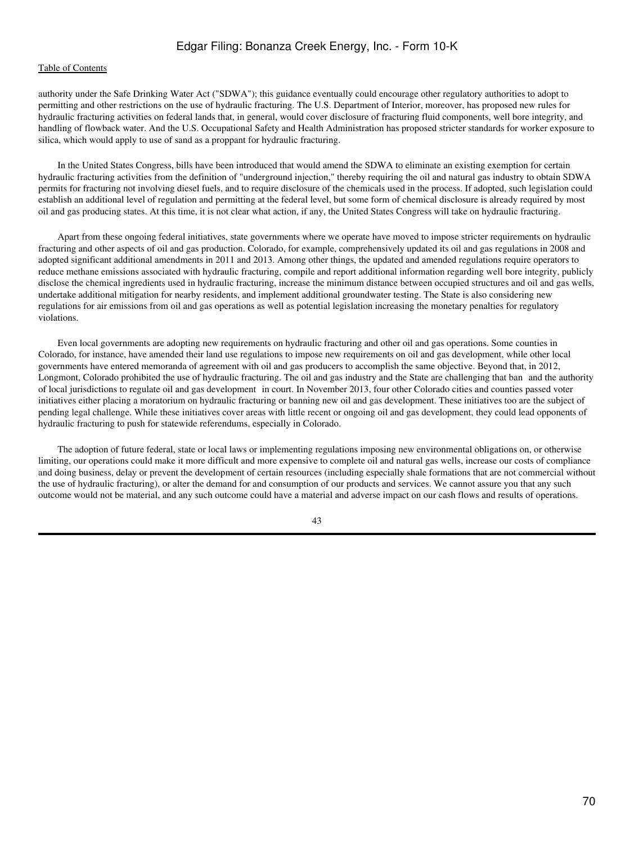#### [Table of Contents](#page-2-0)

authority under the Safe Drinking Water Act ("SDWA"); this guidance eventually could encourage other regulatory authorities to adopt to permitting and other restrictions on the use of hydraulic fracturing. The U.S. Department of Interior, moreover, has proposed new rules for hydraulic fracturing activities on federal lands that, in general, would cover disclosure of fracturing fluid components, well bore integrity, and handling of flowback water. And the U.S. Occupational Safety and Health Administration has proposed stricter standards for worker exposure to silica, which would apply to use of sand as a proppant for hydraulic fracturing.

 In the United States Congress, bills have been introduced that would amend the SDWA to eliminate an existing exemption for certain hydraulic fracturing activities from the definition of "underground injection," thereby requiring the oil and natural gas industry to obtain SDWA permits for fracturing not involving diesel fuels, and to require disclosure of the chemicals used in the process. If adopted, such legislation could establish an additional level of regulation and permitting at the federal level, but some form of chemical disclosure is already required by most oil and gas producing states. At this time, it is not clear what action, if any, the United States Congress will take on hydraulic fracturing.

 Apart from these ongoing federal initiatives, state governments where we operate have moved to impose stricter requirements on hydraulic fracturing and other aspects of oil and gas production. Colorado, for example, comprehensively updated its oil and gas regulations in 2008 and adopted significant additional amendments in 2011 and 2013. Among other things, the updated and amended regulations require operators to reduce methane emissions associated with hydraulic fracturing, compile and report additional information regarding well bore integrity, publicly disclose the chemical ingredients used in hydraulic fracturing, increase the minimum distance between occupied structures and oil and gas wells, undertake additional mitigation for nearby residents, and implement additional groundwater testing. The State is also considering new regulations for air emissions from oil and gas operations as well as potential legislation increasing the monetary penalties for regulatory violations.

 Even local governments are adopting new requirements on hydraulic fracturing and other oil and gas operations. Some counties in Colorado, for instance, have amended their land use regulations to impose new requirements on oil and gas development, while other local governments have entered memoranda of agreement with oil and gas producers to accomplish the same objective. Beyond that, in 2012, Longmont, Colorado prohibited the use of hydraulic fracturing. The oil and gas industry and the State are challenging that ban and the authority of local jurisdictions to regulate oil and gas development in court. In November 2013, four other Colorado cities and counties passed voter initiatives either placing a moratorium on hydraulic fracturing or banning new oil and gas development. These initiatives too are the subject of pending legal challenge. While these initiatives cover areas with little recent or ongoing oil and gas development, they could lead opponents of hydraulic fracturing to push for statewide referendums, especially in Colorado.

 The adoption of future federal, state or local laws or implementing regulations imposing new environmental obligations on, or otherwise limiting, our operations could make it more difficult and more expensive to complete oil and natural gas wells, increase our costs of compliance and doing business, delay or prevent the development of certain resources (including especially shale formations that are not commercial without the use of hydraulic fracturing), or alter the demand for and consumption of our products and services. We cannot assure you that any such outcome would not be material, and any such outcome could have a material and adverse impact on our cash flows and results of operations.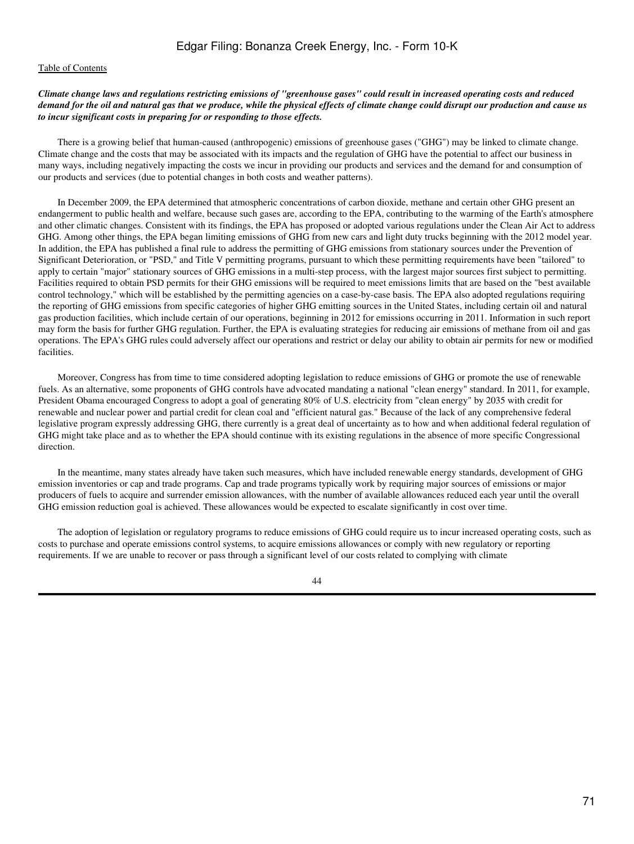# *Climate change laws and regulations restricting emissions of "greenhouse gases" could result in increased operating costs and reduced demand for the oil and natural gas that we produce, while the physical effects of climate change could disrupt our production and cause us to incur significant costs in preparing for or responding to those effects.*

 There is a growing belief that human-caused (anthropogenic) emissions of greenhouse gases ("GHG") may be linked to climate change. Climate change and the costs that may be associated with its impacts and the regulation of GHG have the potential to affect our business in many ways, including negatively impacting the costs we incur in providing our products and services and the demand for and consumption of our products and services (due to potential changes in both costs and weather patterns).

 In December 2009, the EPA determined that atmospheric concentrations of carbon dioxide, methane and certain other GHG present an endangerment to public health and welfare, because such gases are, according to the EPA, contributing to the warming of the Earth's atmosphere and other climatic changes. Consistent with its findings, the EPA has proposed or adopted various regulations under the Clean Air Act to address GHG. Among other things, the EPA began limiting emissions of GHG from new cars and light duty trucks beginning with the 2012 model year. In addition, the EPA has published a final rule to address the permitting of GHG emissions from stationary sources under the Prevention of Significant Deterioration, or "PSD," and Title V permitting programs, pursuant to which these permitting requirements have been "tailored" to apply to certain "major" stationary sources of GHG emissions in a multi-step process, with the largest major sources first subject to permitting. Facilities required to obtain PSD permits for their GHG emissions will be required to meet emissions limits that are based on the "best available control technology," which will be established by the permitting agencies on a case-by-case basis. The EPA also adopted regulations requiring the reporting of GHG emissions from specific categories of higher GHG emitting sources in the United States, including certain oil and natural gas production facilities, which include certain of our operations, beginning in 2012 for emissions occurring in 2011. Information in such report may form the basis for further GHG regulation. Further, the EPA is evaluating strategies for reducing air emissions of methane from oil and gas operations. The EPA's GHG rules could adversely affect our operations and restrict or delay our ability to obtain air permits for new or modified facilities.

 Moreover, Congress has from time to time considered adopting legislation to reduce emissions of GHG or promote the use of renewable fuels. As an alternative, some proponents of GHG controls have advocated mandating a national "clean energy" standard. In 2011, for example, President Obama encouraged Congress to adopt a goal of generating 80% of U.S. electricity from "clean energy" by 2035 with credit for renewable and nuclear power and partial credit for clean coal and "efficient natural gas." Because of the lack of any comprehensive federal legislative program expressly addressing GHG, there currently is a great deal of uncertainty as to how and when additional federal regulation of GHG might take place and as to whether the EPA should continue with its existing regulations in the absence of more specific Congressional direction.

 In the meantime, many states already have taken such measures, which have included renewable energy standards, development of GHG emission inventories or cap and trade programs. Cap and trade programs typically work by requiring major sources of emissions or major producers of fuels to acquire and surrender emission allowances, with the number of available allowances reduced each year until the overall GHG emission reduction goal is achieved. These allowances would be expected to escalate significantly in cost over time.

 The adoption of legislation or regulatory programs to reduce emissions of GHG could require us to incur increased operating costs, such as costs to purchase and operate emissions control systems, to acquire emissions allowances or comply with new regulatory or reporting requirements. If we are unable to recover or pass through a significant level of our costs related to complying with climate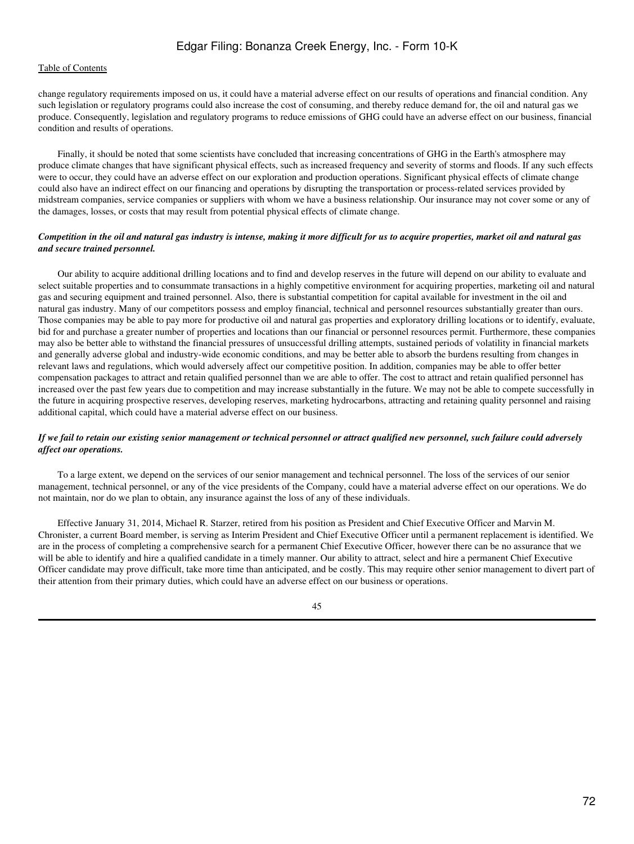change regulatory requirements imposed on us, it could have a material adverse effect on our results of operations and financial condition. Any such legislation or regulatory programs could also increase the cost of consuming, and thereby reduce demand for, the oil and natural gas we produce. Consequently, legislation and regulatory programs to reduce emissions of GHG could have an adverse effect on our business, financial condition and results of operations.

 Finally, it should be noted that some scientists have concluded that increasing concentrations of GHG in the Earth's atmosphere may produce climate changes that have significant physical effects, such as increased frequency and severity of storms and floods. If any such effects were to occur, they could have an adverse effect on our exploration and production operations. Significant physical effects of climate change could also have an indirect effect on our financing and operations by disrupting the transportation or process-related services provided by midstream companies, service companies or suppliers with whom we have a business relationship. Our insurance may not cover some or any of the damages, losses, or costs that may result from potential physical effects of climate change.

### *Competition in the oil and natural gas industry is intense, making it more difficult for us to acquire properties, market oil and natural gas and secure trained personnel.*

 Our ability to acquire additional drilling locations and to find and develop reserves in the future will depend on our ability to evaluate and select suitable properties and to consummate transactions in a highly competitive environment for acquiring properties, marketing oil and natural gas and securing equipment and trained personnel. Also, there is substantial competition for capital available for investment in the oil and natural gas industry. Many of our competitors possess and employ financial, technical and personnel resources substantially greater than ours. Those companies may be able to pay more for productive oil and natural gas properties and exploratory drilling locations or to identify, evaluate, bid for and purchase a greater number of properties and locations than our financial or personnel resources permit. Furthermore, these companies may also be better able to withstand the financial pressures of unsuccessful drilling attempts, sustained periods of volatility in financial markets and generally adverse global and industry-wide economic conditions, and may be better able to absorb the burdens resulting from changes in relevant laws and regulations, which would adversely affect our competitive position. In addition, companies may be able to offer better compensation packages to attract and retain qualified personnel than we are able to offer. The cost to attract and retain qualified personnel has increased over the past few years due to competition and may increase substantially in the future. We may not be able to compete successfully in the future in acquiring prospective reserves, developing reserves, marketing hydrocarbons, attracting and retaining quality personnel and raising additional capital, which could have a material adverse effect on our business.

### *If we fail to retain our existing senior management or technical personnel or attract qualified new personnel, such failure could adversely affect our operations.*

 To a large extent, we depend on the services of our senior management and technical personnel. The loss of the services of our senior management, technical personnel, or any of the vice presidents of the Company, could have a material adverse effect on our operations. We do not maintain, nor do we plan to obtain, any insurance against the loss of any of these individuals.

 Effective January 31, 2014, Michael R. Starzer, retired from his position as President and Chief Executive Officer and Marvin M. Chronister, a current Board member, is serving as Interim President and Chief Executive Officer until a permanent replacement is identified. We are in the process of completing a comprehensive search for a permanent Chief Executive Officer, however there can be no assurance that we will be able to identify and hire a qualified candidate in a timely manner. Our ability to attract, select and hire a permanent Chief Executive Officer candidate may prove difficult, take more time than anticipated, and be costly. This may require other senior management to divert part of their attention from their primary duties, which could have an adverse effect on our business or operations.

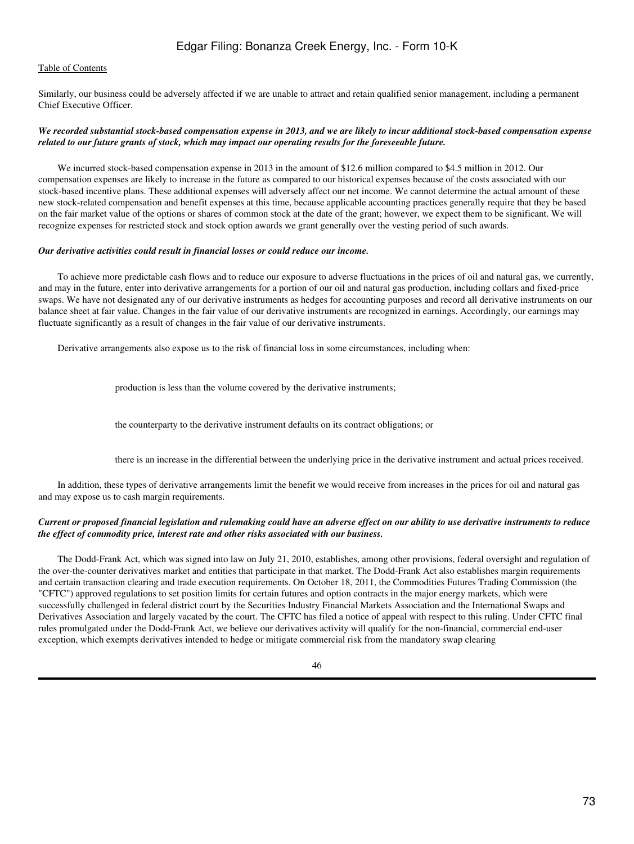### [Table of Contents](#page-2-0)

Similarly, our business could be adversely affected if we are unable to attract and retain qualified senior management, including a permanent Chief Executive Officer.

### *We recorded substantial stock-based compensation expense in 2013, and we are likely to incur additional stock-based compensation expense related to our future grants of stock, which may impact our operating results for the foreseeable future.*

 We incurred stock-based compensation expense in 2013 in the amount of \$12.6 million compared to \$4.5 million in 2012. Our compensation expenses are likely to increase in the future as compared to our historical expenses because of the costs associated with our stock-based incentive plans. These additional expenses will adversely affect our net income. We cannot determine the actual amount of these new stock-related compensation and benefit expenses at this time, because applicable accounting practices generally require that they be based on the fair market value of the options or shares of common stock at the date of the grant; however, we expect them to be significant. We will recognize expenses for restricted stock and stock option awards we grant generally over the vesting period of such awards.

### *Our derivative activities could result in financial losses or could reduce our income.*

 To achieve more predictable cash flows and to reduce our exposure to adverse fluctuations in the prices of oil and natural gas, we currently, and may in the future, enter into derivative arrangements for a portion of our oil and natural gas production, including collars and fixed-price swaps. We have not designated any of our derivative instruments as hedges for accounting purposes and record all derivative instruments on our balance sheet at fair value. Changes in the fair value of our derivative instruments are recognized in earnings. Accordingly, our earnings may fluctuate significantly as a result of changes in the fair value of our derivative instruments.

Derivative arrangements also expose us to the risk of financial loss in some circumstances, including when:

production is less than the volume covered by the derivative instruments;

the counterparty to the derivative instrument defaults on its contract obligations; or

there is an increase in the differential between the underlying price in the derivative instrument and actual prices received.

 In addition, these types of derivative arrangements limit the benefit we would receive from increases in the prices for oil and natural gas and may expose us to cash margin requirements.

## *Current or proposed financial legislation and rulemaking could have an adverse effect on our ability to use derivative instruments to reduce the effect of commodity price, interest rate and other risks associated with our business.*

 The Dodd-Frank Act, which was signed into law on July 21, 2010, establishes, among other provisions, federal oversight and regulation of the over-the-counter derivatives market and entities that participate in that market. The Dodd-Frank Act also establishes margin requirements and certain transaction clearing and trade execution requirements. On October 18, 2011, the Commodities Futures Trading Commission (the "CFTC") approved regulations to set position limits for certain futures and option contracts in the major energy markets, which were successfully challenged in federal district court by the Securities Industry Financial Markets Association and the International Swaps and Derivatives Association and largely vacated by the court. The CFTC has filed a notice of appeal with respect to this ruling. Under CFTC final rules promulgated under the Dodd-Frank Act, we believe our derivatives activity will qualify for the non-financial, commercial end-user exception, which exempts derivatives intended to hedge or mitigate commercial risk from the mandatory swap clearing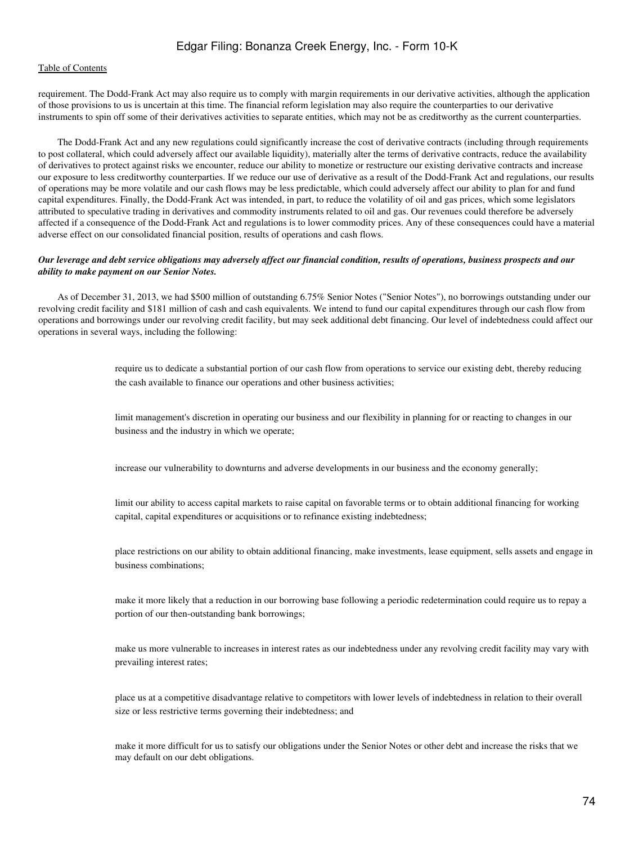requirement. The Dodd-Frank Act may also require us to comply with margin requirements in our derivative activities, although the application of those provisions to us is uncertain at this time. The financial reform legislation may also require the counterparties to our derivative instruments to spin off some of their derivatives activities to separate entities, which may not be as creditworthy as the current counterparties.

 The Dodd-Frank Act and any new regulations could significantly increase the cost of derivative contracts (including through requirements to post collateral, which could adversely affect our available liquidity), materially alter the terms of derivative contracts, reduce the availability of derivatives to protect against risks we encounter, reduce our ability to monetize or restructure our existing derivative contracts and increase our exposure to less creditworthy counterparties. If we reduce our use of derivative as a result of the Dodd-Frank Act and regulations, our results of operations may be more volatile and our cash flows may be less predictable, which could adversely affect our ability to plan for and fund capital expenditures. Finally, the Dodd-Frank Act was intended, in part, to reduce the volatility of oil and gas prices, which some legislators attributed to speculative trading in derivatives and commodity instruments related to oil and gas. Our revenues could therefore be adversely affected if a consequence of the Dodd-Frank Act and regulations is to lower commodity prices. Any of these consequences could have a material adverse effect on our consolidated financial position, results of operations and cash flows.

## *Our leverage and debt service obligations may adversely affect our financial condition, results of operations, business prospects and our ability to make payment on our Senior Notes.*

 As of December 31, 2013, we had \$500 million of outstanding 6.75% Senior Notes ("Senior Notes"), no borrowings outstanding under our revolving credit facility and \$181 million of cash and cash equivalents. We intend to fund our capital expenditures through our cash flow from operations and borrowings under our revolving credit facility, but may seek additional debt financing. Our level of indebtedness could affect our operations in several ways, including the following:

> require us to dedicate a substantial portion of our cash flow from operations to service our existing debt, thereby reducing the cash available to finance our operations and other business activities;

limit management's discretion in operating our business and our flexibility in planning for or reacting to changes in our business and the industry in which we operate;

increase our vulnerability to downturns and adverse developments in our business and the economy generally;

limit our ability to access capital markets to raise capital on favorable terms or to obtain additional financing for working capital, capital expenditures or acquisitions or to refinance existing indebtedness;

place restrictions on our ability to obtain additional financing, make investments, lease equipment, sells assets and engage in business combinations;

make it more likely that a reduction in our borrowing base following a periodic redetermination could require us to repay a portion of our then-outstanding bank borrowings;

make us more vulnerable to increases in interest rates as our indebtedness under any revolving credit facility may vary with prevailing interest rates;

place us at a competitive disadvantage relative to competitors with lower levels of indebtedness in relation to their overall size or less restrictive terms governing their indebtedness; and

make it more difficult for us to satisfy our obligations under the Senior Notes or other debt and increase the risks that we may default on our debt obligations.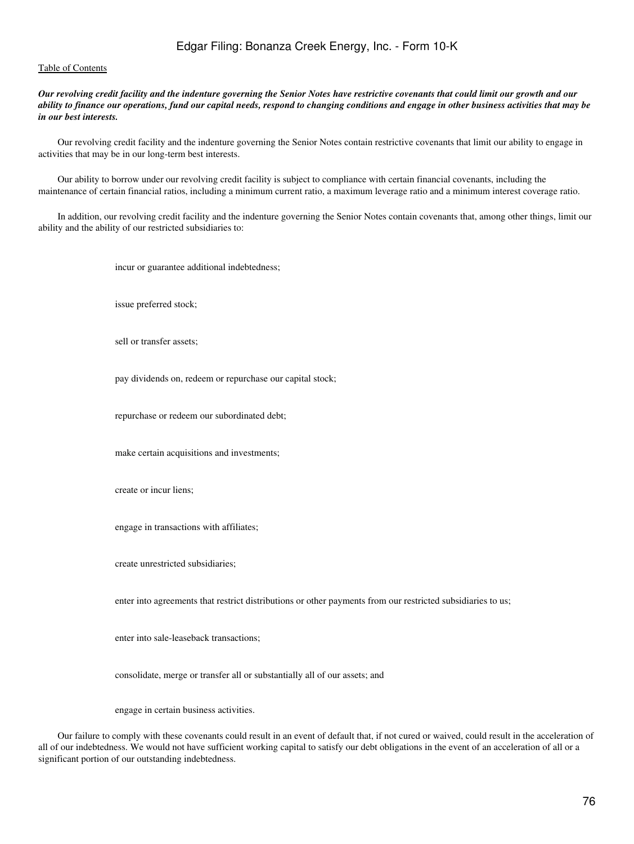## [Table of Contents](#page-2-0)

*Our revolving credit facility and the indenture governing the Senior Notes have restrictive covenants that could limit our growth and our ability to finance our operations, fund our capital needs, respond to changing conditions and engage in other business activities that may be in our best interests.*

 Our revolving credit facility and the indenture governing the Senior Notes contain restrictive covenants that limit our ability to engage in activities that may be in our long-term best interests.

 Our ability to borrow under our revolving credit facility is subject to compliance with certain financial covenants, including the maintenance of certain financial ratios, including a minimum current ratio, a maximum leverage ratio and a minimum interest coverage ratio.

 In addition, our revolving credit facility and the indenture governing the Senior Notes contain covenants that, among other things, limit our ability and the ability of our restricted subsidiaries to:

incur or guarantee additional indebtedness;

issue preferred stock;

sell or transfer assets;

pay dividends on, redeem or repurchase our capital stock;

repurchase or redeem our subordinated debt;

make certain acquisitions and investments;

create or incur liens;

engage in transactions with affiliates;

create unrestricted subsidiaries;

enter into agreements that restrict distributions or other payments from our restricted subsidiaries to us;

enter into sale-leaseback transactions;

consolidate, merge or transfer all or substantially all of our assets; and

engage in certain business activities.

 Our failure to comply with these covenants could result in an event of default that, if not cured or waived, could result in the acceleration of all of our indebtedness. We would not have sufficient working capital to satisfy our debt obligations in the event of an acceleration of all or a significant portion of our outstanding indebtedness.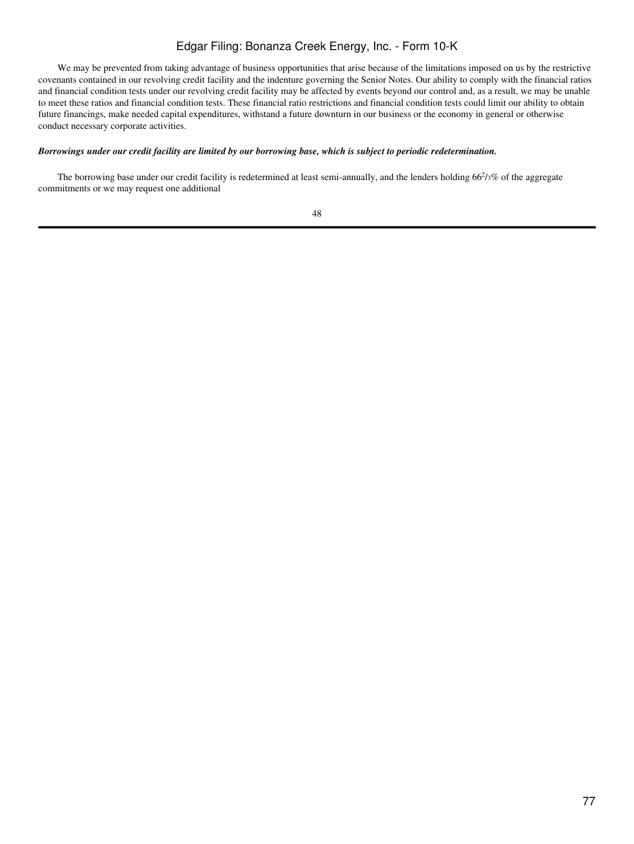We may be prevented from taking advantage of business opportunities that arise because of the limitations imposed on us by the restrictive covenants contained in our revolving credit facility and the indenture governing the Senior Notes. Our ability to comply with the financial ratios and financial condition tests under our revolving credit facility may be affected by events beyond our control and, as a result, we may be unable to meet these ratios and financial condition tests. These financial ratio restrictions and financial condition tests could limit our ability to obtain future financings, make needed capital expenditures, withstand a future downturn in our business or the economy in general or otherwise conduct necessary corporate activities.

### *Borrowings under our credit facility are limited by our borrowing base, which is subject to periodic redetermination.*

The borrowing base under our credit facility is redetermined at least semi-annually, and the lenders holding  $66\frac{2}{3}\%$  of the aggregate commitments or we may request one additional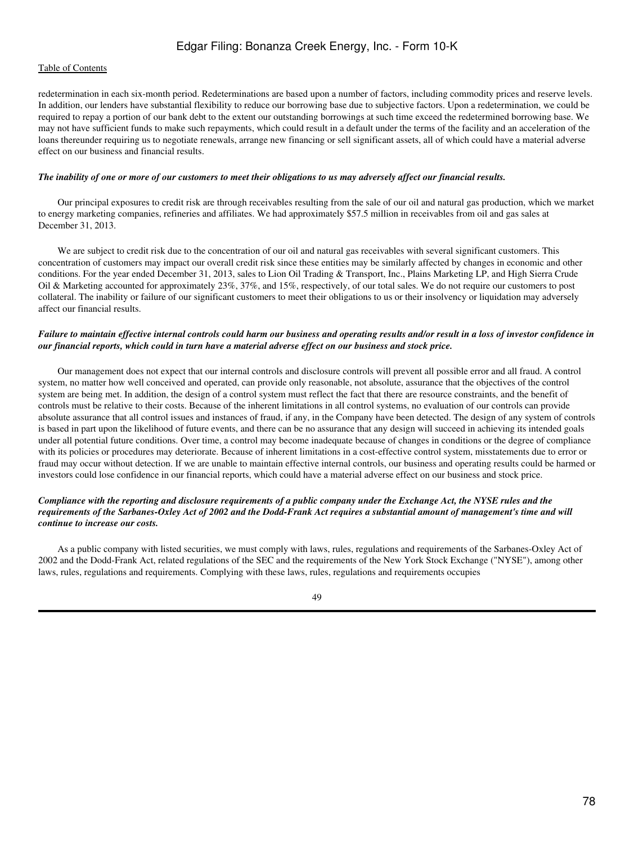### [Table of Contents](#page-2-0)

redetermination in each six-month period. Redeterminations are based upon a number of factors, including commodity prices and reserve levels. In addition, our lenders have substantial flexibility to reduce our borrowing base due to subjective factors. Upon a redetermination, we could be required to repay a portion of our bank debt to the extent our outstanding borrowings at such time exceed the redetermined borrowing base. We may not have sufficient funds to make such repayments, which could result in a default under the terms of the facility and an acceleration of the loans thereunder requiring us to negotiate renewals, arrange new financing or sell significant assets, all of which could have a material adverse effect on our business and financial results.

### *The inability of one or more of our customers to meet their obligations to us may adversely affect our financial results.*

 Our principal exposures to credit risk are through receivables resulting from the sale of our oil and natural gas production, which we market to energy marketing companies, refineries and affiliates. We had approximately \$57.5 million in receivables from oil and gas sales at December 31, 2013.

 We are subject to credit risk due to the concentration of our oil and natural gas receivables with several significant customers. This concentration of customers may impact our overall credit risk since these entities may be similarly affected by changes in economic and other conditions. For the year ended December 31, 2013, sales to Lion Oil Trading & Transport, Inc., Plains Marketing LP, and High Sierra Crude Oil & Marketing accounted for approximately 23%, 37%, and 15%, respectively, of our total sales. We do not require our customers to post collateral. The inability or failure of our significant customers to meet their obligations to us or their insolvency or liquidation may adversely affect our financial results.

# *Failure to maintain effective internal controls could harm our business and operating results and/or result in a loss of investor confidence in our financial reports, which could in turn have a material adverse effect on our business and stock price.*

 Our management does not expect that our internal controls and disclosure controls will prevent all possible error and all fraud. A control system, no matter how well conceived and operated, can provide only reasonable, not absolute, assurance that the objectives of the control system are being met. In addition, the design of a control system must reflect the fact that there are resource constraints, and the benefit of controls must be relative to their costs. Because of the inherent limitations in all control systems, no evaluation of our controls can provide absolute assurance that all control issues and instances of fraud, if any, in the Company have been detected. The design of any system of controls is based in part upon the likelihood of future events, and there can be no assurance that any design will succeed in achieving its intended goals under all potential future conditions. Over time, a control may become inadequate because of changes in conditions or the degree of compliance with its policies or procedures may deteriorate. Because of inherent limitations in a cost-effective control system, misstatements due to error or fraud may occur without detection. If we are unable to maintain effective internal controls, our business and operating results could be harmed or investors could lose confidence in our financial reports, which could have a material adverse effect on our business and stock price.

# *Compliance with the reporting and disclosure requirements of a public company under the Exchange Act, the NYSE rules and the requirements of the Sarbanes-Oxley Act of 2002 and the Dodd-Frank Act requires a substantial amount of management's time and will continue to increase our costs.*

 As a public company with listed securities, we must comply with laws, rules, regulations and requirements of the Sarbanes-Oxley Act of 2002 and the Dodd-Frank Act, related regulations of the SEC and the requirements of the New York Stock Exchange ("NYSE"), among other laws, rules, regulations and requirements. Complying with these laws, rules, regulations and requirements occupies

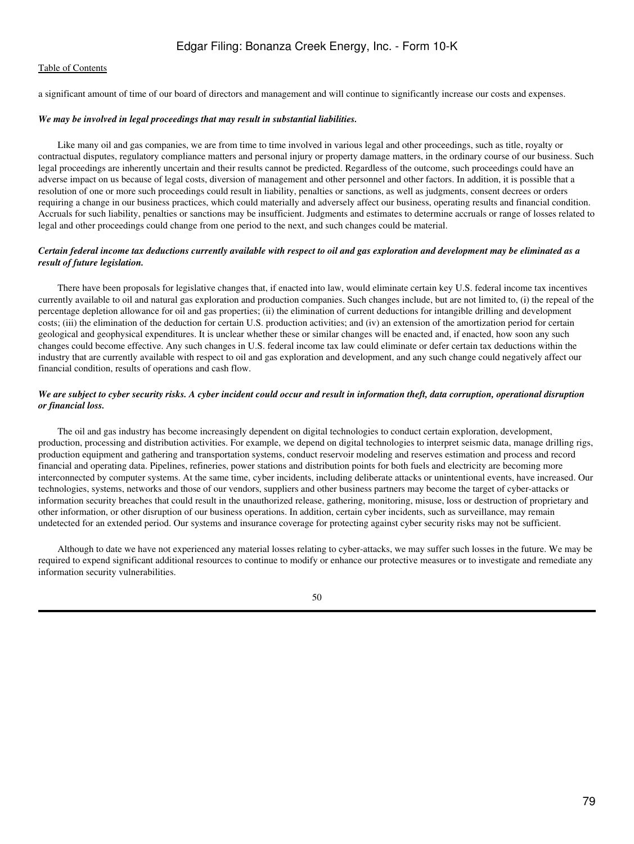a significant amount of time of our board of directors and management and will continue to significantly increase our costs and expenses.

#### *We may be involved in legal proceedings that may result in substantial liabilities.*

 Like many oil and gas companies, we are from time to time involved in various legal and other proceedings, such as title, royalty or contractual disputes, regulatory compliance matters and personal injury or property damage matters, in the ordinary course of our business. Such legal proceedings are inherently uncertain and their results cannot be predicted. Regardless of the outcome, such proceedings could have an adverse impact on us because of legal costs, diversion of management and other personnel and other factors. In addition, it is possible that a resolution of one or more such proceedings could result in liability, penalties or sanctions, as well as judgments, consent decrees or orders requiring a change in our business practices, which could materially and adversely affect our business, operating results and financial condition. Accruals for such liability, penalties or sanctions may be insufficient. Judgments and estimates to determine accruals or range of losses related to legal and other proceedings could change from one period to the next, and such changes could be material.

# *Certain federal income tax deductions currently available with respect to oil and gas exploration and development may be eliminated as a result of future legislation.*

 There have been proposals for legislative changes that, if enacted into law, would eliminate certain key U.S. federal income tax incentives currently available to oil and natural gas exploration and production companies. Such changes include, but are not limited to, (i) the repeal of the percentage depletion allowance for oil and gas properties; (ii) the elimination of current deductions for intangible drilling and development costs; (iii) the elimination of the deduction for certain U.S. production activities; and (iv) an extension of the amortization period for certain geological and geophysical expenditures. It is unclear whether these or similar changes will be enacted and, if enacted, how soon any such changes could become effective. Any such changes in U.S. federal income tax law could eliminate or defer certain tax deductions within the industry that are currently available with respect to oil and gas exploration and development, and any such change could negatively affect our financial condition, results of operations and cash flow.

# *We are subject to cyber security risks. A cyber incident could occur and result in information theft, data corruption, operational disruption or financial loss.*

 The oil and gas industry has become increasingly dependent on digital technologies to conduct certain exploration, development, production, processing and distribution activities. For example, we depend on digital technologies to interpret seismic data, manage drilling rigs, production equipment and gathering and transportation systems, conduct reservoir modeling and reserves estimation and process and record financial and operating data. Pipelines, refineries, power stations and distribution points for both fuels and electricity are becoming more interconnected by computer systems. At the same time, cyber incidents, including deliberate attacks or unintentional events, have increased. Our technologies, systems, networks and those of our vendors, suppliers and other business partners may become the target of cyber-attacks or information security breaches that could result in the unauthorized release, gathering, monitoring, misuse, loss or destruction of proprietary and other information, or other disruption of our business operations. In addition, certain cyber incidents, such as surveillance, may remain undetected for an extended period. Our systems and insurance coverage for protecting against cyber security risks may not be sufficient.

 Although to date we have not experienced any material losses relating to cyber-attacks, we may suffer such losses in the future. We may be required to expend significant additional resources to continue to modify or enhance our protective measures or to investigate and remediate any information security vulnerabilities.

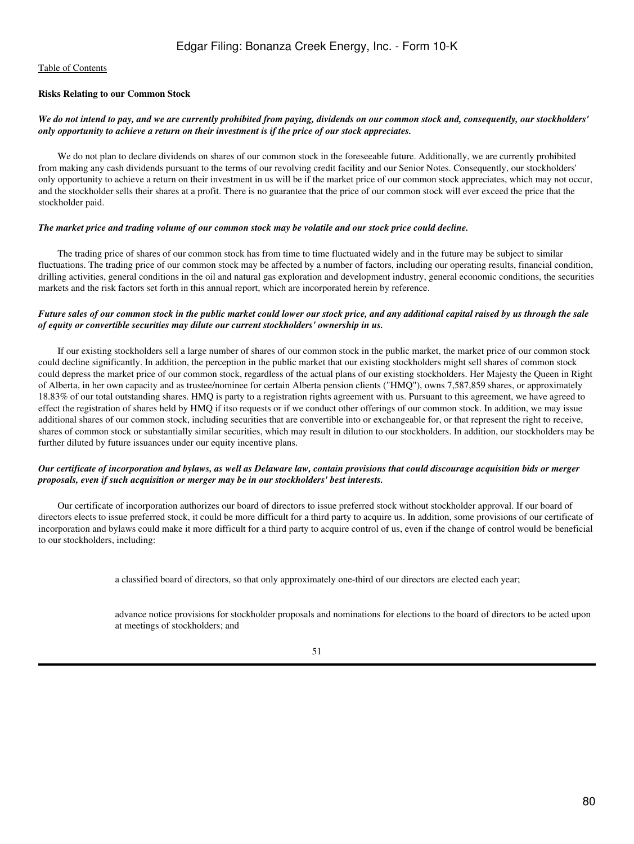## **Risks Relating to our Common Stock**

## *We do not intend to pay, and we are currently prohibited from paying, dividends on our common stock and, consequently, our stockholders' only opportunity to achieve a return on their investment is if the price of our stock appreciates.*

 We do not plan to declare dividends on shares of our common stock in the foreseeable future. Additionally, we are currently prohibited from making any cash dividends pursuant to the terms of our revolving credit facility and our Senior Notes. Consequently, our stockholders' only opportunity to achieve a return on their investment in us will be if the market price of our common stock appreciates, which may not occur, and the stockholder sells their shares at a profit. There is no guarantee that the price of our common stock will ever exceed the price that the stockholder paid.

### *The market price and trading volume of our common stock may be volatile and our stock price could decline.*

 The trading price of shares of our common stock has from time to time fluctuated widely and in the future may be subject to similar fluctuations. The trading price of our common stock may be affected by a number of factors, including our operating results, financial condition, drilling activities, general conditions in the oil and natural gas exploration and development industry, general economic conditions, the securities markets and the risk factors set forth in this annual report, which are incorporated herein by reference.

### *Future sales of our common stock in the public market could lower our stock price, and any additional capital raised by us through the sale of equity or convertible securities may dilute our current stockholders' ownership in us.*

 If our existing stockholders sell a large number of shares of our common stock in the public market, the market price of our common stock could decline significantly. In addition, the perception in the public market that our existing stockholders might sell shares of common stock could depress the market price of our common stock, regardless of the actual plans of our existing stockholders. Her Majesty the Queen in Right of Alberta, in her own capacity and as trustee/nominee for certain Alberta pension clients ("HMQ"), owns 7,587,859 shares, or approximately 18.83% of our total outstanding shares. HMQ is party to a registration rights agreement with us. Pursuant to this agreement, we have agreed to effect the registration of shares held by HMQ if itso requests or if we conduct other offerings of our common stock. In addition, we may issue additional shares of our common stock, including securities that are convertible into or exchangeable for, or that represent the right to receive, shares of common stock or substantially similar securities, which may result in dilution to our stockholders. In addition, our stockholders may be further diluted by future issuances under our equity incentive plans.

## *Our certificate of incorporation and bylaws, as well as Delaware law, contain provisions that could discourage acquisition bids or merger proposals, even if such acquisition or merger may be in our stockholders' best interests.*

 Our certificate of incorporation authorizes our board of directors to issue preferred stock without stockholder approval. If our board of directors elects to issue preferred stock, it could be more difficult for a third party to acquire us. In addition, some provisions of our certificate of incorporation and bylaws could make it more difficult for a third party to acquire control of us, even if the change of control would be beneficial to our stockholders, including:

a classified board of directors, so that only approximately one-third of our directors are elected each year;

advance notice provisions for stockholder proposals and nominations for elections to the board of directors to be acted upon at meetings of stockholders; and

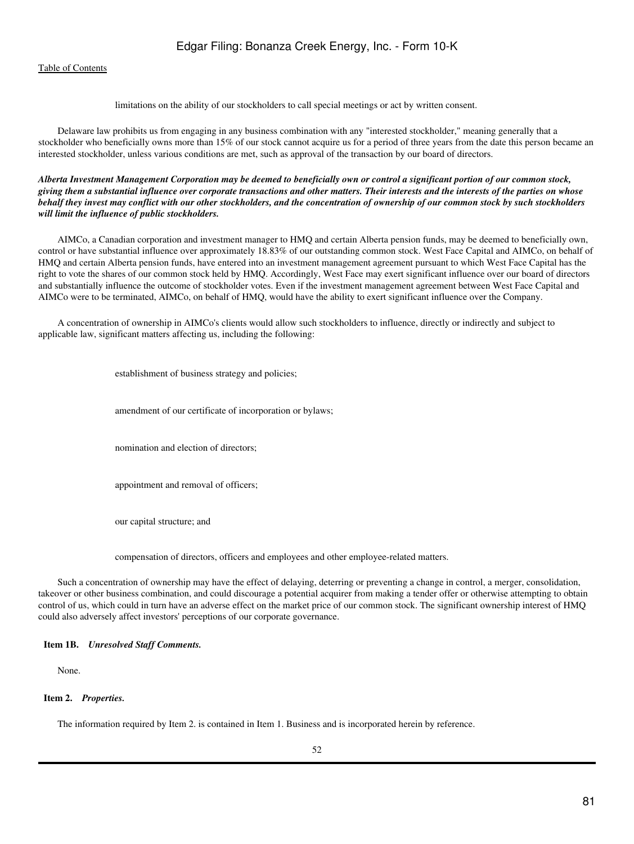## [Table of Contents](#page-2-0)

limitations on the ability of our stockholders to call special meetings or act by written consent.

 Delaware law prohibits us from engaging in any business combination with any "interested stockholder," meaning generally that a stockholder who beneficially owns more than 15% of our stock cannot acquire us for a period of three years from the date this person became an interested stockholder, unless various conditions are met, such as approval of the transaction by our board of directors.

*Alberta Investment Management Corporation may be deemed to beneficially own or control a significant portion of our common stock, giving them a substantial influence over corporate transactions and other matters. Their interests and the interests of the parties on whose behalf they invest may conflict with our other stockholders, and the concentration of ownership of our common stock by such stockholders will limit the influence of public stockholders.*

 AIMCo, a Canadian corporation and investment manager to HMQ and certain Alberta pension funds, may be deemed to beneficially own, control or have substantial influence over approximately 18.83% of our outstanding common stock. West Face Capital and AIMCo, on behalf of HMQ and certain Alberta pension funds, have entered into an investment management agreement pursuant to which West Face Capital has the right to vote the shares of our common stock held by HMQ. Accordingly, West Face may exert significant influence over our board of directors and substantially influence the outcome of stockholder votes. Even if the investment management agreement between West Face Capital and AIMCo were to be terminated, AIMCo, on behalf of HMQ, would have the ability to exert significant influence over the Company.

 A concentration of ownership in AIMCo's clients would allow such stockholders to influence, directly or indirectly and subject to applicable law, significant matters affecting us, including the following:

establishment of business strategy and policies;

amendment of our certificate of incorporation or bylaws;

nomination and election of directors;

appointment and removal of officers;

our capital structure; and

compensation of directors, officers and employees and other employee-related matters.

 Such a concentration of ownership may have the effect of delaying, deterring or preventing a change in control, a merger, consolidation, takeover or other business combination, and could discourage a potential acquirer from making a tender offer or otherwise attempting to obtain control of us, which could in turn have an adverse effect on the market price of our common stock. The significant ownership interest of HMQ could also adversely affect investors' perceptions of our corporate governance.

### **Item 1B.** *Unresolved Staff Comments.*

None.

### **Item 2.** *Properties.*

The information required by Item 2. is contained in Item 1. Business and is incorporated herein by reference.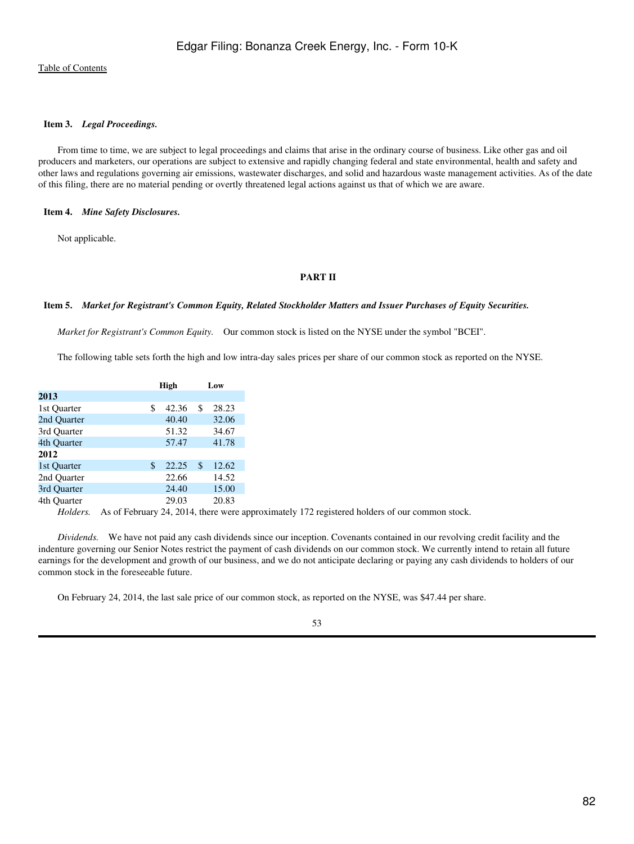## **Item 3.** *Legal Proceedings.*

 From time to time, we are subject to legal proceedings and claims that arise in the ordinary course of business. Like other gas and oil producers and marketers, our operations are subject to extensive and rapidly changing federal and state environmental, health and safety and other laws and regulations governing air emissions, wastewater discharges, and solid and hazardous waste management activities. As of the date of this filing, there are no material pending or overtly threatened legal actions against us that of which we are aware.

#### **Item 4.** *Mine Safety Disclosures.*

Not applicable.

# **PART II**

# **Item 5.** *Market for Registrant's Common Equity, Related Stockholder Matters and Issuer Purchases of Equity Securities.*

 *Market for Registrant's Common Equity.* Our common stock is listed on the NYSE under the symbol "BCEI".

The following table sets forth the high and low intra-day sales prices per share of our common stock as reported on the NYSE.

|             | High        | Low         |
|-------------|-------------|-------------|
| 2013        |             |             |
| 1st Quarter | \$<br>42.36 | \$<br>28.23 |
| 2nd Quarter | 40.40       | 32.06       |
| 3rd Quarter | 51.32       | 34.67       |
| 4th Ouarter | 57.47       | 41.78       |
| 2012        |             |             |
| 1st Quarter | \$<br>22.25 | \$<br>12.62 |
| 2nd Quarter | 22.66       | 14.52       |
| 3rd Quarter | 24.40       | 15.00       |
| 4th Ouarter | 29.03       | 20.83       |

 *Holders.* As of February 24, 2014, there were approximately 172 registered holders of our common stock.

 *Dividends.* We have not paid any cash dividends since our inception. Covenants contained in our revolving credit facility and the indenture governing our Senior Notes restrict the payment of cash dividends on our common stock. We currently intend to retain all future earnings for the development and growth of our business, and we do not anticipate declaring or paying any cash dividends to holders of our common stock in the foreseeable future.

On February 24, 2014, the last sale price of our common stock, as reported on the NYSE, was \$47.44 per share.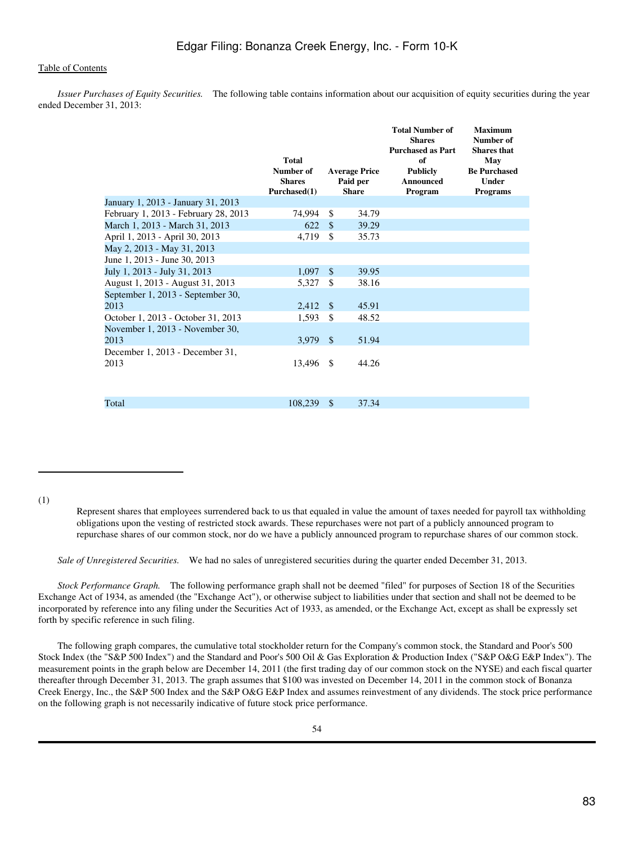*Issuer Purchases of Equity Securities.* The following table contains information about our acquisition of equity securities during the year ended December 31, 2013:

|                                      | <b>Total</b><br>Number of<br><b>Shares</b><br>Purchased(1) |               | <b>Average Price</b><br>Paid per<br><b>Share</b> | <b>Total Number of</b><br><b>Shares</b><br><b>Purchased as Part</b><br>of<br><b>Publicly</b><br>Announced<br>Program | Maximum<br>Number of<br><b>Shares</b> that<br>May<br><b>Be Purchased</b><br>Under<br><b>Programs</b> |
|--------------------------------------|------------------------------------------------------------|---------------|--------------------------------------------------|----------------------------------------------------------------------------------------------------------------------|------------------------------------------------------------------------------------------------------|
| January 1, 2013 - January 31, 2013   |                                                            |               |                                                  |                                                                                                                      |                                                                                                      |
| February 1, 2013 - February 28, 2013 | 74.994                                                     | $\mathbb{S}$  | 34.79                                            |                                                                                                                      |                                                                                                      |
| March 1, 2013 - March 31, 2013       | 622                                                        | $\mathbb{S}$  | 39.29                                            |                                                                                                                      |                                                                                                      |
| April 1, 2013 - April 30, 2013       | 4,719                                                      | \$            | 35.73                                            |                                                                                                                      |                                                                                                      |
| May 2, 2013 - May 31, 2013           |                                                            |               |                                                  |                                                                                                                      |                                                                                                      |
| June 1, 2013 - June 30, 2013         |                                                            |               |                                                  |                                                                                                                      |                                                                                                      |
| July 1, 2013 - July 31, 2013         | 1,097                                                      | $\mathcal{S}$ | 39.95                                            |                                                                                                                      |                                                                                                      |
| August 1, 2013 - August 31, 2013     | 5,327                                                      | \$            | 38.16                                            |                                                                                                                      |                                                                                                      |
| September 1, 2013 - September 30,    |                                                            |               |                                                  |                                                                                                                      |                                                                                                      |
| 2013                                 | $2,412$ \$                                                 |               | 45.91                                            |                                                                                                                      |                                                                                                      |
| October 1, 2013 - October 31, 2013   | 1,593                                                      | \$            | 48.52                                            |                                                                                                                      |                                                                                                      |
| November 1, 2013 - November 30,      |                                                            |               |                                                  |                                                                                                                      |                                                                                                      |
| 2013                                 | 3,979                                                      | $\mathcal{S}$ | 51.94                                            |                                                                                                                      |                                                                                                      |
| December 1, 2013 - December 31,      |                                                            |               |                                                  |                                                                                                                      |                                                                                                      |
| 2013                                 | 13,496                                                     | \$            | 44.26                                            |                                                                                                                      |                                                                                                      |
|                                      |                                                            |               |                                                  |                                                                                                                      |                                                                                                      |
| Total                                | 108,239                                                    | \$            | 37.34                                            |                                                                                                                      |                                                                                                      |
|                                      |                                                            |               |                                                  |                                                                                                                      |                                                                                                      |

(1)

Represent shares that employees surrendered back to us that equaled in value the amount of taxes needed for payroll tax withholding obligations upon the vesting of restricted stock awards. These repurchases were not part of a publicly announced program to repurchase shares of our common stock, nor do we have a publicly announced program to repurchase shares of our common stock.

 *Sale of Unregistered Securities.* We had no sales of unregistered securities during the quarter ended December 31, 2013.

 *Stock Performance Graph.* The following performance graph shall not be deemed "filed" for purposes of Section 18 of the Securities Exchange Act of 1934, as amended (the "Exchange Act"), or otherwise subject to liabilities under that section and shall not be deemed to be incorporated by reference into any filing under the Securities Act of 1933, as amended, or the Exchange Act, except as shall be expressly set forth by specific reference in such filing.

 The following graph compares, the cumulative total stockholder return for the Company's common stock, the Standard and Poor's 500 Stock Index (the "S&P 500 Index") and the Standard and Poor's 500 Oil & Gas Exploration & Production Index ("S&P O&G E&P Index"). The measurement points in the graph below are December 14, 2011 (the first trading day of our common stock on the NYSE) and each fiscal quarter thereafter through December 31, 2013. The graph assumes that \$100 was invested on December 14, 2011 in the common stock of Bonanza Creek Energy, Inc., the S&P 500 Index and the S&P O&G E&P Index and assumes reinvestment of any dividends. The stock price performance on the following graph is not necessarily indicative of future stock price performance.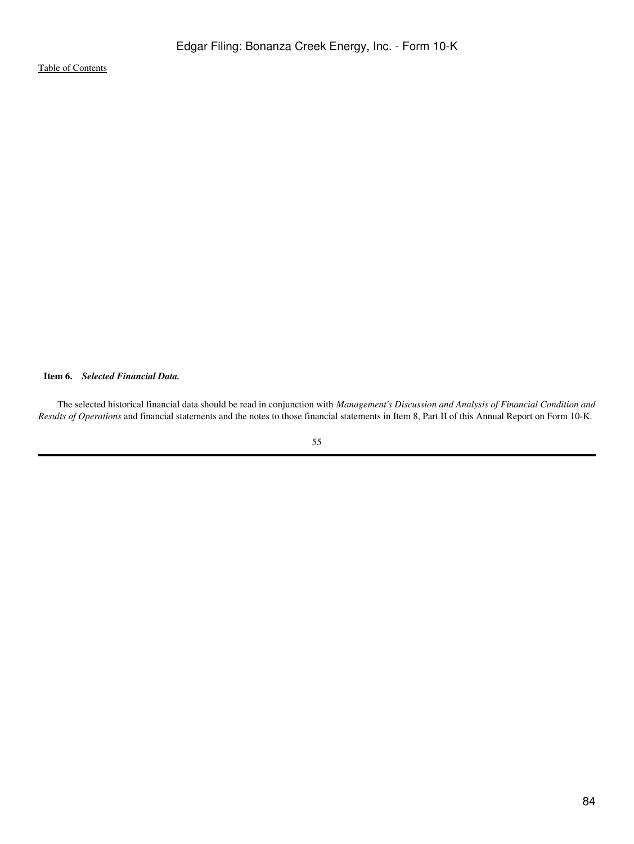# **Item 6.** *Selected Financial Data.*

 The selected historical financial data should be read in conjunction with *Management's Discussion and Analysis of Financial Condition and Results of Operations* and financial statements and the notes to those financial statements in Item 8, Part II of this Annual Report on Form 10-K.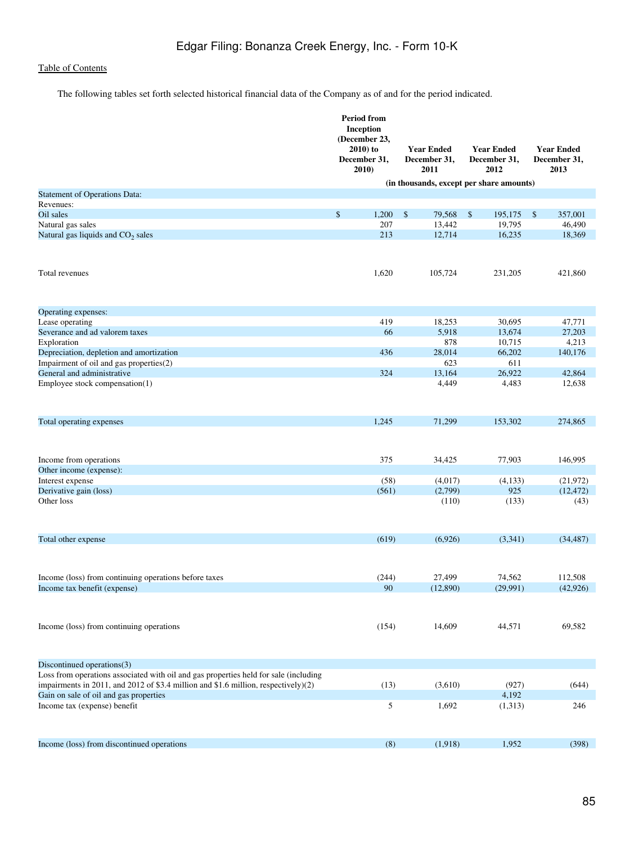The following tables set forth selected historical financial data of the Company as of and for the period indicated.

|                                                                                                                              | <b>Period from</b><br>Inception<br>(December 23,<br>$2010$ ) to<br>December 31,<br>2010) | <b>Year Ended</b><br>December 31,<br>2011 | <b>Year Ended</b><br>December 31,<br>2012 | <b>Year Ended</b><br>December 31,<br>2013 |
|------------------------------------------------------------------------------------------------------------------------------|------------------------------------------------------------------------------------------|-------------------------------------------|-------------------------------------------|-------------------------------------------|
|                                                                                                                              |                                                                                          |                                           | (in thousands, except per share amounts)  |                                           |
| <b>Statement of Operations Data:</b>                                                                                         |                                                                                          |                                           |                                           |                                           |
| Revenues:                                                                                                                    |                                                                                          |                                           |                                           |                                           |
| Oil sales                                                                                                                    | \$<br>1,200                                                                              | \$<br>79,568                              | $\frac{1}{2}$<br>195,175                  | 357,001<br>$\sqrt[6]{3}$                  |
| Natural gas sales                                                                                                            | 207                                                                                      | 13,442                                    | 19,795                                    | 46.490                                    |
| Natural gas liquids and CO <sub>2</sub> sales                                                                                | 213                                                                                      | 12,714                                    | 16,235                                    | 18,369                                    |
| Total revenues                                                                                                               | 1,620                                                                                    | 105,724                                   | 231,205                                   | 421,860                                   |
| Operating expenses:                                                                                                          |                                                                                          |                                           |                                           |                                           |
| Lease operating                                                                                                              | 419                                                                                      | 18.253                                    | 30,695                                    | 47.771                                    |
| Severance and ad valorem taxes                                                                                               | 66                                                                                       | 5,918                                     | 13,674                                    | 27,203                                    |
| Exploration                                                                                                                  |                                                                                          | 878                                       | 10,715                                    | 4,213                                     |
| Depreciation, depletion and amortization                                                                                     | 436                                                                                      | 28,014                                    | 66,202                                    | 140,176                                   |
| Impairment of oil and gas properties(2)                                                                                      |                                                                                          | 623                                       | 611                                       |                                           |
| General and administrative                                                                                                   | 324                                                                                      | 13,164                                    | 26,922                                    | 42,864                                    |
| Employee stock compensation(1)                                                                                               |                                                                                          | 4,449                                     | 4,483                                     | 12,638                                    |
| Total operating expenses                                                                                                     | 1,245                                                                                    | 71,299                                    | 153,302                                   | 274,865                                   |
| Income from operations                                                                                                       | 375                                                                                      | 34,425                                    | 77,903                                    | 146,995                                   |
| Other income (expense):                                                                                                      |                                                                                          |                                           |                                           |                                           |
| Interest expense                                                                                                             | (58)                                                                                     | (4,017)                                   | (4,133)                                   | (21, 972)                                 |
| Derivative gain (loss)                                                                                                       | (561)                                                                                    | (2,799)                                   | 925                                       | (12, 472)                                 |
| Other loss                                                                                                                   |                                                                                          | (110)                                     | (133)                                     | (43)                                      |
| Total other expense                                                                                                          | (619)                                                                                    | (6,926)                                   | (3,341)                                   | (34, 487)                                 |
|                                                                                                                              |                                                                                          |                                           |                                           |                                           |
| Income (loss) from continuing operations before taxes                                                                        | (244)                                                                                    | 27,499                                    | 74.562                                    | 112.508                                   |
| Income tax benefit (expense)                                                                                                 | 90                                                                                       | (12,890)                                  | (29,991)                                  | (42, 926)                                 |
| Income (loss) from continuing operations                                                                                     | (154)                                                                                    | 14,609                                    | 44,571                                    | 69,582                                    |
| Discontinued operations(3)                                                                                                   |                                                                                          |                                           |                                           |                                           |
| Loss from operations associated with oil and gas properties held for sale (including                                         |                                                                                          |                                           |                                           |                                           |
| impairments in 2011, and 2012 of \$3.4 million and \$1.6 million, respectively)(2)<br>Gain on sale of oil and gas properties | (13)                                                                                     | (3,610)                                   | (927)<br>4,192                            | (644)                                     |
| Income tax (expense) benefit                                                                                                 | 5                                                                                        | 1,692                                     | (1,313)                                   | 246                                       |
| Income (loss) from discontinued operations                                                                                   | (8)                                                                                      | (1,918)                                   | 1,952                                     | (398)                                     |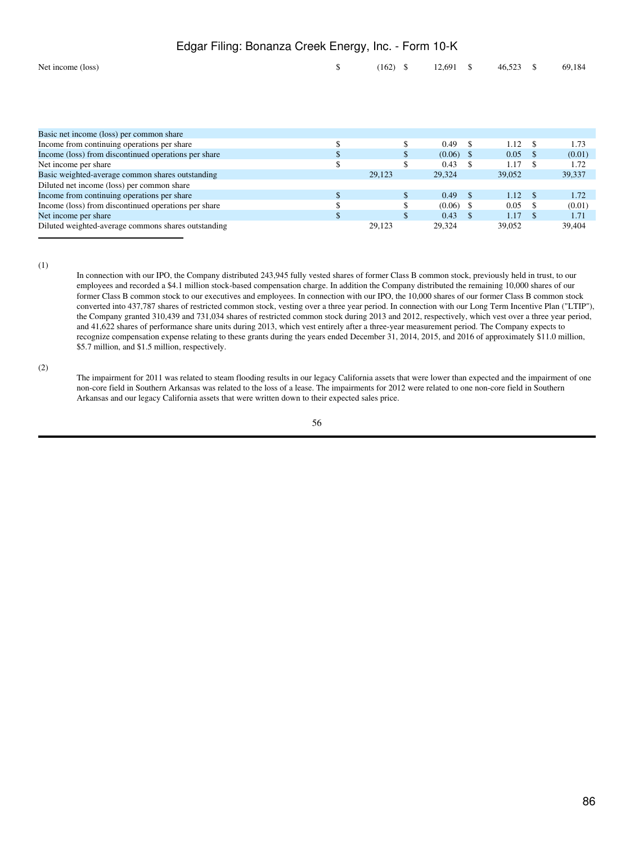| Net income (loss)                                    | \$<br>$(162)$ \$ | 12,691      | \$   | 46,523          | -S | 69,184 |
|------------------------------------------------------|------------------|-------------|------|-----------------|----|--------|
|                                                      |                  |             |      |                 |    |        |
|                                                      |                  |             |      |                 |    |        |
|                                                      |                  |             |      |                 |    |        |
|                                                      |                  |             |      |                 |    |        |
| Basic net income (loss) per common share             |                  |             |      |                 |    |        |
| Income from continuing operations per share          | \$               | 0.49        | - \$ | 1.12            |    | 1.73   |
| Income (loss) from discontinued operations per share | \$               | $(0.06)$ \$ |      | 0.05            |    | (0.01) |
| Net income per share                                 | \$               | 0.43        | - \$ | 1.17            |    | 1.72   |
| Basic weighted-average common shares outstanding     | 29,123           | 29,324      |      | 39,052          |    | 39,337 |
| Diluted net income (loss) per common share           |                  |             |      |                 |    |        |
| Income from continuing operations per share          | \$               | 0.49        | - \$ | $1.12 \quad$ \$ |    | 1.72   |
| Income (loss) from discontinued operations per share | \$               | $(0.06)$ \$ |      | 0.05            |    | (0.01) |

Net income per share **by the state of the state of the state of the state of the state of the state of the state of the state of the state of the state of the state of the state of the state of the state of the state of th** 

(1)

Diluted weighted-average commons shares outstanding

In connection with our IPO, the Company distributed 243,945 fully vested shares of former Class B common stock, previously held in trust, to our employees and recorded a \$4.1 million stock-based compensation charge. In addition the Company distributed the remaining 10,000 shares of our former Class B common stock to our executives and employees. In connection with our IPO, the 10,000 shares of our former Class B common stock converted into 437,787 shares of restricted common stock, vesting over a three year period. In connection with our Long Term Incentive Plan ("LTIP"), the Company granted 310,439 and 731,034 shares of restricted common stock during 2013 and 2012, respectively, which vest over a three year period, and 41,622 shares of performance share units during 2013, which vest entirely after a three-year measurement period. The Company expects to recognize compensation expense relating to these grants during the years ended December 31, 2014, 2015, and 2016 of approximately \$11.0 million, \$5.7 million, and \$1.5 million, respectively.

(2)

The impairment for 2011 was related to steam flooding results in our legacy California assets that were lower than expected and the impairment of one non-core field in Southern Arkansas was related to the loss of a lease. The impairments for 2012 were related to one non-core field in Southern Arkansas and our legacy California assets that were written down to their expected sales price.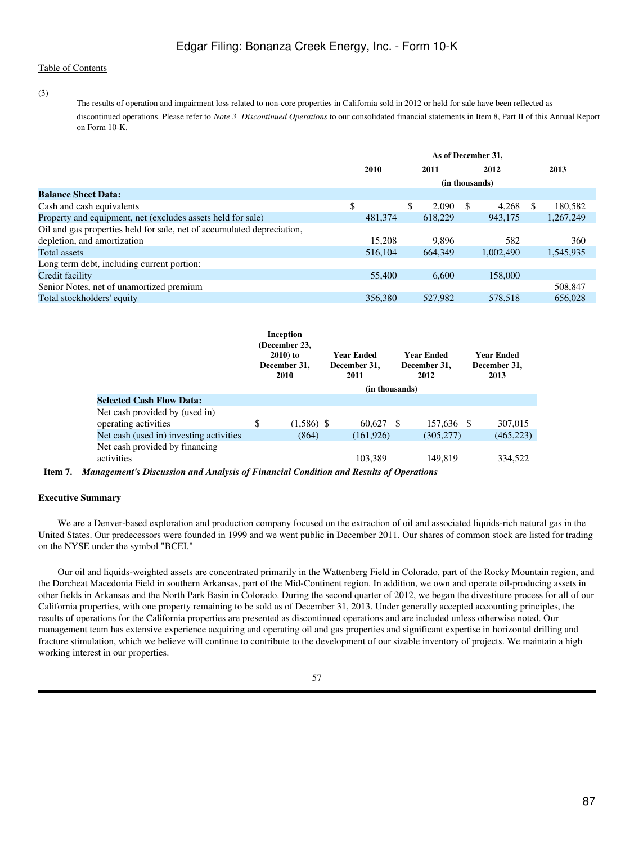#### (3)

The results of operation and impairment loss related to non-core properties in California sold in 2012 or held for sale have been reflected as discontinued operations. Please refer to *Note 3 Discontinued Operations* to our consolidated financial statements in Item 8, Part II of this Annual Report on Form 10-K.

|                                                                        |         |                | As of December 31, |               |           |  |           |
|------------------------------------------------------------------------|---------|----------------|--------------------|---------------|-----------|--|-----------|
|                                                                        | 2010    |                | 2011               |               | 2012      |  | 2013      |
|                                                                        |         | (in thousands) |                    |               |           |  |           |
| <b>Balance Sheet Data:</b>                                             |         |                |                    |               |           |  |           |
| Cash and cash equivalents                                              | \$      | \$             | 2.090              | <sup>\$</sup> | 4,268     |  | 180,582   |
| Property and equipment, net (excludes assets held for sale)            | 481.374 |                | 618.229            |               | 943,175   |  | 1,267,249 |
| Oil and gas properties held for sale, net of accumulated depreciation, |         |                |                    |               |           |  |           |
| depletion, and amortization                                            | 15.208  |                | 9.896              |               | 582       |  | 360       |
| <b>Total assets</b>                                                    | 516,104 |                | 664,349            |               | 1,002,490 |  | 1,545,935 |
| Long term debt, including current portion:                             |         |                |                    |               |           |  |           |
| Credit facility                                                        | 55,400  |                | 6.600              |               | 158,000   |  |           |
| Senior Notes, net of unamortized premium                               |         |                |                    |               |           |  | 508,847   |
| Total stockholders' equity                                             | 356,380 |                | 527,982            |               | 578,518   |  | 656,028   |

|                                              | <b>Inception</b><br>(December 23,<br>$2010$ to<br>December 31.<br>2010 | <b>Year Ended</b><br>December 31.<br>2011<br>(in thousands) |     | <b>Year Ended</b><br>December 31.<br>2012 | <b>Year Ended</b><br>December 31,<br>2013 |
|----------------------------------------------|------------------------------------------------------------------------|-------------------------------------------------------------|-----|-------------------------------------------|-------------------------------------------|
|                                              |                                                                        |                                                             |     |                                           |                                           |
| <b>Selected Cash Flow Data:</b>              |                                                                        |                                                             |     |                                           |                                           |
| Net cash provided by (used in)               |                                                                        |                                                             |     |                                           |                                           |
| operating activities                         | \$<br>$(1,586)$ \$                                                     | 60.627                                                      | - S | 157.636 \$                                | 307,015                                   |
| Net cash (used in) investing activities      | (864)                                                                  | (161, 926)                                                  |     | (305, 277)                                | (465, 223)                                |
| Net cash provided by financing<br>activities |                                                                        | 103,389                                                     |     | 149,819                                   | 334.522                                   |

 **Item 7.** *Management's Discussion and Analysis of Financial Condition and Results of Operations*

### **Executive Summary**

 We are a Denver-based exploration and production company focused on the extraction of oil and associated liquids-rich natural gas in the United States. Our predecessors were founded in 1999 and we went public in December 2011. Our shares of common stock are listed for trading on the NYSE under the symbol "BCEI."

 Our oil and liquids-weighted assets are concentrated primarily in the Wattenberg Field in Colorado, part of the Rocky Mountain region, and the Dorcheat Macedonia Field in southern Arkansas, part of the Mid-Continent region. In addition, we own and operate oil-producing assets in other fields in Arkansas and the North Park Basin in Colorado. During the second quarter of 2012, we began the divestiture process for all of our California properties, with one property remaining to be sold as of December 31, 2013. Under generally accepted accounting principles, the results of operations for the California properties are presented as discontinued operations and are included unless otherwise noted. Our management team has extensive experience acquiring and operating oil and gas properties and significant expertise in horizontal drilling and fracture stimulation, which we believe will continue to contribute to the development of our sizable inventory of projects. We maintain a high working interest in our properties.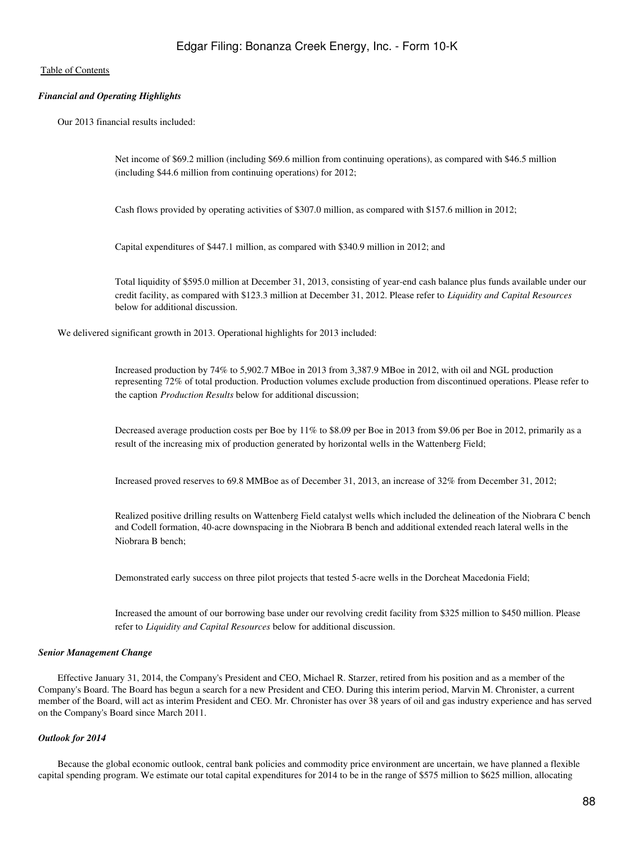### *Financial and Operating Highlights*

Our 2013 financial results included:

Net income of \$69.2 million (including \$69.6 million from continuing operations), as compared with \$46.5 million (including \$44.6 million from continuing operations) for 2012;

Cash flows provided by operating activities of \$307.0 million, as compared with \$157.6 million in 2012;

Capital expenditures of \$447.1 million, as compared with \$340.9 million in 2012; and

Total liquidity of \$595.0 million at December 31, 2013, consisting of year-end cash balance plus funds available under our credit facility, as compared with \$123.3 million at December 31, 2012. Please refer to *Liquidity and Capital Resources* below for additional discussion.

We delivered significant growth in 2013. Operational highlights for 2013 included:

Increased production by 74% to 5,902.7 MBoe in 2013 from 3,387.9 MBoe in 2012, with oil and NGL production representing 72% of total production. Production volumes exclude production from discontinued operations. Please refer to the caption *Production Results* below for additional discussion;

Decreased average production costs per Boe by 11% to \$8.09 per Boe in 2013 from \$9.06 per Boe in 2012, primarily as a result of the increasing mix of production generated by horizontal wells in the Wattenberg Field;

Increased proved reserves to 69.8 MMBoe as of December 31, 2013, an increase of 32% from December 31, 2012;

Realized positive drilling results on Wattenberg Field catalyst wells which included the delineation of the Niobrara C bench and Codell formation, 40-acre downspacing in the Niobrara B bench and additional extended reach lateral wells in the Niobrara B bench;

Demonstrated early success on three pilot projects that tested 5-acre wells in the Dorcheat Macedonia Field;

Increased the amount of our borrowing base under our revolving credit facility from \$325 million to \$450 million. Please refer to *Liquidity and Capital Resources* below for additional discussion.

### *Senior Management Change*

 Effective January 31, 2014, the Company's President and CEO, Michael R. Starzer, retired from his position and as a member of the Company's Board. The Board has begun a search for a new President and CEO. During this interim period, Marvin M. Chronister, a current member of the Board, will act as interim President and CEO. Mr. Chronister has over 38 years of oil and gas industry experience and has served on the Company's Board since March 2011.

### *Outlook for 2014*

 Because the global economic outlook, central bank policies and commodity price environment are uncertain, we have planned a flexible capital spending program. We estimate our total capital expenditures for 2014 to be in the range of \$575 million to \$625 million, allocating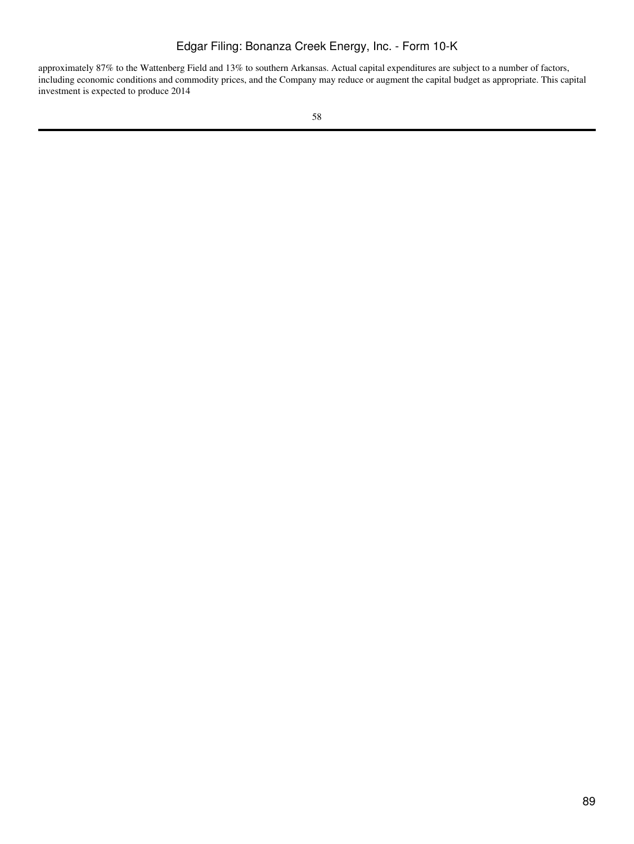approximately 87% to the Wattenberg Field and 13% to southern Arkansas. Actual capital expenditures are subject to a number of factors, including economic conditions and commodity prices, and the Company may reduce or augment the capital budget as appropriate. This capital investment is expected to produce 2014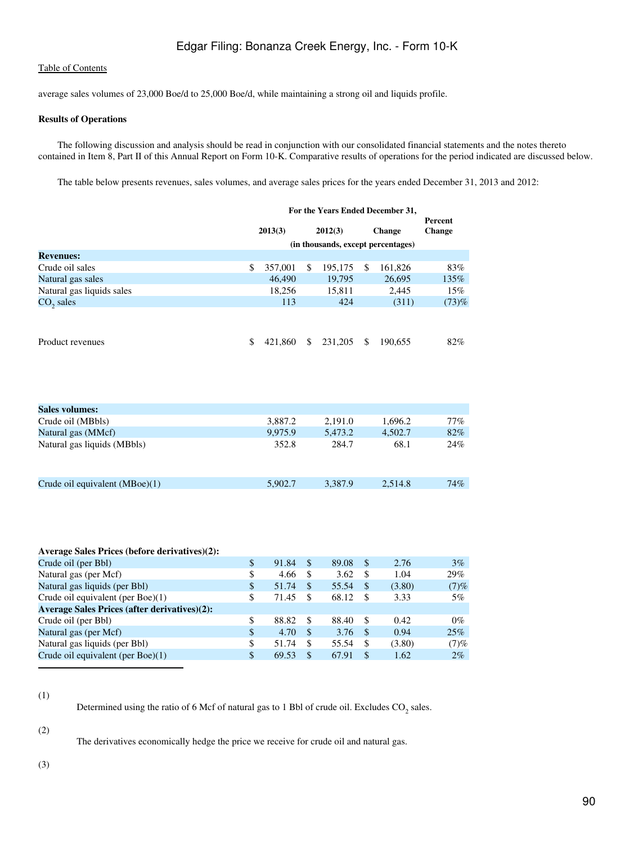average sales volumes of 23,000 Boe/d to 25,000 Boe/d, while maintaining a strong oil and liquids profile.

# **Results of Operations**

 The following discussion and analysis should be read in conjunction with our consolidated financial statements and the notes thereto contained in Item 8, Part II of this Annual Report on Form 10-K. Comparative results of operations for the period indicated are discussed below.

The table below presents revenues, sales volumes, and average sales prices for the years ended December 31, 2013 and 2012:

| For the Years Ended December 31, |         |         |         |         |         |                                                     |  |
|----------------------------------|---------|---------|---------|---------|---------|-----------------------------------------------------|--|
|                                  |         |         |         |         |         | Percent                                             |  |
|                                  |         |         |         |         |         | Change                                              |  |
|                                  |         |         |         |         |         |                                                     |  |
|                                  |         |         |         |         |         |                                                     |  |
| \$                               | 357,001 | \$      | 195,175 | \$      | 161,826 | 83%                                                 |  |
|                                  | 46,490  |         | 19,795  |         | 26,695  | 135%                                                |  |
|                                  | 18,256  |         | 15,811  |         | 2,445   | 15%                                                 |  |
|                                  | 113     |         | 424     |         | (311)   | (73)%                                               |  |
| \$                               | 421,860 | S.      | 231,205 | \$      | 190,655 | 82%                                                 |  |
|                                  |         |         |         |         |         |                                                     |  |
|                                  | 3,887.2 |         | 2,191.0 |         | 1,696.2 | 77%                                                 |  |
|                                  | 9,975.9 |         | 5,473.2 |         | 4,502.7 | 82%                                                 |  |
|                                  | 352.8   |         | 284.7   |         | 68.1    | 24%                                                 |  |
|                                  | 5,902.7 |         | 3,387.9 |         | 2,514.8 | 74%                                                 |  |
|                                  |         | 2013(3) |         | 2012(3) |         | <b>Change</b><br>(in thousands, except percentages) |  |

| <b>Average Sales Prices (before derivatives)(2):</b> |             |               |       |               |        |       |
|------------------------------------------------------|-------------|---------------|-------|---------------|--------|-------|
| Crude oil (per Bbl)                                  | \$<br>91.84 | -\$           | 89.08 | -\$           | 2.76   | $3\%$ |
| Natural gas (per Mcf)                                | \$<br>4.66  | \$.           | 3.62  | S             | 1.04   | 29%   |
| Natural gas liquids (per Bbl)                        | \$<br>51.74 | -S            | 55.54 | <sup>S</sup>  | (3.80) | (7)%  |
| Crude oil equivalent (per Boe) $(1)$                 | \$<br>71.45 | -8            | 68.12 | - \$          | 3.33   | $5\%$ |
| <b>Average Sales Prices (after derivatives)(2):</b>  |             |               |       |               |        |       |
| Crude oil (per Bbl)                                  | \$<br>88.82 | <sup>\$</sup> | 88.40 | \$.           | 0.42   | $0\%$ |
| Natural gas (per Mcf)                                | \$<br>4.70  | -S            | 3.76  | -\$           | 0.94   | 25%   |
| Natural gas liquids (per Bbl)                        | \$<br>51.74 | -\$           | 55.54 | -8            | (3.80) | (7)%  |
| Crude oil equivalent (per Boe) $(1)$                 | \$<br>69.53 | <b>S</b>      | 67.91 | $\mathbf{\$}$ | 1.62   | $2\%$ |

<sup>(1)</sup>

Determined using the ratio of 6 Mcf of natural gas to 1 Bbl of crude oil. Excludes  $CO_2$  sales.

(2)

The derivatives economically hedge the price we receive for crude oil and natural gas.

(3)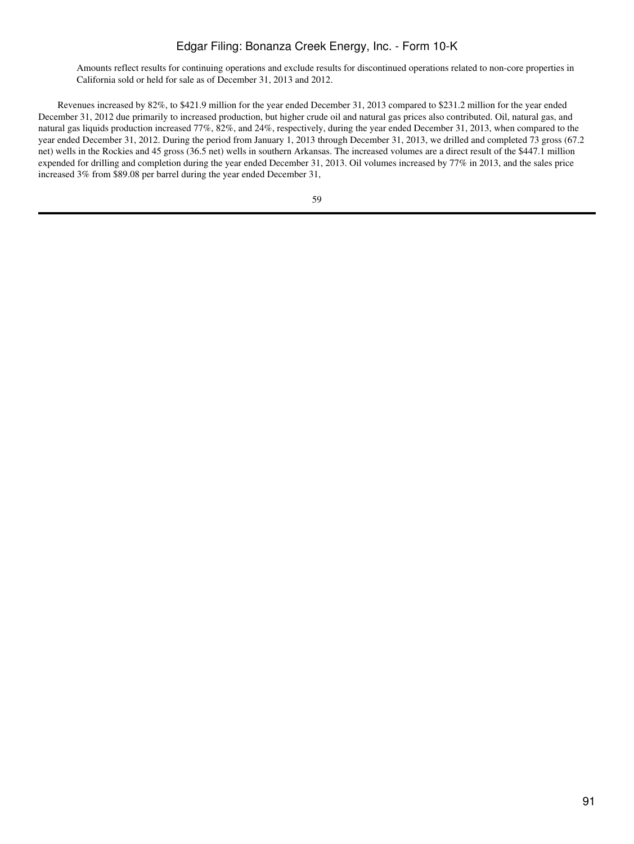Amounts reflect results for continuing operations and exclude results for discontinued operations related to non-core properties in California sold or held for sale as of December 31, 2013 and 2012.

 Revenues increased by 82%, to \$421.9 million for the year ended December 31, 2013 compared to \$231.2 million for the year ended December 31, 2012 due primarily to increased production, but higher crude oil and natural gas prices also contributed. Oil, natural gas, and natural gas liquids production increased 77%, 82%, and 24%, respectively, during the year ended December 31, 2013, when compared to the year ended December 31, 2012. During the period from January 1, 2013 through December 31, 2013, we drilled and completed 73 gross (67.2 net) wells in the Rockies and 45 gross (36.5 net) wells in southern Arkansas. The increased volumes are a direct result of the \$447.1 million expended for drilling and completion during the year ended December 31, 2013. Oil volumes increased by 77% in 2013, and the sales price increased 3% from \$89.08 per barrel during the year ended December 31,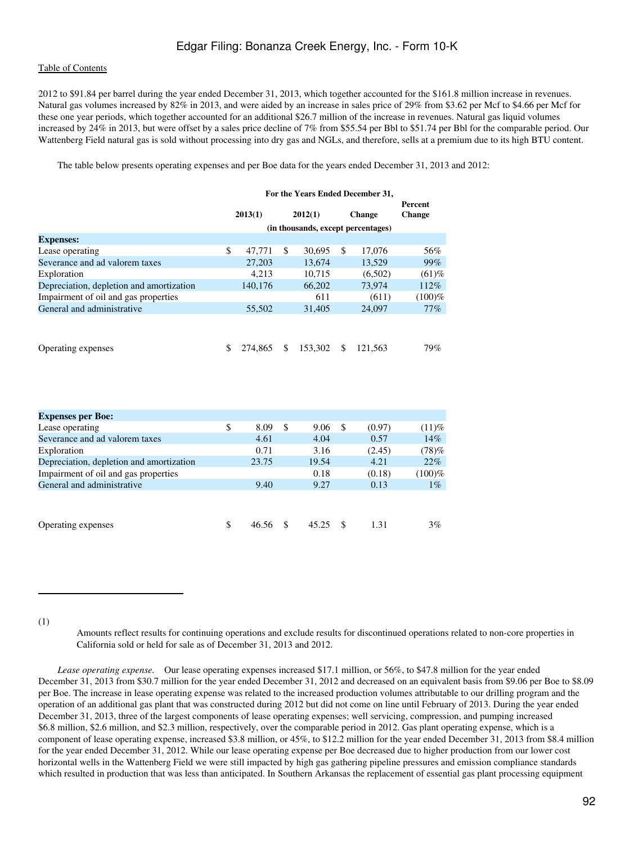## [Table of Contents](#page-2-0)

2012 to \$91.84 per barrel during the year ended December 31, 2013, which together accounted for the \$161.8 million increase in revenues. Natural gas volumes increased by 82% in 2013, and were aided by an increase in sales price of 29% from \$3.62 per Mcf to \$4.66 per Mcf for these one year periods, which together accounted for an additional \$26.7 million of the increase in revenues. Natural gas liquid volumes increased by 24% in 2013, but were offset by a sales price decline of 7% from \$55.54 per Bbl to \$51.74 per Bbl for the comparable period. Our Wattenberg Field natural gas is sold without processing into dry gas and NGLs, and therefore, sells at a premium due to its high BTU content.

The table below presents operating expenses and per Boe data for the years ended December 31, 2013 and 2012:

|                                          |               |     |                                    | For the Years Ended December 31, |           |  |
|------------------------------------------|---------------|-----|------------------------------------|----------------------------------|-----------|--|
|                                          |               |     |                                    |                                  | Percent   |  |
|                                          | 2013(1)       |     | 2012(1)                            | <b>Change</b>                    | Change    |  |
|                                          |               |     | (in thousands, except percentages) |                                  |           |  |
| <b>Expenses:</b>                         |               |     |                                    |                                  |           |  |
| Lease operating                          | \$<br>47,771  | \$  | 30,695                             | \$<br>17,076                     | 56%       |  |
| Severance and ad valorem taxes           | 27,203        |     | 13.674                             | 13,529                           | $99\%$    |  |
| Exploration                              | 4.213         |     | 10,715                             | (6,502)                          | $(61)$ %  |  |
| Depreciation, depletion and amortization | 140,176       |     | 66,202                             | 73,974                           | 112%      |  |
| Impairment of oil and gas properties     |               |     | 611                                | (611)                            | $(100)\%$ |  |
| General and administrative               | 55,502        |     | 31,405                             | 24,097                           | $77\%$    |  |
| Operating expenses                       | \$<br>274,865 | \$. | 153,302                            | \$<br>121,563                    | 79%       |  |
| <b>Expenses per Boe:</b>                 |               |     |                                    |                                  |           |  |
| Lease operating                          | \$<br>8.09    | \$  | 9.06                               | \$<br>(0.97)                     | (11)%     |  |
| Severance and ad valorem taxes           | 4.61          |     | 4.04                               | 0.57                             | 14%       |  |
| Exploration                              | 0.71          |     | 3.16                               | (2.45)                           | (78)%     |  |
| Depreciation, depletion and amortization | 23.75         |     | 19.54                              | 4.21                             | 22%       |  |
| Impairment of oil and gas properties     |               |     | 0.18                               | (0.18)                           | $(100)\%$ |  |
| General and administrative               | 9.40          |     | 9.27                               | 0.13                             | $1\%$     |  |
|                                          |               |     |                                    |                                  |           |  |

Operating expenses \$ 46.56 \$ 45.25 \$ 1.31 3%

(1)

Amounts reflect results for continuing operations and exclude results for discontinued operations related to non-core properties in California sold or held for sale as of December 31, 2013 and 2012.

 *Lease operating expense.* Our lease operating expenses increased \$17.1 million, or 56%, to \$47.8 million for the year ended December 31, 2013 from \$30.7 million for the year ended December 31, 2012 and decreased on an equivalent basis from \$9.06 per Boe to \$8.09 per Boe. The increase in lease operating expense was related to the increased production volumes attributable to our drilling program and the operation of an additional gas plant that was constructed during 2012 but did not come on line until February of 2013. During the year ended December 31, 2013, three of the largest components of lease operating expenses; well servicing, compression, and pumping increased \$6.8 million, \$2.6 million, and \$2.3 million, respectively, over the comparable period in 2012. Gas plant operating expense, which is a component of lease operating expense, increased \$3.8 million, or 45%, to \$12.2 million for the year ended December 31, 2013 from \$8.4 million for the year ended December 31, 2012. While our lease operating expense per Boe decreased due to higher production from our lower cost horizontal wells in the Wattenberg Field we were still impacted by high gas gathering pipeline pressures and emission compliance standards which resulted in production that was less than anticipated. In Southern Arkansas the replacement of essential gas plant processing equipment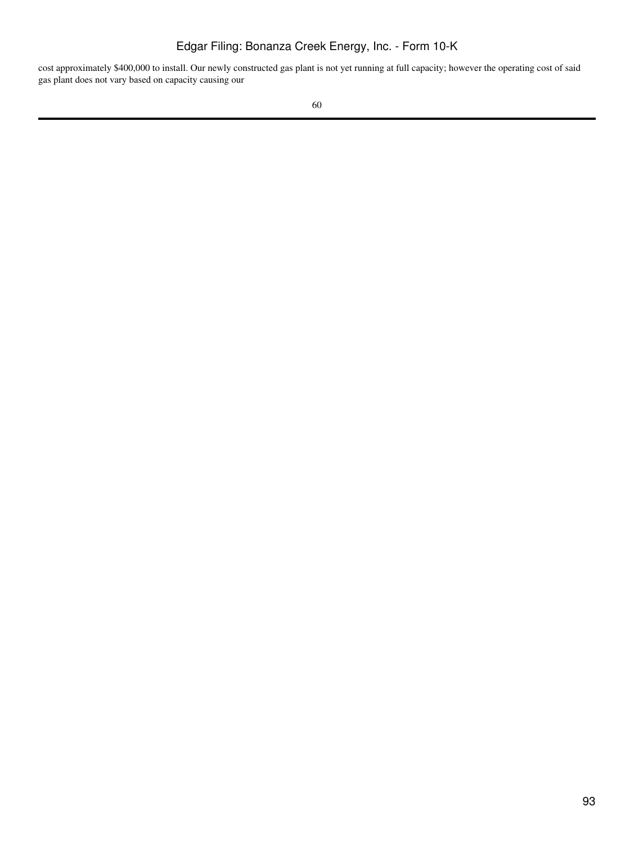cost approximately \$400,000 to install. Our newly constructed gas plant is not yet running at full capacity; however the operating cost of said gas plant does not vary based on capacity causing our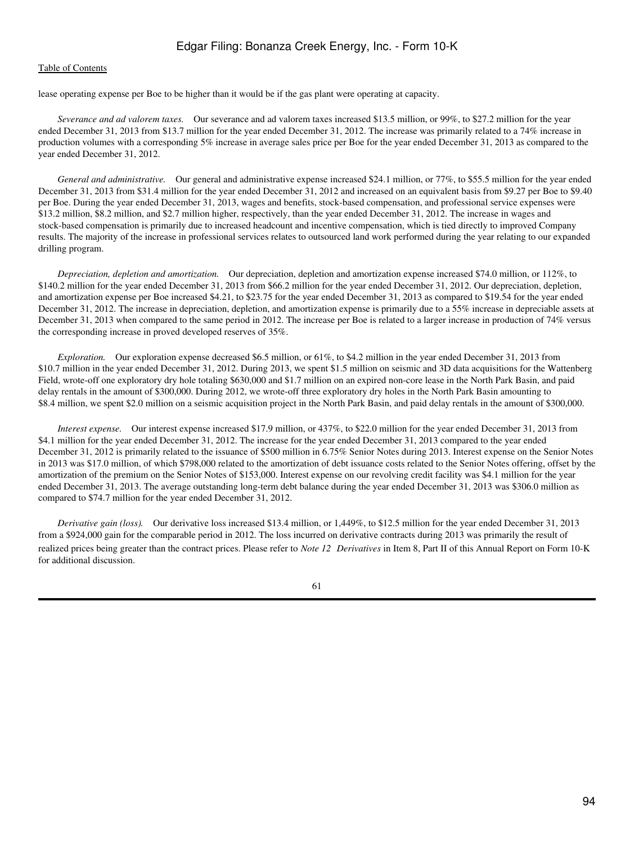### [Table of Contents](#page-2-0)

lease operating expense per Boe to be higher than it would be if the gas plant were operating at capacity.

 *Severance and ad valorem taxes.* Our severance and ad valorem taxes increased \$13.5 million, or 99%, to \$27.2 million for the year ended December 31, 2013 from \$13.7 million for the year ended December 31, 2012. The increase was primarily related to a 74% increase in production volumes with a corresponding 5% increase in average sales price per Boe for the year ended December 31, 2013 as compared to the year ended December 31, 2012.

*General and administrative.* Our general and administrative expense increased \$24.1 million, or 77%, to \$55.5 million for the year ended December 31, 2013 from \$31.4 million for the year ended December 31, 2012 and increased on an equivalent basis from \$9.27 per Boe to \$9.40 per Boe. During the year ended December 31, 2013, wages and benefits, stock-based compensation, and professional service expenses were \$13.2 million, \$8.2 million, and \$2.7 million higher, respectively, than the year ended December 31, 2012. The increase in wages and stock-based compensation is primarily due to increased headcount and incentive compensation, which is tied directly to improved Company results. The majority of the increase in professional services relates to outsourced land work performed during the year relating to our expanded drilling program.

 *Depreciation, depletion and amortization.* Our depreciation, depletion and amortization expense increased \$74.0 million, or 112%, to \$140.2 million for the year ended December 31, 2013 from \$66.2 million for the year ended December 31, 2012. Our depreciation, depletion, and amortization expense per Boe increased \$4.21, to \$23.75 for the year ended December 31, 2013 as compared to \$19.54 for the year ended December 31, 2012. The increase in depreciation, depletion, and amortization expense is primarily due to a 55% increase in depreciable assets at December 31, 2013 when compared to the same period in 2012. The increase per Boe is related to a larger increase in production of 74% versus the corresponding increase in proved developed reserves of 35%.

 *Exploration.* Our exploration expense decreased \$6.5 million, or 61%, to \$4.2 million in the year ended December 31, 2013 from \$10.7 million in the year ended December 31, 2012. During 2013, we spent \$1.5 million on seismic and 3D data acquisitions for the Wattenberg Field, wrote-off one exploratory dry hole totaling \$630,000 and \$1.7 million on an expired non-core lease in the North Park Basin, and paid delay rentals in the amount of \$300,000. During 2012, we wrote-off three exploratory dry holes in the North Park Basin amounting to \$8.4 million, we spent \$2.0 million on a seismic acquisition project in the North Park Basin, and paid delay rentals in the amount of \$300,000.

 *Interest expense.* Our interest expense increased \$17.9 million, or 437%, to \$22.0 million for the year ended December 31, 2013 from \$4.1 million for the year ended December 31, 2012. The increase for the year ended December 31, 2013 compared to the year ended December 31, 2012 is primarily related to the issuance of \$500 million in 6.75% Senior Notes during 2013. Interest expense on the Senior Notes in 2013 was \$17.0 million, of which \$798,000 related to the amortization of debt issuance costs related to the Senior Notes offering, offset by the amortization of the premium on the Senior Notes of \$153,000. Interest expense on our revolving credit facility was \$4.1 million for the year ended December 31, 2013. The average outstanding long-term debt balance during the year ended December 31, 2013 was \$306.0 million as compared to \$74.7 million for the year ended December 31, 2012.

 *Derivative gain (loss).* Our derivative loss increased \$13.4 million, or 1,449%, to \$12.5 million for the year ended December 31, 2013 from a \$924,000 gain for the comparable period in 2012. The loss incurred on derivative contracts during 2013 was primarily the result of realized prices being greater than the contract prices. Please refer to *Note 12 Derivatives* in Item 8, Part II of this Annual Report on Form 10-K for additional discussion.

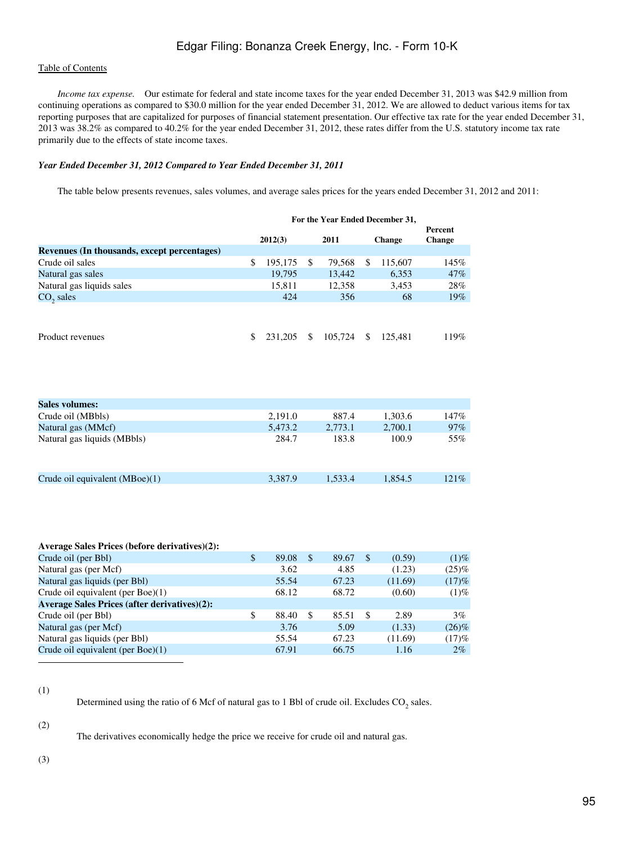# [Table of Contents](#page-2-0)

 *Income tax expense.* Our estimate for federal and state income taxes for the year ended December 31, 2013 was \$42.9 million from continuing operations as compared to \$30.0 million for the year ended December 31, 2012. We are allowed to deduct various items for tax reporting purposes that are capitalized for purposes of financial statement presentation. Our effective tax rate for the year ended December 31, 2013 was 38.2% as compared to 40.2% for the year ended December 31, 2012, these rates differ from the U.S. statutory income tax rate primarily due to the effects of state income taxes.

## *Year Ended December 31, 2012 Compared to Year Ended December 31, 2011*

The table below presents revenues, sales volumes, and average sales prices for the years ended December 31, 2012 and 2011:

|                                             |     |         |     | For the Year Ended December 31, |     |               |                          |
|---------------------------------------------|-----|---------|-----|---------------------------------|-----|---------------|--------------------------|
|                                             |     | 2012(3) |     | 2011                            |     | <b>Change</b> | Percent<br><b>Change</b> |
| Revenues (In thousands, except percentages) |     |         |     |                                 |     |               |                          |
| Crude oil sales                             | \$  | 195,175 | \$  | 79,568                          | S   | 115,607       | 145%                     |
| Natural gas sales                           |     | 19,795  |     | 13,442                          |     | 6,353         | 47%                      |
| Natural gas liquids sales                   |     | 15,811  |     | 12,358                          |     | 3,453         | 28%                      |
| $CO2$ sales                                 |     | 424     |     | 356                             |     | 68            | 19%                      |
|                                             |     |         |     |                                 |     |               |                          |
| Product revenues                            | \$. | 231,205 | \$. | 105,724                         | \$. | 125.481       | 119%                     |

| <b>Sales volumes:</b>            |         |         |         |        |
|----------------------------------|---------|---------|---------|--------|
| Crude oil (MBbls)                | 2,191.0 | 887.4   | 1,303.6 | 147%   |
| Natural gas (MMcf)               | 5,473.2 | 2,773.1 | 2,700.1 | $97\%$ |
| Natural gas liquids (MBbls)      | 284.7   | 183.8   | 100.9   | 55%    |
| Crude oil equivalent $(MBoe)(1)$ | 3,387.9 | 1.533.4 | 1,854.5 | 121%   |
|                                  |         |         |         |        |

|  |  |  |  | <b>Average Sales Prices (before derivatives)(2):</b> |
|--|--|--|--|------------------------------------------------------|
|--|--|--|--|------------------------------------------------------|

| Crude oil (per Bbl)                                 | \$<br>89.08 | $\mathbf{\$}$ | 89.67 | -S | (0.59)  | $(1)\%$  |
|-----------------------------------------------------|-------------|---------------|-------|----|---------|----------|
| Natural gas (per Mcf)                               | 3.62        |               | 4.85  |    | (1.23)  | $(25)\%$ |
| Natural gas liquids (per Bbl)                       | 55.54       |               | 67.23 |    | (11.69) | $(17)\%$ |
| Crude oil equivalent (per Boe) $(1)$                | 68.12       |               | 68.72 |    | (0.60)  | $(1)\%$  |
| <b>Average Sales Prices (after derivatives)(2):</b> |             |               |       |    |         |          |
| Crude oil (per Bbl)                                 | 88.40       |               | 85.51 |    | 2.89    | 3%       |
| Natural gas (per Mcf)                               | 3.76        |               | 5.09  |    | (1.33)  | $(26)\%$ |
| Natural gas liquids (per Bbl)                       | 55.54       |               | 67.23 |    | (11.69) | (17)%    |
| Crude oil equivalent (per Boe) $(1)$                | 67.91       |               | 66.75 |    | 1.16    | $2\%$    |

<sup>(1)</sup>

Determined using the ratio of 6 Mcf of natural gas to 1 Bbl of crude oil. Excludes  $CO_2$  sales.

(2)

The derivatives economically hedge the price we receive for crude oil and natural gas.

(3)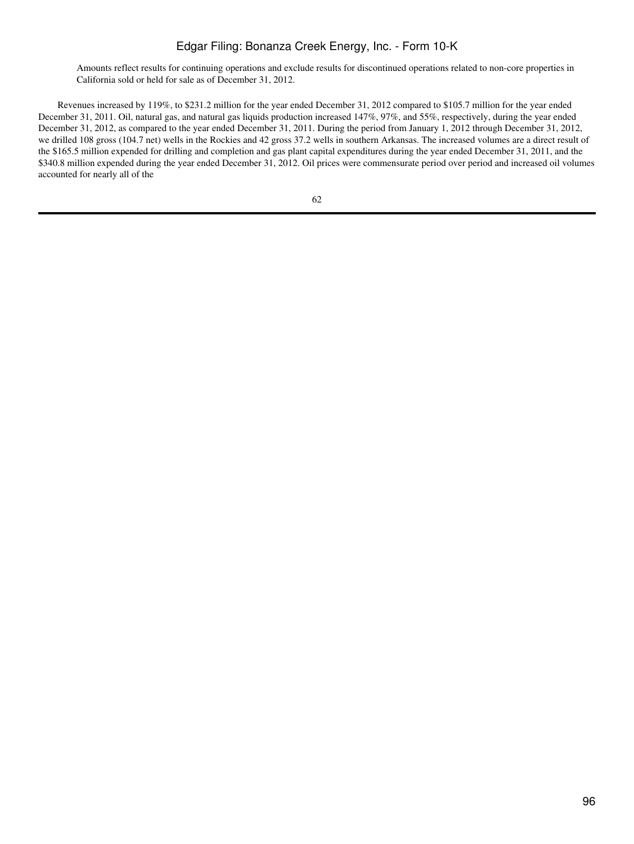Amounts reflect results for continuing operations and exclude results for discontinued operations related to non-core properties in California sold or held for sale as of December 31, 2012.

 Revenues increased by 119%, to \$231.2 million for the year ended December 31, 2012 compared to \$105.7 million for the year ended December 31, 2011. Oil, natural gas, and natural gas liquids production increased 147%, 97%, and 55%, respectively, during the year ended December 31, 2012, as compared to the year ended December 31, 2011. During the period from January 1, 2012 through December 31, 2012, we drilled 108 gross (104.7 net) wells in the Rockies and 42 gross 37.2 wells in southern Arkansas. The increased volumes are a direct result of the \$165.5 million expended for drilling and completion and gas plant capital expenditures during the year ended December 31, 2011, and the \$340.8 million expended during the year ended December 31, 2012. Oil prices were commensurate period over period and increased oil volumes accounted for nearly all of the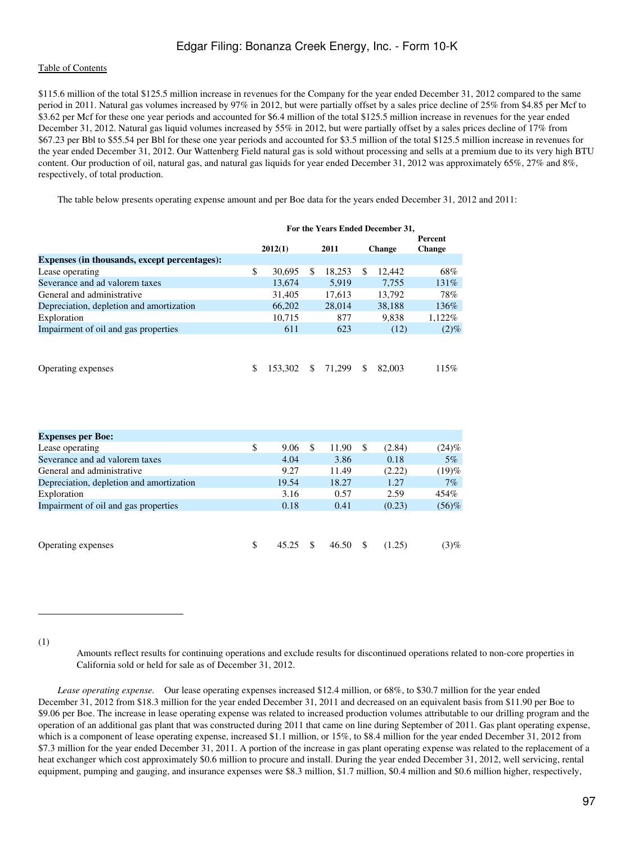## [Table of Contents](#page-2-0)

\$115.6 million of the total \$125.5 million increase in revenues for the Company for the year ended December 31, 2012 compared to the same period in 2011. Natural gas volumes increased by 97% in 2012, but were partially offset by a sales price decline of 25% from \$4.85 per Mcf to \$3.62 per Mcf for these one year periods and accounted for \$6.4 million of the total \$125.5 million increase in revenues for the year ended December 31, 2012. Natural gas liquid volumes increased by 55% in 2012, but were partially offset by a sales prices decline of 17% from \$67.23 per Bbl to \$55.54 per Bbl for these one year periods and accounted for \$3.5 million of the total \$125.5 million increase in revenues for the year ended December 31, 2012. Our Wattenberg Field natural gas is sold without processing and sells at a premium due to its very high BTU content. Our production of oil, natural gas, and natural gas liquids for year ended December 31, 2012 was approximately 65%, 27% and 8%, respectively, of total production.

The table below presents operating expense amount and per Boe data for the years ended December 31, 2012 and 2011:

|                                              | For the Years Ended December 31, |         |      |        |               |         |               |  |
|----------------------------------------------|----------------------------------|---------|------|--------|---------------|---------|---------------|--|
|                                              |                                  |         |      |        |               | Percent |               |  |
|                                              | 2012(1)                          |         | 2011 |        | <b>Change</b> |         | <b>Change</b> |  |
| Expenses (in thousands, except percentages): |                                  |         |      |        |               |         |               |  |
| Lease operating                              | \$                               | 30,695  | \$   | 18.253 | \$.           | 12.442  | 68%           |  |
| Severance and ad valorem taxes               |                                  | 13,674  |      | 5.919  |               | 7,755   | 131%          |  |
| General and administrative                   |                                  | 31,405  |      | 17.613 |               | 13.792  | 78%           |  |
| Depreciation, depletion and amortization     |                                  | 66,202  |      | 28,014 |               | 38,188  | 136%          |  |
| Exploration                                  |                                  | 10.715  |      | 877    |               | 9.838   | 1,122\%       |  |
| Impairment of oil and gas properties         |                                  | 611     |      | 623    |               | (12)    | $(2)\%$       |  |
| Operating expenses                           | \$                               | 153,302 | S    | 71.299 | \$.           | 82,003  | 115%          |  |

| <b>Expenses per Boe:</b>                 |             |             |        |          |
|------------------------------------------|-------------|-------------|--------|----------|
| Lease operating                          | \$<br>9.06  | \$<br>11.90 | (2.84) | $(24)\%$ |
| Severance and ad valorem taxes           | 4.04        | 3.86        | 0.18   | $5\%$    |
| General and administrative               | 9.27        | 11.49       | (2.22) | (19)%    |
| Depreciation, depletion and amortization | 19.54       | 18.27       | 1.27   | 7%       |
| Exploration                              | 3.16        | 0.57        | 2.59   | 454%     |
| Impairment of oil and gas properties     | 0.18        | 0.41        | (0.23) | (56)%    |
|                                          |             |             |        |          |
| Operating expenses                       | \$<br>45.25 | 46.50       | (1.25) | $(3)\%$  |

(1)

Amounts reflect results for continuing operations and exclude results for discontinued operations related to non-core properties in California sold or held for sale as of December 31, 2012.

 *Lease operating expense.* Our lease operating expenses increased \$12.4 million, or 68%, to \$30.7 million for the year ended December 31, 2012 from \$18.3 million for the year ended December 31, 2011 and decreased on an equivalent basis from \$11.90 per Boe to \$9.06 per Boe. The increase in lease operating expense was related to increased production volumes attributable to our drilling program and the operation of an additional gas plant that was constructed during 2011 that came on line during September of 2011. Gas plant operating expense, which is a component of lease operating expense, increased \$1.1 million, or 15%, to \$8.4 million for the year ended December 31, 2012 from \$7.3 million for the year ended December 31, 2011. A portion of the increase in gas plant operating expense was related to the replacement of a heat exchanger which cost approximately \$0.6 million to procure and install. During the year ended December 31, 2012, well servicing, rental equipment, pumping and gauging, and insurance expenses were \$8.3 million, \$1.7 million, \$0.4 million and \$0.6 million higher, respectively,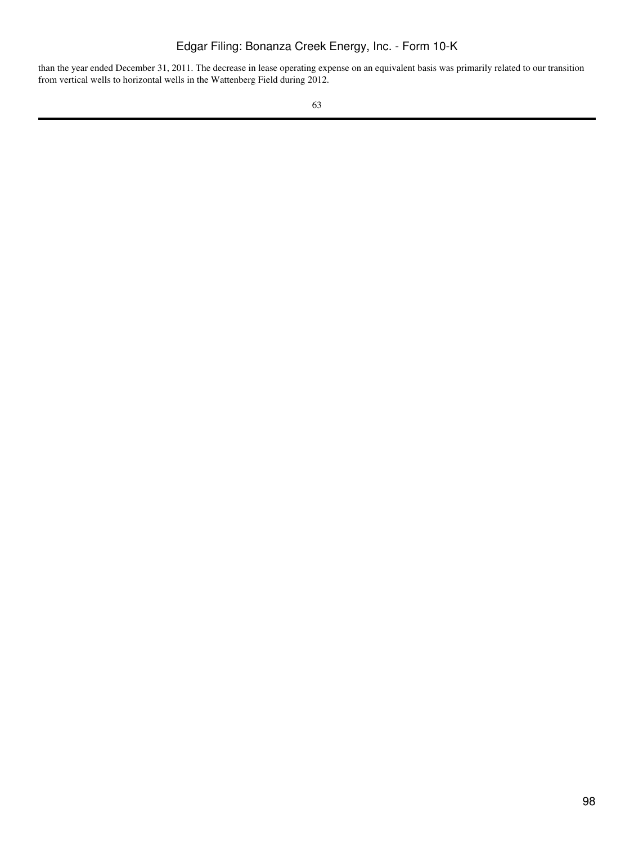than the year ended December 31, 2011. The decrease in lease operating expense on an equivalent basis was primarily related to our transition from vertical wells to horizontal wells in the Wattenberg Field during 2012.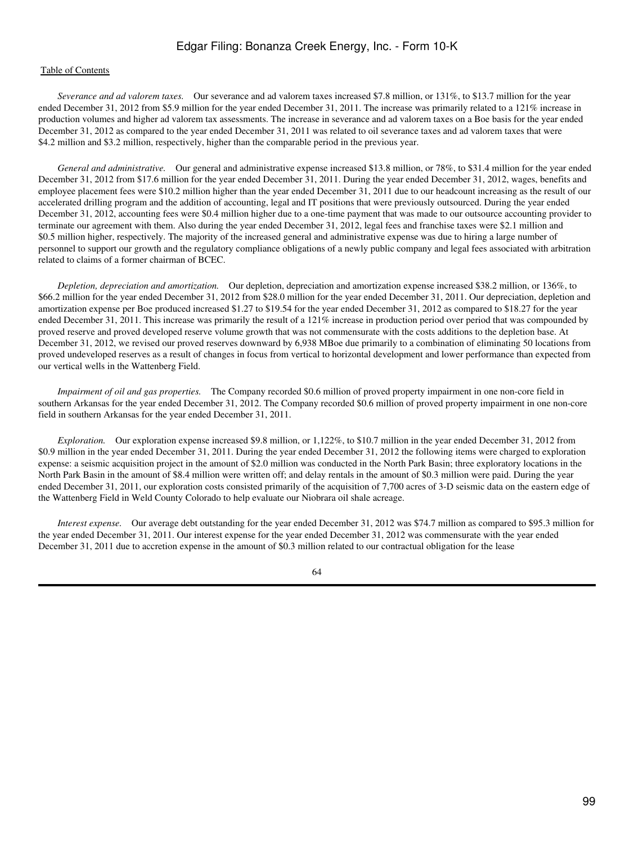# [Table of Contents](#page-2-0)

 *Severance and ad valorem taxes.* Our severance and ad valorem taxes increased \$7.8 million, or 131%, to \$13.7 million for the year ended December 31, 2012 from \$5.9 million for the year ended December 31, 2011. The increase was primarily related to a 121% increase in production volumes and higher ad valorem tax assessments. The increase in severance and ad valorem taxes on a Boe basis for the year ended December 31, 2012 as compared to the year ended December 31, 2011 was related to oil severance taxes and ad valorem taxes that were \$4.2 million and \$3.2 million, respectively, higher than the comparable period in the previous year.

 *General and administrative.* Our general and administrative expense increased \$13.8 million, or 78%, to \$31.4 million for the year ended December 31, 2012 from \$17.6 million for the year ended December 31, 2011. During the year ended December 31, 2012, wages, benefits and employee placement fees were \$10.2 million higher than the year ended December 31, 2011 due to our headcount increasing as the result of our accelerated drilling program and the addition of accounting, legal and IT positions that were previously outsourced. During the year ended December 31, 2012, accounting fees were \$0.4 million higher due to a one-time payment that was made to our outsource accounting provider to terminate our agreement with them. Also during the year ended December 31, 2012, legal fees and franchise taxes were \$2.1 million and \$0.5 million higher, respectively. The majority of the increased general and administrative expense was due to hiring a large number of personnel to support our growth and the regulatory compliance obligations of a newly public company and legal fees associated with arbitration related to claims of a former chairman of BCEC.

 *Depletion, depreciation and amortization.* Our depletion, depreciation and amortization expense increased \$38.2 million, or 136%, to \$66.2 million for the year ended December 31, 2012 from \$28.0 million for the year ended December 31, 2011. Our depreciation, depletion and amortization expense per Boe produced increased \$1.27 to \$19.54 for the year ended December 31, 2012 as compared to \$18.27 for the year ended December 31, 2011. This increase was primarily the result of a 121% increase in production period over period that was compounded by proved reserve and proved developed reserve volume growth that was not commensurate with the costs additions to the depletion base. At December 31, 2012, we revised our proved reserves downward by 6,938 MBoe due primarily to a combination of eliminating 50 locations from proved undeveloped reserves as a result of changes in focus from vertical to horizontal development and lower performance than expected from our vertical wells in the Wattenberg Field.

 *Impairment of oil and gas properties.* The Company recorded \$0.6 million of proved property impairment in one non-core field in southern Arkansas for the year ended December 31, 2012. The Company recorded \$0.6 million of proved property impairment in one non-core field in southern Arkansas for the year ended December 31, 2011.

 *Exploration.* Our exploration expense increased \$9.8 million, or 1,122%, to \$10.7 million in the year ended December 31, 2012 from \$0.9 million in the year ended December 31, 2011. During the year ended December 31, 2012 the following items were charged to exploration expense: a seismic acquisition project in the amount of \$2.0 million was conducted in the North Park Basin; three exploratory locations in the North Park Basin in the amount of \$8.4 million were written off; and delay rentals in the amount of \$0.3 million were paid. During the year ended December 31, 2011, our exploration costs consisted primarily of the acquisition of 7,700 acres of 3-D seismic data on the eastern edge of the Wattenberg Field in Weld County Colorado to help evaluate our Niobrara oil shale acreage.

 *Interest expense.* Our average debt outstanding for the year ended December 31, 2012 was \$74.7 million as compared to \$95.3 million for the year ended December 31, 2011. Our interest expense for the year ended December 31, 2012 was commensurate with the year ended December 31, 2011 due to accretion expense in the amount of \$0.3 million related to our contractual obligation for the lease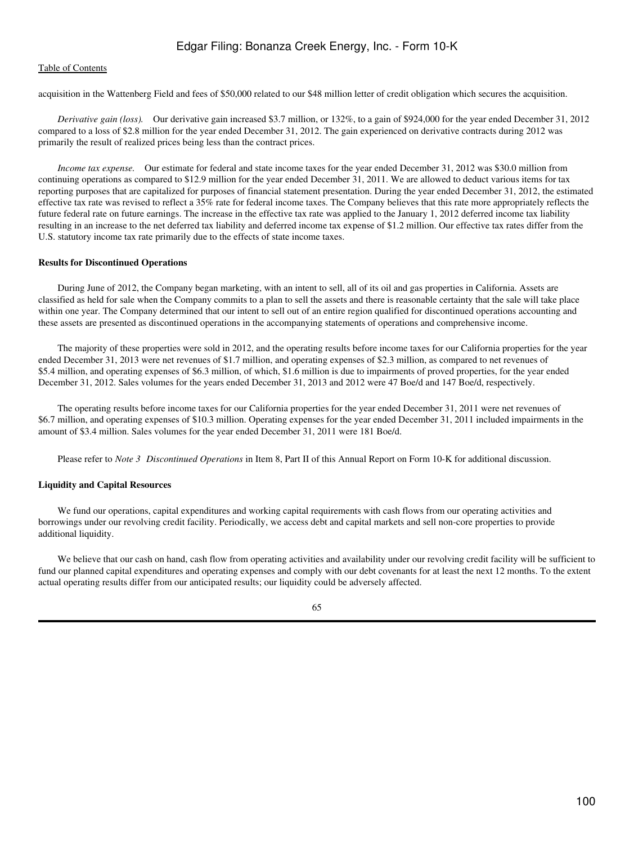## [Table of Contents](#page-2-0)

acquisition in the Wattenberg Field and fees of \$50,000 related to our \$48 million letter of credit obligation which secures the acquisition.

 *Derivative gain (loss).* Our derivative gain increased \$3.7 million, or 132%, to a gain of \$924,000 for the year ended December 31, 2012 compared to a loss of \$2.8 million for the year ended December 31, 2012. The gain experienced on derivative contracts during 2012 was primarily the result of realized prices being less than the contract prices.

 *Income tax expense.* Our estimate for federal and state income taxes for the year ended December 31, 2012 was \$30.0 million from continuing operations as compared to \$12.9 million for the year ended December 31, 2011. We are allowed to deduct various items for tax reporting purposes that are capitalized for purposes of financial statement presentation. During the year ended December 31, 2012, the estimated effective tax rate was revised to reflect a 35% rate for federal income taxes. The Company believes that this rate more appropriately reflects the future federal rate on future earnings. The increase in the effective tax rate was applied to the January 1, 2012 deferred income tax liability resulting in an increase to the net deferred tax liability and deferred income tax expense of \$1.2 million. Our effective tax rates differ from the U.S. statutory income tax rate primarily due to the effects of state income taxes.

### **Results for Discontinued Operations**

 During June of 2012, the Company began marketing, with an intent to sell, all of its oil and gas properties in California. Assets are classified as held for sale when the Company commits to a plan to sell the assets and there is reasonable certainty that the sale will take place within one year. The Company determined that our intent to sell out of an entire region qualified for discontinued operations accounting and these assets are presented as discontinued operations in the accompanying statements of operations and comprehensive income.

 The majority of these properties were sold in 2012, and the operating results before income taxes for our California properties for the year ended December 31, 2013 were net revenues of \$1.7 million, and operating expenses of \$2.3 million, as compared to net revenues of \$5.4 million, and operating expenses of \$6.3 million, of which, \$1.6 million is due to impairments of proved properties, for the year ended December 31, 2012. Sales volumes for the years ended December 31, 2013 and 2012 were 47 Boe/d and 147 Boe/d, respectively.

 The operating results before income taxes for our California properties for the year ended December 31, 2011 were net revenues of \$6.7 million, and operating expenses of \$10.3 million. Operating expenses for the year ended December 31, 2011 included impairments in the amount of \$3.4 million. Sales volumes for the year ended December 31, 2011 were 181 Boe/d.

Please refer to *Note 3 Discontinued Operations* in Item 8, Part II of this Annual Report on Form 10-K for additional discussion.

# **Liquidity and Capital Resources**

 We fund our operations, capital expenditures and working capital requirements with cash flows from our operating activities and borrowings under our revolving credit facility. Periodically, we access debt and capital markets and sell non-core properties to provide additional liquidity.

We believe that our cash on hand, cash flow from operating activities and availability under our revolving credit facility will be sufficient to fund our planned capital expenditures and operating expenses and comply with our debt covenants for at least the next 12 months. To the extent actual operating results differ from our anticipated results; our liquidity could be adversely affected.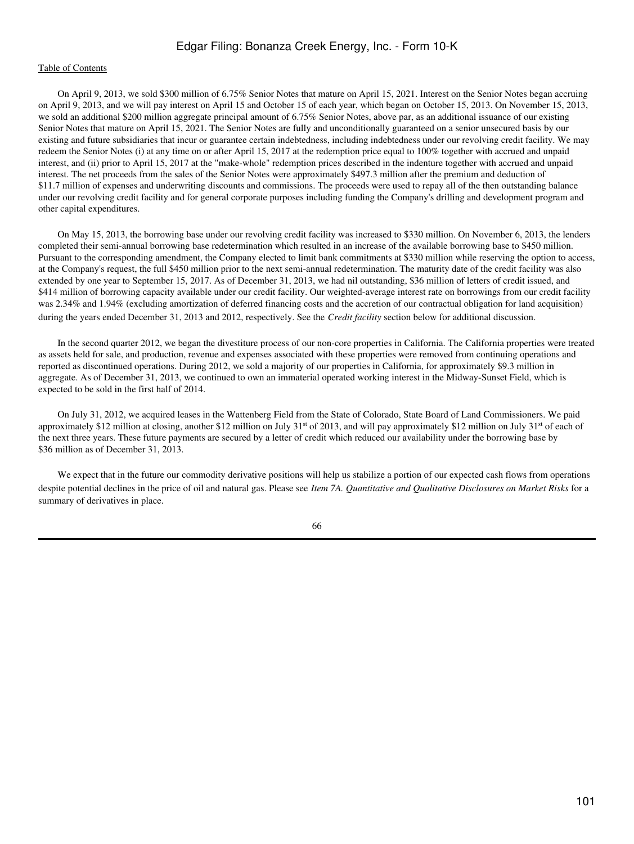# [Table of Contents](#page-2-0)

 On April 9, 2013, we sold \$300 million of 6.75% Senior Notes that mature on April 15, 2021. Interest on the Senior Notes began accruing on April 9, 2013, and we will pay interest on April 15 and October 15 of each year, which began on October 15, 2013. On November 15, 2013, we sold an additional \$200 million aggregate principal amount of 6.75% Senior Notes, above par, as an additional issuance of our existing Senior Notes that mature on April 15, 2021. The Senior Notes are fully and unconditionally guaranteed on a senior unsecured basis by our existing and future subsidiaries that incur or guarantee certain indebtedness, including indebtedness under our revolving credit facility. We may redeem the Senior Notes (i) at any time on or after April 15, 2017 at the redemption price equal to 100% together with accrued and unpaid interest, and (ii) prior to April 15, 2017 at the "make-whole" redemption prices described in the indenture together with accrued and unpaid interest. The net proceeds from the sales of the Senior Notes were approximately \$497.3 million after the premium and deduction of \$11.7 million of expenses and underwriting discounts and commissions. The proceeds were used to repay all of the then outstanding balance under our revolving credit facility and for general corporate purposes including funding the Company's drilling and development program and other capital expenditures.

 On May 15, 2013, the borrowing base under our revolving credit facility was increased to \$330 million. On November 6, 2013, the lenders completed their semi-annual borrowing base redetermination which resulted in an increase of the available borrowing base to \$450 million. Pursuant to the corresponding amendment, the Company elected to limit bank commitments at \$330 million while reserving the option to access, at the Company's request, the full \$450 million prior to the next semi-annual redetermination. The maturity date of the credit facility was also extended by one year to September 15, 2017. As of December 31, 2013, we had nil outstanding, \$36 million of letters of credit issued, and \$414 million of borrowing capacity available under our credit facility. Our weighted-average interest rate on borrowings from our credit facility was 2.34% and 1.94% (excluding amortization of deferred financing costs and the accretion of our contractual obligation for land acquisition) during the years ended December 31, 2013 and 2012, respectively. See the *Credit facility* section below for additional discussion.

 In the second quarter 2012, we began the divestiture process of our non-core properties in California. The California properties were treated as assets held for sale, and production, revenue and expenses associated with these properties were removed from continuing operations and reported as discontinued operations. During 2012, we sold a majority of our properties in California, for approximately \$9.3 million in aggregate. As of December 31, 2013, we continued to own an immaterial operated working interest in the Midway-Sunset Field, which is expected to be sold in the first half of 2014.

 On July 31, 2012, we acquired leases in the Wattenberg Field from the State of Colorado, State Board of Land Commissioners. We paid approximately \$12 million at closing, another \$12 million on July 31<sup>st</sup> of 2013, and will pay approximately \$12 million on July 31<sup>st</sup> of each of the next three years. These future payments are secured by a letter of credit which reduced our availability under the borrowing base by \$36 million as of December 31, 2013.

 We expect that in the future our commodity derivative positions will help us stabilize a portion of our expected cash flows from operations despite potential declines in the price of oil and natural gas. Please see *Item 7A. Quantitative and Qualitative Disclosures on Market Risks* for a summary of derivatives in place.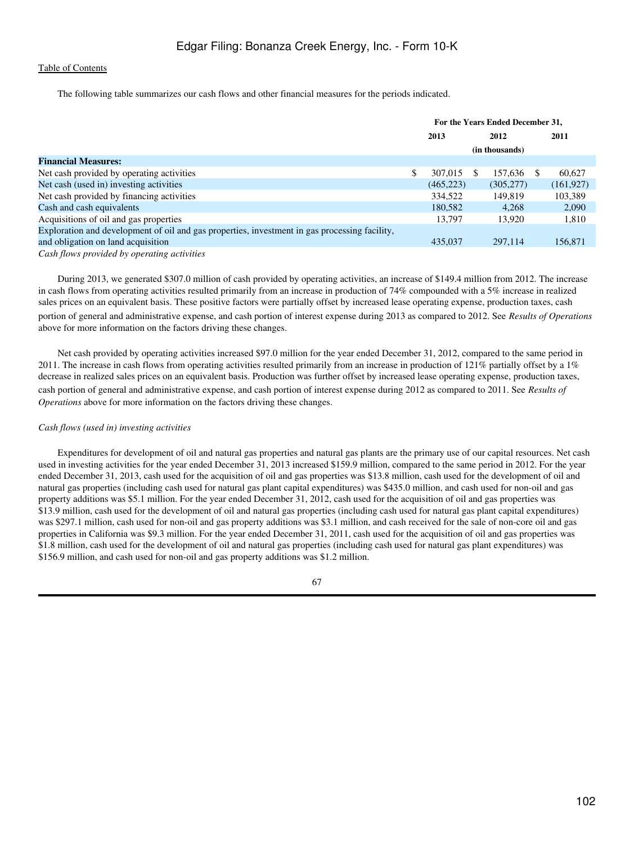The following table summarizes our cash flows and other financial measures for the periods indicated.

|                                                                                               | For the Years Ended December 31. |            |     |            |          |            |  |
|-----------------------------------------------------------------------------------------------|----------------------------------|------------|-----|------------|----------|------------|--|
|                                                                                               | 2013                             |            |     | 2012       |          | 2011       |  |
|                                                                                               |                                  |            |     |            |          |            |  |
| <b>Financial Measures:</b>                                                                    |                                  |            |     |            |          |            |  |
| Net cash provided by operating activities                                                     | \$                               | 307,015    | \$. | 157,636    | <b>S</b> | 60,627     |  |
| Net cash (used in) investing activities                                                       |                                  | (465, 223) |     | (305, 277) |          | (161, 927) |  |
| Net cash provided by financing activities                                                     |                                  | 334,522    |     | 149.819    |          | 103,389    |  |
| Cash and cash equivalents                                                                     |                                  | 180.582    |     | 4,268      |          | 2,090      |  |
| Acquisitions of oil and gas properties                                                        |                                  | 13.797     |     | 13.920     |          | 1,810      |  |
| Exploration and development of oil and gas properties, investment in gas processing facility, |                                  |            |     |            |          |            |  |
| and obligation on land acquisition                                                            |                                  | 435,037    |     | 297,114    |          | 156,871    |  |
| Cash flows provided by operating activities                                                   |                                  |            |     |            |          |            |  |

 During 2013, we generated \$307.0 million of cash provided by operating activities, an increase of \$149.4 million from 2012. The increase in cash flows from operating activities resulted primarily from an increase in production of 74% compounded with a 5% increase in realized sales prices on an equivalent basis. These positive factors were partially offset by increased lease operating expense, production taxes, cash portion of general and administrative expense, and cash portion of interest expense during 2013 as compared to 2012. See *Results of Operations* above for more information on the factors driving these changes.

 Net cash provided by operating activities increased \$97.0 million for the year ended December 31, 2012, compared to the same period in 2011. The increase in cash flows from operating activities resulted primarily from an increase in production of  $121\%$  partially offset by a  $1\%$ decrease in realized sales prices on an equivalent basis. Production was further offset by increased lease operating expense, production taxes, cash portion of general and administrative expense, and cash portion of interest expense during 2012 as compared to 2011. See *Results of Operations* above for more information on the factors driving these changes.

# *Cash flows (used in) investing activities*

 Expenditures for development of oil and natural gas properties and natural gas plants are the primary use of our capital resources. Net cash used in investing activities for the year ended December 31, 2013 increased \$159.9 million, compared to the same period in 2012. For the year ended December 31, 2013, cash used for the acquisition of oil and gas properties was \$13.8 million, cash used for the development of oil and natural gas properties (including cash used for natural gas plant capital expenditures) was \$435.0 million, and cash used for non-oil and gas property additions was \$5.1 million. For the year ended December 31, 2012, cash used for the acquisition of oil and gas properties was \$13.9 million, cash used for the development of oil and natural gas properties (including cash used for natural gas plant capital expenditures) was \$297.1 million, cash used for non-oil and gas property additions was \$3.1 million, and cash received for the sale of non-core oil and gas properties in California was \$9.3 million. For the year ended December 31, 2011, cash used for the acquisition of oil and gas properties was \$1.8 million, cash used for the development of oil and natural gas properties (including cash used for natural gas plant expenditures) was \$156.9 million, and cash used for non-oil and gas property additions was \$1.2 million.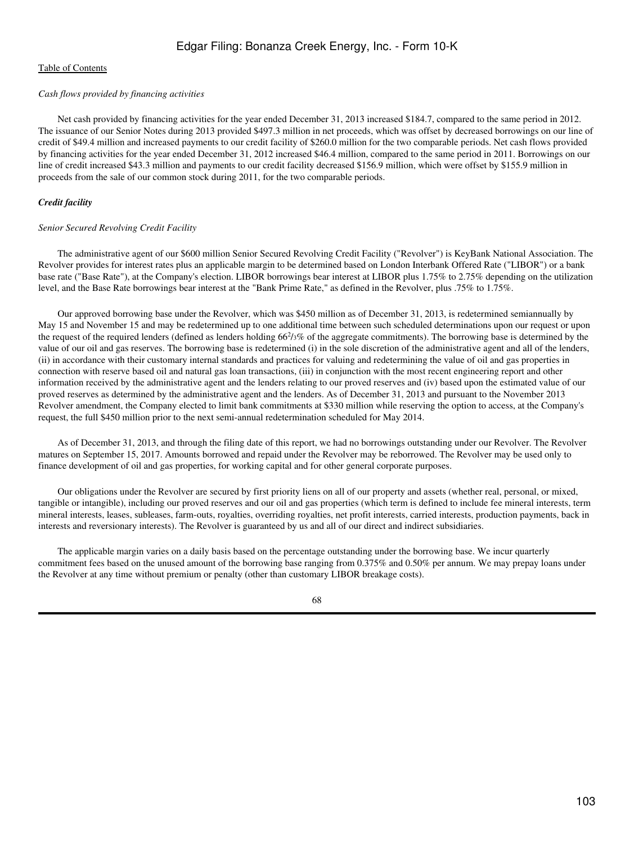### *Cash flows provided by financing activities*

 Net cash provided by financing activities for the year ended December 31, 2013 increased \$184.7, compared to the same period in 2012. The issuance of our Senior Notes during 2013 provided \$497.3 million in net proceeds, which was offset by decreased borrowings on our line of credit of \$49.4 million and increased payments to our credit facility of \$260.0 million for the two comparable periods. Net cash flows provided by financing activities for the year ended December 31, 2012 increased \$46.4 million, compared to the same period in 2011. Borrowings on our line of credit increased \$43.3 million and payments to our credit facility decreased \$156.9 million, which were offset by \$155.9 million in proceeds from the sale of our common stock during 2011, for the two comparable periods.

# *Credit facility*

## *Senior Secured Revolving Credit Facility*

 The administrative agent of our \$600 million Senior Secured Revolving Credit Facility ("Revolver") is KeyBank National Association. The Revolver provides for interest rates plus an applicable margin to be determined based on London Interbank Offered Rate ("LIBOR") or a bank base rate ("Base Rate"), at the Company's election. LIBOR borrowings bear interest at LIBOR plus 1.75% to 2.75% depending on the utilization level, and the Base Rate borrowings bear interest at the "Bank Prime Rate," as defined in the Revolver, plus .75% to 1.75%.

 Our approved borrowing base under the Revolver, which was \$450 million as of December 31, 2013, is redetermined semiannually by May 15 and November 15 and may be redetermined up to one additional time between such scheduled determinations upon our request or upon the request of the required lenders (defined as lenders holding  $66<sup>2</sup>/3%$  of the aggregate commitments). The borrowing base is determined by the value of our oil and gas reserves. The borrowing base is redetermined (i) in the sole discretion of the administrative agent and all of the lenders, (ii) in accordance with their customary internal standards and practices for valuing and redetermining the value of oil and gas properties in connection with reserve based oil and natural gas loan transactions, (iii) in conjunction with the most recent engineering report and other information received by the administrative agent and the lenders relating to our proved reserves and (iv) based upon the estimated value of our proved reserves as determined by the administrative agent and the lenders. As of December 31, 2013 and pursuant to the November 2013 Revolver amendment, the Company elected to limit bank commitments at \$330 million while reserving the option to access, at the Company's request, the full \$450 million prior to the next semi-annual redetermination scheduled for May 2014.

 As of December 31, 2013, and through the filing date of this report, we had no borrowings outstanding under our Revolver. The Revolver matures on September 15, 2017. Amounts borrowed and repaid under the Revolver may be reborrowed. The Revolver may be used only to finance development of oil and gas properties, for working capital and for other general corporate purposes.

 Our obligations under the Revolver are secured by first priority liens on all of our property and assets (whether real, personal, or mixed, tangible or intangible), including our proved reserves and our oil and gas properties (which term is defined to include fee mineral interests, term mineral interests, leases, subleases, farm-outs, royalties, overriding royalties, net profit interests, carried interests, production payments, back in interests and reversionary interests). The Revolver is guaranteed by us and all of our direct and indirect subsidiaries.

 The applicable margin varies on a daily basis based on the percentage outstanding under the borrowing base. We incur quarterly commitment fees based on the unused amount of the borrowing base ranging from 0.375% and 0.50% per annum. We may prepay loans under the Revolver at any time without premium or penalty (other than customary LIBOR breakage costs).

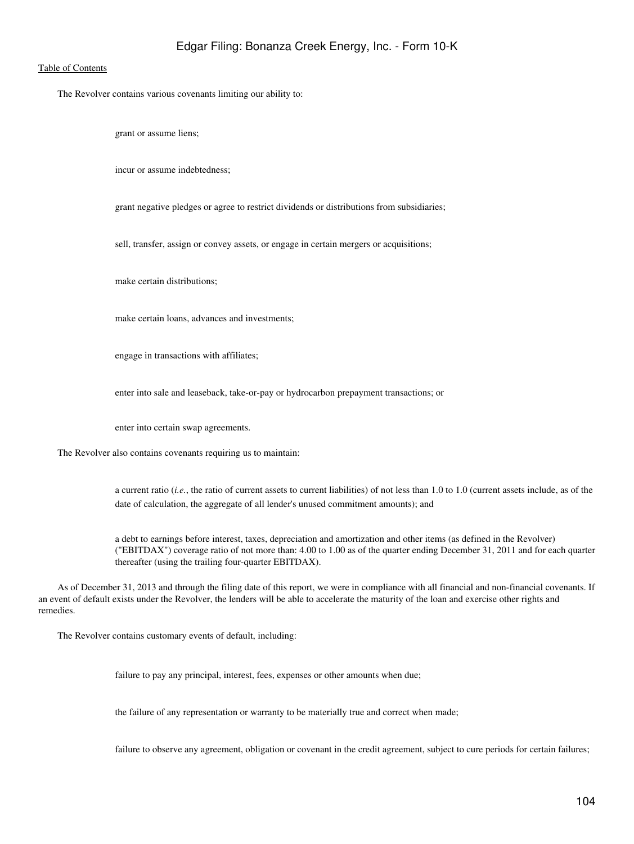The Revolver contains various covenants limiting our ability to:

grant or assume liens;

incur or assume indebtedness;

grant negative pledges or agree to restrict dividends or distributions from subsidiaries;

sell, transfer, assign or convey assets, or engage in certain mergers or acquisitions;

make certain distributions;

make certain loans, advances and investments;

engage in transactions with affiliates;

enter into sale and leaseback, take-or-pay or hydrocarbon prepayment transactions; or

enter into certain swap agreements.

The Revolver also contains covenants requiring us to maintain:

a current ratio (*i.e.*, the ratio of current assets to current liabilities) of not less than 1.0 to 1.0 (current assets include, as of the date of calculation, the aggregate of all lender's unused commitment amounts); and

a debt to earnings before interest, taxes, depreciation and amortization and other items (as defined in the Revolver) ("EBITDAX") coverage ratio of not more than: 4.00 to 1.00 as of the quarter ending December 31, 2011 and for each quarter thereafter (using the trailing four-quarter EBITDAX).

 As of December 31, 2013 and through the filing date of this report, we were in compliance with all financial and non-financial covenants. If an event of default exists under the Revolver, the lenders will be able to accelerate the maturity of the loan and exercise other rights and remedies.

The Revolver contains customary events of default, including:

failure to pay any principal, interest, fees, expenses or other amounts when due;

the failure of any representation or warranty to be materially true and correct when made;

failure to observe any agreement, obligation or covenant in the credit agreement, subject to cure periods for certain failures;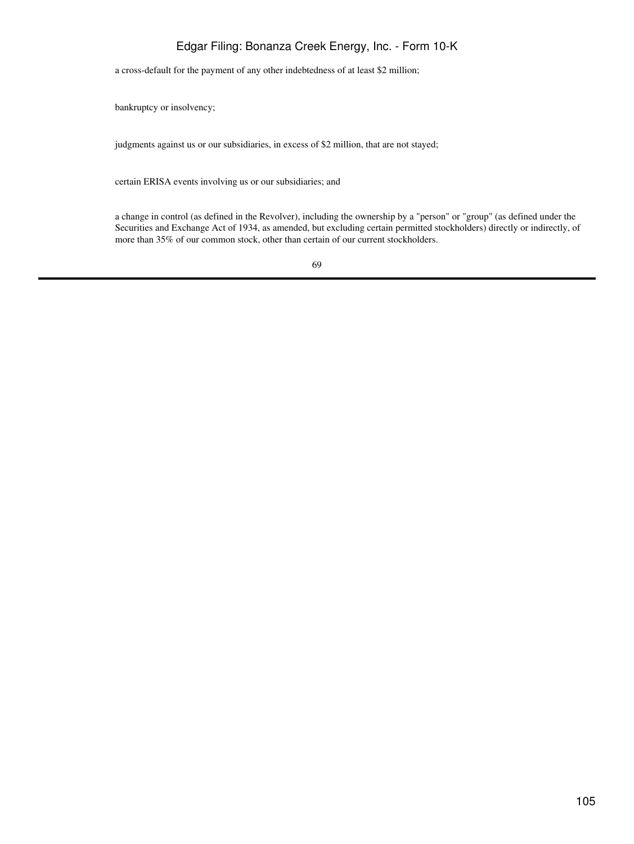a cross-default for the payment of any other indebtedness of at least \$2 million;

bankruptcy or insolvency;

judgments against us or our subsidiaries, in excess of \$2 million, that are not stayed;

certain ERISA events involving us or our subsidiaries; and

a change in control (as defined in the Revolver), including the ownership by a "person" or "group" (as defined under the Securities and Exchange Act of 1934, as amended, but excluding certain permitted stockholders) directly or indirectly, of more than 35% of our common stock, other than certain of our current stockholders.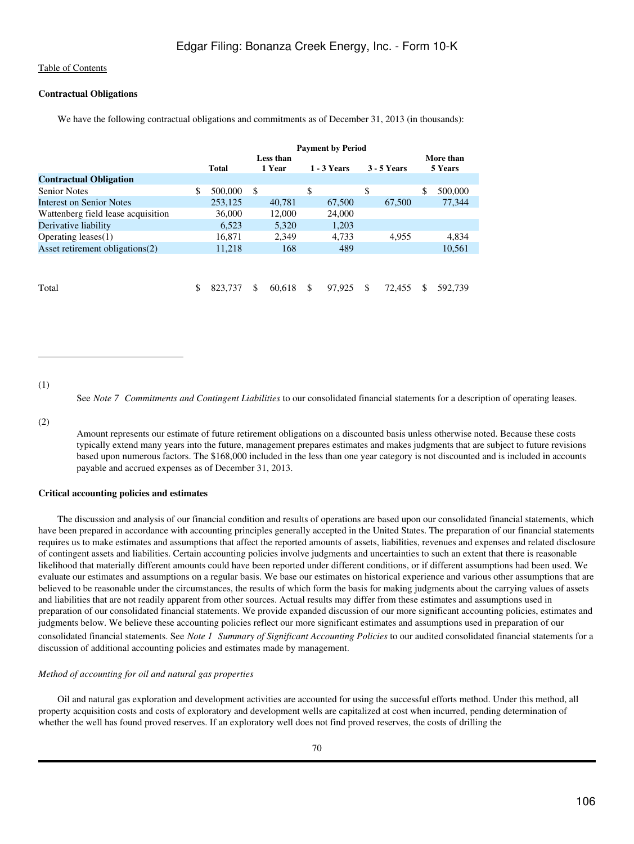# **Contractual Obligations**

We have the following contractual obligations and commitments as of December 31, 2013 (in thousands):

|                                    | <b>Payment by Period</b> |              |                     |        |                    |        |                    |        |    |                      |
|------------------------------------|--------------------------|--------------|---------------------|--------|--------------------|--------|--------------------|--------|----|----------------------|
|                                    |                          | <b>Total</b> | Less than<br>1 Year |        | <b>1 - 3 Years</b> |        | <b>3 - 5 Years</b> |        |    | More than<br>5 Years |
| <b>Contractual Obligation</b>      |                          |              |                     |        |                    |        |                    |        |    |                      |
| <b>Senior Notes</b>                | \$                       | 500,000      | \$                  |        | \$                 |        | \$                 |        | \$ | 500,000              |
| <b>Interest on Senior Notes</b>    |                          | 253,125      |                     | 40.781 |                    | 67,500 |                    | 67,500 |    | 77,344               |
| Wattenberg field lease acquisition |                          | 36,000       |                     | 12,000 |                    | 24,000 |                    |        |    |                      |
| Derivative liability               |                          | 6,523        |                     | 5,320  |                    | 1,203  |                    |        |    |                      |
| Operating leases $(1)$             |                          | 16.871       |                     | 2.349  |                    | 4.733  |                    | 4.955  |    | 4,834                |
| Asset retirement obligations(2)    |                          | 11,218       |                     | 168    |                    | 489    |                    |        |    | 10,561               |
|                                    |                          |              |                     |        |                    |        |                    |        |    |                      |
| Total                              | \$                       | 823.737      | S                   | 60.618 | \$.                | 97.925 | \$.                | 72.455 | S  | 592,739              |

(1)

See *Note 7* Commitments and Contingent Liabilities to our consolidated financial statements for a description of operating leases.

(2)

Amount represents our estimate of future retirement obligations on a discounted basis unless otherwise noted. Because these costs typically extend many years into the future, management prepares estimates and makes judgments that are subject to future revisions based upon numerous factors. The \$168,000 included in the less than one year category is not discounted and is included in accounts payable and accrued expenses as of December 31, 2013.

### **Critical accounting policies and estimates**

 The discussion and analysis of our financial condition and results of operations are based upon our consolidated financial statements, which have been prepared in accordance with accounting principles generally accepted in the United States. The preparation of our financial statements requires us to make estimates and assumptions that affect the reported amounts of assets, liabilities, revenues and expenses and related disclosure of contingent assets and liabilities. Certain accounting policies involve judgments and uncertainties to such an extent that there is reasonable likelihood that materially different amounts could have been reported under different conditions, or if different assumptions had been used. We evaluate our estimates and assumptions on a regular basis. We base our estimates on historical experience and various other assumptions that are believed to be reasonable under the circumstances, the results of which form the basis for making judgments about the carrying values of assets and liabilities that are not readily apparent from other sources. Actual results may differ from these estimates and assumptions used in preparation of our consolidated financial statements. We provide expanded discussion of our more significant accounting policies, estimates and judgments below. We believe these accounting policies reflect our more significant estimates and assumptions used in preparation of our consolidated financial statements. See *Note 1 Summary of Significant Accounting Policies* to our audited consolidated financial statements for a discussion of additional accounting policies and estimates made by management.

### *Method of accounting for oil and natural gas properties*

 Oil and natural gas exploration and development activities are accounted for using the successful efforts method. Under this method, all property acquisition costs and costs of exploratory and development wells are capitalized at cost when incurred, pending determination of whether the well has found proved reserves. If an exploratory well does not find proved reserves, the costs of drilling the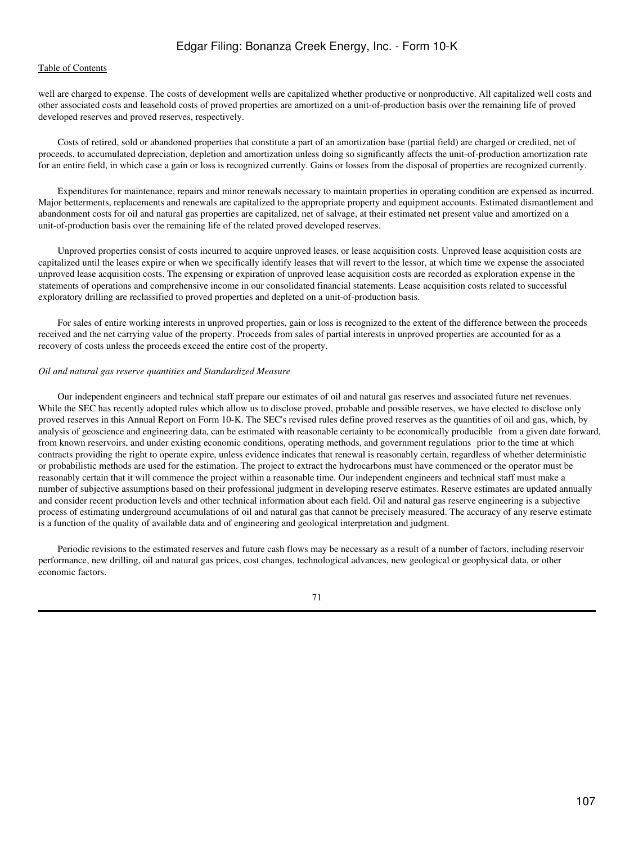well are charged to expense. The costs of development wells are capitalized whether productive or nonproductive. All capitalized well costs and other associated costs and leasehold costs of proved properties are amortized on a unit-of-production basis over the remaining life of proved developed reserves and proved reserves, respectively.

 Costs of retired, sold or abandoned properties that constitute a part of an amortization base (partial field) are charged or credited, net of proceeds, to accumulated depreciation, depletion and amortization unless doing so significantly affects the unit-of-production amortization rate for an entire field, in which case a gain or loss is recognized currently. Gains or losses from the disposal of properties are recognized currently.

 Expenditures for maintenance, repairs and minor renewals necessary to maintain properties in operating condition are expensed as incurred. Major betterments, replacements and renewals are capitalized to the appropriate property and equipment accounts. Estimated dismantlement and abandonment costs for oil and natural gas properties are capitalized, net of salvage, at their estimated net present value and amortized on a unit-of-production basis over the remaining life of the related proved developed reserves.

 Unproved properties consist of costs incurred to acquire unproved leases, or lease acquisition costs. Unproved lease acquisition costs are capitalized until the leases expire or when we specifically identify leases that will revert to the lessor, at which time we expense the associated unproved lease acquisition costs. The expensing or expiration of unproved lease acquisition costs are recorded as exploration expense in the statements of operations and comprehensive income in our consolidated financial statements. Lease acquisition costs related to successful exploratory drilling are reclassified to proved properties and depleted on a unit-of-production basis.

 For sales of entire working interests in unproved properties, gain or loss is recognized to the extent of the difference between the proceeds received and the net carrying value of the property. Proceeds from sales of partial interests in unproved properties are accounted for as a recovery of costs unless the proceeds exceed the entire cost of the property.

#### *Oil and natural gas reserve quantities and Standardized Measure*

 Our independent engineers and technical staff prepare our estimates of oil and natural gas reserves and associated future net revenues. While the SEC has recently adopted rules which allow us to disclose proved, probable and possible reserves, we have elected to disclose only proved reserves in this Annual Report on Form 10-K. The SEC's revised rules define proved reserves as the quantities of oil and gas, which, by analysis of geoscience and engineering data, can be estimated with reasonable certainty to be economically producible from a given date forward, from known reservoirs, and under existing economic conditions, operating methods, and government regulations prior to the time at which contracts providing the right to operate expire, unless evidence indicates that renewal is reasonably certain, regardless of whether deterministic or probabilistic methods are used for the estimation. The project to extract the hydrocarbons must have commenced or the operator must be reasonably certain that it will commence the project within a reasonable time. Our independent engineers and technical staff must make a number of subjective assumptions based on their professional judgment in developing reserve estimates. Reserve estimates are updated annually and consider recent production levels and other technical information about each field. Oil and natural gas reserve engineering is a subjective process of estimating underground accumulations of oil and natural gas that cannot be precisely measured. The accuracy of any reserve estimate is a function of the quality of available data and of engineering and geological interpretation and judgment.

 Periodic revisions to the estimated reserves and future cash flows may be necessary as a result of a number of factors, including reservoir performance, new drilling, oil and natural gas prices, cost changes, technological advances, new geological or geophysical data, or other economic factors.

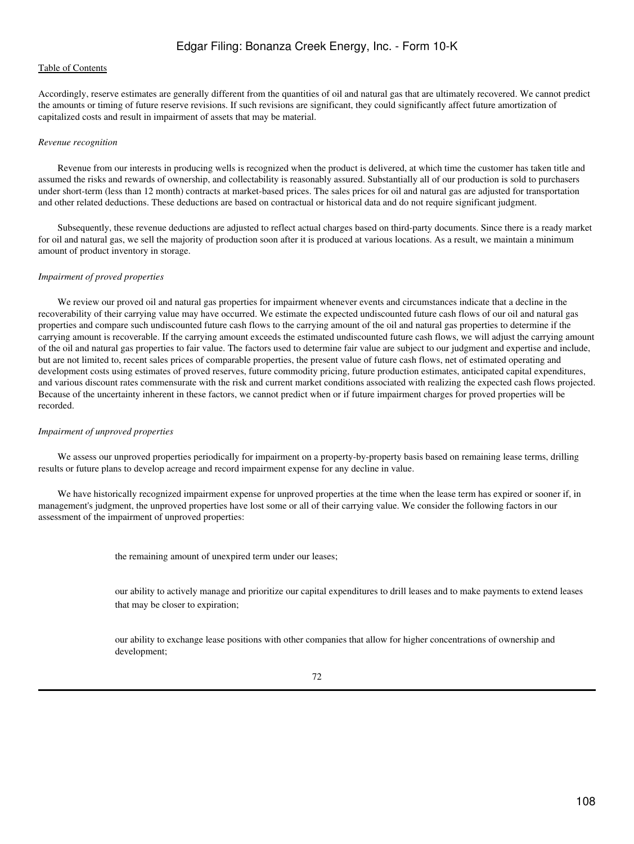Accordingly, reserve estimates are generally different from the quantities of oil and natural gas that are ultimately recovered. We cannot predict the amounts or timing of future reserve revisions. If such revisions are significant, they could significantly affect future amortization of capitalized costs and result in impairment of assets that may be material.

#### *Revenue recognition*

 Revenue from our interests in producing wells is recognized when the product is delivered, at which time the customer has taken title and assumed the risks and rewards of ownership, and collectability is reasonably assured. Substantially all of our production is sold to purchasers under short-term (less than 12 month) contracts at market-based prices. The sales prices for oil and natural gas are adjusted for transportation and other related deductions. These deductions are based on contractual or historical data and do not require significant judgment.

 Subsequently, these revenue deductions are adjusted to reflect actual charges based on third-party documents. Since there is a ready market for oil and natural gas, we sell the majority of production soon after it is produced at various locations. As a result, we maintain a minimum amount of product inventory in storage.

#### *Impairment of proved properties*

 We review our proved oil and natural gas properties for impairment whenever events and circumstances indicate that a decline in the recoverability of their carrying value may have occurred. We estimate the expected undiscounted future cash flows of our oil and natural gas properties and compare such undiscounted future cash flows to the carrying amount of the oil and natural gas properties to determine if the carrying amount is recoverable. If the carrying amount exceeds the estimated undiscounted future cash flows, we will adjust the carrying amount of the oil and natural gas properties to fair value. The factors used to determine fair value are subject to our judgment and expertise and include, but are not limited to, recent sales prices of comparable properties, the present value of future cash flows, net of estimated operating and development costs using estimates of proved reserves, future commodity pricing, future production estimates, anticipated capital expenditures, and various discount rates commensurate with the risk and current market conditions associated with realizing the expected cash flows projected. Because of the uncertainty inherent in these factors, we cannot predict when or if future impairment charges for proved properties will be recorded.

#### *Impairment of unproved properties*

 We assess our unproved properties periodically for impairment on a property-by-property basis based on remaining lease terms, drilling results or future plans to develop acreage and record impairment expense for any decline in value.

 We have historically recognized impairment expense for unproved properties at the time when the lease term has expired or sooner if, in management's judgment, the unproved properties have lost some or all of their carrying value. We consider the following factors in our assessment of the impairment of unproved properties:

the remaining amount of unexpired term under our leases;

our ability to actively manage and prioritize our capital expenditures to drill leases and to make payments to extend leases that may be closer to expiration;

our ability to exchange lease positions with other companies that allow for higher concentrations of ownership and development;

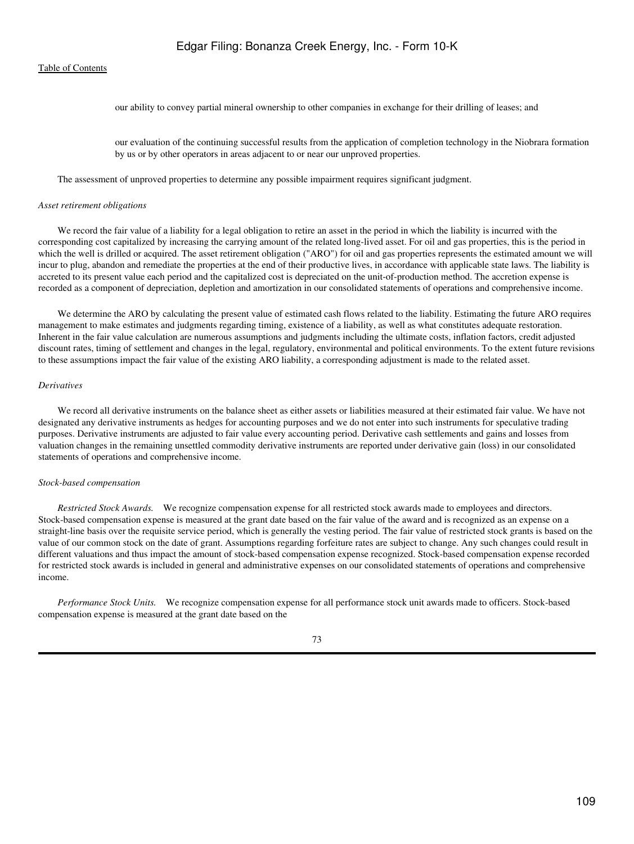our ability to convey partial mineral ownership to other companies in exchange for their drilling of leases; and

our evaluation of the continuing successful results from the application of completion technology in the Niobrara formation by us or by other operators in areas adjacent to or near our unproved properties.

The assessment of unproved properties to determine any possible impairment requires significant judgment.

### *Asset retirement obligations*

 We record the fair value of a liability for a legal obligation to retire an asset in the period in which the liability is incurred with the corresponding cost capitalized by increasing the carrying amount of the related long-lived asset. For oil and gas properties, this is the period in which the well is drilled or acquired. The asset retirement obligation ("ARO") for oil and gas properties represents the estimated amount we will incur to plug, abandon and remediate the properties at the end of their productive lives, in accordance with applicable state laws. The liability is accreted to its present value each period and the capitalized cost is depreciated on the unit-of-production method. The accretion expense is recorded as a component of depreciation, depletion and amortization in our consolidated statements of operations and comprehensive income.

 We determine the ARO by calculating the present value of estimated cash flows related to the liability. Estimating the future ARO requires management to make estimates and judgments regarding timing, existence of a liability, as well as what constitutes adequate restoration. Inherent in the fair value calculation are numerous assumptions and judgments including the ultimate costs, inflation factors, credit adjusted discount rates, timing of settlement and changes in the legal, regulatory, environmental and political environments. To the extent future revisions to these assumptions impact the fair value of the existing ARO liability, a corresponding adjustment is made to the related asset.

### *Derivatives*

 We record all derivative instruments on the balance sheet as either assets or liabilities measured at their estimated fair value. We have not designated any derivative instruments as hedges for accounting purposes and we do not enter into such instruments for speculative trading purposes. Derivative instruments are adjusted to fair value every accounting period. Derivative cash settlements and gains and losses from valuation changes in the remaining unsettled commodity derivative instruments are reported under derivative gain (loss) in our consolidated statements of operations and comprehensive income.

#### *Stock-based compensation*

 *Restricted Stock Awards.* We recognize compensation expense for all restricted stock awards made to employees and directors. Stock-based compensation expense is measured at the grant date based on the fair value of the award and is recognized as an expense on a straight-line basis over the requisite service period, which is generally the vesting period. The fair value of restricted stock grants is based on the value of our common stock on the date of grant. Assumptions regarding forfeiture rates are subject to change. Any such changes could result in different valuations and thus impact the amount of stock-based compensation expense recognized. Stock-based compensation expense recorded for restricted stock awards is included in general and administrative expenses on our consolidated statements of operations and comprehensive income.

 *Performance Stock Units.* We recognize compensation expense for all performance stock unit awards made to officers. Stock-based compensation expense is measured at the grant date based on the

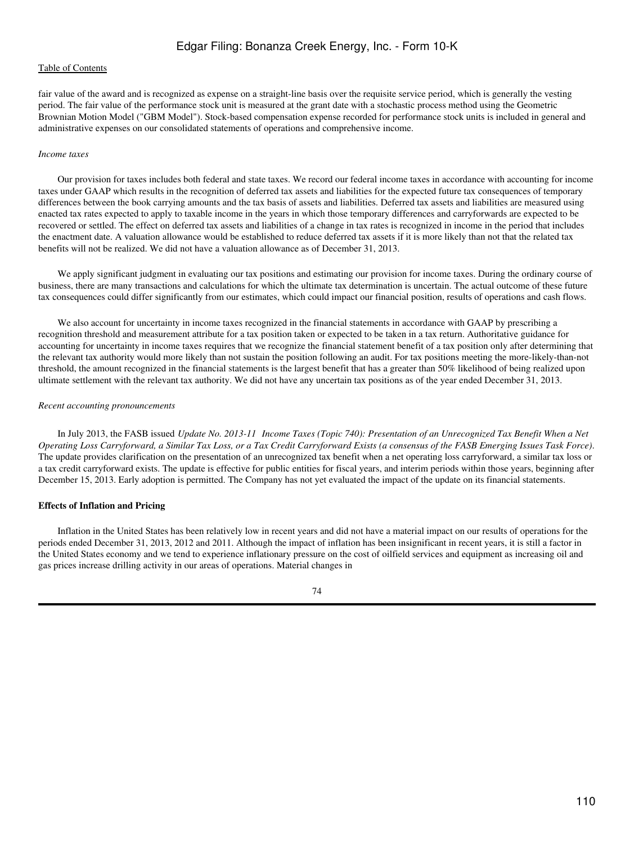fair value of the award and is recognized as expense on a straight-line basis over the requisite service period, which is generally the vesting period. The fair value of the performance stock unit is measured at the grant date with a stochastic process method using the Geometric Brownian Motion Model ("GBM Model"). Stock-based compensation expense recorded for performance stock units is included in general and administrative expenses on our consolidated statements of operations and comprehensive income.

### *Income taxes*

 Our provision for taxes includes both federal and state taxes. We record our federal income taxes in accordance with accounting for income taxes under GAAP which results in the recognition of deferred tax assets and liabilities for the expected future tax consequences of temporary differences between the book carrying amounts and the tax basis of assets and liabilities. Deferred tax assets and liabilities are measured using enacted tax rates expected to apply to taxable income in the years in which those temporary differences and carryforwards are expected to be recovered or settled. The effect on deferred tax assets and liabilities of a change in tax rates is recognized in income in the period that includes the enactment date. A valuation allowance would be established to reduce deferred tax assets if it is more likely than not that the related tax benefits will not be realized. We did not have a valuation allowance as of December 31, 2013.

 We apply significant judgment in evaluating our tax positions and estimating our provision for income taxes. During the ordinary course of business, there are many transactions and calculations for which the ultimate tax determination is uncertain. The actual outcome of these future tax consequences could differ significantly from our estimates, which could impact our financial position, results of operations and cash flows.

 We also account for uncertainty in income taxes recognized in the financial statements in accordance with GAAP by prescribing a recognition threshold and measurement attribute for a tax position taken or expected to be taken in a tax return. Authoritative guidance for accounting for uncertainty in income taxes requires that we recognize the financial statement benefit of a tax position only after determining that the relevant tax authority would more likely than not sustain the position following an audit. For tax positions meeting the more-likely-than-not threshold, the amount recognized in the financial statements is the largest benefit that has a greater than 50% likelihood of being realized upon ultimate settlement with the relevant tax authority. We did not have any uncertain tax positions as of the year ended December 31, 2013.

### *Recent accounting pronouncements*

In July 2013, the FASB issued *Update No. 2013-11 Income Taxes (Topic 740): Presentation of an Unrecognized Tax Benefit When a Net Operating Loss Carryforward, a Similar Tax Loss, or a Tax Credit Carryforward Exists (a consensus of the FASB Emerging Issues Task Force)*. The update provides clarification on the presentation of an unrecognized tax benefit when a net operating loss carryforward, a similar tax loss or a tax credit carryforward exists. The update is effective for public entities for fiscal years, and interim periods within those years, beginning after December 15, 2013. Early adoption is permitted. The Company has not yet evaluated the impact of the update on its financial statements.

### **Effects of Inflation and Pricing**

 Inflation in the United States has been relatively low in recent years and did not have a material impact on our results of operations for the periods ended December 31, 2013, 2012 and 2011. Although the impact of inflation has been insignificant in recent years, it is still a factor in the United States economy and we tend to experience inflationary pressure on the cost of oilfield services and equipment as increasing oil and gas prices increase drilling activity in our areas of operations. Material changes in

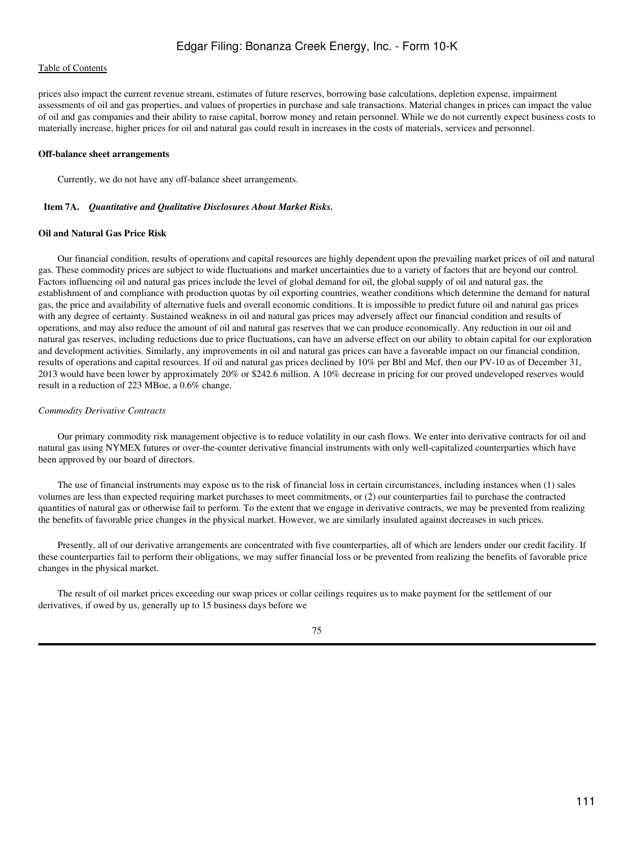prices also impact the current revenue stream, estimates of future reserves, borrowing base calculations, depletion expense, impairment assessments of oil and gas properties, and values of properties in purchase and sale transactions. Material changes in prices can impact the value of oil and gas companies and their ability to raise capital, borrow money and retain personnel. While we do not currently expect business costs to materially increase, higher prices for oil and natural gas could result in increases in the costs of materials, services and personnel.

#### **Off-balance sheet arrangements**

Currently, we do not have any off-balance sheet arrangements.

### **Item 7A.** *Quantitative and Qualitative Disclosures About Market Risks.*

### **Oil and Natural Gas Price Risk**

 Our financial condition, results of operations and capital resources are highly dependent upon the prevailing market prices of oil and natural gas. These commodity prices are subject to wide fluctuations and market uncertainties due to a variety of factors that are beyond our control. Factors influencing oil and natural gas prices include the level of global demand for oil, the global supply of oil and natural gas, the establishment of and compliance with production quotas by oil exporting countries, weather conditions which determine the demand for natural gas, the price and availability of alternative fuels and overall economic conditions. It is impossible to predict future oil and natural gas prices with any degree of certainty. Sustained weakness in oil and natural gas prices may adversely affect our financial condition and results of operations, and may also reduce the amount of oil and natural gas reserves that we can produce economically. Any reduction in our oil and natural gas reserves, including reductions due to price fluctuations, can have an adverse effect on our ability to obtain capital for our exploration and development activities. Similarly, any improvements in oil and natural gas prices can have a favorable impact on our financial condition, results of operations and capital resources. If oil and natural gas prices declined by 10% per Bbl and Mcf, then our PV-10 as of December 31, 2013 would have been lower by approximately 20% or \$242.6 million. A 10% decrease in pricing for our proved undeveloped reserves would result in a reduction of 223 MBoe, a 0.6% change.

### *Commodity Derivative Contracts*

 Our primary commodity risk management objective is to reduce volatility in our cash flows. We enter into derivative contracts for oil and natural gas using NYMEX futures or over-the-counter derivative financial instruments with only well-capitalized counterparties which have been approved by our board of directors.

 The use of financial instruments may expose us to the risk of financial loss in certain circumstances, including instances when (1) sales volumes are less than expected requiring market purchases to meet commitments, or (2) our counterparties fail to purchase the contracted quantities of natural gas or otherwise fail to perform. To the extent that we engage in derivative contracts, we may be prevented from realizing the benefits of favorable price changes in the physical market. However, we are similarly insulated against decreases in such prices.

 Presently, all of our derivative arrangements are concentrated with five counterparties, all of which are lenders under our credit facility. If these counterparties fail to perform their obligations, we may suffer financial loss or be prevented from realizing the benefits of favorable price changes in the physical market.

 The result of oil market prices exceeding our swap prices or collar ceilings requires us to make payment for the settlement of our derivatives, if owed by us, generally up to 15 business days before we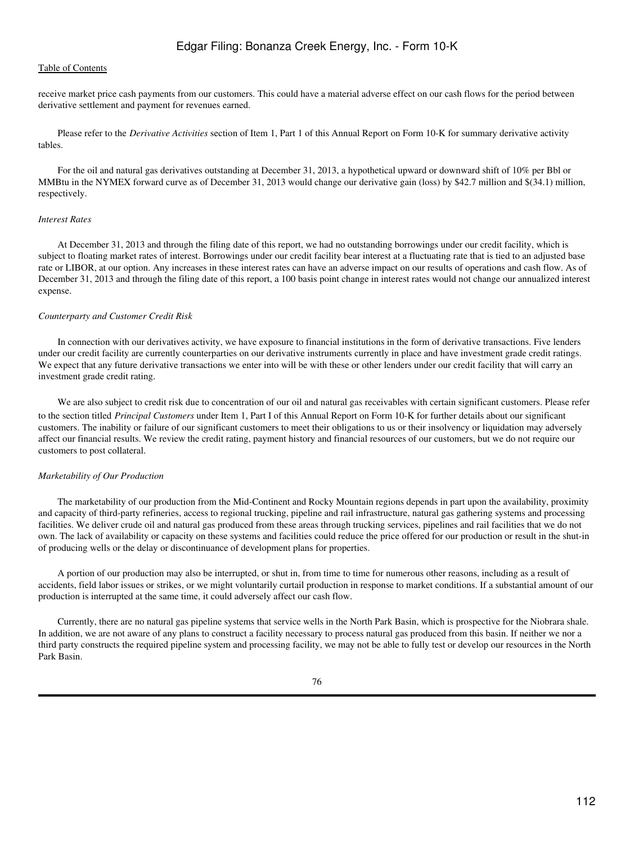receive market price cash payments from our customers. This could have a material adverse effect on our cash flows for the period between derivative settlement and payment for revenues earned.

 Please refer to the *Derivative Activities* section of Item 1, Part 1 of this Annual Report on Form 10-K for summary derivative activity tables.

 For the oil and natural gas derivatives outstanding at December 31, 2013, a hypothetical upward or downward shift of 10% per Bbl or MMBtu in the NYMEX forward curve as of December 31, 2013 would change our derivative gain (loss) by \$42.7 million and \$(34.1) million, respectively.

#### *Interest Rates*

 At December 31, 2013 and through the filing date of this report, we had no outstanding borrowings under our credit facility, which is subject to floating market rates of interest. Borrowings under our credit facility bear interest at a fluctuating rate that is tied to an adjusted base rate or LIBOR, at our option. Any increases in these interest rates can have an adverse impact on our results of operations and cash flow. As of December 31, 2013 and through the filing date of this report, a 100 basis point change in interest rates would not change our annualized interest expense.

#### *Counterparty and Customer Credit Risk*

 In connection with our derivatives activity, we have exposure to financial institutions in the form of derivative transactions. Five lenders under our credit facility are currently counterparties on our derivative instruments currently in place and have investment grade credit ratings. We expect that any future derivative transactions we enter into will be with these or other lenders under our credit facility that will carry an investment grade credit rating.

We are also subject to credit risk due to concentration of our oil and natural gas receivables with certain significant customers. Please refer to the section titled *Principal Customers* under Item 1, Part I of this Annual Report on Form 10-K for further details about our significant customers. The inability or failure of our significant customers to meet their obligations to us or their insolvency or liquidation may adversely affect our financial results. We review the credit rating, payment history and financial resources of our customers, but we do not require our customers to post collateral.

### *Marketability of Our Production*

 The marketability of our production from the Mid-Continent and Rocky Mountain regions depends in part upon the availability, proximity and capacity of third-party refineries, access to regional trucking, pipeline and rail infrastructure, natural gas gathering systems and processing facilities. We deliver crude oil and natural gas produced from these areas through trucking services, pipelines and rail facilities that we do not own. The lack of availability or capacity on these systems and facilities could reduce the price offered for our production or result in the shut-in of producing wells or the delay or discontinuance of development plans for properties.

 A portion of our production may also be interrupted, or shut in, from time to time for numerous other reasons, including as a result of accidents, field labor issues or strikes, or we might voluntarily curtail production in response to market conditions. If a substantial amount of our production is interrupted at the same time, it could adversely affect our cash flow.

 Currently, there are no natural gas pipeline systems that service wells in the North Park Basin, which is prospective for the Niobrara shale. In addition, we are not aware of any plans to construct a facility necessary to process natural gas produced from this basin. If neither we nor a third party constructs the required pipeline system and processing facility, we may not be able to fully test or develop our resources in the North Park Basin.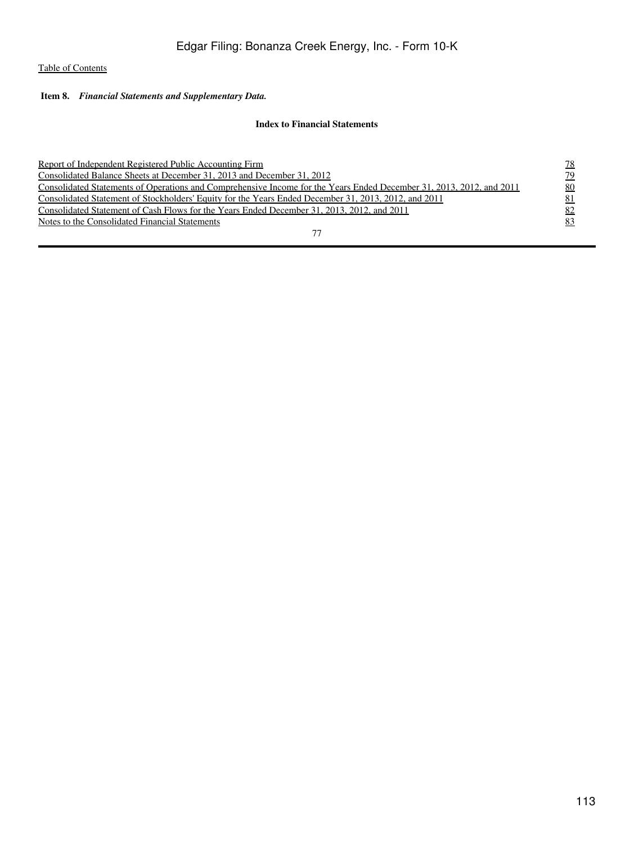# **Item 8.** *Financial Statements and Supplementary Data.*

# **Index to Financial Statements**

| Report of Independent Registered Public Accounting Firm                                                              | 78 |
|----------------------------------------------------------------------------------------------------------------------|----|
| Consolidated Balance Sheets at December 31, 2013 and December 31, 2012                                               | 79 |
| Consolidated Statements of Operations and Comprehensive Income for the Years Ended December 31, 2013, 2012, and 2011 | 80 |
| Consolidated Statement of Stockholders' Equity for the Years Ended December 31, 2013, 2012, and 2011                 | 81 |
| Consolidated Statement of Cash Flows for the Years Ended December 31, 2013, 2012, and 2011                           | 82 |
| Notes to the Consolidated Financial Statements                                                                       | 83 |
| 77                                                                                                                   |    |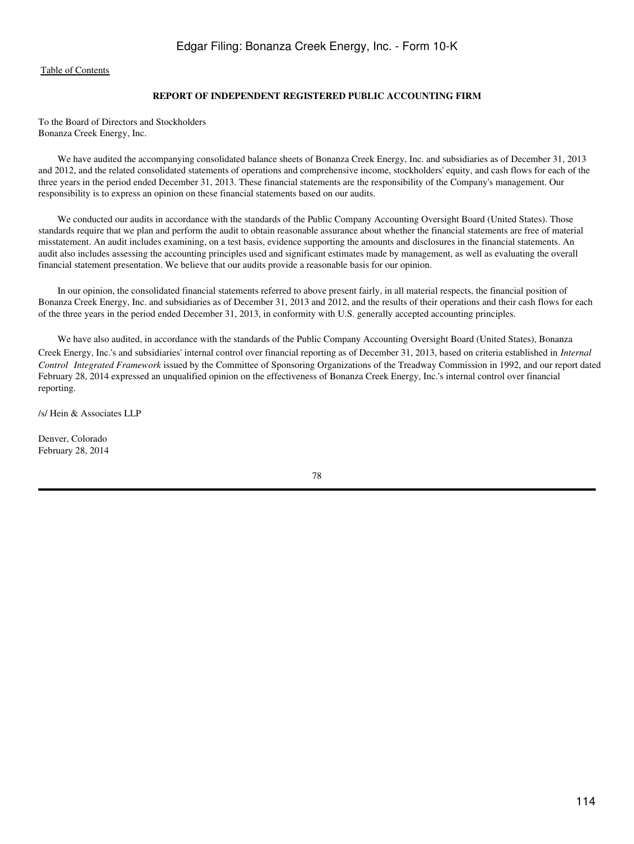### **REPORT OF INDEPENDENT REGISTERED PUBLIC ACCOUNTING FIRM**

<span id="page-113-0"></span>To the Board of Directors and Stockholders Bonanza Creek Energy, Inc.

 We have audited the accompanying consolidated balance sheets of Bonanza Creek Energy, Inc. and subsidiaries as of December 31, 2013 and 2012, and the related consolidated statements of operations and comprehensive income, stockholders' equity, and cash flows for each of the three years in the period ended December 31, 2013. These financial statements are the responsibility of the Company's management. Our responsibility is to express an opinion on these financial statements based on our audits.

 We conducted our audits in accordance with the standards of the Public Company Accounting Oversight Board (United States). Those standards require that we plan and perform the audit to obtain reasonable assurance about whether the financial statements are free of material misstatement. An audit includes examining, on a test basis, evidence supporting the amounts and disclosures in the financial statements. An audit also includes assessing the accounting principles used and significant estimates made by management, as well as evaluating the overall financial statement presentation. We believe that our audits provide a reasonable basis for our opinion.

 In our opinion, the consolidated financial statements referred to above present fairly, in all material respects, the financial position of Bonanza Creek Energy, Inc. and subsidiaries as of December 31, 2013 and 2012, and the results of their operations and their cash flows for each of the three years in the period ended December 31, 2013, in conformity with U.S. generally accepted accounting principles.

 We have also audited, in accordance with the standards of the Public Company Accounting Oversight Board (United States), Bonanza Creek Energy, Inc.'s and subsidiaries' internal control over financial reporting as of December 31, 2013, based on criteria established in *Internal Control Integrated Framework* issued by the Committee of Sponsoring Organizations of the Treadway Commission in 1992, and our report dated February 28, 2014 expressed an unqualified opinion on the effectiveness of Bonanza Creek Energy, Inc.'s internal control over financial reporting.

/s/ Hein & Associates LLP

Denver, Colorado February 28, 2014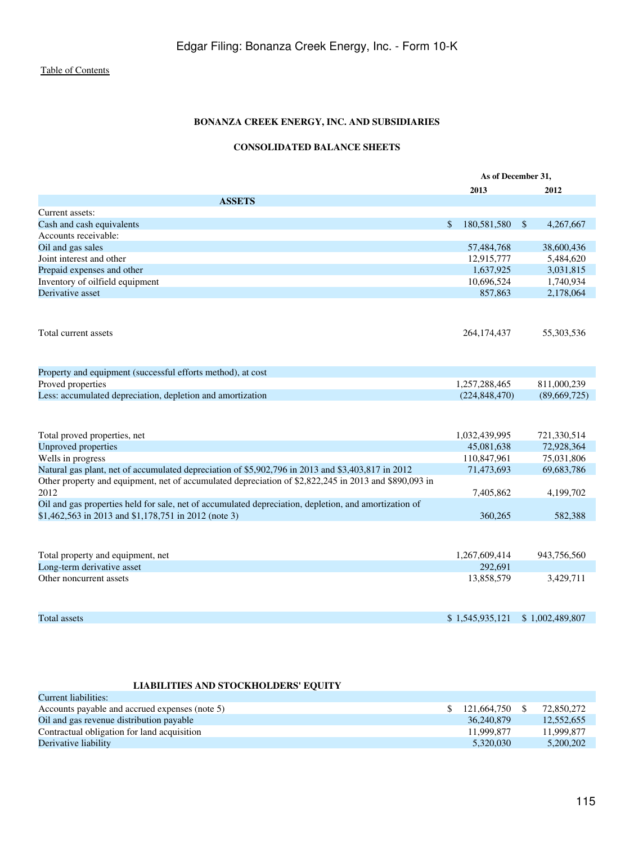# **BONANZA CREEK ENERGY, INC. AND SUBSIDIARIES**

# **CONSOLIDATED BALANCE SHEETS**

<span id="page-114-0"></span>

|                                                                                                                                                               | As of December 31, |              |                 |
|---------------------------------------------------------------------------------------------------------------------------------------------------------------|--------------------|--------------|-----------------|
|                                                                                                                                                               | 2013               |              | 2012            |
| <b>ASSETS</b>                                                                                                                                                 |                    |              |                 |
| Current assets:                                                                                                                                               |                    |              |                 |
| Cash and cash equivalents                                                                                                                                     | \$<br>180,581,580  | $\mathbb{S}$ | 4,267,667       |
| Accounts receivable:                                                                                                                                          |                    |              |                 |
| Oil and gas sales                                                                                                                                             | 57,484,768         |              | 38,600,436      |
| Joint interest and other                                                                                                                                      | 12,915,777         |              | 5,484,620       |
| Prepaid expenses and other                                                                                                                                    | 1,637,925          |              | 3,031,815       |
| Inventory of oilfield equipment                                                                                                                               | 10,696,524         |              | 1,740,934       |
| Derivative asset                                                                                                                                              | 857,863            |              | 2,178,064       |
| Total current assets                                                                                                                                          | 264, 174, 437      |              | 55,303,536      |
| Property and equipment (successful efforts method), at cost                                                                                                   |                    |              |                 |
| Proved properties                                                                                                                                             | 1,257,288,465      |              | 811,000,239     |
| Less: accumulated depreciation, depletion and amortization                                                                                                    | (224, 848, 470)    |              | (89,669,725)    |
| Total proved properties, net                                                                                                                                  | 1,032,439,995      |              | 721,330,514     |
| Unproved properties                                                                                                                                           | 45,081,638         |              | 72,928,364      |
| Wells in progress                                                                                                                                             | 110,847,961        |              | 75,031,806      |
| Natural gas plant, net of accumulated depreciation of \$5,902,796 in 2013 and \$3,403,817 in 2012                                                             | 71,473,693         |              | 69,683,786      |
| Other property and equipment, net of accumulated depreciation of \$2,822,245 in 2013 and \$890,093 in<br>2012                                                 | 7,405,862          |              | 4,199,702       |
| Oil and gas properties held for sale, net of accumulated depreciation, depletion, and amortization of<br>\$1,462,563 in 2013 and \$1,178,751 in 2012 (note 3) | 360,265            |              | 582,388         |
| Total property and equipment, net                                                                                                                             | 1,267,609,414      |              | 943,756,560     |
| Long-term derivative asset                                                                                                                                    | 292,691            |              |                 |
| Other noncurrent assets                                                                                                                                       | 13,858,579         |              | 3,429,711       |
|                                                                                                                                                               |                    |              |                 |
| <b>Total assets</b>                                                                                                                                           | \$1,545,935,121    |              | \$1,002,489,807 |

# **LIABILITIES AND STOCKHOLDERS' EQUITY**

| LIADILITIES ARD STOCKHOLDERS EQUITT            |             |            |
|------------------------------------------------|-------------|------------|
| Current liabilities:                           |             |            |
| Accounts payable and accrued expenses (note 5) | 121.664.750 | 72,850,272 |
| Oil and gas revenue distribution payable       | 36,240,879  | 12.552.655 |
| Contractual obligation for land acquisition    | 11.999.877  | 11.999.877 |
| Derivative liability                           | 5,320,030   | 5,200,202  |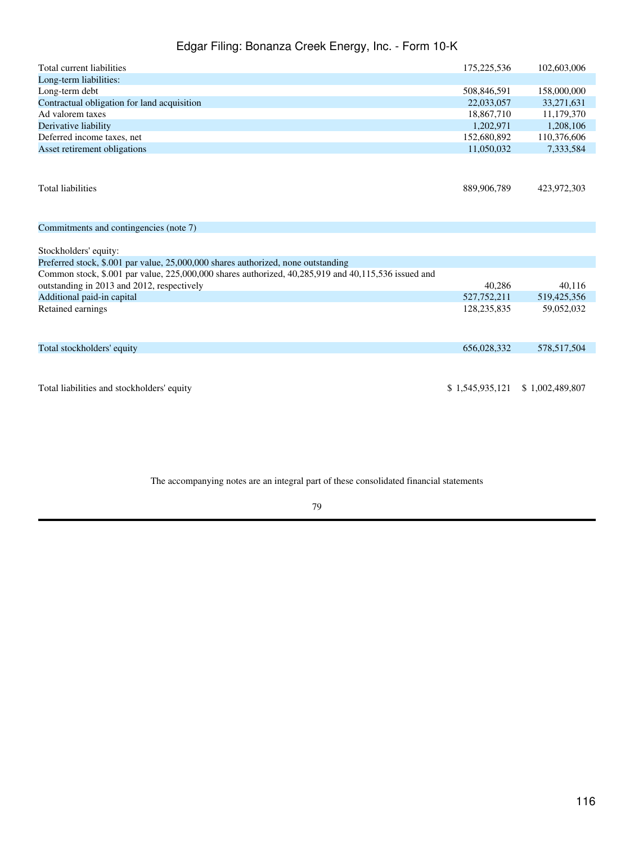# Edgar Filing: Bonanza Creek Energy, Inc. - Form 10-K

| Total current liabilities                                                                           | 175,225,536     | 102,603,006     |
|-----------------------------------------------------------------------------------------------------|-----------------|-----------------|
| Long-term liabilities:                                                                              |                 |                 |
| Long-term debt                                                                                      | 508,846,591     | 158,000,000     |
| Contractual obligation for land acquisition                                                         | 22,033,057      | 33,271,631      |
| Ad valorem taxes                                                                                    | 18,867,710      | 11,179,370      |
| Derivative liability                                                                                | 1,202,971       | 1,208,106       |
| Deferred income taxes, net                                                                          | 152,680,892     | 110,376,606     |
| Asset retirement obligations                                                                        | 11,050,032      | 7,333,584       |
| <b>Total liabilities</b>                                                                            | 889,906,789     | 423,972,303     |
| Commitments and contingencies (note 7)                                                              |                 |                 |
| Stockholders' equity:                                                                               |                 |                 |
| Preferred stock, \$.001 par value, 25,000,000 shares authorized, none outstanding                   |                 |                 |
| Common stock, \$.001 par value, 225,000,000 shares authorized, 40,285,919 and 40,115,536 issued and |                 |                 |
| outstanding in 2013 and 2012, respectively                                                          | 40.286          | 40.116          |
| Additional paid-in capital                                                                          | 527, 752, 211   | 519,425,356     |
| Retained earnings                                                                                   | 128, 235, 835   | 59,052,032      |
|                                                                                                     |                 |                 |
| Total stockholders' equity                                                                          | 656,028,332     | 578,517,504     |
|                                                                                                     |                 |                 |
| Total liabilities and stockholders' equity                                                          | \$1,545,935,121 | \$1,002,489,807 |

The accompanying notes are an integral part of these consolidated financial statements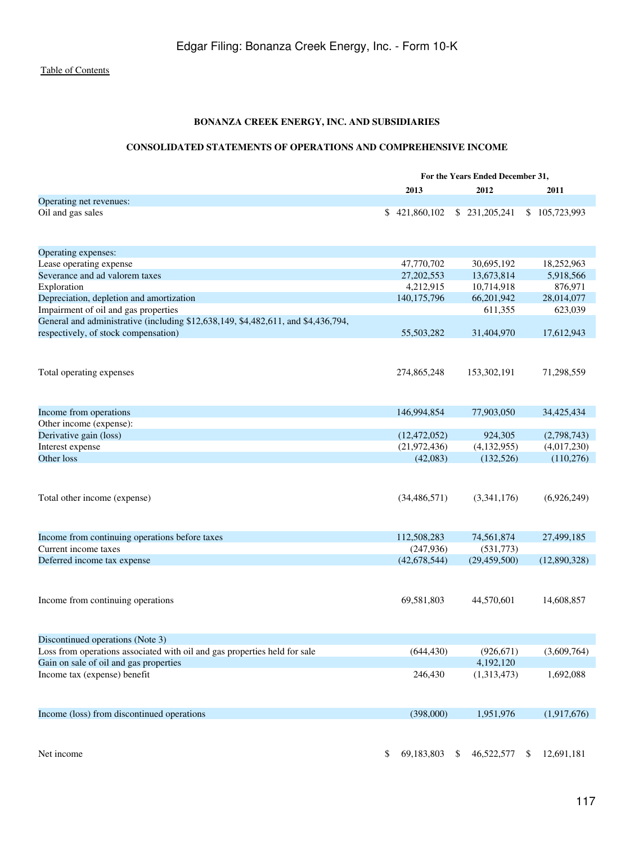# **CONSOLIDATED STATEMENTS OF OPERATIONS AND COMPREHENSIVE INCOME**

<span id="page-116-0"></span>

|                                                                                   | For the Years Ended December 31, |                |    |                |    |              |
|-----------------------------------------------------------------------------------|----------------------------------|----------------|----|----------------|----|--------------|
|                                                                                   |                                  | 2013           |    | 2012           |    | 2011         |
| Operating net revenues:                                                           |                                  |                |    |                |    |              |
| Oil and gas sales                                                                 |                                  | \$421,860,102  |    | \$231,205,241  | \$ | 105,723,993  |
| Operating expenses:                                                               |                                  |                |    |                |    |              |
| Lease operating expense                                                           |                                  | 47,770,702     |    | 30,695,192     |    | 18,252,963   |
| Severance and ad valorem taxes                                                    |                                  | 27, 202, 553   |    | 13,673,814     |    | 5,918,566    |
| Exploration                                                                       |                                  | 4,212,915      |    | 10,714,918     |    | 876,971      |
| Depreciation, depletion and amortization                                          |                                  | 140,175,796    |    | 66,201,942     |    | 28,014,077   |
| Impairment of oil and gas properties                                              |                                  |                |    | 611,355        |    | 623,039      |
| General and administrative (including \$12,638,149, \$4,482,611, and \$4,436,794, |                                  |                |    |                |    |              |
| respectively, of stock compensation)                                              |                                  | 55,503,282     |    | 31,404,970     |    | 17,612,943   |
|                                                                                   |                                  |                |    |                |    |              |
| Total operating expenses                                                          |                                  | 274,865,248    |    | 153,302,191    |    | 71,298,559   |
| Income from operations                                                            |                                  | 146,994,854    |    | 77,903,050     |    | 34,425,434   |
| Other income (expense):                                                           |                                  |                |    |                |    |              |
| Derivative gain (loss)                                                            |                                  | (12, 472, 052) |    | 924,305        |    | (2,798,743)  |
| Interest expense                                                                  |                                  | (21, 972, 436) |    | (4, 132, 955)  |    | (4,017,230)  |
| Other loss                                                                        |                                  | (42,083)       |    | (132, 526)     |    | (110, 276)   |
| Total other income (expense)                                                      |                                  | (34, 486, 571) |    | (3,341,176)    |    | (6,926,249)  |
| Income from continuing operations before taxes                                    |                                  | 112,508,283    |    | 74,561,874     |    | 27,499,185   |
| Current income taxes                                                              |                                  | (247, 936)     |    | (531,773)      |    |              |
| Deferred income tax expense                                                       |                                  | (42, 678, 544) |    | (29, 459, 500) |    | (12,890,328) |
| Income from continuing operations                                                 |                                  | 69,581,803     |    | 44,570,601     |    | 14,608,857   |
| Discontinued operations (Note 3)                                                  |                                  |                |    |                |    |              |
| Loss from operations associated with oil and gas properties held for sale         |                                  | (644, 430)     |    | (926, 671)     |    | (3,609,764)  |
| Gain on sale of oil and gas properties                                            |                                  |                |    | 4,192,120      |    |              |
| Income tax (expense) benefit                                                      |                                  | 246,430        |    | (1,313,473)    |    | 1,692,088    |
| Income (loss) from discontinued operations                                        |                                  | (398,000)      |    | 1,951,976      |    | (1,917,676)  |
|                                                                                   |                                  |                |    |                |    |              |
| Net income                                                                        | \$                               | 69,183,803     | \$ | 46,522,577     | \$ | 12,691,181   |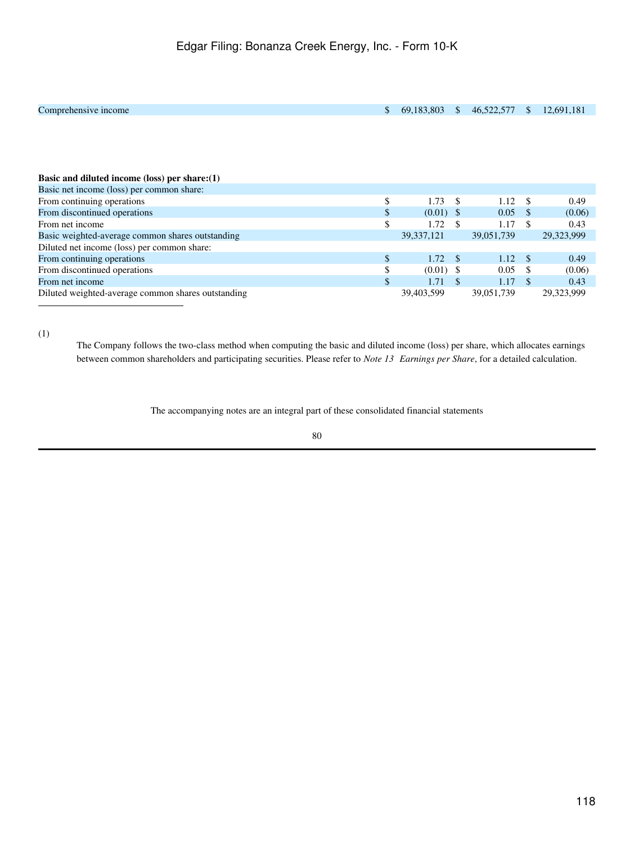| Comprehensive income |  | $$69,183,803 \quad $46,522,577 \quad $12,691,181$ |  |
|----------------------|--|---------------------------------------------------|--|

| Basic and diluted income (loss) per share: (1)     |                   |                 |      |            |
|----------------------------------------------------|-------------------|-----------------|------|------------|
| Basic net income (loss) per common share:          |                   |                 |      |            |
| From continuing operations                         | 1.73              | 1.12            |      | 0.49       |
| From discontinued operations                       | \$<br>$(0.01)$ \$ | 0.05            | - \$ | (0.06)     |
| From net income                                    | l.72              | 1.17            |      | 0.43       |
| Basic weighted-average common shares outstanding   | 39, 337, 121      | 39,051,739      |      | 29,323,999 |
| Diluted net income (loss) per common share:        |                   |                 |      |            |
| From continuing operations                         | $1.72 \quad$ \$   | $1.12 \quad$ \$ |      | 0.49       |
| From discontinued operations                       | $(0.01)$ \$       | 0.05            | - \$ | (0.06)     |
| From net income                                    | 1.71              | 1.17            |      | 0.43       |
| Diluted weighted-average common shares outstanding | 39.403.599        | 39,051,739      |      | 29,323,999 |

(1)

The Company follows the two-class method when computing the basic and diluted income (loss) per share, which allocates earnings between common shareholders and participating securities. Please refer to *Note 13 Earnings per Share*, for a detailed calculation.

The accompanying notes are an integral part of these consolidated financial statements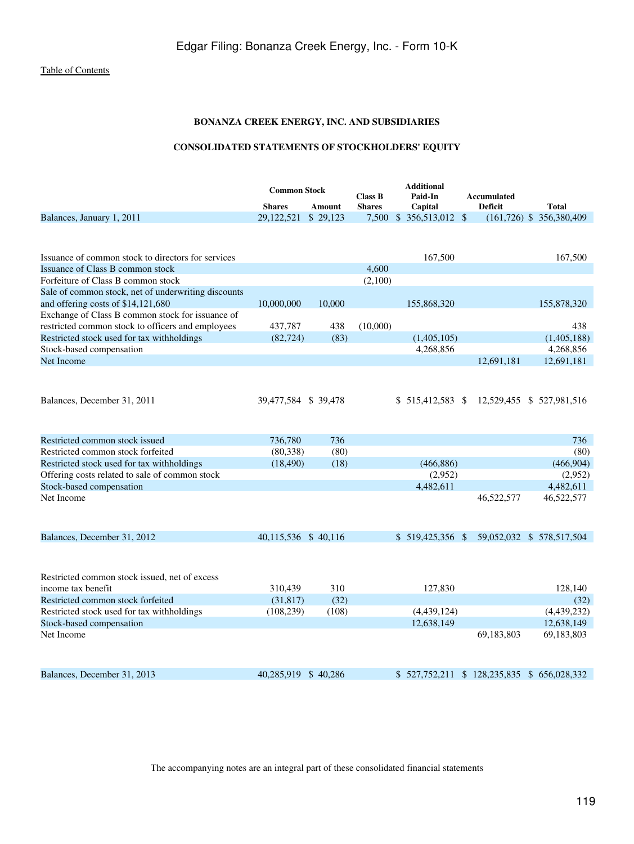# **BONANZA CREEK ENERGY, INC. AND SUBSIDIARIES**

# **CONSOLIDATED STATEMENTS OF STOCKHOLDERS' EQUITY**

<span id="page-118-0"></span>

|                                                     | <b>Common Stock</b>     |        |               | <b>Additional</b><br><b>Class B</b><br>Paid-In<br>Accumulated |                                           |                            |
|-----------------------------------------------------|-------------------------|--------|---------------|---------------------------------------------------------------|-------------------------------------------|----------------------------|
|                                                     | <b>Shares</b>           | Amount | <b>Shares</b> | Capital                                                       | <b>Deficit</b>                            | <b>Total</b>               |
| Balances, January 1, 2011                           | 29, 122, 521 \$ 29, 123 |        |               | 7,500 \$ 356,513,012 \$                                       |                                           | $(161,726)$ \$ 356,380,409 |
|                                                     |                         |        |               |                                                               |                                           |                            |
| Issuance of common stock to directors for services  |                         |        |               | 167,500                                                       |                                           | 167,500                    |
| Issuance of Class B common stock                    |                         |        | 4,600         |                                                               |                                           |                            |
| Forfeiture of Class B common stock                  |                         |        | (2,100)       |                                                               |                                           |                            |
| Sale of common stock, net of underwriting discounts |                         |        |               |                                                               |                                           |                            |
| and offering costs of \$14,121,680                  | 10,000,000              | 10,000 |               | 155,868,320                                                   |                                           | 155,878,320                |
| Exchange of Class B common stock for issuance of    |                         |        |               |                                                               |                                           |                            |
| restricted common stock to officers and employees   | 437,787                 | 438    | (10,000)      |                                                               |                                           | 438                        |
| Restricted stock used for tax withholdings          | (82, 724)               | (83)   |               | (1,405,105)                                                   |                                           | (1,405,188)                |
| Stock-based compensation                            |                         |        |               | 4,268,856                                                     |                                           | 4,268,856                  |
| Net Income                                          |                         |        |               |                                                               | 12,691,181                                | 12,691,181                 |
| Balances, December 31, 2011                         | 39,477,584 \$ 39,478    |        |               | $$515,412,583$ \;                                             |                                           | 12,529,455 \$ 527,981,516  |
| Restricted common stock issued                      | 736,780                 | 736    |               |                                                               |                                           | 736                        |
| Restricted common stock forfeited                   | (80, 338)               | (80)   |               |                                                               |                                           | (80)                       |
| Restricted stock used for tax withholdings          | (18, 490)               | (18)   |               | (466, 886)                                                    |                                           | (466,904)                  |
| Offering costs related to sale of common stock      |                         |        |               | (2,952)                                                       |                                           | (2,952)                    |
| Stock-based compensation                            |                         |        |               | 4,482,611                                                     |                                           | 4,482,611                  |
| Net Income                                          |                         |        |               |                                                               | 46,522,577                                | 46,522,577                 |
| Balances, December 31, 2012                         | 40,115,536 \$40,116     |        |               | $$519,425,356$ \\$                                            |                                           | 59,052,032 \$ 578,517,504  |
| Restricted common stock issued, net of excess       |                         |        |               |                                                               |                                           |                            |
| income tax benefit                                  | 310,439                 | 310    |               | 127,830                                                       |                                           | 128,140                    |
|                                                     |                         |        |               |                                                               |                                           |                            |
| Restricted common stock forfeited                   | (31, 817)<br>(108, 239) | (32)   |               | (4, 439, 124)                                                 |                                           | (32)<br>(4,439,232)        |
| Restricted stock used for tax withholdings          |                         | (108)  |               |                                                               |                                           | 12,638,149                 |
| Stock-based compensation<br>Net Income              |                         |        |               | 12,638,149                                                    | 69,183,803                                |                            |
|                                                     |                         |        |               |                                                               |                                           | 69,183,803                 |
| Balances, December 31, 2013                         | 40,285,919 \$40,286     |        |               |                                                               | \$527,752,211 \$128,235,835 \$656,028,332 |                            |
|                                                     |                         |        |               |                                                               |                                           |                            |

The accompanying notes are an integral part of these consolidated financial statements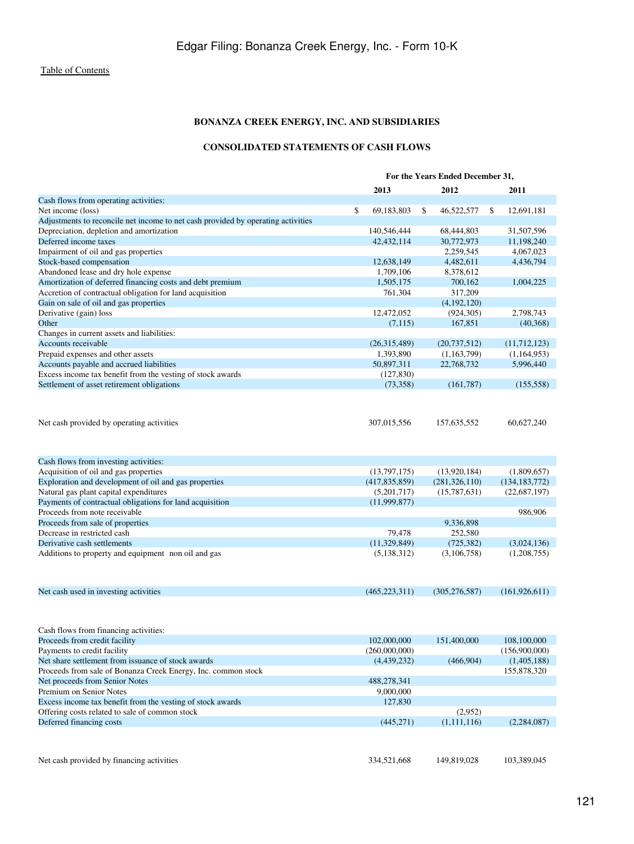# **BONANZA CREEK ENERGY, INC. AND SUBSIDIARIES**

# **CONSOLIDATED STATEMENTS OF CASH FLOWS**

<span id="page-120-0"></span>

|                                                                                  | For the Years Ended December 31, |                  |                  |  |  |  |
|----------------------------------------------------------------------------------|----------------------------------|------------------|------------------|--|--|--|
|                                                                                  | 2013                             | 2012             | 2011             |  |  |  |
| Cash flows from operating activities:                                            |                                  |                  |                  |  |  |  |
| Net income (loss)                                                                | \$<br>69,183,803                 | \$<br>46,522,577 | \$<br>12,691,181 |  |  |  |
| Adjustments to reconcile net income to net cash provided by operating activities |                                  |                  |                  |  |  |  |
| Depreciation, depletion and amortization                                         | 140,546,444                      | 68,444,803       | 31,507,596       |  |  |  |
| Deferred income taxes                                                            | 42, 432, 114                     | 30,772,973       | 11,198,240       |  |  |  |
| Impairment of oil and gas properties                                             |                                  | 2,259,545        | 4,067,023        |  |  |  |
| Stock-based compensation                                                         | 12,638,149                       | 4,482,611        | 4,436,794        |  |  |  |
| Abandoned lease and dry hole expense                                             | 1,709,106                        | 8,378,612        |                  |  |  |  |
| Amortization of deferred financing costs and debt premium                        | 1,505,175                        | 700,162          | 1,004,225        |  |  |  |
| Accretion of contractual obligation for land acquisition                         | 761,304                          | 317,209          |                  |  |  |  |
| Gain on sale of oil and gas properties                                           |                                  | (4,192,120)      |                  |  |  |  |
| Derivative (gain) loss                                                           | 12,472,052                       | (924, 305)       | 2,798,743        |  |  |  |
| Other                                                                            | (7, 115)                         | 167,851          | (40,368)         |  |  |  |
| Changes in current assets and liabilities:                                       |                                  |                  |                  |  |  |  |
| Accounts receivable                                                              | (26,315,489)                     | (20, 737, 512)   | (11,712,123)     |  |  |  |
| Prepaid expenses and other assets                                                | 1,393,890                        | (1,163,799)      | (1,164,953)      |  |  |  |
| Accounts payable and accrued liabilities                                         | 50,897,311                       | 22,768,732       | 5,996,440        |  |  |  |
| Excess income tax benefit from the vesting of stock awards                       | (127, 830)                       |                  |                  |  |  |  |
| Settlement of asset retirement obligations                                       | (73,358)                         | (161, 787)       | (155, 558)       |  |  |  |
| Net cash provided by operating activities                                        | 307,015,556                      | 157,635,552      | 60,627,240       |  |  |  |
| Cash flows from investing activities:                                            |                                  |                  |                  |  |  |  |
| Acquisition of oil and gas properties                                            | (13,797,175)                     | (13,920,184)     | (1,809,657)      |  |  |  |
| Exploration and development of oil and gas properties                            | (417,835,859)                    | (281, 326, 110)  | (134, 183, 772)  |  |  |  |
| Natural gas plant capital expenditures                                           | (5,201,717)                      | (15,787,631)     | (22, 687, 197)   |  |  |  |
| Payments of contractual obligations for land acquisition                         | (11,999,877)                     |                  |                  |  |  |  |
| Proceeds from note receivable                                                    |                                  |                  | 986,906          |  |  |  |
| Proceeds from sale of properties                                                 |                                  | 9,336,898        |                  |  |  |  |
| Decrease in restricted cash                                                      | 79,478                           | 252,580          |                  |  |  |  |
| Derivative cash settlements                                                      | (11, 329, 849)                   | (725, 382)       | (3,024,136)      |  |  |  |
| Additions to property and equipment non oil and gas                              | (5, 138, 312)                    | (3,106,758)      | (1,208,755)      |  |  |  |
| Net cash used in investing activities                                            | (465, 223, 311)                  | (305, 276, 587)  | (161, 926, 611)  |  |  |  |
| Cash flows from financing activities:                                            |                                  |                  |                  |  |  |  |
| Proceeds from credit facility                                                    | 102,000,000                      | 151,400,000      | 108,100,000      |  |  |  |
| Payments to credit facility                                                      | (260,000,000)                    |                  | (156,900,000)    |  |  |  |
| Net share settlement from issuance of stock awards                               | (4,439,232)                      | (466,904)        | (1,405,188)      |  |  |  |
| Proceeds from sale of Bonanza Creek Energy, Inc. common stock                    |                                  |                  | 155,878,320      |  |  |  |
| Net proceeds from Senior Notes                                                   | 488,278,341                      |                  |                  |  |  |  |
| Premium on Senior Notes                                                          | 9,000,000                        |                  |                  |  |  |  |
| Excess income tax benefit from the vesting of stock awards                       | 127,830                          |                  |                  |  |  |  |
| Offering costs related to sale of common stock                                   |                                  | (2,952)          |                  |  |  |  |
| Deferred financing costs                                                         | (445, 271)                       | (1,111,116)      | (2,284,087)      |  |  |  |
|                                                                                  |                                  |                  |                  |  |  |  |

Net cash provided by financing activities 334,521,668 149,819,028 103,389,045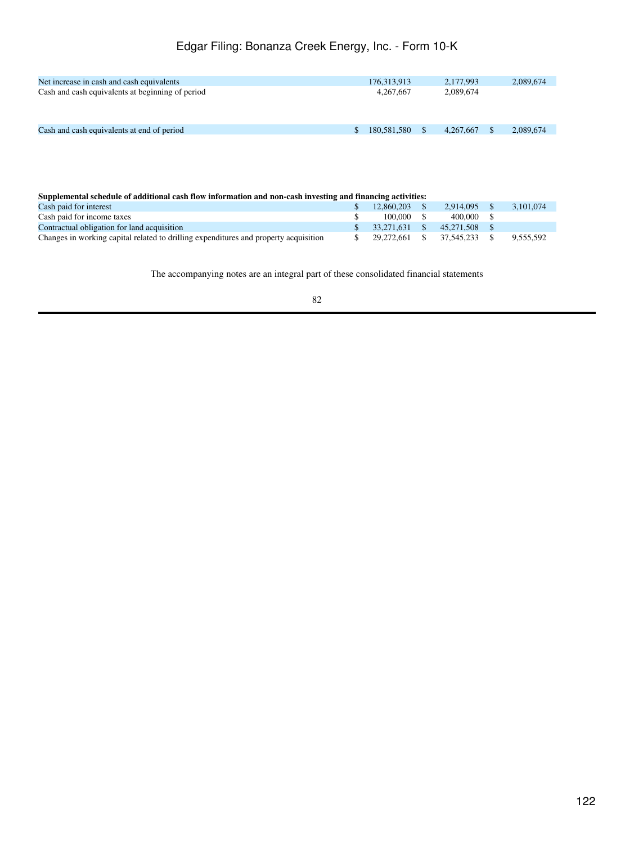# Edgar Filing: Bonanza Creek Energy, Inc. - Form 10-K

| Net increase in cash and cash equivalents        | 176,313,913 | 2.177.993 | 2,089,674 |
|--------------------------------------------------|-------------|-----------|-----------|
| Cash and cash equivalents at beginning of period | 4.267.667   | 2.089.674 |           |
|                                                  |             |           |           |
| Cash and cash equivalents at end of period       | 180.581.580 | 4.267.667 | 2,089,674 |
|                                                  |             |           |           |

| Supplemental schedule of additional cash flow information and non-cash investing and financing activities: |  |            |  |            |  |           |  |
|------------------------------------------------------------------------------------------------------------|--|------------|--|------------|--|-----------|--|
| Cash paid for interest                                                                                     |  | 12.860.203 |  | 2.914.095  |  | 3.101.074 |  |
| Cash paid for income taxes                                                                                 |  | 100,000    |  | 400,000    |  |           |  |
| Contractual obligation for land acquisition                                                                |  | 33.271.631 |  | 45.271.508 |  |           |  |
| Changes in working capital related to drilling expenditures and property acquisition                       |  | 29.272.661 |  | 37.545.233 |  | 9.555.592 |  |

The accompanying notes are an integral part of these consolidated financial statements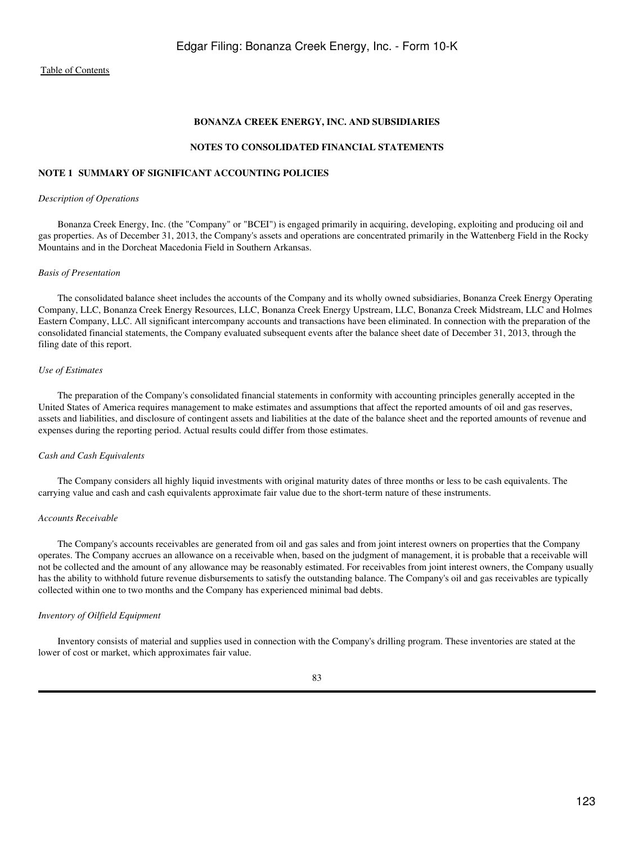# **NOTES TO CONSOLIDATED FINANCIAL STATEMENTS**

### <span id="page-122-0"></span>**NOTE 1 SUMMARY OF SIGNIFICANT ACCOUNTING POLICIES**

#### *Description of Operations*

 Bonanza Creek Energy, Inc. (the "Company" or "BCEI") is engaged primarily in acquiring, developing, exploiting and producing oil and gas properties. As of December 31, 2013, the Company's assets and operations are concentrated primarily in the Wattenberg Field in the Rocky Mountains and in the Dorcheat Macedonia Field in Southern Arkansas.

#### *Basis of Presentation*

 The consolidated balance sheet includes the accounts of the Company and its wholly owned subsidiaries, Bonanza Creek Energy Operating Company, LLC, Bonanza Creek Energy Resources, LLC, Bonanza Creek Energy Upstream, LLC, Bonanza Creek Midstream, LLC and Holmes Eastern Company, LLC. All significant intercompany accounts and transactions have been eliminated. In connection with the preparation of the consolidated financial statements, the Company evaluated subsequent events after the balance sheet date of December 31, 2013, through the filing date of this report.

### *Use of Estimates*

 The preparation of the Company's consolidated financial statements in conformity with accounting principles generally accepted in the United States of America requires management to make estimates and assumptions that affect the reported amounts of oil and gas reserves, assets and liabilities, and disclosure of contingent assets and liabilities at the date of the balance sheet and the reported amounts of revenue and expenses during the reporting period. Actual results could differ from those estimates.

### *Cash and Cash Equivalents*

 The Company considers all highly liquid investments with original maturity dates of three months or less to be cash equivalents. The carrying value and cash and cash equivalents approximate fair value due to the short-term nature of these instruments.

### *Accounts Receivable*

 The Company's accounts receivables are generated from oil and gas sales and from joint interest owners on properties that the Company operates. The Company accrues an allowance on a receivable when, based on the judgment of management, it is probable that a receivable will not be collected and the amount of any allowance may be reasonably estimated. For receivables from joint interest owners, the Company usually has the ability to withhold future revenue disbursements to satisfy the outstanding balance. The Company's oil and gas receivables are typically collected within one to two months and the Company has experienced minimal bad debts.

### *Inventory of Oilfield Equipment*

 Inventory consists of material and supplies used in connection with the Company's drilling program. These inventories are stated at the lower of cost or market, which approximates fair value.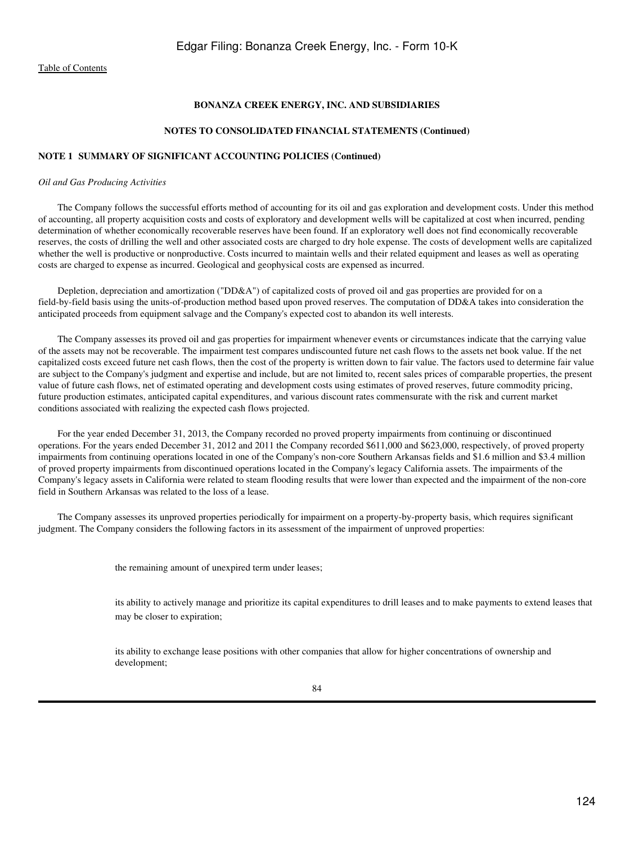### **NOTES TO CONSOLIDATED FINANCIAL STATEMENTS (Continued)**

# **NOTE 1 SUMMARY OF SIGNIFICANT ACCOUNTING POLICIES (Continued)**

### *Oil and Gas Producing Activities*

 The Company follows the successful efforts method of accounting for its oil and gas exploration and development costs. Under this method of accounting, all property acquisition costs and costs of exploratory and development wells will be capitalized at cost when incurred, pending determination of whether economically recoverable reserves have been found. If an exploratory well does not find economically recoverable reserves, the costs of drilling the well and other associated costs are charged to dry hole expense. The costs of development wells are capitalized whether the well is productive or nonproductive. Costs incurred to maintain wells and their related equipment and leases as well as operating costs are charged to expense as incurred. Geological and geophysical costs are expensed as incurred.

 Depletion, depreciation and amortization ("DD&A") of capitalized costs of proved oil and gas properties are provided for on a field-by-field basis using the units-of-production method based upon proved reserves. The computation of DD&A takes into consideration the anticipated proceeds from equipment salvage and the Company's expected cost to abandon its well interests.

 The Company assesses its proved oil and gas properties for impairment whenever events or circumstances indicate that the carrying value of the assets may not be recoverable. The impairment test compares undiscounted future net cash flows to the assets net book value. If the net capitalized costs exceed future net cash flows, then the cost of the property is written down to fair value. The factors used to determine fair value are subject to the Company's judgment and expertise and include, but are not limited to, recent sales prices of comparable properties, the present value of future cash flows, net of estimated operating and development costs using estimates of proved reserves, future commodity pricing, future production estimates, anticipated capital expenditures, and various discount rates commensurate with the risk and current market conditions associated with realizing the expected cash flows projected.

 For the year ended December 31, 2013, the Company recorded no proved property impairments from continuing or discontinued operations. For the years ended December 31, 2012 and 2011 the Company recorded \$611,000 and \$623,000, respectively, of proved property impairments from continuing operations located in one of the Company's non-core Southern Arkansas fields and \$1.6 million and \$3.4 million of proved property impairments from discontinued operations located in the Company's legacy California assets. The impairments of the Company's legacy assets in California were related to steam flooding results that were lower than expected and the impairment of the non-core field in Southern Arkansas was related to the loss of a lease.

 The Company assesses its unproved properties periodically for impairment on a property-by-property basis, which requires significant judgment. The Company considers the following factors in its assessment of the impairment of unproved properties:

the remaining amount of unexpired term under leases;

its ability to actively manage and prioritize its capital expenditures to drill leases and to make payments to extend leases that may be closer to expiration;

its ability to exchange lease positions with other companies that allow for higher concentrations of ownership and development;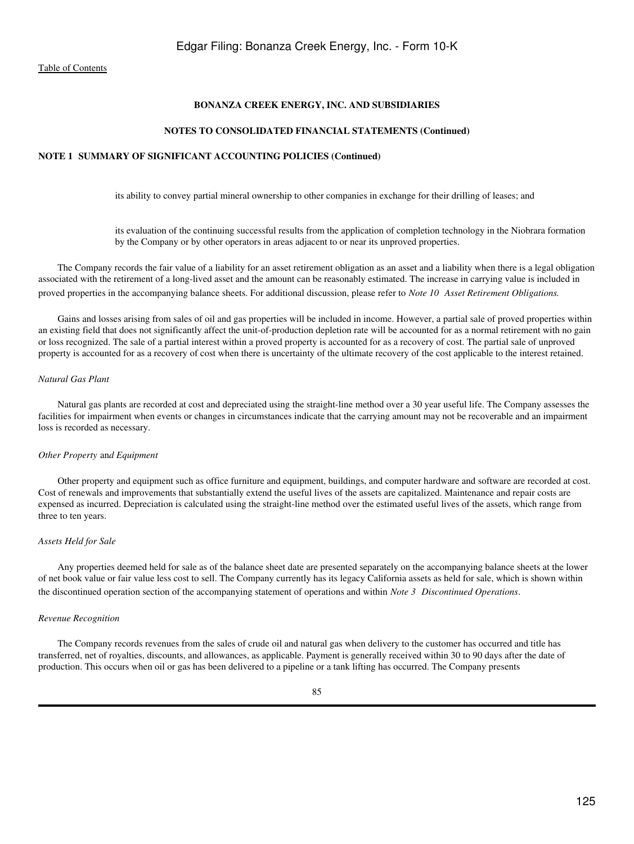### **NOTES TO CONSOLIDATED FINANCIAL STATEMENTS (Continued)**

# **NOTE 1 SUMMARY OF SIGNIFICANT ACCOUNTING POLICIES (Continued)**

its ability to convey partial mineral ownership to other companies in exchange for their drilling of leases; and

its evaluation of the continuing successful results from the application of completion technology in the Niobrara formation by the Company or by other operators in areas adjacent to or near its unproved properties.

 The Company records the fair value of a liability for an asset retirement obligation as an asset and a liability when there is a legal obligation associated with the retirement of a long-lived asset and the amount can be reasonably estimated. The increase in carrying value is included in proved properties in the accompanying balance sheets. For additional discussion, please refer to *Note 10 Asset Retirement Obligations*.

 Gains and losses arising from sales of oil and gas properties will be included in income. However, a partial sale of proved properties within an existing field that does not significantly affect the unit-of-production depletion rate will be accounted for as a normal retirement with no gain or loss recognized. The sale of a partial interest within a proved property is accounted for as a recovery of cost. The partial sale of unproved property is accounted for as a recovery of cost when there is uncertainty of the ultimate recovery of the cost applicable to the interest retained.

### *Natural Gas Plant*

 Natural gas plants are recorded at cost and depreciated using the straight-line method over a 30 year useful life. The Company assesses the facilities for impairment when events or changes in circumstances indicate that the carrying amount may not be recoverable and an impairment loss is recorded as necessary.

#### *Other Property* an*d Equipment*

 Other property and equipment such as office furniture and equipment, buildings, and computer hardware and software are recorded at cost. Cost of renewals and improvements that substantially extend the useful lives of the assets are capitalized. Maintenance and repair costs are expensed as incurred. Depreciation is calculated using the straight-line method over the estimated useful lives of the assets, which range from three to ten years.

#### *Assets Held for Sale*

 Any properties deemed held for sale as of the balance sheet date are presented separately on the accompanying balance sheets at the lower of net book value or fair value less cost to sell. The Company currently has its legacy California assets as held for sale, which is shown within the discontinued operation section of the accompanying statement of operations and within *Note 3 Discontinued Operations*.

#### *Revenue Recognition*

 The Company records revenues from the sales of crude oil and natural gas when delivery to the customer has occurred and title has transferred, net of royalties, discounts, and allowances, as applicable. Payment is generally received within 30 to 90 days after the date of production. This occurs when oil or gas has been delivered to a pipeline or a tank lifting has occurred. The Company presents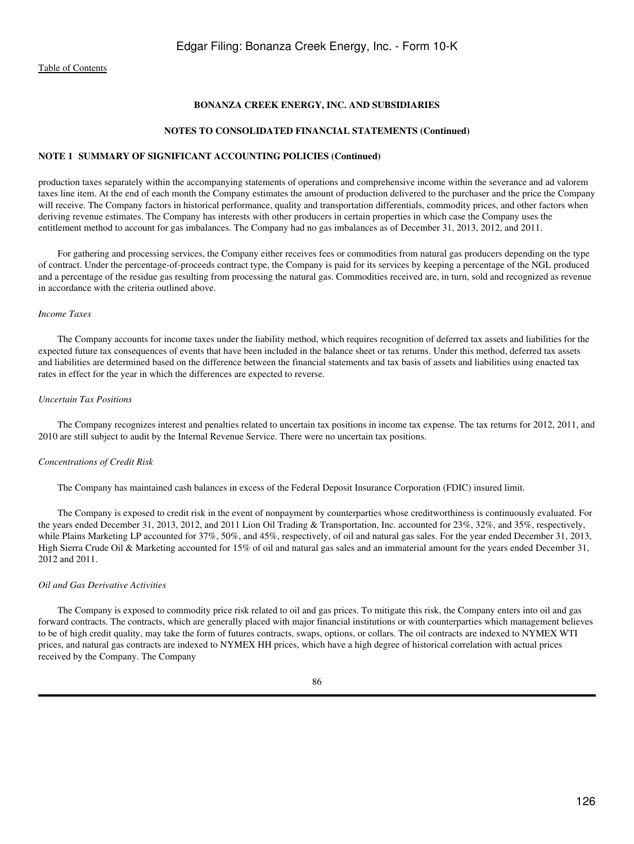### **NOTES TO CONSOLIDATED FINANCIAL STATEMENTS (Continued)**

### **NOTE 1 SUMMARY OF SIGNIFICANT ACCOUNTING POLICIES (Continued)**

production taxes separately within the accompanying statements of operations and comprehensive income within the severance and ad valorem taxes line item. At the end of each month the Company estimates the amount of production delivered to the purchaser and the price the Company will receive. The Company factors in historical performance, quality and transportation differentials, commodity prices, and other factors when deriving revenue estimates. The Company has interests with other producers in certain properties in which case the Company uses the entitlement method to account for gas imbalances. The Company had no gas imbalances as of December 31, 2013, 2012, and 2011.

 For gathering and processing services, the Company either receives fees or commodities from natural gas producers depending on the type of contract. Under the percentage-of-proceeds contract type, the Company is paid for its services by keeping a percentage of the NGL produced and a percentage of the residue gas resulting from processing the natural gas. Commodities received are, in turn, sold and recognized as revenue in accordance with the criteria outlined above.

### *Income Taxes*

 The Company accounts for income taxes under the liability method, which requires recognition of deferred tax assets and liabilities for the expected future tax consequences of events that have been included in the balance sheet or tax returns. Under this method, deferred tax assets and liabilities are determined based on the difference between the financial statements and tax basis of assets and liabilities using enacted tax rates in effect for the year in which the differences are expected to reverse.

### *Uncertain Tax Positions*

 The Company recognizes interest and penalties related to uncertain tax positions in income tax expense. The tax returns for 2012, 2011, and 2010 are still subject to audit by the Internal Revenue Service. There were no uncertain tax positions.

### *Concentrations of Credit Risk*

The Company has maintained cash balances in excess of the Federal Deposit Insurance Corporation (FDIC) insured limit.

 The Company is exposed to credit risk in the event of nonpayment by counterparties whose creditworthiness is continuously evaluated. For the years ended December 31, 2013, 2012, and 2011 Lion Oil Trading & Transportation, Inc. accounted for 23%, 32%, and 35%, respectively, while Plains Marketing LP accounted for 37%, 50%, and 45%, respectively, of oil and natural gas sales. For the year ended December 31, 2013, High Sierra Crude Oil & Marketing accounted for 15% of oil and natural gas sales and an immaterial amount for the years ended December 31, 2012 and 2011.

### *Oil and Gas Derivative Activities*

 The Company is exposed to commodity price risk related to oil and gas prices. To mitigate this risk, the Company enters into oil and gas forward contracts. The contracts, which are generally placed with major financial institutions or with counterparties which management believes to be of high credit quality, may take the form of futures contracts, swaps, options, or collars. The oil contracts are indexed to NYMEX WTI prices, and natural gas contracts are indexed to NYMEX HH prices, which have a high degree of historical correlation with actual prices received by the Company. The Company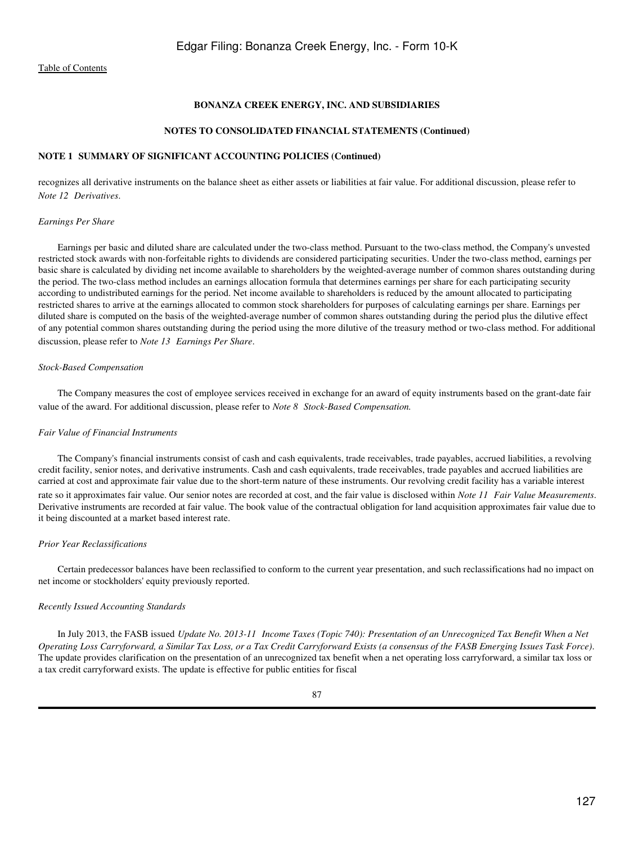### **BONANZA CREEK ENERGY, INC. AND SUBSIDIARIES**

### **NOTES TO CONSOLIDATED FINANCIAL STATEMENTS (Continued)**

### **NOTE 1 SUMMARY OF SIGNIFICANT ACCOUNTING POLICIES (Continued)**

recognizes all derivative instruments on the balance sheet as either assets or liabilities at fair value. For additional discussion, please refer to *Note 12 Derivatives*.

### *Earnings Per Share*

 Earnings per basic and diluted share are calculated under the two-class method. Pursuant to the two-class method, the Company's unvested restricted stock awards with non-forfeitable rights to dividends are considered participating securities. Under the two-class method, earnings per basic share is calculated by dividing net income available to shareholders by the weighted-average number of common shares outstanding during the period. The two-class method includes an earnings allocation formula that determines earnings per share for each participating security according to undistributed earnings for the period. Net income available to shareholders is reduced by the amount allocated to participating restricted shares to arrive at the earnings allocated to common stock shareholders for purposes of calculating earnings per share. Earnings per diluted share is computed on the basis of the weighted-average number of common shares outstanding during the period plus the dilutive effect of any potential common shares outstanding during the period using the more dilutive of the treasury method or two-class method. For additional discussion, please refer to *Note 13 Earnings Per Share*.

#### *Stock-Based Compensation*

 The Company measures the cost of employee services received in exchange for an award of equity instruments based on the grant-date fair value of the award. For additional discussion, please refer to *Note 8 Stock-Based Compensation*.

#### *Fair Value of Financial Instruments*

 The Company's financial instruments consist of cash and cash equivalents, trade receivables, trade payables, accrued liabilities, a revolving credit facility, senior notes, and derivative instruments. Cash and cash equivalents, trade receivables, trade payables and accrued liabilities are carried at cost and approximate fair value due to the short-term nature of these instruments. Our revolving credit facility has a variable interest rate so it approximates fair value. Our senior notes are recorded at cost, and the fair value is disclosed within *Note 11 Fair Value Measurements*. Derivative instruments are recorded at fair value. The book value of the contractual obligation for land acquisition approximates fair value due to it being discounted at a market based interest rate.

#### *Prior Year Reclassifications*

 Certain predecessor balances have been reclassified to conform to the current year presentation, and such reclassifications had no impact on net income or stockholders' equity previously reported.

#### *Recently Issued Accounting Standards*

In July 2013, the FASB issued *Update No. 2013-11 Income Taxes (Topic 740): Presentation of an Unrecognized Tax Benefit When a Net Operating Loss Carryforward, a Similar Tax Loss, or a Tax Credit Carryforward Exists (a consensus of the FASB Emerging Issues Task Force)*. The update provides clarification on the presentation of an unrecognized tax benefit when a net operating loss carryforward, a similar tax loss or a tax credit carryforward exists. The update is effective for public entities for fiscal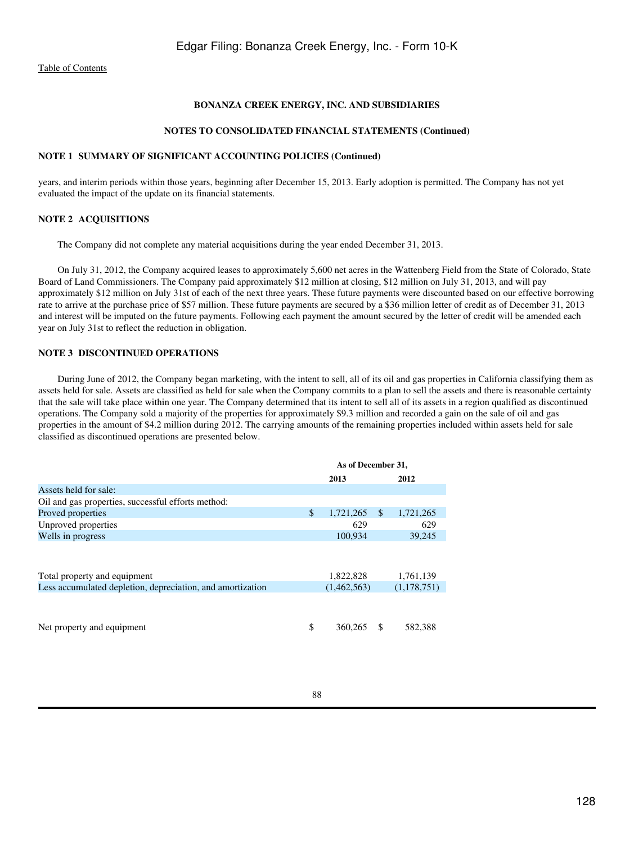### **NOTES TO CONSOLIDATED FINANCIAL STATEMENTS (Continued)**

### **NOTE 1 SUMMARY OF SIGNIFICANT ACCOUNTING POLICIES (Continued)**

years, and interim periods within those years, beginning after December 15, 2013. Early adoption is permitted. The Company has not yet evaluated the impact of the update on its financial statements.

# **NOTE 2 ACQUISITIONS**

The Company did not complete any material acquisitions during the year ended December 31, 2013.

 On July 31, 2012, the Company acquired leases to approximately 5,600 net acres in the Wattenberg Field from the State of Colorado, State Board of Land Commissioners. The Company paid approximately \$12 million at closing, \$12 million on July 31, 2013, and will pay approximately \$12 million on July 31st of each of the next three years. These future payments were discounted based on our effective borrowing rate to arrive at the purchase price of \$57 million. These future payments are secured by a \$36 million letter of credit as of December 31, 2013 and interest will be imputed on the future payments. Following each payment the amount secured by the letter of credit will be amended each year on July 31st to reflect the reduction in obligation.

# **NOTE 3 DISCONTINUED OPERATIONS**

 During June of 2012, the Company began marketing, with the intent to sell, all of its oil and gas properties in California classifying them as assets held for sale. Assets are classified as held for sale when the Company commits to a plan to sell the assets and there is reasonable certainty that the sale will take place within one year. The Company determined that its intent to sell all of its assets in a region qualified as discontinued operations. The Company sold a majority of the properties for approximately \$9.3 million and recorded a gain on the sale of oil and gas properties in the amount of \$4.2 million during 2012. The carrying amounts of the remaining properties included within assets held for sale classified as discontinued operations are presented below.

|                                                            | As of December 31, |     |             |  |  |  |
|------------------------------------------------------------|--------------------|-----|-------------|--|--|--|
|                                                            | 2013               |     | 2012        |  |  |  |
| Assets held for sale:                                      |                    |     |             |  |  |  |
| Oil and gas properties, successful efforts method:         |                    |     |             |  |  |  |
| Proved properties                                          | \$<br>1,721,265    | \$. | 1,721,265   |  |  |  |
| Unproved properties                                        | 629                |     | 629         |  |  |  |
| Wells in progress                                          | 100,934            |     | 39,245      |  |  |  |
|                                                            |                    |     |             |  |  |  |
| Total property and equipment                               | 1,822,828          |     | 1,761,139   |  |  |  |
| Less accumulated depletion, depreciation, and amortization | (1,462,563)        |     | (1,178,751) |  |  |  |
|                                                            |                    |     |             |  |  |  |
| Net property and equipment                                 | \$<br>360,265      |     | 582.388     |  |  |  |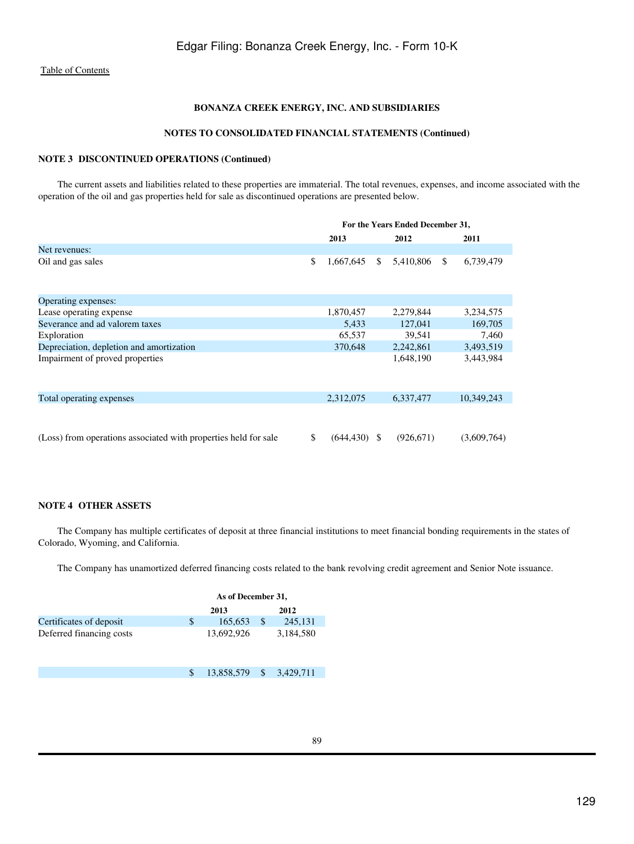# **BONANZA CREEK ENERGY, INC. AND SUBSIDIARIES**

### **NOTES TO CONSOLIDATED FINANCIAL STATEMENTS (Continued)**

# **NOTE 3 DISCONTINUED OPERATIONS (Continued)**

 The current assets and liabilities related to these properties are immaterial. The total revenues, expenses, and income associated with the operation of the oil and gas properties held for sale as discontinued operations are presented below.

|                                                                 | For the Years Ended December 31, |                |    |            |               |             |
|-----------------------------------------------------------------|----------------------------------|----------------|----|------------|---------------|-------------|
|                                                                 |                                  | 2013           |    | 2012       |               | 2011        |
| Net revenues:                                                   |                                  |                |    |            |               |             |
| Oil and gas sales                                               | \$                               | 1,667,645      | S. | 5,410,806  | <sup>\$</sup> | 6,739,479   |
| Operating expenses:                                             |                                  |                |    |            |               |             |
| Lease operating expense                                         |                                  | 1,870,457      |    | 2,279,844  |               | 3,234,575   |
| Severance and ad valorem taxes                                  |                                  | 5,433          |    | 127,041    |               | 169,705     |
| Exploration                                                     |                                  | 65,537         |    | 39,541     |               | 7,460       |
| Depreciation, depletion and amortization                        |                                  | 370,648        |    | 2,242,861  |               | 3,493,519   |
| Impairment of proved properties                                 |                                  |                |    | 1,648,190  |               | 3,443,984   |
| Total operating expenses                                        |                                  | 2,312,075      |    | 6,337,477  |               | 10,349,243  |
| (Loss) from operations associated with properties held for sale | \$                               | $(644.430)$ \$ |    | (926, 671) |               | (3,609,764) |

# **NOTE 4 OTHER ASSETS**

 The Company has multiple certificates of deposit at three financial institutions to meet financial bonding requirements in the states of Colorado, Wyoming, and California.

The Company has unamortized deferred financing costs related to the bank revolving credit agreement and Senior Note issuance.

|                          |   | As of December 31, |               |           |  |  |  |  |
|--------------------------|---|--------------------|---------------|-----------|--|--|--|--|
|                          |   | 2013               |               | 2012      |  |  |  |  |
| Certificates of deposit  | S | 165,653            | <sup>\$</sup> | 245,131   |  |  |  |  |
| Deferred financing costs |   | 13,692,926         |               | 3,184,580 |  |  |  |  |
|                          |   | 13,858,579         | S             | 3,429,711 |  |  |  |  |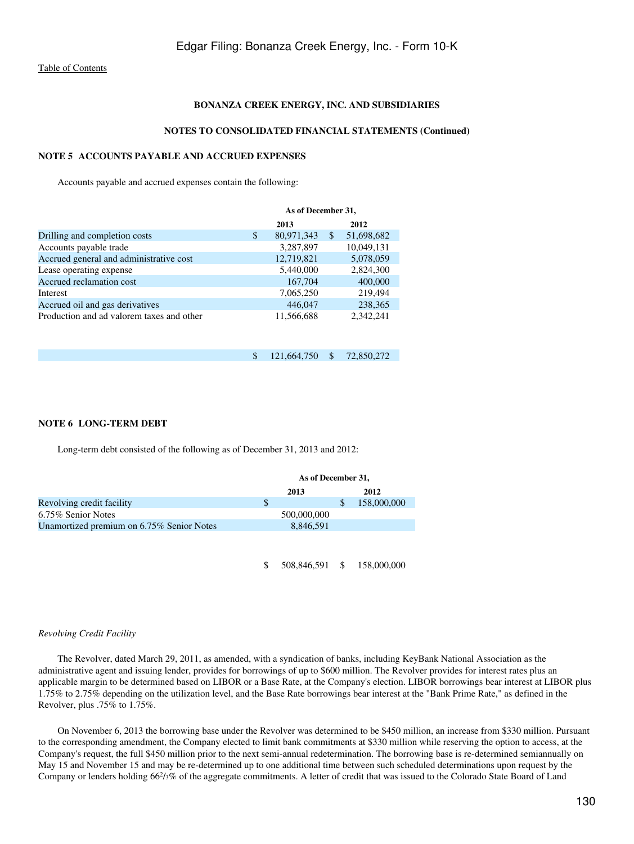# **BONANZA CREEK ENERGY, INC. AND SUBSIDIARIES**

### **NOTES TO CONSOLIDATED FINANCIAL STATEMENTS (Continued)**

### **NOTE 5 ACCOUNTS PAYABLE AND ACCRUED EXPENSES**

Accounts payable and accrued expenses contain the following:

|                                           | As of December 31, |            |          |            |
|-------------------------------------------|--------------------|------------|----------|------------|
|                                           |                    | 2013       |          | 2012       |
| Drilling and completion costs             | \$                 | 80,971,343 | <b>S</b> | 51,698,682 |
| Accounts payable trade                    |                    | 3,287,897  |          | 10,049,131 |
| Accrued general and administrative cost   |                    | 12,719,821 |          | 5,078,059  |
| Lease operating expense                   |                    | 5,440,000  |          | 2,824,300  |
| Accrued reclamation cost                  |                    | 167,704    |          | 400,000    |
| Interest                                  |                    | 7,065,250  |          | 219,494    |
| Accrued oil and gas derivatives           |                    | 446,047    |          | 238,365    |
| Production and ad valorem taxes and other |                    | 11,566,688 |          | 2,342,241  |

\$ 121,664,750 \$ 72,850,272

### **NOTE 6 LONG-TERM DEBT**

Long-term debt consisted of the following as of December 31, 2013 and 2012:

|                                           | As of December 31, |  |             |  |  |
|-------------------------------------------|--------------------|--|-------------|--|--|
|                                           | 2013               |  | 2012        |  |  |
| Revolving credit facility                 | S.                 |  | 158,000,000 |  |  |
| 6.75% Senior Notes                        | 500,000,000        |  |             |  |  |
| Unamortized premium on 6.75% Senior Notes | 8.846.591          |  |             |  |  |
|                                           |                    |  |             |  |  |

\$ 508,846,591 \$ 158,000,000

### *Revolving Credit Facility*

 The Revolver, dated March 29, 2011, as amended, with a syndication of banks, including KeyBank National Association as the administrative agent and issuing lender, provides for borrowings of up to \$600 million. The Revolver provides for interest rates plus an applicable margin to be determined based on LIBOR or a Base Rate, at the Company's election. LIBOR borrowings bear interest at LIBOR plus 1.75% to 2.75% depending on the utilization level, and the Base Rate borrowings bear interest at the "Bank Prime Rate," as defined in the Revolver, plus .75% to 1.75%.

 On November 6, 2013 the borrowing base under the Revolver was determined to be \$450 million, an increase from \$330 million. Pursuant to the corresponding amendment, the Company elected to limit bank commitments at \$330 million while reserving the option to access, at the Company's request, the full \$450 million prior to the next semi-annual redetermination. The borrowing base is re-determined semiannually on May 15 and November 15 and may be re-determined up to one additional time between such scheduled determinations upon request by the Company or lenders holding 66<sup>2</sup>/<sub>3</sub>% of the aggregate commitments. A letter of credit that was issued to the Colorado State Board of Land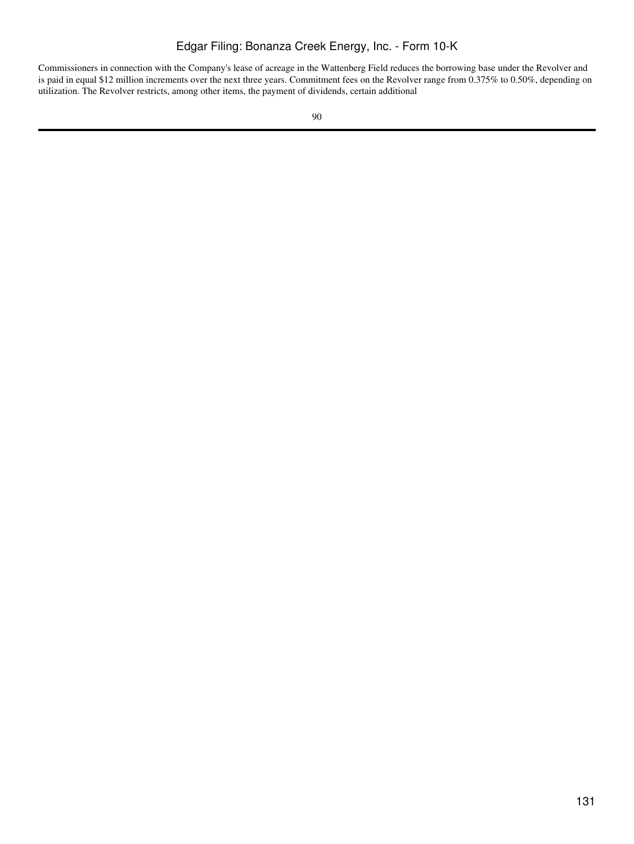# Edgar Filing: Bonanza Creek Energy, Inc. - Form 10-K

Commissioners in connection with the Company's lease of acreage in the Wattenberg Field reduces the borrowing base under the Revolver and is paid in equal \$12 million increments over the next three years. Commitment fees on the Revolver range from 0.375% to 0.50%, depending on utilization. The Revolver restricts, among other items, the payment of dividends, certain additional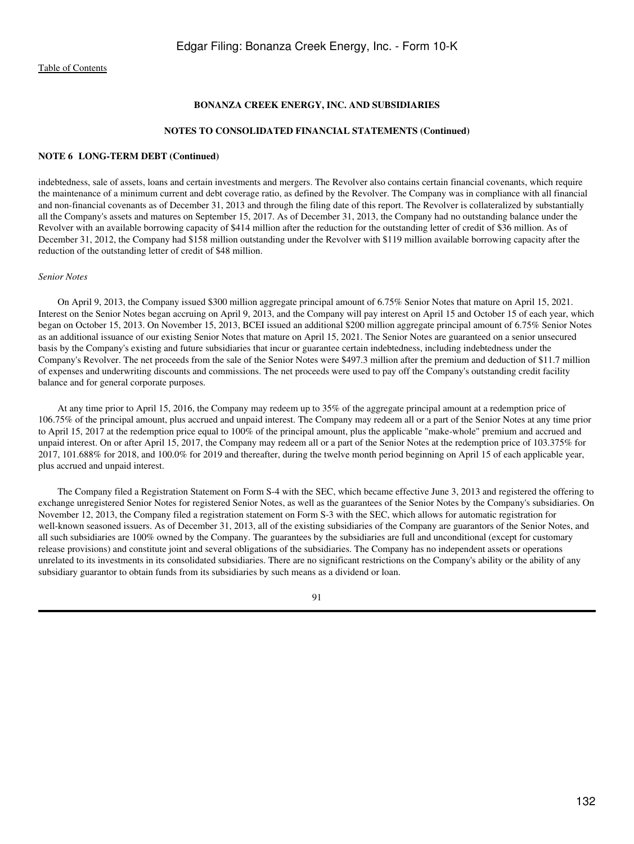### **NOTES TO CONSOLIDATED FINANCIAL STATEMENTS (Continued)**

# **NOTE 6 LONG-TERM DEBT (Continued)**

indebtedness, sale of assets, loans and certain investments and mergers. The Revolver also contains certain financial covenants, which require the maintenance of a minimum current and debt coverage ratio, as defined by the Revolver. The Company was in compliance with all financial and non-financial covenants as of December 31, 2013 and through the filing date of this report. The Revolver is collateralized by substantially all the Company's assets and matures on September 15, 2017. As of December 31, 2013, the Company had no outstanding balance under the Revolver with an available borrowing capacity of \$414 million after the reduction for the outstanding letter of credit of \$36 million. As of December 31, 2012, the Company had \$158 million outstanding under the Revolver with \$119 million available borrowing capacity after the reduction of the outstanding letter of credit of \$48 million.

### *Senior Notes*

 On April 9, 2013, the Company issued \$300 million aggregate principal amount of 6.75% Senior Notes that mature on April 15, 2021. Interest on the Senior Notes began accruing on April 9, 2013, and the Company will pay interest on April 15 and October 15 of each year, which began on October 15, 2013. On November 15, 2013, BCEI issued an additional \$200 million aggregate principal amount of 6.75% Senior Notes as an additional issuance of our existing Senior Notes that mature on April 15, 2021. The Senior Notes are guaranteed on a senior unsecured basis by the Company's existing and future subsidiaries that incur or guarantee certain indebtedness, including indebtedness under the Company's Revolver. The net proceeds from the sale of the Senior Notes were \$497.3 million after the premium and deduction of \$11.7 million of expenses and underwriting discounts and commissions. The net proceeds were used to pay off the Company's outstanding credit facility balance and for general corporate purposes.

 At any time prior to April 15, 2016, the Company may redeem up to 35% of the aggregate principal amount at a redemption price of 106.75% of the principal amount, plus accrued and unpaid interest. The Company may redeem all or a part of the Senior Notes at any time prior to April 15, 2017 at the redemption price equal to 100% of the principal amount, plus the applicable "make-whole" premium and accrued and unpaid interest. On or after April 15, 2017, the Company may redeem all or a part of the Senior Notes at the redemption price of 103.375% for 2017, 101.688% for 2018, and 100.0% for 2019 and thereafter, during the twelve month period beginning on April 15 of each applicable year, plus accrued and unpaid interest.

 The Company filed a Registration Statement on Form S-4 with the SEC, which became effective June 3, 2013 and registered the offering to exchange unregistered Senior Notes for registered Senior Notes, as well as the guarantees of the Senior Notes by the Company's subsidiaries. On November 12, 2013, the Company filed a registration statement on Form S-3 with the SEC, which allows for automatic registration for well-known seasoned issuers. As of December 31, 2013, all of the existing subsidiaries of the Company are guarantors of the Senior Notes, and all such subsidiaries are 100% owned by the Company. The guarantees by the subsidiaries are full and unconditional (except for customary release provisions) and constitute joint and several obligations of the subsidiaries. The Company has no independent assets or operations unrelated to its investments in its consolidated subsidiaries. There are no significant restrictions on the Company's ability or the ability of any subsidiary guarantor to obtain funds from its subsidiaries by such means as a dividend or loan.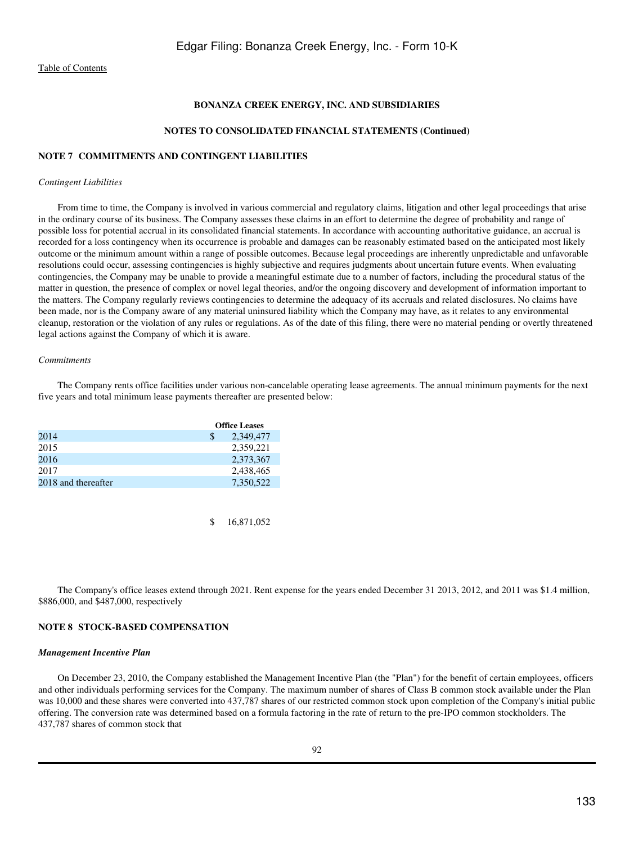### **NOTES TO CONSOLIDATED FINANCIAL STATEMENTS (Continued)**

## **NOTE 7 COMMITMENTS AND CONTINGENT LIABILITIES**

### *Contingent Liabilities*

 From time to time, the Company is involved in various commercial and regulatory claims, litigation and other legal proceedings that arise in the ordinary course of its business. The Company assesses these claims in an effort to determine the degree of probability and range of possible loss for potential accrual in its consolidated financial statements. In accordance with accounting authoritative guidance, an accrual is recorded for a loss contingency when its occurrence is probable and damages can be reasonably estimated based on the anticipated most likely outcome or the minimum amount within a range of possible outcomes. Because legal proceedings are inherently unpredictable and unfavorable resolutions could occur, assessing contingencies is highly subjective and requires judgments about uncertain future events. When evaluating contingencies, the Company may be unable to provide a meaningful estimate due to a number of factors, including the procedural status of the matter in question, the presence of complex or novel legal theories, and/or the ongoing discovery and development of information important to the matters. The Company regularly reviews contingencies to determine the adequacy of its accruals and related disclosures. No claims have been made, nor is the Company aware of any material uninsured liability which the Company may have, as it relates to any environmental cleanup, restoration or the violation of any rules or regulations. As of the date of this filing, there were no material pending or overtly threatened legal actions against the Company of which it is aware.

### *Commitments*

 The Company rents office facilities under various non-cancelable operating lease agreements. The annual minimum payments for the next five years and total minimum lease payments thereafter are presented below:

|                     |    | <b>Office Leases</b> |  |  |  |
|---------------------|----|----------------------|--|--|--|
| 2014                | S. | 2.349,477            |  |  |  |
| 2015                |    | 2,359,221            |  |  |  |
| 2016                |    | 2,373,367            |  |  |  |
| 2017                |    | 2,438,465            |  |  |  |
| 2018 and thereafter |    | 7,350,522            |  |  |  |

\$ 16,871,052

 The Company's office leases extend through 2021. Rent expense for the years ended December 31 2013, 2012, and 2011 was \$1.4 million, \$886,000, and \$487,000, respectively

### **NOTE 8 STOCK-BASED COMPENSATION**

### *Management Incentive Plan*

 On December 23, 2010, the Company established the Management Incentive Plan (the "Plan") for the benefit of certain employees, officers and other individuals performing services for the Company. The maximum number of shares of Class B common stock available under the Plan was 10,000 and these shares were converted into 437,787 shares of our restricted common stock upon completion of the Company's initial public offering. The conversion rate was determined based on a formula factoring in the rate of return to the pre-IPO common stockholders. The 437,787 shares of common stock that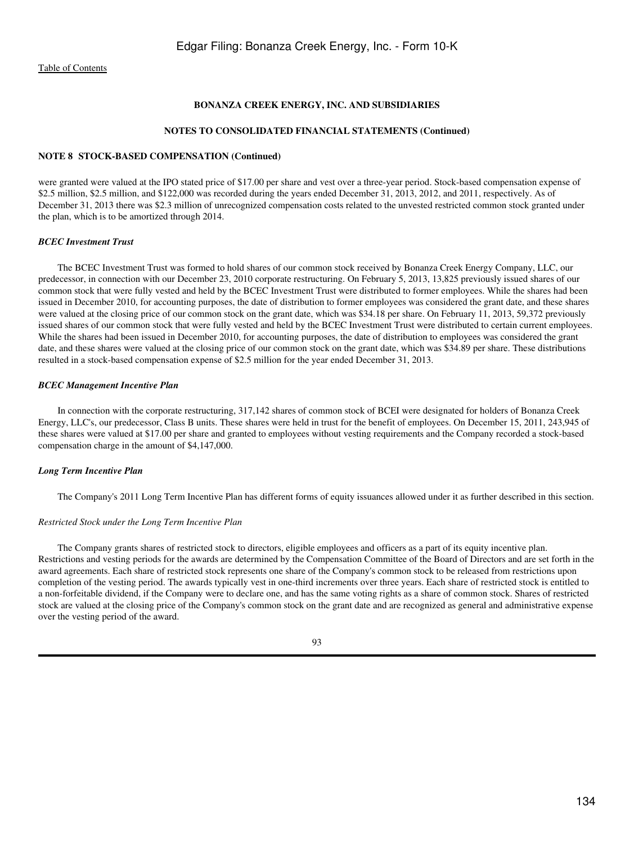### **NOTES TO CONSOLIDATED FINANCIAL STATEMENTS (Continued)**

# **NOTE 8 STOCK-BASED COMPENSATION (Continued)**

were granted were valued at the IPO stated price of \$17.00 per share and vest over a three-year period. Stock-based compensation expense of \$2.5 million, \$2.5 million, and \$122,000 was recorded during the years ended December 31, 2013, 2012, and 2011, respectively. As of December 31, 2013 there was \$2.3 million of unrecognized compensation costs related to the unvested restricted common stock granted under the plan, which is to be amortized through 2014.

### *BCEC Investment Trust*

 The BCEC Investment Trust was formed to hold shares of our common stock received by Bonanza Creek Energy Company, LLC, our predecessor, in connection with our December 23, 2010 corporate restructuring. On February 5, 2013, 13,825 previously issued shares of our common stock that were fully vested and held by the BCEC Investment Trust were distributed to former employees. While the shares had been issued in December 2010, for accounting purposes, the date of distribution to former employees was considered the grant date, and these shares were valued at the closing price of our common stock on the grant date, which was \$34.18 per share. On February 11, 2013, 59,372 previously issued shares of our common stock that were fully vested and held by the BCEC Investment Trust were distributed to certain current employees. While the shares had been issued in December 2010, for accounting purposes, the date of distribution to employees was considered the grant date, and these shares were valued at the closing price of our common stock on the grant date, which was \$34.89 per share. These distributions resulted in a stock-based compensation expense of \$2.5 million for the year ended December 31, 2013.

### *BCEC Management Incentive Plan*

 In connection with the corporate restructuring, 317,142 shares of common stock of BCEI were designated for holders of Bonanza Creek Energy, LLC's, our predecessor, Class B units. These shares were held in trust for the benefit of employees. On December 15, 2011, 243,945 of these shares were valued at \$17.00 per share and granted to employees without vesting requirements and the Company recorded a stock-based compensation charge in the amount of \$4,147,000.

### *Long Term Incentive Plan*

The Company's 2011 Long Term Incentive Plan has different forms of equity issuances allowed under it as further described in this section.

# *Restricted Stock under the Long Term Incentive Plan*

 The Company grants shares of restricted stock to directors, eligible employees and officers as a part of its equity incentive plan. Restrictions and vesting periods for the awards are determined by the Compensation Committee of the Board of Directors and are set forth in the award agreements. Each share of restricted stock represents one share of the Company's common stock to be released from restrictions upon completion of the vesting period. The awards typically vest in one-third increments over three years. Each share of restricted stock is entitled to a non-forfeitable dividend, if the Company were to declare one, and has the same voting rights as a share of common stock. Shares of restricted stock are valued at the closing price of the Company's common stock on the grant date and are recognized as general and administrative expense over the vesting period of the award.

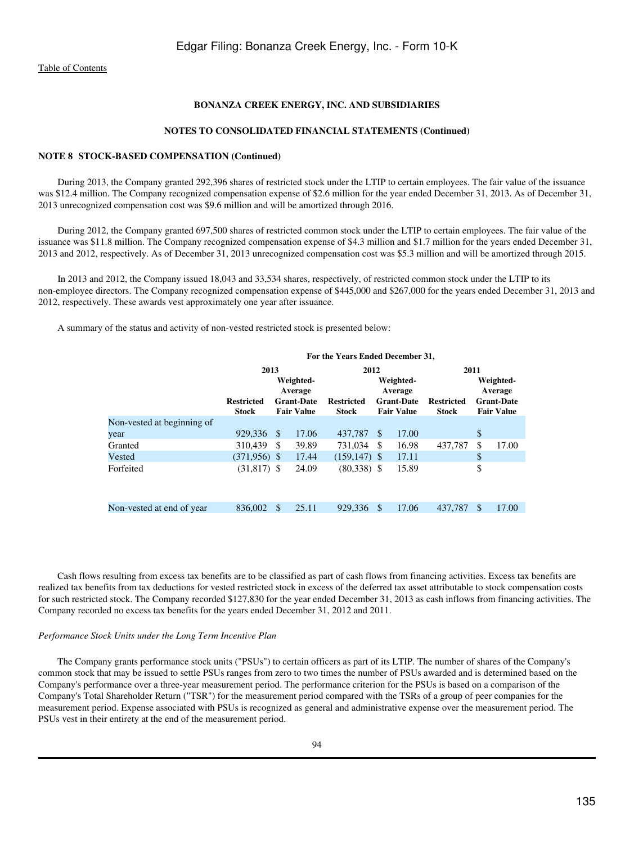### **BONANZA CREEK ENERGY, INC. AND SUBSIDIARIES**

### **NOTES TO CONSOLIDATED FINANCIAL STATEMENTS (Continued)**

## **NOTE 8 STOCK-BASED COMPENSATION (Continued)**

 During 2013, the Company granted 292,396 shares of restricted stock under the LTIP to certain employees. The fair value of the issuance was \$12.4 million. The Company recognized compensation expense of \$2.6 million for the year ended December 31, 2013. As of December 31, 2013 unrecognized compensation cost was \$9.6 million and will be amortized through 2016.

 During 2012, the Company granted 697,500 shares of restricted common stock under the LTIP to certain employees. The fair value of the issuance was \$11.8 million. The Company recognized compensation expense of \$4.3 million and \$1.7 million for the years ended December 31, 2013 and 2012, respectively. As of December 31, 2013 unrecognized compensation cost was \$5.3 million and will be amortized through 2015.

 In 2013 and 2012, the Company issued 18,043 and 33,534 shares, respectively, of restricted common stock under the LTIP to its non-employee directors. The Company recognized compensation expense of \$445,000 and \$267,000 for the years ended December 31, 2013 and 2012, respectively. These awards vest approximately one year after issuance.

A summary of the status and activity of non-vested restricted stock is presented below:

|                            | For the Years Ended December 31, |               |                                           |                   |      |                                           |                   |          |                                           |  |  |
|----------------------------|----------------------------------|---------------|-------------------------------------------|-------------------|------|-------------------------------------------|-------------------|----------|-------------------------------------------|--|--|
|                            | 2013                             |               |                                           |                   | 2012 |                                           |                   | 2011     |                                           |  |  |
|                            | <b>Restricted</b>                |               | Weighted-<br>Average<br><b>Grant-Date</b> | <b>Restricted</b> |      | Weighted-<br>Average<br><b>Grant-Date</b> | <b>Restricted</b> |          | Weighted-<br>Average<br><b>Grant-Date</b> |  |  |
|                            | <b>Stock</b>                     |               | <b>Fair Value</b>                         | <b>Stock</b>      |      | <b>Fair Value</b>                         | <b>Stock</b>      |          | <b>Fair Value</b>                         |  |  |
| Non-vested at beginning of |                                  |               |                                           |                   |      |                                           |                   |          |                                           |  |  |
| year                       | 929,336                          | -\$           | 17.06                                     | 437.787           | -S   | 17.00                                     |                   | \$       |                                           |  |  |
| Granted                    | 310.439                          | \$.           | 39.89                                     | 731.034           | \$.  | 16.98                                     | 437.787           | S        | 17.00                                     |  |  |
| Vested                     | $(371,956)$ \$                   |               | 17.44                                     | $(159, 147)$ \$   |      | 17.11                                     |                   | \$       |                                           |  |  |
| Forfeited                  | $(31,817)$ \$                    |               | 24.09                                     | $(80,338)$ \$     |      | 15.89                                     |                   | \$       |                                           |  |  |
|                            |                                  |               |                                           |                   |      |                                           |                   |          |                                           |  |  |
| Non-vested at end of year  | 836,002                          | <sup>\$</sup> | 25.11                                     | 929.336           | S    | 17.06                                     | 437,787           | <b>S</b> | 17.00                                     |  |  |

 Cash flows resulting from excess tax benefits are to be classified as part of cash flows from financing activities. Excess tax benefits are realized tax benefits from tax deductions for vested restricted stock in excess of the deferred tax asset attributable to stock compensation costs for such restricted stock. The Company recorded \$127,830 for the year ended December 31, 2013 as cash inflows from financing activities. The Company recorded no excess tax benefits for the years ended December 31, 2012 and 2011.

#### *Performance Stock Units under the Long Term Incentive Plan*

 The Company grants performance stock units ("PSUs") to certain officers as part of its LTIP. The number of shares of the Company's common stock that may be issued to settle PSUs ranges from zero to two times the number of PSUs awarded and is determined based on the Company's performance over a three-year measurement period. The performance criterion for the PSUs is based on a comparison of the Company's Total Shareholder Return ("TSR") for the measurement period compared with the TSRs of a group of peer companies for the measurement period. Expense associated with PSUs is recognized as general and administrative expense over the measurement period. The PSUs vest in their entirety at the end of the measurement period.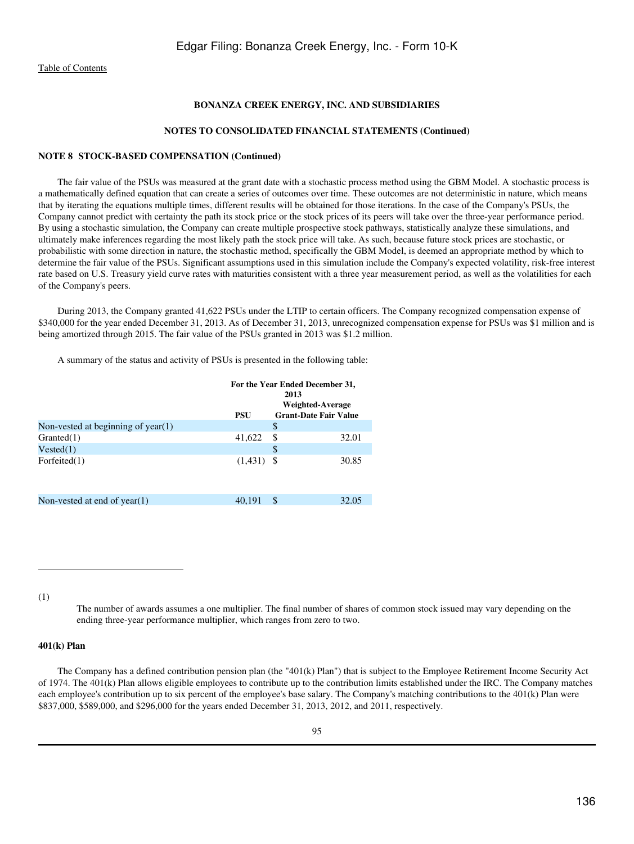# **BONANZA CREEK ENERGY, INC. AND SUBSIDIARIES**

### **NOTES TO CONSOLIDATED FINANCIAL STATEMENTS (Continued)**

# **NOTE 8 STOCK-BASED COMPENSATION (Continued)**

 The fair value of the PSUs was measured at the grant date with a stochastic process method using the GBM Model. A stochastic process is a mathematically defined equation that can create a series of outcomes over time. These outcomes are not deterministic in nature, which means that by iterating the equations multiple times, different results will be obtained for those iterations. In the case of the Company's PSUs, the Company cannot predict with certainty the path its stock price or the stock prices of its peers will take over the three-year performance period. By using a stochastic simulation, the Company can create multiple prospective stock pathways, statistically analyze these simulations, and ultimately make inferences regarding the most likely path the stock price will take. As such, because future stock prices are stochastic, or probabilistic with some direction in nature, the stochastic method, specifically the GBM Model, is deemed an appropriate method by which to determine the fair value of the PSUs. Significant assumptions used in this simulation include the Company's expected volatility, risk-free interest rate based on U.S. Treasury yield curve rates with maturities consistent with a three year measurement period, as well as the volatilities for each of the Company's peers.

 During 2013, the Company granted 41,622 PSUs under the LTIP to certain officers. The Company recognized compensation expense of \$340,000 for the year ended December 31, 2013. As of December 31, 2013, unrecognized compensation expense for PSUs was \$1 million and is being amortized through 2015. The fair value of the PSUs granted in 2013 was \$1.2 million.

A summary of the status and activity of PSUs is presented in the following table:

|                                    | For the Year Ended December 31,<br>2013<br>Weighted-Average<br><b>Grant-Date Fair Value</b><br><b>PSU</b> |    |       |  |  |  |  |
|------------------------------------|-----------------------------------------------------------------------------------------------------------|----|-------|--|--|--|--|
| Non-vested at beginning of year(1) |                                                                                                           | \$ |       |  |  |  |  |
| Granted(1)                         | 41,622                                                                                                    | S  | 32.01 |  |  |  |  |
| Vested(1)                          |                                                                                                           | \$ |       |  |  |  |  |
| Forfeited $(1)$                    | (1,431)                                                                                                   | -S | 30.85 |  |  |  |  |
| Non-vested at end of year $(1)$    | 40.191                                                                                                    | S  | 32.05 |  |  |  |  |

(1)

The number of awards assumes a one multiplier. The final number of shares of common stock issued may vary depending on the ending three-year performance multiplier, which ranges from zero to two.

### **401(k) Plan**

 The Company has a defined contribution pension plan (the "401(k) Plan") that is subject to the Employee Retirement Income Security Act of 1974. The 401(k) Plan allows eligible employees to contribute up to the contribution limits established under the IRC. The Company matches each employee's contribution up to six percent of the employee's base salary. The Company's matching contributions to the 401(k) Plan were \$837,000, \$589,000, and \$296,000 for the years ended December 31, 2013, 2012, and 2011, respectively.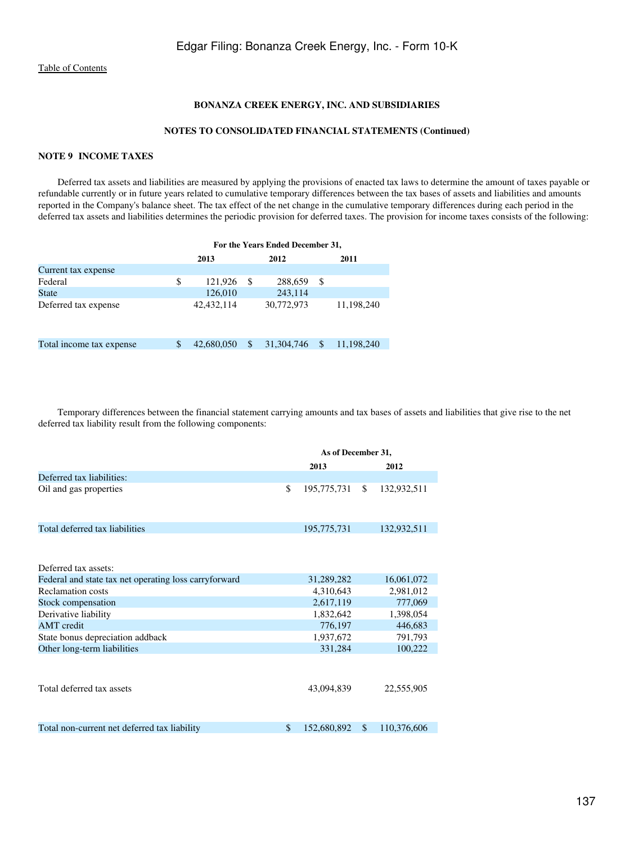# **BONANZA CREEK ENERGY, INC. AND SUBSIDIARIES**

### **NOTES TO CONSOLIDATED FINANCIAL STATEMENTS (Continued)**

### **NOTE 9 INCOME TAXES**

 Deferred tax assets and liabilities are measured by applying the provisions of enacted tax laws to determine the amount of taxes payable or refundable currently or in future years related to cumulative temporary differences between the tax bases of assets and liabilities and amounts reported in the Company's balance sheet. The tax effect of the net change in the cumulative temporary differences during each period in the deferred tax assets and liabilities determines the periodic provision for deferred taxes. The provision for income taxes consists of the following:

|                          |    | For the Years Ended December 31, |    |              |   |            |  |  |
|--------------------------|----|----------------------------------|----|--------------|---|------------|--|--|
|                          |    | 2013                             |    | 2012         |   | 2011       |  |  |
| Current tax expense      |    |                                  |    |              |   |            |  |  |
| Federal                  | S  | 121,926                          | \$ | 288,659      | S |            |  |  |
| <b>State</b>             |    | 126,010                          |    | 243,114      |   |            |  |  |
| Deferred tax expense     |    | 42, 432, 114                     |    | 30,772,973   |   | 11,198,240 |  |  |
| Total income tax expense | \$ | 42,680,050                       | \$ | 31, 304, 746 |   | 11,198,240 |  |  |

 Temporary differences between the financial statement carrying amounts and tax bases of assets and liabilities that give rise to the net deferred tax liability result from the following components:

|                                                       | As of December 31, |               |             |  |
|-------------------------------------------------------|--------------------|---------------|-------------|--|
|                                                       | 2013               |               | 2012        |  |
| Deferred tax liabilities:                             |                    |               |             |  |
| Oil and gas properties                                | \$<br>195,775,731  | \$.           | 132,932,511 |  |
| Total deferred tax liabilities                        | 195,775,731        |               | 132,932,511 |  |
| Deferred tax assets:                                  |                    |               |             |  |
| Federal and state tax net operating loss carryforward | 31,289,282         |               | 16,061,072  |  |
| Reclamation costs                                     | 4,310,643          |               | 2,981,012   |  |
| Stock compensation                                    | 2,617,119          |               | 777,069     |  |
| Derivative liability                                  | 1,832,642          |               | 1,398,054   |  |
| <b>AMT</b> credit                                     | 776,197            |               | 446,683     |  |
| State bonus depreciation addback                      | 1,937,672          |               | 791,793     |  |
| Other long-term liabilities                           | 331,284            |               | 100,222     |  |
| Total deferred tax assets                             | 43,094,839         |               | 22,555,905  |  |
| Total non-current net deferred tax liability          | \$<br>152,680,892  | $\mathcal{S}$ | 110,376,606 |  |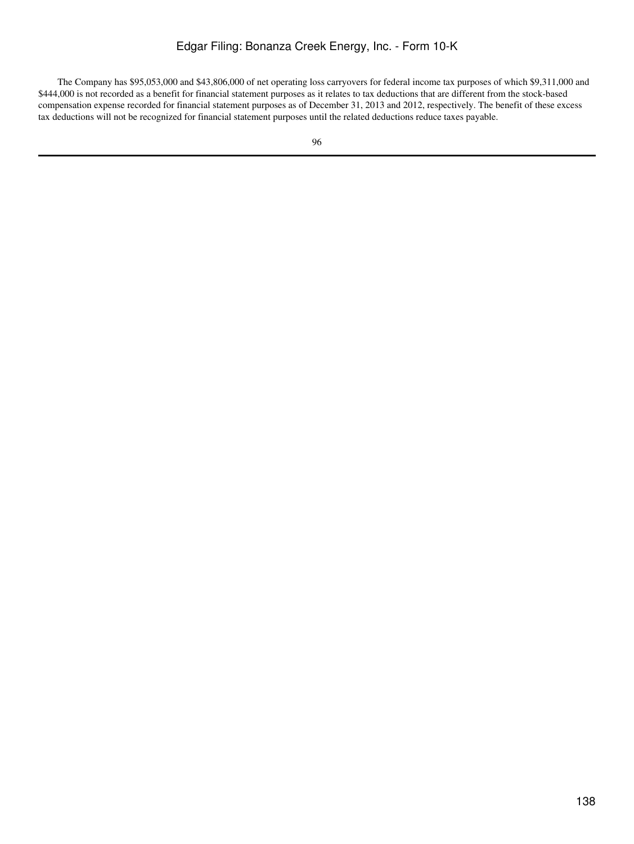# Edgar Filing: Bonanza Creek Energy, Inc. - Form 10-K

 The Company has \$95,053,000 and \$43,806,000 of net operating loss carryovers for federal income tax purposes of which \$9,311,000 and \$444,000 is not recorded as a benefit for financial statement purposes as it relates to tax deductions that are different from the stock-based compensation expense recorded for financial statement purposes as of December 31, 2013 and 2012, respectively. The benefit of these excess tax deductions will not be recognized for financial statement purposes until the related deductions reduce taxes payable.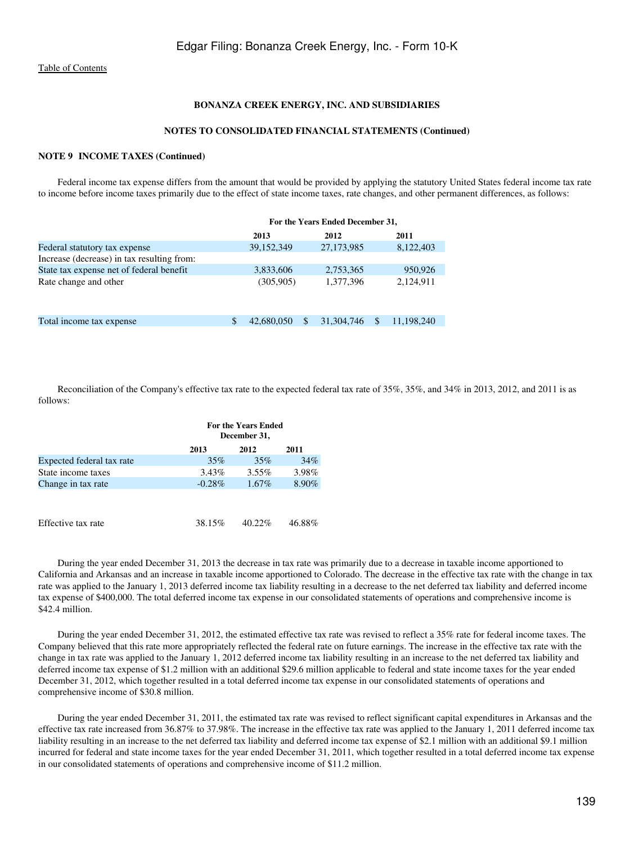# **BONANZA CREEK ENERGY, INC. AND SUBSIDIARIES**

### **NOTES TO CONSOLIDATED FINANCIAL STATEMENTS (Continued)**

### **NOTE 9 INCOME TAXES (Continued)**

 Federal income tax expense differs from the amount that would be provided by applying the statutory United States federal income tax rate to income before income taxes primarily due to the effect of state income taxes, rate changes, and other permanent differences, as follows:

|                                            | For the Years Ended December 31, |            |  |              |  |            |
|--------------------------------------------|----------------------------------|------------|--|--------------|--|------------|
|                                            |                                  | 2013       |  | 2012         |  | 2011       |
| Federal statutory tax expense              |                                  | 39,152,349 |  | 27,173,985   |  | 8,122,403  |
| Increase (decrease) in tax resulting from: |                                  |            |  |              |  |            |
| State tax expense net of federal benefit   |                                  | 3,833,606  |  | 2,753,365    |  | 950,926    |
| Rate change and other                      |                                  | (305,905)  |  | 1,377,396    |  | 2,124,911  |
|                                            |                                  |            |  |              |  |            |
| Total income tax expense                   | \$                               | 42,680,050 |  | 31, 304, 746 |  | 11,198,240 |

Reconciliation of the Company's effective tax rate to the expected federal tax rate of 35%, 35%, and 34% in 2013, 2012, and 2011 is as follows:

|                           | <b>For the Years Ended</b><br>December 31, |          |        |  |  |  |
|---------------------------|--------------------------------------------|----------|--------|--|--|--|
|                           | 2013                                       | 2012     | 2011   |  |  |  |
| Expected federal tax rate | 35%                                        | 35%      | 34%    |  |  |  |
| State income taxes        | $3.43\%$                                   | $3.55\%$ | 3.98%  |  |  |  |
| Change in tax rate        | $-0.28\%$                                  | $1.67\%$ | 8.90%  |  |  |  |
| Effective tax rate        | 38.15%                                     | 40.22%   | 46.88% |  |  |  |

 During the year ended December 31, 2013 the decrease in tax rate was primarily due to a decrease in taxable income apportioned to California and Arkansas and an increase in taxable income apportioned to Colorado. The decrease in the effective tax rate with the change in tax rate was applied to the January 1, 2013 deferred income tax liability resulting in a decrease to the net deferred tax liability and deferred income tax expense of \$400,000. The total deferred income tax expense in our consolidated statements of operations and comprehensive income is \$42.4 million.

 During the year ended December 31, 2012, the estimated effective tax rate was revised to reflect a 35% rate for federal income taxes. The Company believed that this rate more appropriately reflected the federal rate on future earnings. The increase in the effective tax rate with the change in tax rate was applied to the January 1, 2012 deferred income tax liability resulting in an increase to the net deferred tax liability and deferred income tax expense of \$1.2 million with an additional \$29.6 million applicable to federal and state income taxes for the year ended December 31, 2012, which together resulted in a total deferred income tax expense in our consolidated statements of operations and comprehensive income of \$30.8 million.

 During the year ended December 31, 2011, the estimated tax rate was revised to reflect significant capital expenditures in Arkansas and the effective tax rate increased from 36.87% to 37.98%. The increase in the effective tax rate was applied to the January 1, 2011 deferred income tax liability resulting in an increase to the net deferred tax liability and deferred income tax expense of \$2.1 million with an additional \$9.1 million incurred for federal and state income taxes for the year ended December 31, 2011, which together resulted in a total deferred income tax expense in our consolidated statements of operations and comprehensive income of \$11.2 million.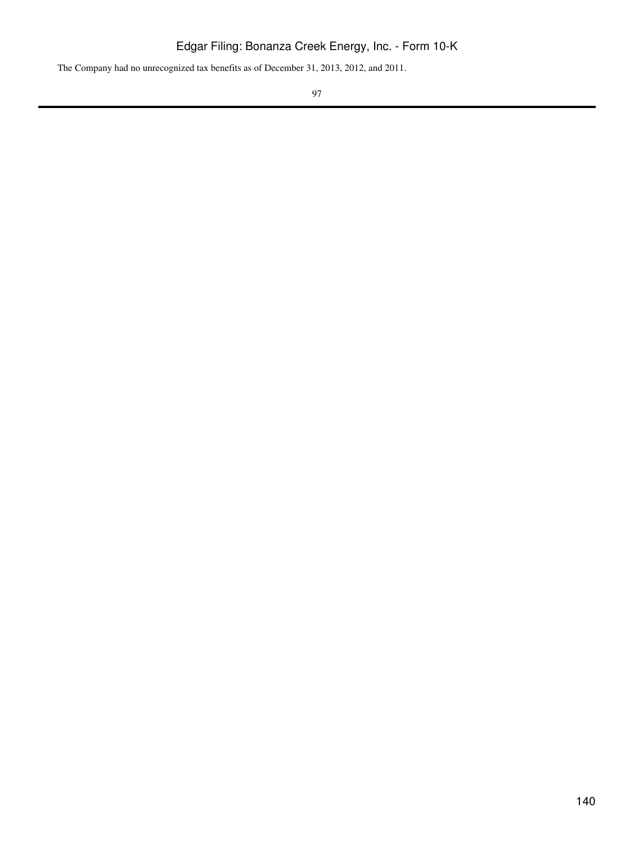# Edgar Filing: Bonanza Creek Energy, Inc. - Form 10-K

The Company had no unrecognized tax benefits as of December 31, 2013, 2012, and 2011.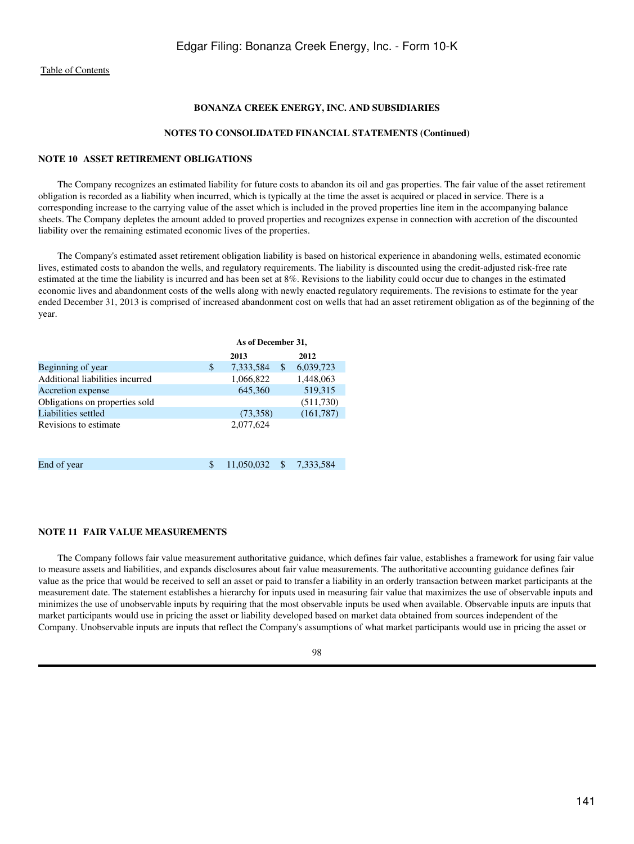### **BONANZA CREEK ENERGY, INC. AND SUBSIDIARIES**

### **NOTES TO CONSOLIDATED FINANCIAL STATEMENTS (Continued)**

# **NOTE 10 ASSET RETIREMENT OBLIGATIONS**

 The Company recognizes an estimated liability for future costs to abandon its oil and gas properties. The fair value of the asset retirement obligation is recorded as a liability when incurred, which is typically at the time the asset is acquired or placed in service. There is a corresponding increase to the carrying value of the asset which is included in the proved properties line item in the accompanying balance sheets. The Company depletes the amount added to proved properties and recognizes expense in connection with accretion of the discounted liability over the remaining estimated economic lives of the properties.

 The Company's estimated asset retirement obligation liability is based on historical experience in abandoning wells, estimated economic lives, estimated costs to abandon the wells, and regulatory requirements. The liability is discounted using the credit-adjusted risk-free rate estimated at the time the liability is incurred and has been set at 8%. Revisions to the liability could occur due to changes in the estimated economic lives and abandonment costs of the wells along with newly enacted regulatory requirements. The revisions to estimate for the year ended December 31, 2013 is comprised of increased abandonment cost on wells that had an asset retirement obligation as of the beginning of the year.

|                                 | As of December 31, |            |     |            |  |  |
|---------------------------------|--------------------|------------|-----|------------|--|--|
|                                 |                    | 2013       |     | 2012       |  |  |
| Beginning of year               | \$                 | 7,333,584  | \$  | 6,039,723  |  |  |
| Additional liabilities incurred |                    | 1,066,822  |     | 1,448,063  |  |  |
| Accretion expense               |                    | 645,360    |     | 519,315    |  |  |
| Obligations on properties sold  |                    |            |     | (511,730)  |  |  |
| Liabilities settled             |                    | (73,358)   |     | (161, 787) |  |  |
| Revisions to estimate           |                    | 2,077,624  |     |            |  |  |
| End of year                     | \$                 | 11.050.032 | \$. | 7,333,584  |  |  |

### **NOTE 11 FAIR VALUE MEASUREMENTS**

 The Company follows fair value measurement authoritative guidance, which defines fair value, establishes a framework for using fair value to measure assets and liabilities, and expands disclosures about fair value measurements. The authoritative accounting guidance defines fair value as the price that would be received to sell an asset or paid to transfer a liability in an orderly transaction between market participants at the measurement date. The statement establishes a hierarchy for inputs used in measuring fair value that maximizes the use of observable inputs and minimizes the use of unobservable inputs by requiring that the most observable inputs be used when available. Observable inputs are inputs that market participants would use in pricing the asset or liability developed based on market data obtained from sources independent of the Company. Unobservable inputs are inputs that reflect the Company's assumptions of what market participants would use in pricing the asset or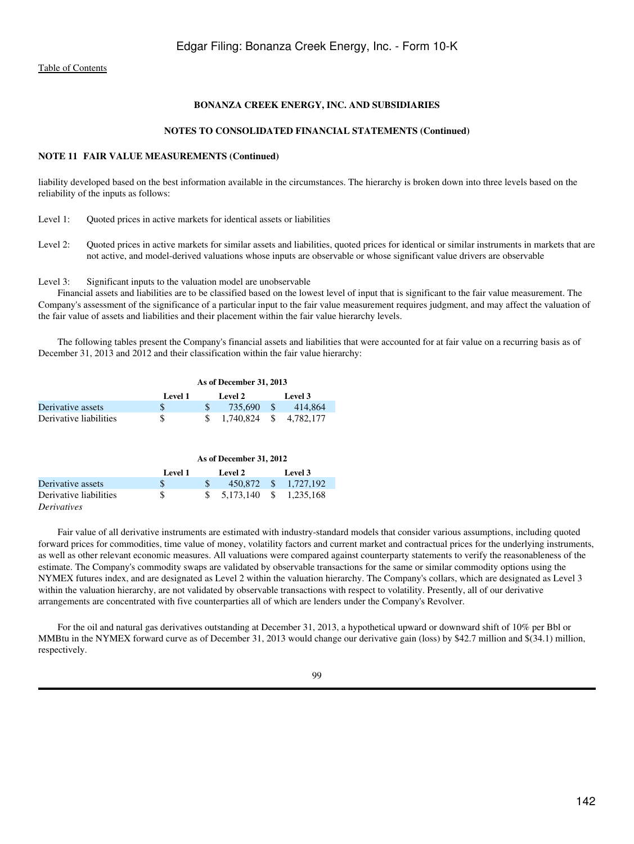# **BONANZA CREEK ENERGY, INC. AND SUBSIDIARIES**

### **NOTES TO CONSOLIDATED FINANCIAL STATEMENTS (Continued)**

## **NOTE 11FAIR VALUE MEASUREMENTS (Continued)**

liability developed based on the best information available in the circumstances. The hierarchy is broken down into three levels based on the reliability of the inputs as follows:

- Level 1: Quoted prices in active markets for identical assets or liabilities
- Level 2: Quoted prices in active markets for similar assets and liabilities, quoted prices for identical or similar instruments in markets that are not active, and model-derived valuations whose inputs are observable or whose significant value drivers are observable

### Level 3: Significant inputs to the valuation model are unobservable

 Financial assets and liabilities are to be classified based on the lowest level of input that is significant to the fair value measurement. The Company's assessment of the significance of a particular input to the fair value measurement requires judgment, and may affect the valuation of the fair value of assets and liabilities and their placement within the fair value hierarchy levels.

 The following tables present the Company's financial assets and liabilities that were accounted for at fair value on a recurring basis as of December 31, 2013 and 2012 and their classification within the fair value hierarchy:

|                        | As of December 31, 2013 |               |                        |              |         |  |
|------------------------|-------------------------|---------------|------------------------|--------------|---------|--|
|                        | Level 1                 | Level 2       |                        | Level 3      |         |  |
| Derivative assets      | S.                      | <sup>\$</sup> | 735.690                | $^{\circ}$ S | 414.864 |  |
| Derivative liabilities | S.                      |               | 1.740.824 \$ 4.782.177 |              |         |  |

|                        | As of December 31, 2012 |         |                           |         |                      |  |
|------------------------|-------------------------|---------|---------------------------|---------|----------------------|--|
|                        | Level 1                 | Level 2 |                           | Level 3 |                      |  |
| Derivative assets      | S.                      |         |                           |         | 450.872 \$ 1.727.192 |  |
| Derivative liabilities | \$                      |         | $$5,173,140$ $$1,235,168$ |         |                      |  |
| <i>Derivatives</i>     |                         |         |                           |         |                      |  |

 Fair value of all derivative instruments are estimated with industry-standard models that consider various assumptions, including quoted forward prices for commodities, time value of money, volatility factors and current market and contractual prices for the underlying instruments, as well as other relevant economic measures. All valuations were compared against counterparty statements to verify the reasonableness of the estimate. The Company's commodity swaps are validated by observable transactions for the same or similar commodity options using the NYMEX futures index, and are designated as Level 2 within the valuation hierarchy. The Company's collars, which are designated as Level 3 within the valuation hierarchy, are not validated by observable transactions with respect to volatility. Presently, all of our derivative arrangements are concentrated with five counterparties all of which are lenders under the Company's Revolver.

 For the oil and natural gas derivatives outstanding at December 31, 2013, a hypothetical upward or downward shift of 10% per Bbl or MMBtu in the NYMEX forward curve as of December 31, 2013 would change our derivative gain (loss) by \$42.7 million and \$(34.1) million, respectively.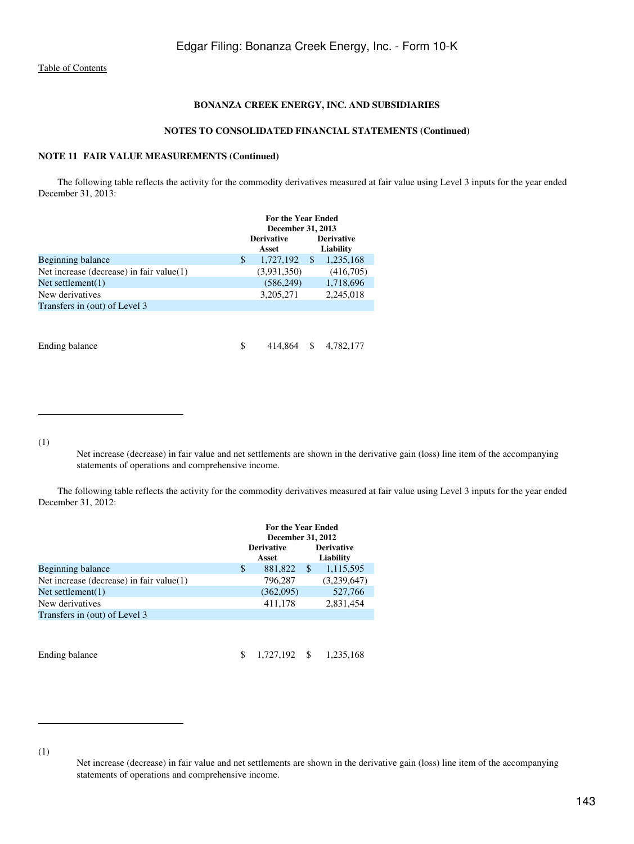# **BONANZA CREEK ENERGY, INC. AND SUBSIDIARIES**

### **NOTES TO CONSOLIDATED FINANCIAL STATEMENTS (Continued)**

### **NOTE 11FAIR VALUE MEASUREMENTS (Continued)**

 The following table reflects the activity for the commodity derivatives measured at fair value using Level 3 inputs for the year ended December 31, 2013:

|                                          |                            | <b>For the Year Ended</b><br>December 31, 2013 |                                |           |  |
|------------------------------------------|----------------------------|------------------------------------------------|--------------------------------|-----------|--|
|                                          | <b>Derivative</b><br>Asset |                                                | <b>Derivative</b><br>Liability |           |  |
| Beginning balance                        | S                          | 1,727,192                                      | <b>S</b>                       | 1,235,168 |  |
| Net increase (decrease) in fair value(1) |                            | (3,931,350)                                    |                                | (416,705) |  |
| Net settlement $(1)$                     |                            | (586, 249)                                     |                                | 1,718,696 |  |
| New derivatives                          |                            | 3.205.271                                      |                                | 2.245.018 |  |
| Transfers in (out) of Level 3            |                            |                                                |                                |           |  |
|                                          |                            |                                                |                                |           |  |

Ending balance \$ 414,864 \$ 4,782,177

(1)

Net increase (decrease) in fair value and net settlements are shown in the derivative gain (loss) line item of the accompanying statements of operations and comprehensive income.

 The following table reflects the activity for the commodity derivatives measured at fair value using Level 3 inputs for the year ended December 31, 2012:

|                                          | <b>For the Year Ended</b><br>December 31, 2012 |                   |               |                   |  |
|------------------------------------------|------------------------------------------------|-------------------|---------------|-------------------|--|
|                                          |                                                | <b>Derivative</b> |               | <b>Derivative</b> |  |
|                                          |                                                | Asset             |               | Liability         |  |
| Beginning balance                        | \$                                             | 881,822           | <sup>\$</sup> | 1,115,595         |  |
| Net increase (decrease) in fair value(1) |                                                | 796,287           |               | (3,239,647)       |  |
| Net settlement $(1)$                     |                                                | (362,095)         |               | 527,766           |  |
| New derivatives                          |                                                | 411,178           |               | 2,831,454         |  |
| Transfers in (out) of Level 3            |                                                |                   |               |                   |  |
|                                          |                                                |                   |               |                   |  |
|                                          |                                                |                   |               |                   |  |

Ending balance \$ 1,727,192 \$ 1,235,168

(1)

Net increase (decrease) in fair value and net settlements are shown in the derivative gain (loss) line item of the accompanying statements of operations and comprehensive income.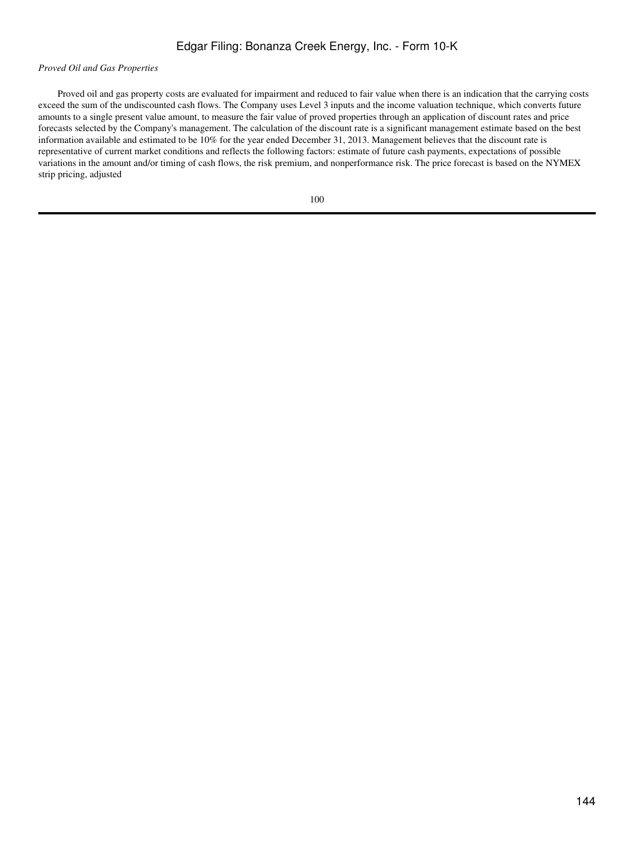# Edgar Filing: Bonanza Creek Energy, Inc. - Form 10-K

### *Proved Oil and Gas Properties*

 Proved oil and gas property costs are evaluated for impairment and reduced to fair value when there is an indication that the carrying costs exceed the sum of the undiscounted cash flows. The Company uses Level 3 inputs and the income valuation technique, which converts future amounts to a single present value amount, to measure the fair value of proved properties through an application of discount rates and price forecasts selected by the Company's management. The calculation of the discount rate is a significant management estimate based on the best information available and estimated to be 10% for the year ended December 31, 2013. Management believes that the discount rate is representative of current market conditions and reflects the following factors: estimate of future cash payments, expectations of possible variations in the amount and/or timing of cash flows, the risk premium, and nonperformance risk. The price forecast is based on the NYMEX strip pricing, adjusted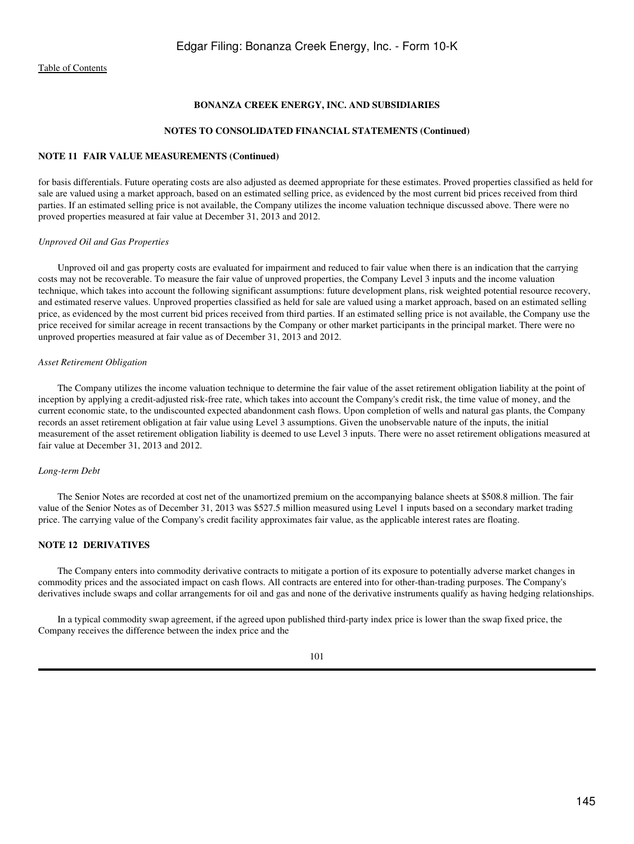# **BONANZA CREEK ENERGY, INC. AND SUBSIDIARIES**

#### **NOTES TO CONSOLIDATED FINANCIAL STATEMENTS (Continued)**

# **NOTE 11FAIR VALUE MEASUREMENTS (Continued)**

for basis differentials. Future operating costs are also adjusted as deemed appropriate for these estimates. Proved properties classified as held for sale are valued using a market approach, based on an estimated selling price, as evidenced by the most current bid prices received from third parties. If an estimated selling price is not available, the Company utilizes the income valuation technique discussed above. There were no proved properties measured at fair value at December 31, 2013 and 2012.

#### *Unproved Oil and Gas Properties*

 Unproved oil and gas property costs are evaluated for impairment and reduced to fair value when there is an indication that the carrying costs may not be recoverable. To measure the fair value of unproved properties, the Company Level 3 inputs and the income valuation technique, which takes into account the following significant assumptions: future development plans, risk weighted potential resource recovery, and estimated reserve values. Unproved properties classified as held for sale are valued using a market approach, based on an estimated selling price, as evidenced by the most current bid prices received from third parties. If an estimated selling price is not available, the Company use the price received for similar acreage in recent transactions by the Company or other market participants in the principal market. There were no unproved properties measured at fair value as of December 31, 2013 and 2012.

#### *Asset Retirement Obligation*

 The Company utilizes the income valuation technique to determine the fair value of the asset retirement obligation liability at the point of inception by applying a credit-adjusted risk-free rate, which takes into account the Company's credit risk, the time value of money, and the current economic state, to the undiscounted expected abandonment cash flows. Upon completion of wells and natural gas plants, the Company records an asset retirement obligation at fair value using Level 3 assumptions. Given the unobservable nature of the inputs, the initial measurement of the asset retirement obligation liability is deemed to use Level 3 inputs. There were no asset retirement obligations measured at fair value at December 31, 2013 and 2012.

#### *Long-term Debt*

 The Senior Notes are recorded at cost net of the unamortized premium on the accompanying balance sheets at \$508.8 million. The fair value of the Senior Notes as of December 31, 2013 was \$527.5 million measured using Level 1 inputs based on a secondary market trading price. The carrying value of the Company's credit facility approximates fair value, as the applicable interest rates are floating.

# **NOTE 12 DERIVATIVES**

 The Company enters into commodity derivative contracts to mitigate a portion of its exposure to potentially adverse market changes in commodity prices and the associated impact on cash flows. All contracts are entered into for other-than-trading purposes. The Company's derivatives include swaps and collar arrangements for oil and gas and none of the derivative instruments qualify as having hedging relationships.

 In a typical commodity swap agreement, if the agreed upon published third-party index price is lower than the swap fixed price, the Company receives the difference between the index price and the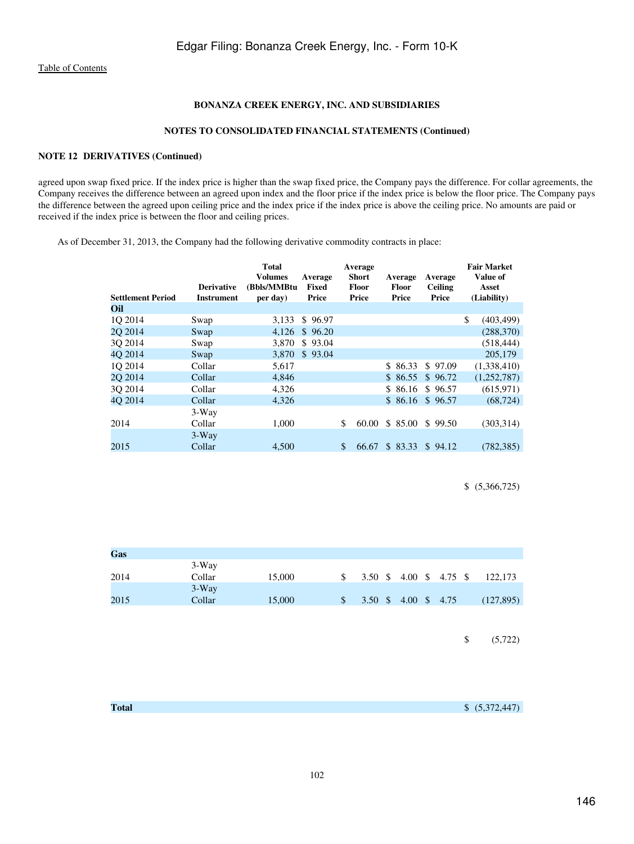#### **NOTES TO CONSOLIDATED FINANCIAL STATEMENTS (Continued)**

# **NOTE 12 DERIVATIVES (Continued)**

agreed upon swap fixed price. If the index price is higher than the swap fixed price, the Company pays the difference. For collar agreements, the Company receives the difference between an agreed upon index and the floor price if the index price is below the floor price. The Company pays the difference between the agreed upon ceiling price and the index price if the index price is above the ceiling price. No amounts are paid or received if the index price is between the floor and ceiling prices.

As of December 31, 2013, the Company had the following derivative commodity contracts in place:

| <b>Settlement Period</b> | <b>Derivative</b><br><b>Instrument</b> | <b>Total</b><br><b>Volumes</b><br>(Bbls/MMBtu<br>per day) | Average<br><b>Fixed</b><br>Price | Average<br><b>Short</b><br><b>Floor</b><br>Price | Average<br><b>Floor</b><br>Price |         | Average<br><b>Ceiling</b><br>Price | <b>Fair Market</b><br>Value of<br>Asset<br>(Liability) |
|--------------------------|----------------------------------------|-----------------------------------------------------------|----------------------------------|--------------------------------------------------|----------------------------------|---------|------------------------------------|--------------------------------------------------------|
| Oil                      |                                        |                                                           |                                  |                                                  |                                  |         |                                    |                                                        |
| 1Q 2014                  | Swap                                   | 3,133                                                     | \$96.97                          |                                                  |                                  |         |                                    | \$<br>(403, 499)                                       |
| 2Q 2014                  | Swap                                   | 4,126                                                     | \$96.20                          |                                                  |                                  |         |                                    | (288, 370)                                             |
| 30 2014                  | Swap                                   | 3,870                                                     | \$93.04                          |                                                  |                                  |         |                                    | (518, 444)                                             |
| 4O 2014                  | Swap                                   | 3,870                                                     | \$93.04                          |                                                  |                                  |         |                                    | 205,179                                                |
| 1Q 2014                  | Collar                                 | 5,617                                                     |                                  |                                                  |                                  | \$86.33 | \$97.09                            | (1,338,410)                                            |
| 2Q 2014                  | Collar                                 | 4,846                                                     |                                  |                                                  |                                  | \$86.55 | \$96.72                            | (1,252,787)                                            |
| 30 2014                  | Collar                                 | 4,326                                                     |                                  |                                                  |                                  | \$86.16 | \$96.57                            | (615, 971)                                             |
| 4O 2014                  | Collar                                 | 4,326                                                     |                                  |                                                  |                                  | \$86.16 | \$96.57                            | (68, 724)                                              |
|                          | $3-Way$                                |                                                           |                                  |                                                  |                                  |         |                                    |                                                        |
| 2014                     | Collar                                 | 1,000                                                     |                                  | \$<br>60.00                                      |                                  | \$85.00 | \$99.50                            | (303, 314)                                             |
|                          | $3-Way$                                |                                                           |                                  |                                                  |                                  |         |                                    |                                                        |
| 2015                     | Collar                                 | 4.500                                                     |                                  | \$<br>66.67                                      | \$83.33                          |         | \$94.12                            | (782, 385)                                             |

\$ (5,366,725)

| Gas  |         |        |                         |  |  |            |
|------|---------|--------|-------------------------|--|--|------------|
|      | $3-Way$ |        |                         |  |  |            |
| 2014 | Collar  | 15,000 | 3.50 \$ 4.00 \$ 4.75 \$ |  |  | 122.173    |
|      | $3-Way$ |        |                         |  |  |            |
| 2015 | Collar  | 15,000 | 3.50 \$ 4.00 \$ 4.75    |  |  | (127, 895) |

\$ (5,722)

| <b>Total</b> | \$ (5,372,447) |
|--------------|----------------|
|              |                |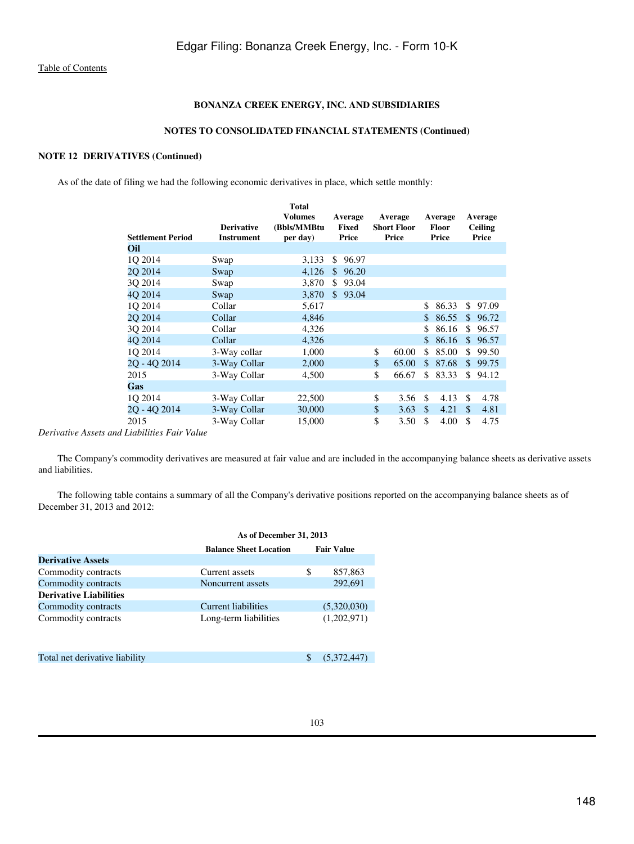# **BONANZA CREEK ENERGY, INC. AND SUBSIDIARIES**

# **NOTES TO CONSOLIDATED FINANCIAL STATEMENTS (Continued)**

# **NOTE 12 DERIVATIVES (Continued)**

As of the date of filing we had the following economic derivatives in place, which settle monthly:

| <b>Settlement Period</b> | <b>Derivative</b><br><b>Instrument</b> | <b>Total</b><br><b>Volumes</b><br>(Bbls/MMBtu<br>per day) |              | Average<br><b>Fixed</b><br>Price | Average<br><b>Short Floor</b><br>Price |               | Average<br><b>Floor</b><br>Price |     | Average<br><b>Ceiling</b><br>Price |
|--------------------------|----------------------------------------|-----------------------------------------------------------|--------------|----------------------------------|----------------------------------------|---------------|----------------------------------|-----|------------------------------------|
| Oil                      |                                        |                                                           |              |                                  |                                        |               |                                  |     |                                    |
| 1Q 2014                  | Swap                                   | 3,133                                                     | \$           | 96.97                            |                                        |               |                                  |     |                                    |
| 2Q 2014                  | Swap                                   | 4,126                                                     | $\mathbb{S}$ | 96.20                            |                                        |               |                                  |     |                                    |
| 3Q 2014                  | Swap                                   | 3,870                                                     | \$           | 93.04                            |                                        |               |                                  |     |                                    |
| 4O 2014                  | Swap                                   | 3,870                                                     | \$.          | 93.04                            |                                        |               |                                  |     |                                    |
| 10 2014                  | Collar                                 | 5,617                                                     |              |                                  |                                        | \$            | 86.33                            | \$. | 97.09                              |
| 20 20 14                 | Collar                                 | 4,846                                                     |              |                                  |                                        | \$            | 86.55                            | \$. | 96.72                              |
| 30 2014                  | Collar                                 | 4,326                                                     |              |                                  |                                        | \$            | 86.16                            | \$  | 96.57                              |
| 4O 2014                  | Collar                                 | 4,326                                                     |              |                                  |                                        | \$            | 86.16                            | \$. | 96.57                              |
| 1Q 2014                  | 3-Way collar                           | 1,000                                                     |              |                                  | \$<br>60.00                            | \$.           | 85.00                            | \$. | 99.50                              |
| 20 - 40 2014             | 3-Way Collar                           | 2,000                                                     |              |                                  | \$<br>65.00                            | \$            | 87.68                            | \$  | 99.75                              |
| 2015                     | 3-Way Collar                           | 4,500                                                     |              |                                  | \$<br>66.67                            | \$            | 83.33                            | \$  | 94.12                              |
| Gas                      |                                        |                                                           |              |                                  |                                        |               |                                  |     |                                    |
| 1Q 2014                  | 3-Way Collar                           | 22,500                                                    |              |                                  | \$<br>3.56                             | \$.           | 4.13                             | \$  | 4.78                               |
| 2Q - 4Q 2014             | 3-Way Collar                           | 30,000                                                    |              |                                  | \$<br>3.63                             | <sup>\$</sup> | 4.21                             | \$. | 4.81                               |
| 2015                     | 3-Way Collar                           | 15,000                                                    |              |                                  | \$<br>3.50                             | \$            | 4.00                             | \$  | 4.75                               |

*Derivative Assets and Liabilities Fair Value*

 The Company's commodity derivatives are measured at fair value and are included in the accompanying balance sheets as derivative assets and liabilities.

 The following table contains a summary of all the Company's derivative positions reported on the accompanying balance sheets as of December 31, 2013 and 2012:

|                               |                               | As of December 31, 2013 |             |  |  |  |
|-------------------------------|-------------------------------|-------------------------|-------------|--|--|--|
|                               | <b>Balance Sheet Location</b> | <b>Fair Value</b>       |             |  |  |  |
| <b>Derivative Assets</b>      |                               |                         |             |  |  |  |
| Commodity contracts           | Current assets                | \$                      | 857,863     |  |  |  |
| Commodity contracts           | Noncurrent assets             |                         | 292,691     |  |  |  |
| <b>Derivative Liabilities</b> |                               |                         |             |  |  |  |
| Commodity contracts           | Current liabilities           |                         | (5,320,030) |  |  |  |
| Commodity contracts           | Long-term liabilities         |                         | (1,202,971) |  |  |  |

| Total net derivative liability | \$(5,372,447) |
|--------------------------------|---------------|
|                                |               |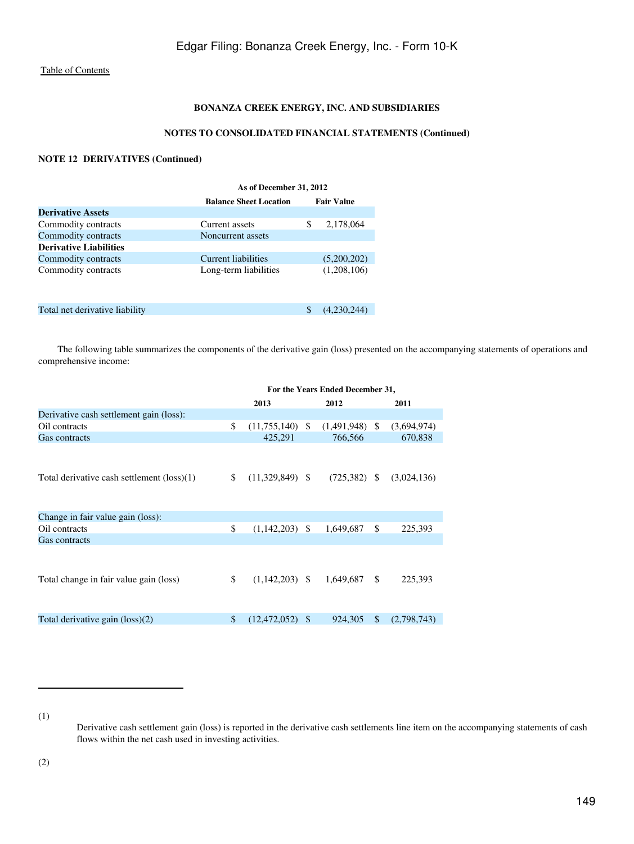# **BONANZA CREEK ENERGY, INC. AND SUBSIDIARIES**

# **NOTES TO CONSOLIDATED FINANCIAL STATEMENTS (Continued)**

# **NOTE 12 DERIVATIVES (Continued)**

|                                |                               | As of December 31, 2012 |                   |  |  |  |  |
|--------------------------------|-------------------------------|-------------------------|-------------------|--|--|--|--|
|                                | <b>Balance Sheet Location</b> |                         | <b>Fair Value</b> |  |  |  |  |
| <b>Derivative Assets</b>       |                               |                         |                   |  |  |  |  |
| Commodity contracts            | Current assets                | \$                      | 2,178,064         |  |  |  |  |
| Commodity contracts            | Noncurrent assets             |                         |                   |  |  |  |  |
| <b>Derivative Liabilities</b>  |                               |                         |                   |  |  |  |  |
| Commodity contracts            | Current liabilities           |                         | (5,200,202)       |  |  |  |  |
| Commodity contracts            | Long-term liabilities         |                         | (1,208,106)       |  |  |  |  |
|                                |                               |                         |                   |  |  |  |  |
|                                |                               |                         |                   |  |  |  |  |
| Total net derivative liability |                               | \$                      | (4.230.244)       |  |  |  |  |

 The following table summarizes the components of the derivative gain (loss) presented on the accompanying statements of operations and comprehensive income:

|                                            | r or the rears Enueu Decennocr 91, |                   |               |                  |              |             |  |  |  |
|--------------------------------------------|------------------------------------|-------------------|---------------|------------------|--------------|-------------|--|--|--|
|                                            |                                    | 2013              |               | 2012             |              | 2011        |  |  |  |
| Derivative cash settlement gain (loss):    |                                    |                   |               |                  |              |             |  |  |  |
| Oil contracts                              | \$                                 | $(11,755,140)$ \$ |               | $(1,491,948)$ \$ |              | (3,694,974) |  |  |  |
| <b>Gas contracts</b>                       |                                    | 425,291           |               | 766,566          |              | 670,838     |  |  |  |
| Total derivative cash settlement (loss)(1) | \$                                 | $(11,329,849)$ \$ |               | $(725,382)$ \$   |              | (3,024,136) |  |  |  |
| Change in fair value gain (loss):          |                                    |                   |               |                  |              |             |  |  |  |
| Oil contracts                              | \$                                 | $(1,142,203)$ \$  |               | 1,649,687        | \$           | 225,393     |  |  |  |
| <b>Gas contracts</b>                       |                                    |                   |               |                  |              |             |  |  |  |
| Total change in fair value gain (loss)     | \$                                 | $(1,142,203)$ \$  |               | 1,649,687        | \$           | 225,393     |  |  |  |
| Total derivative gain (loss)(2)            | $\mathbb{S}$                       | (12, 472, 052)    | <sup>\$</sup> | 924,305          | $\mathbb{S}$ | (2,798,743) |  |  |  |

**For the Years Ended December 31,**

<sup>(1)</sup>

Derivative cash settlement gain (loss) is reported in the derivative cash settlements line item on the accompanying statements of cash flows within the net cash used in investing activities.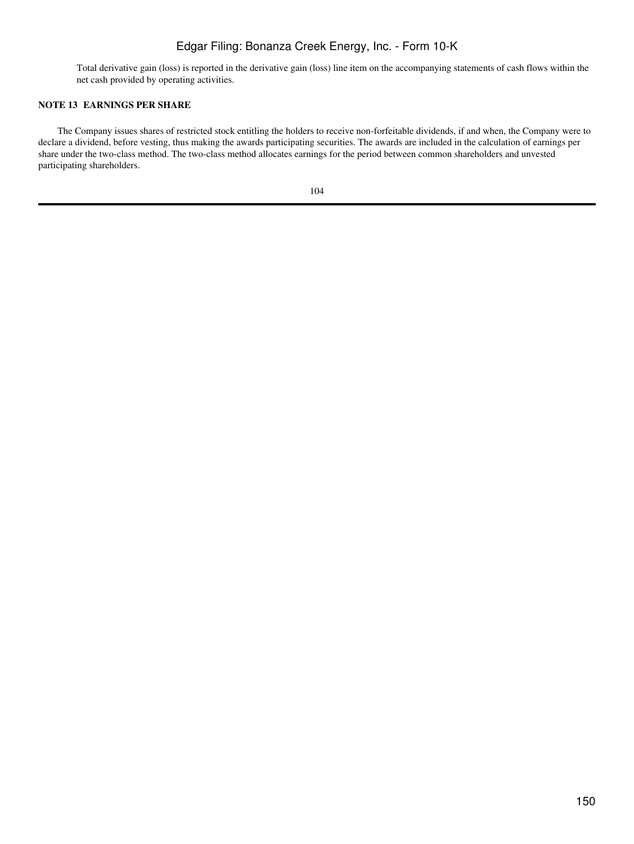# Edgar Filing: Bonanza Creek Energy, Inc. - Form 10-K

Total derivative gain (loss) is reported in the derivative gain (loss) line item on the accompanying statements of cash flows within the net cash provided by operating activities.

# **NOTE 13 EARNINGS PER SHARE**

 The Company issues shares of restricted stock entitling the holders to receive non-forfeitable dividends, if and when, the Company were to declare a dividend, before vesting, thus making the awards participating securities. The awards are included in the calculation of earnings per share under the two-class method. The two-class method allocates earnings for the period between common shareholders and unvested participating shareholders.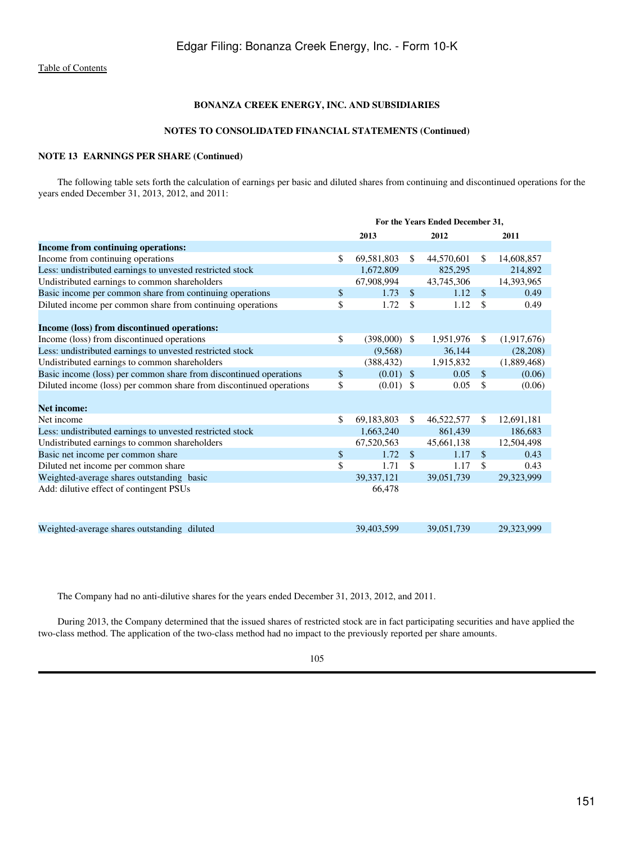# **BONANZA CREEK ENERGY, INC. AND SUBSIDIARIES**

#### **NOTES TO CONSOLIDATED FINANCIAL STATEMENTS (Continued)**

#### **NOTE 13 EARNINGS PER SHARE (Continued)**

 The following table sets forth the calculation of earnings per basic and diluted shares from continuing and discontinued operations for the years ended December 31, 2013, 2012, and 2011:

|                                                                     | For the Years Ended December 31, |                |               |            |               |             |  |  |
|---------------------------------------------------------------------|----------------------------------|----------------|---------------|------------|---------------|-------------|--|--|
|                                                                     |                                  | 2013           |               | 2012       |               | 2011        |  |  |
| Income from continuing operations:                                  |                                  |                |               |            |               |             |  |  |
| Income from continuing operations                                   | \$                               | 69,581,803     | \$            | 44,570,601 | \$            | 14,608,857  |  |  |
| Less: undistributed earnings to unvested restricted stock           |                                  | 1,672,809      |               | 825,295    |               | 214,892     |  |  |
| Undistributed earnings to common shareholders                       |                                  | 67,908,994     |               | 43,745,306 |               | 14,393,965  |  |  |
| Basic income per common share from continuing operations            | $\$\,$                           | 1.73           | $\mathcal{S}$ | 1.12       | $\mathcal{S}$ | 0.49        |  |  |
| Diluted income per common share from continuing operations          | \$                               | 1.72           | \$            | 1.12       | \$            | 0.49        |  |  |
|                                                                     |                                  |                |               |            |               |             |  |  |
| Income (loss) from discontinued operations:                         |                                  |                |               |            |               |             |  |  |
| Income (loss) from discontinued operations                          | \$                               | $(398,000)$ \$ |               | 1,951,976  | \$            | (1,917,676) |  |  |
| Less: undistributed earnings to unvested restricted stock           |                                  | (9,568)        |               | 36,144     |               | (28, 208)   |  |  |
| Undistributed earnings to common shareholders                       |                                  | (388, 432)     |               | 1,915,832  |               | (1,889,468) |  |  |
| Basic income (loss) per common share from discontinued operations   | $\$\,$                           | $(0.01)$ \$    |               | 0.05       | $\mathcal{S}$ | (0.06)      |  |  |
| Diluted income (loss) per common share from discontinued operations | \$                               | $(0.01)$ \$    |               | 0.05       | \$            | (0.06)      |  |  |
|                                                                     |                                  |                |               |            |               |             |  |  |
| <b>Net income:</b>                                                  |                                  |                |               |            |               |             |  |  |
| Net income                                                          | \$                               | 69,183,803     | \$            | 46,522,577 | \$            | 12,691,181  |  |  |
| Less: undistributed earnings to unvested restricted stock           |                                  | 1,663,240      |               | 861,439    |               | 186,683     |  |  |
| Undistributed earnings to common shareholders                       |                                  | 67,520,563     |               | 45,661,138 |               | 12,504,498  |  |  |
| Basic net income per common share                                   | $\$\,$                           | 1.72           | $\mathcal{S}$ | 1.17       | $\mathcal{S}$ | 0.43        |  |  |
| Diluted net income per common share                                 | \$                               | 1.71           | \$.           | 1.17       | \$            | 0.43        |  |  |
| Weighted-average shares outstanding basic                           |                                  | 39, 337, 121   |               | 39,051,739 |               | 29,323,999  |  |  |
| Add: dilutive effect of contingent PSUs                             |                                  | 66,478         |               |            |               |             |  |  |
|                                                                     |                                  |                |               |            |               |             |  |  |
|                                                                     |                                  |                |               |            |               |             |  |  |
| Weighted-average shares outstanding diluted                         |                                  | 39,403,599     |               | 39,051,739 |               | 29,323,999  |  |  |

The Company had no anti-dilutive shares for the years ended December 31, 2013, 2012, and 2011.

 During 2013, the Company determined that the issued shares of restricted stock are in fact participating securities and have applied the two-class method. The application of the two-class method had no impact to the previously reported per share amounts.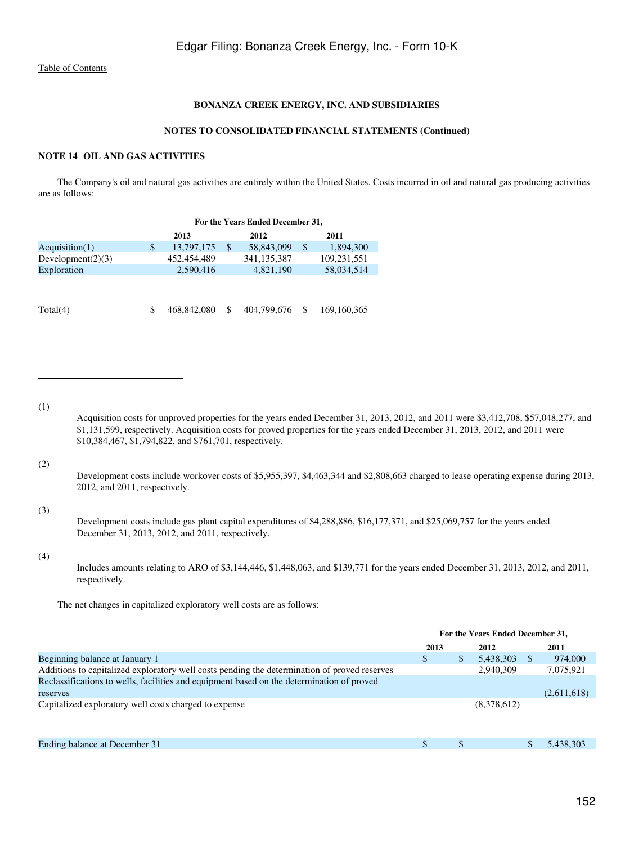# **BONANZA CREEK ENERGY, INC. AND SUBSIDIARIES**

### **NOTES TO CONSOLIDATED FINANCIAL STATEMENTS (Continued)**

# **NOTE 14 OIL AND GAS ACTIVITIES**

 The Company's oil and natural gas activities are entirely within the United States. Costs incurred in oil and natural gas producing activities are as follows:

|                      | For the Years Ended December 31, |             |    |             |    |               |  |  |  |
|----------------------|----------------------------------|-------------|----|-------------|----|---------------|--|--|--|
|                      |                                  | 2013        |    | 2012        |    | 2011          |  |  |  |
| Acquistion(1)        | \$                               | 13,797,175  | \$ | 58,843,099  | \$ | 1,894,300     |  |  |  |
| Development $(2)(3)$ |                                  | 452,454,489 |    | 341,135,387 |    | 109,231,551   |  |  |  |
| Exploration          |                                  | 2,590,416   |    | 4,821,190   |    | 58,034,514    |  |  |  |
|                      |                                  |             |    |             |    |               |  |  |  |
|                      |                                  |             |    |             |    |               |  |  |  |
| Total(4)             |                                  | 468,842,080 | \$ | 404,799,676 |    | 169, 160, 365 |  |  |  |

(1)

Acquisition costs for unproved properties for the years ended December 31, 2013, 2012, and 2011 were \$3,412,708, \$57,048,277, and \$1,131,599, respectively. Acquisition costs for proved properties for the years ended December 31, 2013, 2012, and 2011 were \$10,384,467, \$1,794,822, and \$761,701, respectively.

#### (2)

Development costs include workover costs of \$5,955,397, \$4,463,344 and \$2,808,663 charged to lease operating expense during 2013, 2012, and 2011, respectively.

### (3)

Development costs include gas plant capital expenditures of \$4,288,886, \$16,177,371, and \$25,069,757 for the years ended December 31, 2013, 2012, and 2011, respectively.

(4)

Includes amounts relating to ARO of \$3,144,446, \$1,448,063, and \$139,771 for the years ended December 31, 2013, 2012, and 2011, respectively.

The net changes in capitalized exploratory well costs are as follows:

|                                                                                              | For the Years Ended December 31, |    |             |  |             |
|----------------------------------------------------------------------------------------------|----------------------------------|----|-------------|--|-------------|
|                                                                                              | 2013                             |    | 2012        |  | 2011        |
| Beginning balance at January 1                                                               | \$                               | ۰D | 5,438,303   |  | 974,000     |
| Additions to capitalized exploratory well costs pending the determination of proved reserves |                                  |    | 2.940.309   |  | 7,075,921   |
| Reclassifications to wells, facilities and equipment based on the determination of proved    |                                  |    |             |  |             |
| reserves                                                                                     |                                  |    |             |  | (2,611,618) |
| Capitalized exploratory well costs charged to expense                                        |                                  |    | (8,378,612) |  |             |
|                                                                                              |                                  |    |             |  |             |
|                                                                                              |                                  |    |             |  |             |
| Ending balance at December 31                                                                | \$                               |    |             |  | 5.438.303   |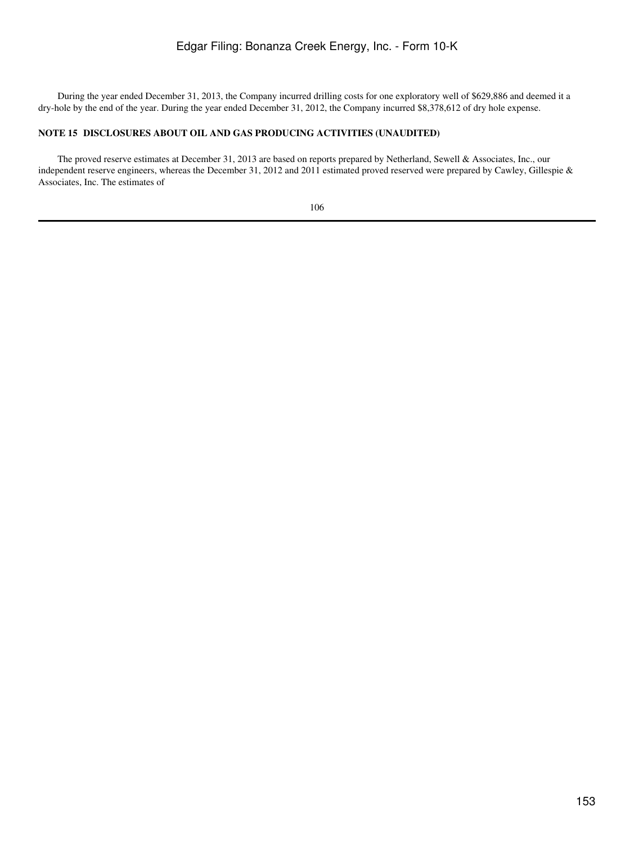# Edgar Filing: Bonanza Creek Energy, Inc. - Form 10-K

 During the year ended December 31, 2013, the Company incurred drilling costs for one exploratory well of \$629,886 and deemed it a dry-hole by the end of the year. During the year ended December 31, 2012, the Company incurred \$8,378,612 of dry hole expense.

# **NOTE 15DISCLOSURES ABOUT OIL AND GAS PRODUCING ACTIVITIES (UNAUDITED)**

 The proved reserve estimates at December 31, 2013 are based on reports prepared by Netherland, Sewell & Associates, Inc., our independent reserve engineers, whereas the December 31, 2012 and 2011 estimated proved reserved were prepared by Cawley, Gillespie & Associates, Inc. The estimates of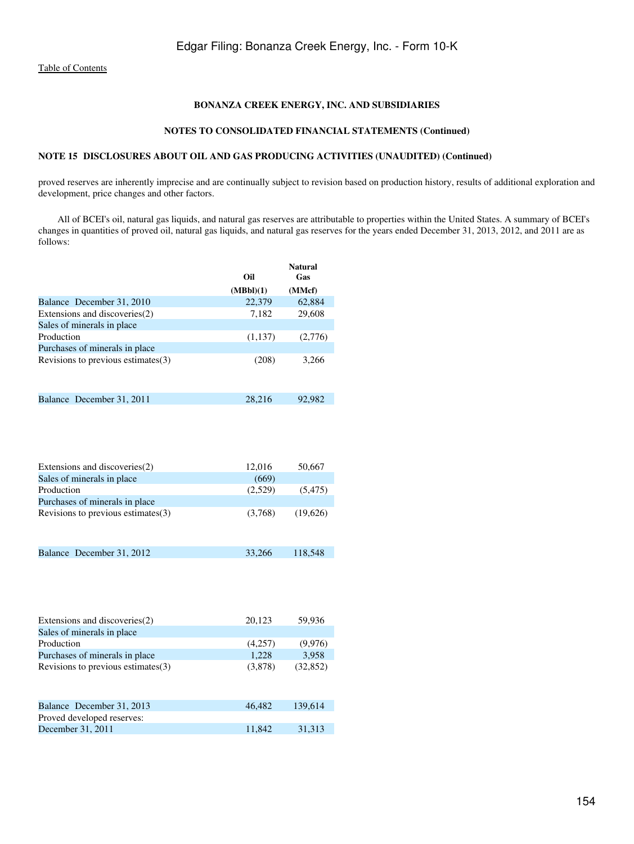# **NOTES TO CONSOLIDATED FINANCIAL STATEMENTS (Continued)**

# **NOTE 15DISCLOSURES ABOUT OIL AND GAS PRODUCING ACTIVITIES (UNAUDITED) (Continued)**

proved reserves are inherently imprecise and are continually subject to revision based on production history, results of additional exploration and development, price changes and other factors.

 All of BCEI's oil, natural gas liquids, and natural gas reserves are attributable to properties within the United States. A summary of BCEI's changes in quantities of proved oil, natural gas liquids, and natural gas reserves for the years ended December 31, 2013, 2012, and 2011 are as follows:

|                                    |           | <b>Natural</b> |
|------------------------------------|-----------|----------------|
|                                    | Oil       | Gas            |
|                                    | (MBbl)(1) | (MMcf)         |
| Balance December 31, 2010          | 22,379    | 62,884         |
| Extensions and discoveries(2)      | 7,182     | 29,608         |
| Sales of minerals in place         |           |                |
| Production                         | (1,137)   | (2,776)        |
| Purchases of minerals in place     |           |                |
| Revisions to previous estimates(3) | (208)     | 3.266          |

| Balance December 31, 2011 | 28,216 92,982 |  |
|---------------------------|---------------|--|
|                           |               |  |

| Extensions and discoveries(2)         | 12,016  | 50,667   |
|---------------------------------------|---------|----------|
| Sales of minerals in place            | (669)   |          |
| Production                            | (2,529) | (5, 475) |
| Purchases of minerals in place        |         |          |
| Revisions to previous estimates $(3)$ | (3,768) | (19,626) |

| Balance December 31, 2012 | 33,266 118,548 |  |
|---------------------------|----------------|--|
|                           |                |  |

| Extensions and discoveries(2)         | 20.123  | 59.936    |
|---------------------------------------|---------|-----------|
| Sales of minerals in place            |         |           |
| Production                            | (4.257) | (9.976)   |
| Purchases of minerals in place        | 1.228   | 3.958     |
| Revisions to previous estimates $(3)$ | (3,878) | (32, 852) |

| Balance December 31, 2013  | 46.482 | 139.614 |
|----------------------------|--------|---------|
| Proved developed reserves: |        |         |
| December 31, 2011          | 11.842 | 31.313  |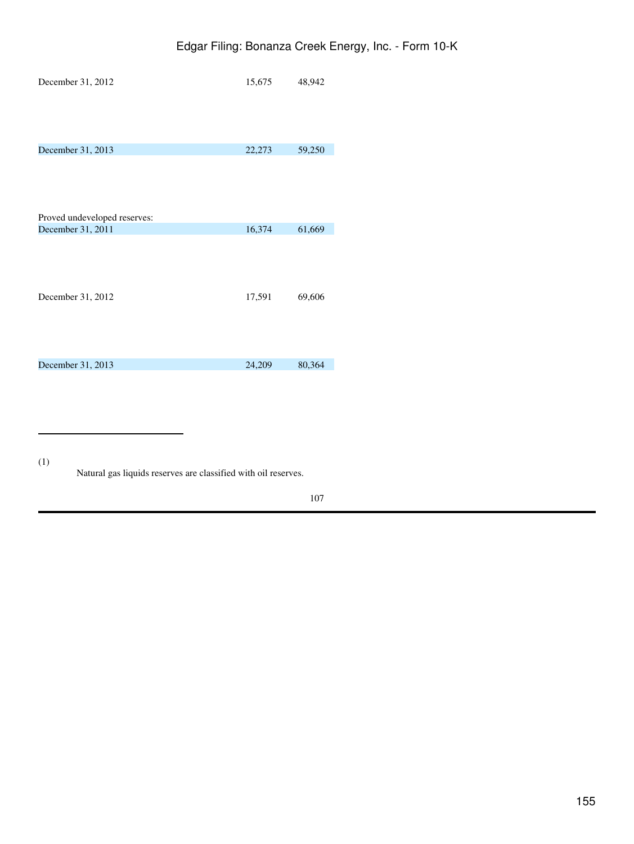# Edgar Filing: Bonanza Creek Energy, Inc. - Form 10-K

| December 31, 2012            | 15,675 | 48,942 |
|------------------------------|--------|--------|
| December 31, 2013            | 22,273 | 59,250 |
|                              |        |        |
| Proved undeveloped reserves: |        |        |
| December 31, 2011            | 16,374 | 61,669 |
| December 31, 2012            | 17,591 | 69,606 |
| December 31, 2013            | 24,209 | 80,364 |

(1)

Natural gas liquids reserves are classified with oil reserves.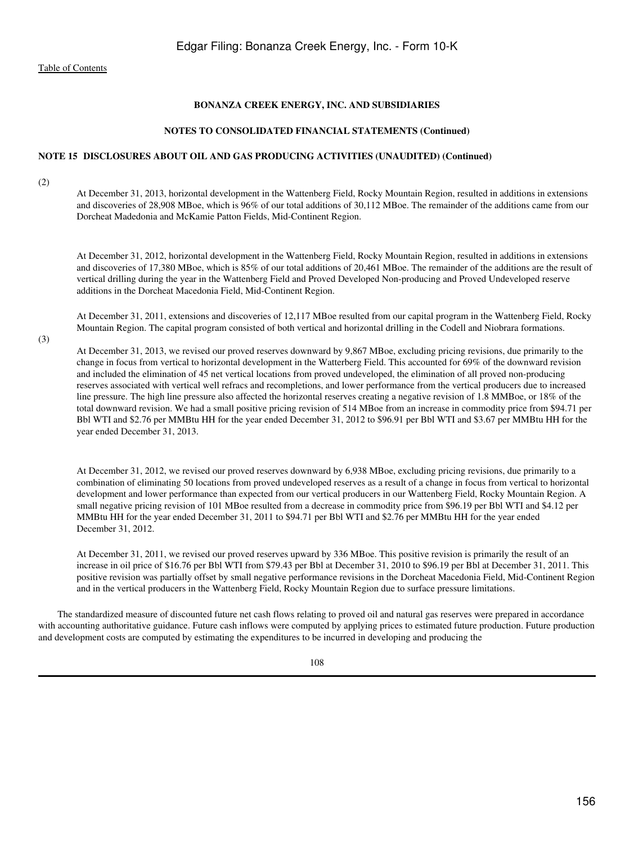#### **NOTES TO CONSOLIDATED FINANCIAL STATEMENTS (Continued)**

# **NOTE 15 DISCLOSURES ABOUT OIL AND GAS PRODUCING ACTIVITIES (UNAUDITED) (Continued)**

(2)

At December 31, 2013, horizontal development in the Wattenberg Field, Rocky Mountain Region, resulted in additions in extensions and discoveries of 28,908 MBoe, which is 96% of our total additions of 30,112 MBoe. The remainder of the additions came from our Dorcheat Madedonia and McKamie Patton Fields, Mid-Continent Region.

At December 31, 2012, horizontal development in the Wattenberg Field, Rocky Mountain Region, resulted in additions in extensions and discoveries of 17,380 MBoe, which is 85% of our total additions of 20,461 MBoe. The remainder of the additions are the result of vertical drilling during the year in the Wattenberg Field and Proved Developed Non-producing and Proved Undeveloped reserve additions in the Dorcheat Macedonia Field, Mid-Continent Region.

At December 31, 2011, extensions and discoveries of 12,117 MBoe resulted from our capital program in the Wattenberg Field, Rocky Mountain Region. The capital program consisted of both vertical and horizontal drilling in the Codell and Niobrara formations.

(3)

At December 31, 2013, we revised our proved reserves downward by 9,867 MBoe, excluding pricing revisions, due primarily to the change in focus from vertical to horizontal development in the Watterberg Field. This accounted for 69% of the downward revision and included the elimination of 45 net vertical locations from proved undeveloped, the elimination of all proved non-producing reserves associated with vertical well refracs and recompletions, and lower performance from the vertical producers due to increased line pressure. The high line pressure also affected the horizontal reserves creating a negative revision of 1.8 MMBoe, or 18% of the total downward revision. We had a small positive pricing revision of 514 MBoe from an increase in commodity price from \$94.71 per Bbl WTI and \$2.76 per MMBtu HH for the year ended December 31, 2012 to \$96.91 per Bbl WTI and \$3.67 per MMBtu HH for the year ended December 31, 2013.

At December 31, 2012, we revised our proved reserves downward by 6,938 MBoe, excluding pricing revisions, due primarily to a combination of eliminating 50 locations from proved undeveloped reserves as a result of a change in focus from vertical to horizontal development and lower performance than expected from our vertical producers in our Wattenberg Field, Rocky Mountain Region. A small negative pricing revision of 101 MBoe resulted from a decrease in commodity price from \$96.19 per Bbl WTI and \$4.12 per MMBtu HH for the year ended December 31, 2011 to \$94.71 per Bbl WTI and \$2.76 per MMBtu HH for the year ended December 31, 2012.

At December 31, 2011, we revised our proved reserves upward by 336 MBoe. This positive revision is primarily the result of an increase in oil price of \$16.76 per Bbl WTI from \$79.43 per Bbl at December 31, 2010 to \$96.19 per Bbl at December 31, 2011. This positive revision was partially offset by small negative performance revisions in the Dorcheat Macedonia Field, Mid-Continent Region and in the vertical producers in the Wattenberg Field, Rocky Mountain Region due to surface pressure limitations.

 The standardized measure of discounted future net cash flows relating to proved oil and natural gas reserves were prepared in accordance with accounting authoritative guidance. Future cash inflows were computed by applying prices to estimated future production. Future production and development costs are computed by estimating the expenditures to be incurred in developing and producing the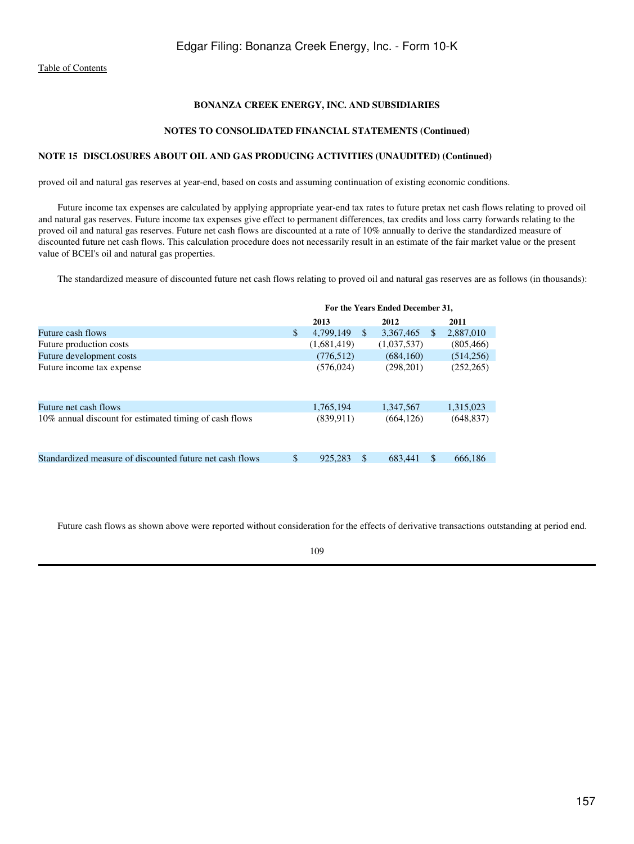# **NOTES TO CONSOLIDATED FINANCIAL STATEMENTS (Continued)**

#### **NOTE 15DISCLOSURES ABOUT OIL AND GAS PRODUCING ACTIVITIES (UNAUDITED) (Continued)**

proved oil and natural gas reserves at year-end, based on costs and assuming continuation of existing economic conditions.

 Future income tax expenses are calculated by applying appropriate year-end tax rates to future pretax net cash flows relating to proved oil and natural gas reserves. Future income tax expenses give effect to permanent differences, tax credits and loss carry forwards relating to the proved oil and natural gas reserves. Future net cash flows are discounted at a rate of 10% annually to derive the standardized measure of discounted future net cash flows. This calculation procedure does not necessarily result in an estimate of the fair market value or the present value of BCEI's oil and natural gas properties.

The standardized measure of discounted future net cash flows relating to proved oil and natural gas reserves are as follows (in thousands):

|                                                          | For the Years Ended December 31, |             |               |             |               |            |
|----------------------------------------------------------|----------------------------------|-------------|---------------|-------------|---------------|------------|
|                                                          |                                  | 2013        |               | 2012        |               | 2011       |
| Future cash flows                                        | $\mathbb{S}$                     | 4,799,149   | <sup>\$</sup> | 3,367,465   | <sup>\$</sup> | 2,887,010  |
| Future production costs                                  |                                  | (1,681,419) |               | (1,037,537) |               | (805, 466) |
| Future development costs                                 |                                  | (776, 512)  |               | (684, 160)  |               | (514, 256) |
| Future income tax expense                                |                                  | (576, 024)  |               | (298,201)   |               | (252, 265) |
| Future net cash flows                                    |                                  | 1,765,194   |               | 1,347,567   |               | 1,315,023  |
| 10% annual discount for estimated timing of cash flows   |                                  | (839, 911)  |               | (664, 126)  |               | (648, 837) |
| Standardized measure of discounted future net cash flows | $\mathbb{S}$                     | 925.283     | \$.           | 683.441     | \$.           | 666.186    |

Future cash flows as shown above were reported without consideration for the effects of derivative transactions outstanding at period end.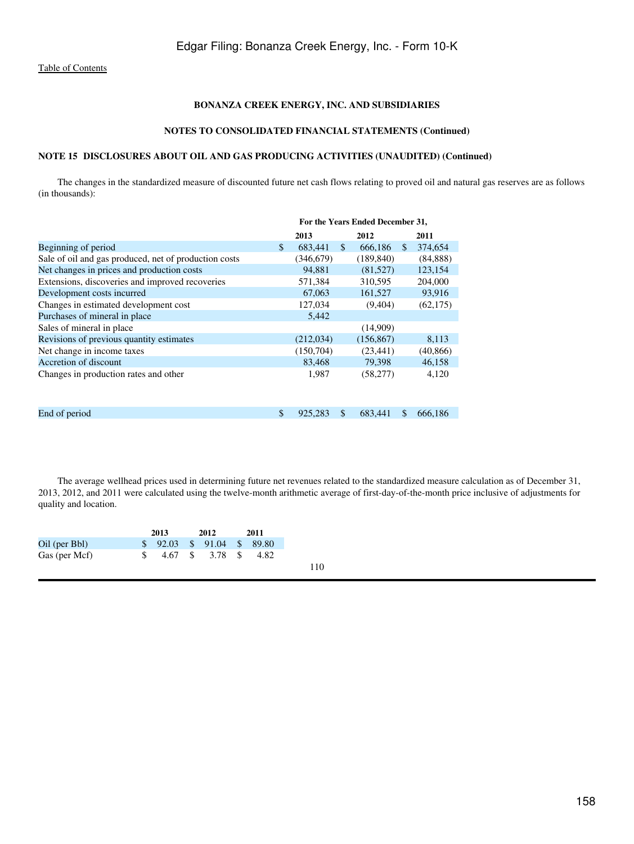# **NOTES TO CONSOLIDATED FINANCIAL STATEMENTS (Continued)**

# **NOTE 15DISCLOSURES ABOUT OIL AND GAS PRODUCING ACTIVITIES (UNAUDITED) (Continued)**

 The changes in the standardized measure of discounted future net cash flows relating to proved oil and natural gas reserves are as follows (in thousands):

|                                                       | For the Years Ended December 31, |            |     |            |     |           |
|-------------------------------------------------------|----------------------------------|------------|-----|------------|-----|-----------|
|                                                       |                                  | 2013       |     | 2012       |     | 2011      |
| Beginning of period                                   | $\mathcal{S}$                    | 683,441    | \$. | 666,186    | \$. | 374,654   |
| Sale of oil and gas produced, net of production costs |                                  | (346, 679) |     | (189, 840) |     | (84, 888) |
| Net changes in prices and production costs            |                                  | 94,881     |     | (81,527)   |     | 123,154   |
| Extensions, discoveries and improved recoveries       |                                  | 571,384    |     | 310,595    |     | 204,000   |
| Development costs incurred                            |                                  | 67,063     |     | 161,527    |     | 93,916    |
| Changes in estimated development cost                 |                                  | 127,034    |     | (9,404)    |     | (62, 175) |
| Purchases of mineral in place                         |                                  | 5,442      |     |            |     |           |
| Sales of mineral in place                             |                                  |            |     | (14,909)   |     |           |
| Revisions of previous quantity estimates              |                                  | (212,034)  |     | (156, 867) |     | 8,113     |
| Net change in income taxes                            |                                  | (150,704)  |     | (23, 441)  |     | (40, 866) |
| Accretion of discount                                 |                                  | 83,468     |     | 79,398     |     | 46,158    |
| Changes in production rates and other                 |                                  | 1,987      |     | (58,277)   |     | 4,120     |
|                                                       |                                  |            |     |            |     |           |
| End of period                                         | \$                               | 925,283    | \$  | 683.441    | \$  | 666,186   |

 The average wellhead prices used in determining future net revenues related to the standardized measure calculation as of December 31, 2013, 2012, and 2011 were calculated using the twelve-month arithmetic average of first-day-of-the-month price inclusive of adjustments for quality and location.

|               | 2013                        | 2012                 | 2011 |
|---------------|-----------------------------|----------------------|------|
| Oil (per Bbl) | $$92.03$$ \$ 91.04 \$ 89.80 |                      |      |
| Gas (per Mcf) |                             | 4.67 \$ 3.78 \$ 4.82 |      |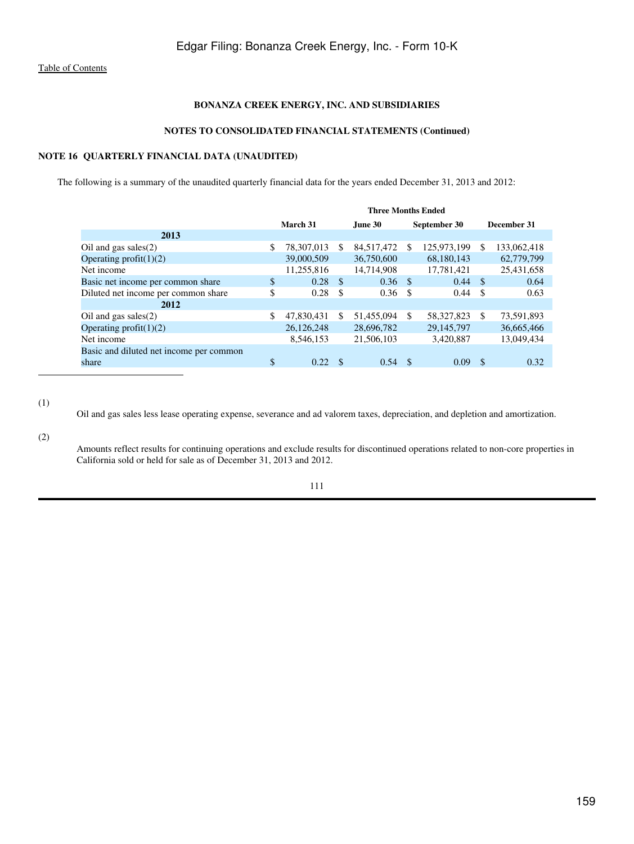# **NOTES TO CONSOLIDATED FINANCIAL STATEMENTS (Continued)**

# **NOTE 16 QUARTERLY FINANCIAL DATA (UNAUDITED)**

The following is a summary of the unaudited quarterly financial data for the years ended December 31, 2013 and 2012:

|                                         | <b>Three Months Ended</b>           |            |               |            |      |             |      |             |
|-----------------------------------------|-------------------------------------|------------|---------------|------------|------|-------------|------|-------------|
|                                         | March 31<br>September 30<br>June 30 |            |               |            |      |             |      | December 31 |
| 2013                                    |                                     |            |               |            |      |             |      |             |
| Oil and gas sales $(2)$                 |                                     | 78,307,013 | <sup>S</sup>  | 84,517,472 | -S   | 125,973,199 | \$.  | 133,062,418 |
| Operating $profit(1)(2)$                |                                     | 39,000,509 |               | 36,750,600 |      | 68.180.143  |      | 62,779,799  |
| Net income                              |                                     | 11.255.816 |               | 14,714,908 |      | 17.781.421  |      | 25,431,658  |
| Basic net income per common share       | $\mathbb{S}$                        | 0.28       | $\mathcal{S}$ | 0.36       | - \$ | 0.44        | - \$ | 0.64        |
| Diluted net income per common share     | \$                                  | 0.28       | -\$           | 0.36       | -\$  | 0.44        | -S   | 0.63        |
| 2012                                    |                                     |            |               |            |      |             |      |             |
| Oil and gas sales $(2)$                 | \$                                  | 47,830,431 | \$.           | 51,455,094 | -S   | 58,327,823  | \$.  | 73,591,893  |
| Operating $profit(1)(2)$                |                                     | 26,126,248 |               | 28,696,782 |      | 29,145,797  |      | 36,665,466  |
| Net income                              |                                     | 8.546.153  |               | 21,506,103 |      | 3,420,887   |      | 13.049.434  |
| Basic and diluted net income per common |                                     |            |               |            |      |             |      |             |
| share                                   | \$                                  | 0.22       | -S            | 0.54       | -8   | 0.09        | \$.  | 0.32        |

(1)

Oil and gas sales less lease operating expense, severance and ad valorem taxes, depreciation, and depletion and amortization.

(2)

Amounts reflect results for continuing operations and exclude results for discontinued operations related to non-core properties in California sold or held for sale as of December 31, 2013 and 2012.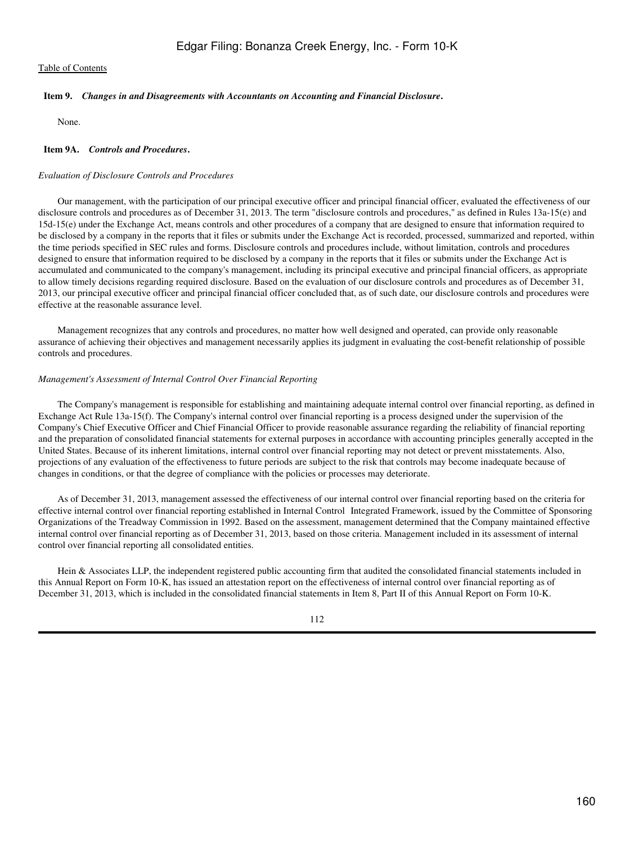#### **Item 9.** *Changes in and Disagreements with Accountants on Accounting and Financial Disclosure***.**

None.

# **Item 9A.** *Controls and Procedures***.**

#### *Evaluation of Disclosure Controls and Procedures*

 Our management, with the participation of our principal executive officer and principal financial officer, evaluated the effectiveness of our disclosure controls and procedures as of December 31, 2013. The term "disclosure controls and procedures," as defined in Rules 13a-15(e) and 15d-15(e) under the Exchange Act, means controls and other procedures of a company that are designed to ensure that information required to be disclosed by a company in the reports that it files or submits under the Exchange Act is recorded, processed, summarized and reported, within the time periods specified in SEC rules and forms. Disclosure controls and procedures include, without limitation, controls and procedures designed to ensure that information required to be disclosed by a company in the reports that it files or submits under the Exchange Act is accumulated and communicated to the company's management, including its principal executive and principal financial officers, as appropriate to allow timely decisions regarding required disclosure. Based on the evaluation of our disclosure controls and procedures as of December 31, 2013, our principal executive officer and principal financial officer concluded that, as of such date, our disclosure controls and procedures were effective at the reasonable assurance level.

 Management recognizes that any controls and procedures, no matter how well designed and operated, can provide only reasonable assurance of achieving their objectives and management necessarily applies its judgment in evaluating the cost-benefit relationship of possible controls and procedures.

#### *Management's Assessment of Internal Control Over Financial Reporting*

 The Company's management is responsible for establishing and maintaining adequate internal control over financial reporting, as defined in Exchange Act Rule 13a-15(f). The Company's internal control over financial reporting is a process designed under the supervision of the Company's Chief Executive Officer and Chief Financial Officer to provide reasonable assurance regarding the reliability of financial reporting and the preparation of consolidated financial statements for external purposes in accordance with accounting principles generally accepted in the United States. Because of its inherent limitations, internal control over financial reporting may not detect or prevent misstatements. Also, projections of any evaluation of the effectiveness to future periods are subject to the risk that controls may become inadequate because of changes in conditions, or that the degree of compliance with the policies or processes may deteriorate.

 As of December 31, 2013, management assessed the effectiveness of our internal control over financial reporting based on the criteria for effective internal control over financial reporting established in Internal Control Integrated Framework, issued by the Committee of Sponsoring Organizations of the Treadway Commission in 1992. Based on the assessment, management determined that the Company maintained effective internal control over financial reporting as of December 31, 2013, based on those criteria. Management included in its assessment of internal control over financial reporting all consolidated entities.

 Hein & Associates LLP, the independent registered public accounting firm that audited the consolidated financial statements included in this Annual Report on Form 10-K, has issued an attestation report on the effectiveness of internal control over financial reporting as of December 31, 2013, which is included in the consolidated financial statements in Item 8, Part II of this Annual Report on Form 10-K.

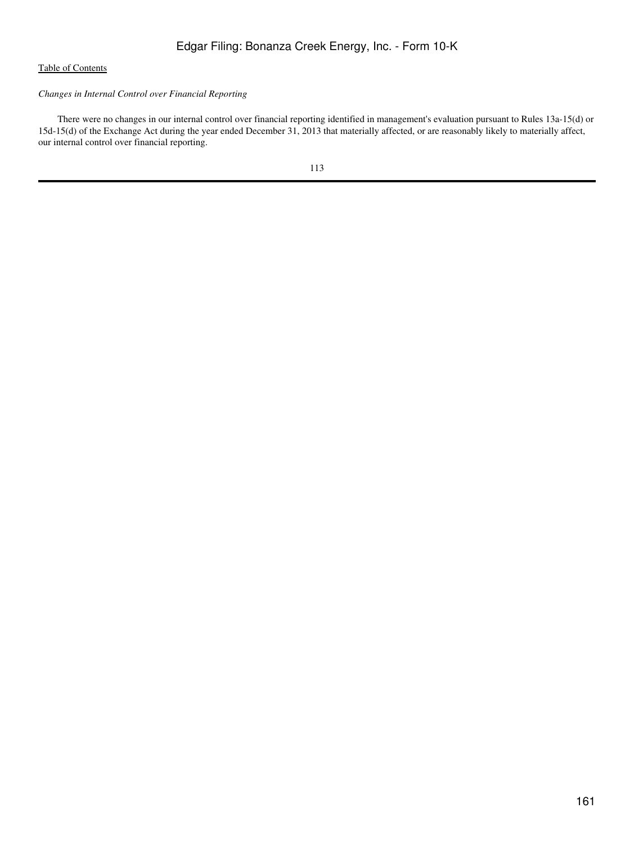# *Changes in Internal Control over Financial Reporting*

 There were no changes in our internal control over financial reporting identified in management's evaluation pursuant to Rules 13a-15(d) or 15d-15(d) of the Exchange Act during the year ended December 31, 2013 that materially affected, or are reasonably likely to materially affect, our internal control over financial reporting.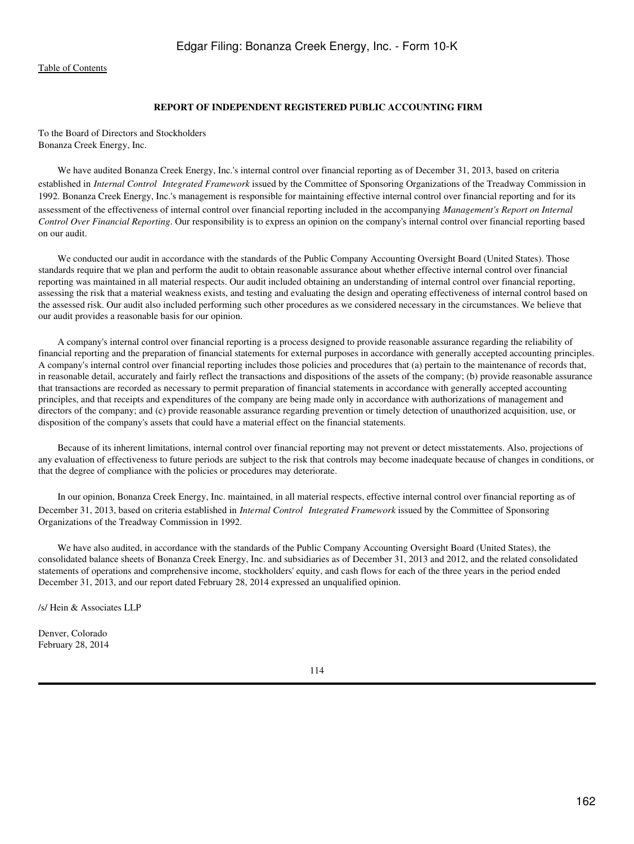# **REPORT OF INDEPENDENT REGISTERED PUBLIC ACCOUNTING FIRM**

To the Board of Directors and Stockholders Bonanza Creek Energy, Inc.

 We have audited Bonanza Creek Energy, Inc.'s internal control over financial reporting as of December 31, 2013, based on criteria established in *Internal Control Integrated Framework* issued by the Committee of Sponsoring Organizations of the Treadway Commission in 1992. Bonanza Creek Energy, Inc.'s management is responsible for maintaining effective internal control over financial reporting and for its assessment of the effectiveness of internal control over financial reporting included in the accompanying *Management's Report on Internal Control Over Financial Reporting*. Our responsibility is to express an opinion on the company's internal control over financial reporting based on our audit.

 We conducted our audit in accordance with the standards of the Public Company Accounting Oversight Board (United States). Those standards require that we plan and perform the audit to obtain reasonable assurance about whether effective internal control over financial reporting was maintained in all material respects. Our audit included obtaining an understanding of internal control over financial reporting, assessing the risk that a material weakness exists, and testing and evaluating the design and operating effectiveness of internal control based on the assessed risk. Our audit also included performing such other procedures as we considered necessary in the circumstances. We believe that our audit provides a reasonable basis for our opinion.

 A company's internal control over financial reporting is a process designed to provide reasonable assurance regarding the reliability of financial reporting and the preparation of financial statements for external purposes in accordance with generally accepted accounting principles. A company's internal control over financial reporting includes those policies and procedures that (a) pertain to the maintenance of records that, in reasonable detail, accurately and fairly reflect the transactions and dispositions of the assets of the company; (b) provide reasonable assurance that transactions are recorded as necessary to permit preparation of financial statements in accordance with generally accepted accounting principles, and that receipts and expenditures of the company are being made only in accordance with authorizations of management and directors of the company; and (c) provide reasonable assurance regarding prevention or timely detection of unauthorized acquisition, use, or disposition of the company's assets that could have a material effect on the financial statements.

 Because of its inherent limitations, internal control over financial reporting may not prevent or detect misstatements. Also, projections of any evaluation of effectiveness to future periods are subject to the risk that controls may become inadequate because of changes in conditions, or that the degree of compliance with the policies or procedures may deteriorate.

 In our opinion, Bonanza Creek Energy, Inc. maintained, in all material respects, effective internal control over financial reporting as of December 31, 2013, based on criteria established in *Internal Control Integrated Framework* issued by the Committee of Sponsoring Organizations of the Treadway Commission in 1992.

 We have also audited, in accordance with the standards of the Public Company Accounting Oversight Board (United States), the consolidated balance sheets of Bonanza Creek Energy, Inc. and subsidiaries as of December 31, 2013 and 2012, and the related consolidated statements of operations and comprehensive income, stockholders' equity, and cash flows for each of the three years in the period ended December 31, 2013, and our report dated February 28, 2014 expressed an unqualified opinion.

/s/ Hein & Associates LLP

Denver, Colorado February 28, 2014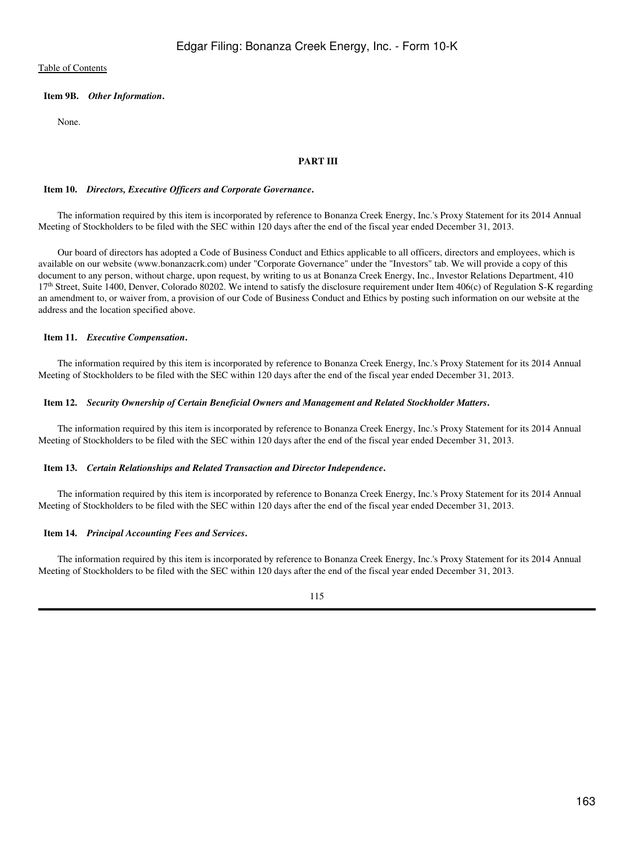# **Item 9B.** *Other Information***.**

None.

#### **PART III**

#### **Item 10.** *Directors, Executive Officers and Corporate Governance***.**

 The information required by this item is incorporated by reference to Bonanza Creek Energy, Inc.'s Proxy Statement for its 2014 Annual Meeting of Stockholders to be filed with the SEC within 120 days after the end of the fiscal year ended December 31, 2013.

 Our board of directors has adopted a Code of Business Conduct and Ethics applicable to all officers, directors and employees, which is available on our website (www.bonanzacrk.com) under "Corporate Governance" under the "Investors" tab. We will provide a copy of this document to any person, without charge, upon request, by writing to us at Bonanza Creek Energy, Inc., Investor Relations Department, 410 17<sup>th</sup> Street, Suite 1400, Denver, Colorado 80202. We intend to satisfy the disclosure requirement under Item 406(c) of Regulation S-K regarding an amendment to, or waiver from, a provision of our Code of Business Conduct and Ethics by posting such information on our website at the address and the location specified above.

#### **Item 11.** *Executive Compensation***.**

 The information required by this item is incorporated by reference to Bonanza Creek Energy, Inc.'s Proxy Statement for its 2014 Annual Meeting of Stockholders to be filed with the SEC within 120 days after the end of the fiscal year ended December 31, 2013.

#### **Item 12.** *Security Ownership of Certain Beneficial Owners and Management and Related Stockholder Matters***.**

 The information required by this item is incorporated by reference to Bonanza Creek Energy, Inc.'s Proxy Statement for its 2014 Annual Meeting of Stockholders to be filed with the SEC within 120 days after the end of the fiscal year ended December 31, 2013.

#### **Item 13.** *Certain Relationships and Related Transaction and Director Independence***.**

 The information required by this item is incorporated by reference to Bonanza Creek Energy, Inc.'s Proxy Statement for its 2014 Annual Meeting of Stockholders to be filed with the SEC within 120 days after the end of the fiscal year ended December 31, 2013.

#### **Item 14.** *Principal Accounting Fees and Services***.**

 The information required by this item is incorporated by reference to Bonanza Creek Energy, Inc.'s Proxy Statement for its 2014 Annual Meeting of Stockholders to be filed with the SEC within 120 days after the end of the fiscal year ended December 31, 2013.

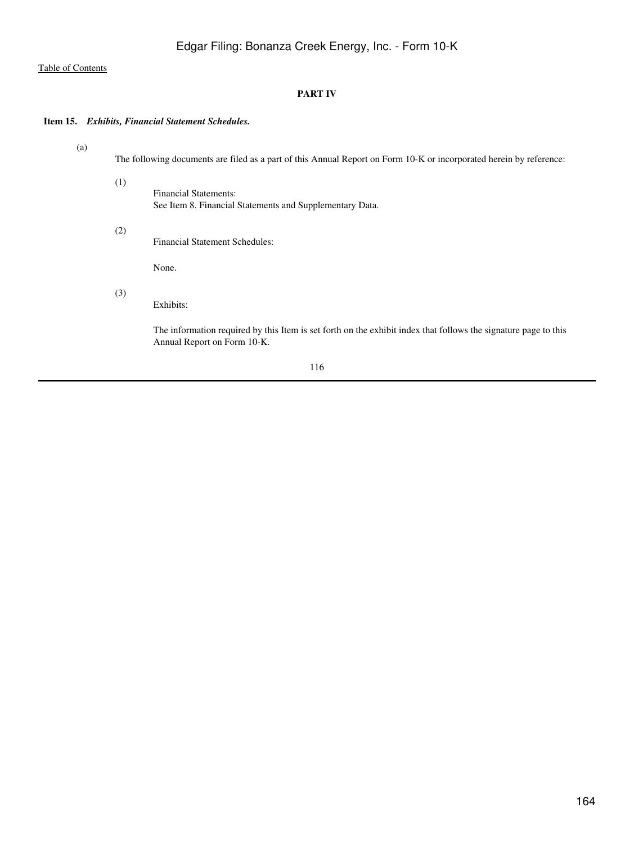# **PART IV**

### **Item 15.** *Exhibits, Financial Statement Schedules.*

(a)

The following documents are filed as a part of this Annual Report on Form 10-K or incorporated herein by reference:

| (1) |                                                          |
|-----|----------------------------------------------------------|
|     | <b>Financial Statements:</b>                             |
|     | See Item 8. Financial Statements and Supplementary Data. |

Financial Statement Schedules:

None.

(3)

(2)

Exhibits:

The information required by this Item is set forth on the exhibit index that follows the signature page to this Annual Report on Form 10-K.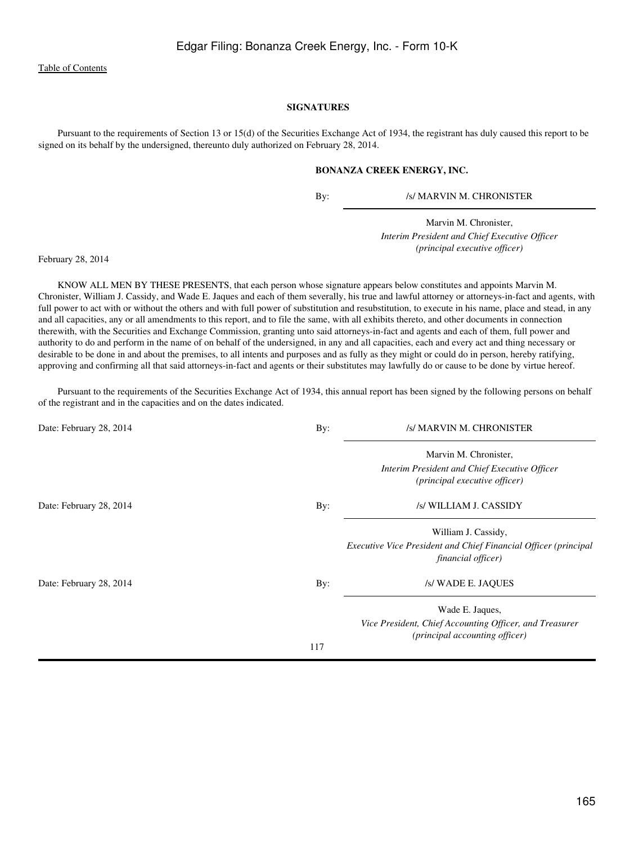# **SIGNATURES**

 Pursuant to the requirements of Section 13 or 15(d) of the Securities Exchange Act of 1934, the registrant has duly caused this report to be signed on its behalf by the undersigned, thereunto duly authorized on February 28, 2014.

# **BONANZA CREEK ENERGY, INC.**

By: /s/ MARVIN M. CHRONISTER

Marvin M. Chronister,

*Interim President and Chief Executive Officer (principal executive officer)*

February 28, 2014

 KNOW ALL MEN BY THESE PRESENTS, that each person whose signature appears below constitutes and appoints Marvin M. Chronister, William J. Cassidy, and Wade E. Jaques and each of them severally, his true and lawful attorney or attorneys-in-fact and agents, with full power to act with or without the others and with full power of substitution and resubstitution, to execute in his name, place and stead, in any and all capacities, any or all amendments to this report, and to file the same, with all exhibits thereto, and other documents in connection therewith, with the Securities and Exchange Commission, granting unto said attorneys-in-fact and agents and each of them, full power and authority to do and perform in the name of on behalf of the undersigned, in any and all capacities, each and every act and thing necessary or desirable to be done in and about the premises, to all intents and purposes and as fully as they might or could do in person, hereby ratifying, approving and confirming all that said attorneys-in-fact and agents or their substitutes may lawfully do or cause to be done by virtue hereof.

 Pursuant to the requirements of the Securities Exchange Act of 1934, this annual report has been signed by the following persons on behalf of the registrant and in the capacities and on the dates indicated.

| Date: February 28, 2014 | By: | /s/ MARVIN M. CHRONISTER                                                                         |
|-------------------------|-----|--------------------------------------------------------------------------------------------------|
|                         |     | Marvin M. Chronister,                                                                            |
|                         |     | Interim President and Chief Executive Officer<br>(principal executive officer)                   |
| Date: February 28, 2014 | By: | /s/ WILLIAM J. CASSIDY                                                                           |
|                         |     | William J. Cassidy,                                                                              |
|                         |     | <b>Executive Vice President and Chief Financial Officer (principal</b><br>financial officer)     |
| Date: February 28, 2014 | By: | /s/ WADE E. JAQUES                                                                               |
|                         |     | Wade E. Jaques,                                                                                  |
|                         |     | Vice President, Chief Accounting Officer, and Treasurer<br><i>(principal accounting officer)</i> |
|                         | 117 |                                                                                                  |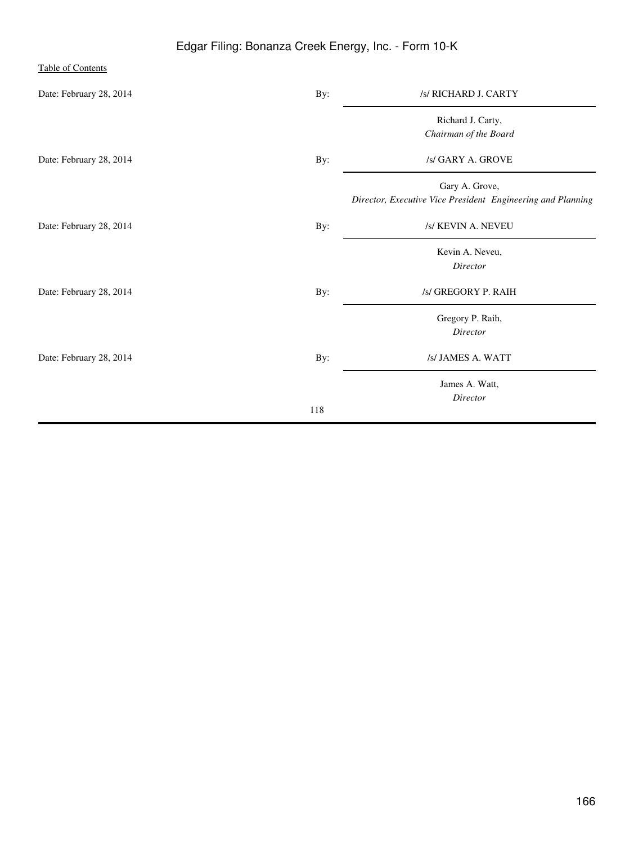| Date: February 28, 2014 | By: | /s/ RICHARD J. CARTY                                                          |
|-------------------------|-----|-------------------------------------------------------------------------------|
|                         |     | Richard J. Carty,<br>Chairman of the Board                                    |
| Date: February 28, 2014 | By: | /s/ GARY A. GROVE                                                             |
|                         |     | Gary A. Grove,<br>Director, Executive Vice President Engineering and Planning |
| Date: February 28, 2014 | By: | /s/ KEVIN A. NEVEU                                                            |
|                         |     | Kevin A. Neveu,<br>Director                                                   |
| Date: February 28, 2014 | By: | /s/ GREGORY P. RAIH                                                           |
|                         |     | Gregory P. Raih,<br>Director                                                  |
| Date: February 28, 2014 | By: | /s/ JAMES A. WATT                                                             |
|                         | 118 | James A. Watt,<br>Director                                                    |
|                         |     |                                                                               |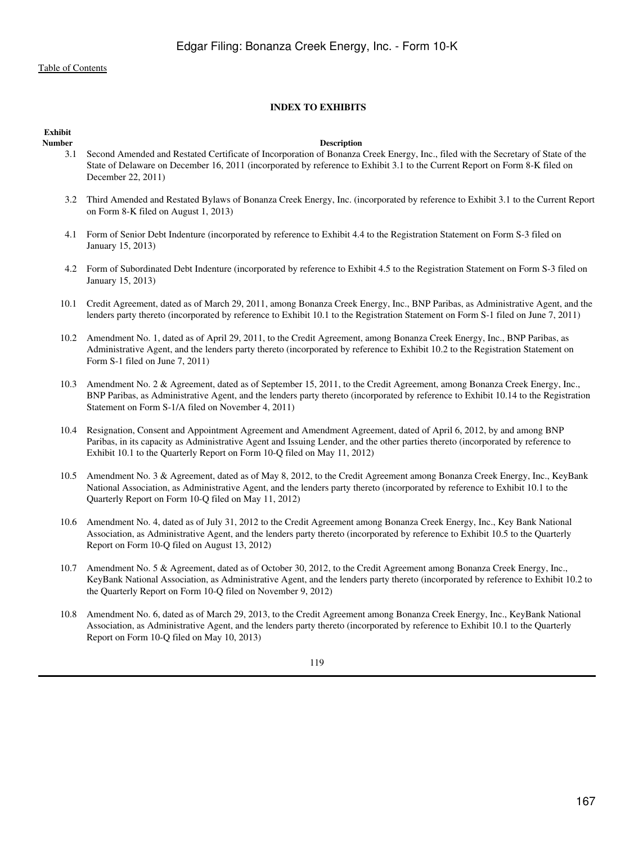# **INDEX TO EXHIBITS**

# **Exhibit**

#### **Description**

- 3.1 Second Amended and Restated Certificate of Incorporation of Bonanza Creek Energy, Inc., filed with the Secretary of State of the State of Delaware on December 16, 2011 (incorporated by reference to Exhibit 3.1 to the Current Report on Form 8-K filed on December 22, 2011)
- 3.2 Third Amended and Restated Bylaws of Bonanza Creek Energy, Inc. (incorporated by reference to Exhibit 3.1 to the Current Report on Form 8-K filed on August 1, 2013)
- 4.1 Form of Senior Debt Indenture (incorporated by reference to Exhibit 4.4 to the Registration Statement on Form S-3 filed on January 15, 2013)
- 4.2 Form of Subordinated Debt Indenture (incorporated by reference to Exhibit 4.5 to the Registration Statement on Form S-3 filed on January 15, 2013)
- 10.1 Credit Agreement, dated as of March 29, 2011, among Bonanza Creek Energy, Inc., BNP Paribas, as Administrative Agent, and the lenders party thereto (incorporated by reference to Exhibit 10.1 to the Registration Statement on Form S-1 filed on June 7, 2011)
- 10.2 Amendment No. 1, dated as of April 29, 2011, to the Credit Agreement, among Bonanza Creek Energy, Inc., BNP Paribas, as Administrative Agent, and the lenders party thereto (incorporated by reference to Exhibit 10.2 to the Registration Statement on Form S-1 filed on June 7, 2011)
- 10.3 Amendment No. 2 & Agreement, dated as of September 15, 2011, to the Credit Agreement, among Bonanza Creek Energy, Inc., BNP Paribas, as Administrative Agent, and the lenders party thereto (incorporated by reference to Exhibit 10.14 to the Registration Statement on Form S-1/A filed on November 4, 2011)
- 10.4 Resignation, Consent and Appointment Agreement and Amendment Agreement, dated of April 6, 2012, by and among BNP Paribas, in its capacity as Administrative Agent and Issuing Lender, and the other parties thereto (incorporated by reference to Exhibit 10.1 to the Quarterly Report on Form 10-Q filed on May 11, 2012)
- 10.5 Amendment No. 3 & Agreement, dated as of May 8, 2012, to the Credit Agreement among Bonanza Creek Energy, Inc., KeyBank National Association, as Administrative Agent, and the lenders party thereto (incorporated by reference to Exhibit 10.1 to the Quarterly Report on Form 10-Q filed on May 11, 2012)
- 10.6 Amendment No. 4, dated as of July 31, 2012 to the Credit Agreement among Bonanza Creek Energy, Inc., Key Bank National Association, as Administrative Agent, and the lenders party thereto (incorporated by reference to Exhibit 10.5 to the Quarterly Report on Form 10-Q filed on August 13, 2012)
- 10.7 Amendment No. 5 & Agreement, dated as of October 30, 2012, to the Credit Agreement among Bonanza Creek Energy, Inc., KeyBank National Association, as Administrative Agent, and the lenders party thereto (incorporated by reference to Exhibit 10.2 to the Quarterly Report on Form 10-Q filed on November 9, 2012)
- 10.8 Amendment No. 6, dated as of March 29, 2013, to the Credit Agreement among Bonanza Creek Energy, Inc., KeyBank National Association, as Administrative Agent, and the lenders party thereto (incorporated by reference to Exhibit 10.1 to the Quarterly Report on Form 10-Q filed on May 10, 2013)

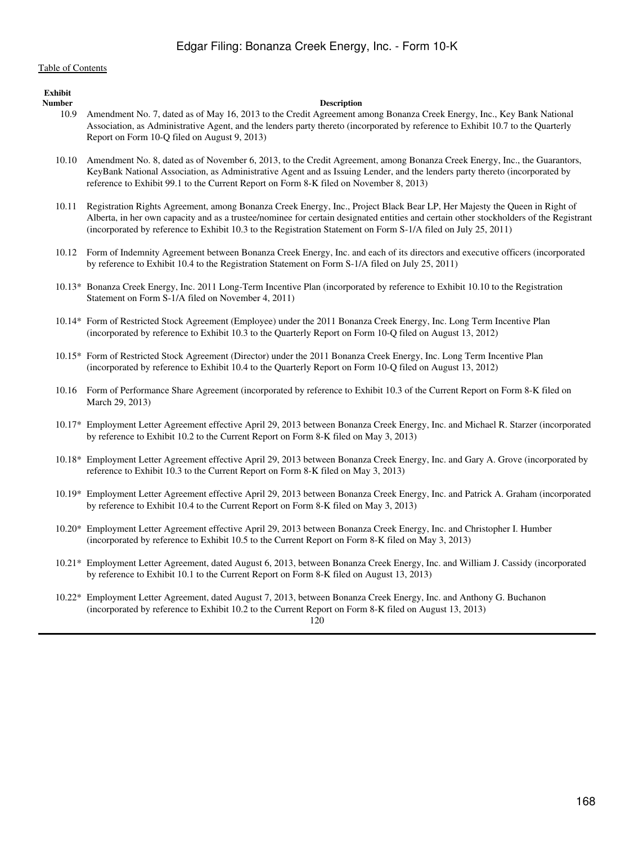# **Exhibit**

#### **Number Description**

- 10.9 Amendment No. 7, dated as of May 16, 2013 to the Credit Agreement among Bonanza Creek Energy, Inc., Key Bank National Association, as Administrative Agent, and the lenders party thereto (incorporated by reference to Exhibit 10.7 to the Quarterly Report on Form 10-Q filed on August 9, 2013)
- 10.10 Amendment No. 8, dated as of November 6, 2013, to the Credit Agreement, among Bonanza Creek Energy, Inc., the Guarantors, KeyBank National Association, as Administrative Agent and as Issuing Lender, and the lenders party thereto (incorporated by reference to Exhibit 99.1 to the Current Report on Form 8-K filed on November 8, 2013)
- 10.11 Registration Rights Agreement, among Bonanza Creek Energy, Inc., Project Black Bear LP, Her Majesty the Queen in Right of Alberta, in her own capacity and as a trustee/nominee for certain designated entities and certain other stockholders of the Registrant (incorporated by reference to Exhibit 10.3 to the Registration Statement on Form S-1/A filed on July 25, 2011)
- 10.12 Form of Indemnity Agreement between Bonanza Creek Energy, Inc. and each of its directors and executive officers (incorporated by reference to Exhibit 10.4 to the Registration Statement on Form S-1/A filed on July 25, 2011)
- 10.13\* Bonanza Creek Energy, Inc. 2011 Long-Term Incentive Plan (incorporated by reference to Exhibit 10.10 to the Registration Statement on Form S-1/A filed on November 4, 2011)
- 10.14\* Form of Restricted Stock Agreement (Employee) under the 2011 Bonanza Creek Energy, Inc. Long Term Incentive Plan (incorporated by reference to Exhibit 10.3 to the Quarterly Report on Form 10-Q filed on August 13, 2012)
- 10.15\* Form of Restricted Stock Agreement (Director) under the 2011 Bonanza Creek Energy, Inc. Long Term Incentive Plan (incorporated by reference to Exhibit 10.4 to the Quarterly Report on Form 10-Q filed on August 13, 2012)
- 10.16 Form of Performance Share Agreement (incorporated by reference to Exhibit 10.3 of the Current Report on Form 8-K filed on March 29, 2013)
- 10.17\* Employment Letter Agreement effective April 29, 2013 between Bonanza Creek Energy, Inc. and Michael R. Starzer (incorporated by reference to Exhibit 10.2 to the Current Report on Form 8-K filed on May 3, 2013)
- 10.18\* Employment Letter Agreement effective April 29, 2013 between Bonanza Creek Energy, Inc. and Gary A. Grove (incorporated by reference to Exhibit 10.3 to the Current Report on Form 8-K filed on May 3, 2013)
- 10.19\* Employment Letter Agreement effective April 29, 2013 between Bonanza Creek Energy, Inc. and Patrick A. Graham (incorporated by reference to Exhibit 10.4 to the Current Report on Form 8-K filed on May 3, 2013)
- 10.20\* Employment Letter Agreement effective April 29, 2013 between Bonanza Creek Energy, Inc. and Christopher I. Humber (incorporated by reference to Exhibit 10.5 to the Current Report on Form 8-K filed on May 3, 2013)
- 10.21\* Employment Letter Agreement, dated August 6, 2013, between Bonanza Creek Energy, Inc. and William J. Cassidy (incorporated by reference to Exhibit 10.1 to the Current Report on Form 8-K filed on August 13, 2013)
- 10.22\* Employment Letter Agreement, dated August 7, 2013, between Bonanza Creek Energy, Inc. and Anthony G. Buchanon (incorporated by reference to Exhibit 10.2 to the Current Report on Form 8-K filed on August 13, 2013)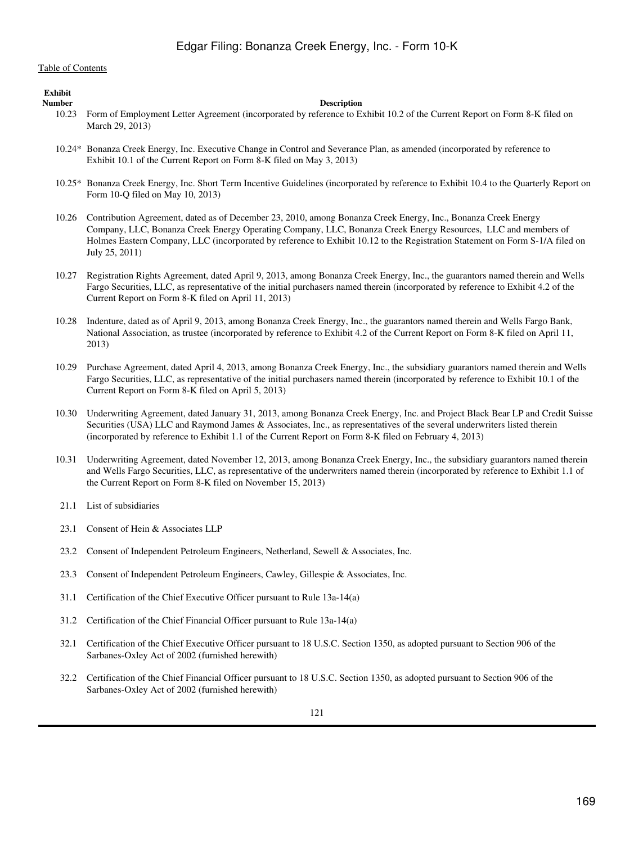# **Exhibit**

#### **Number Description**

# 10.23 Form of Employment Letter Agreement (incorporated by reference to Exhibit 10.2 of the Current Report on Form 8-K filed on March 29, 2013)

- 10.24\* Bonanza Creek Energy, Inc. Executive Change in Control and Severance Plan, as amended (incorporated by reference to Exhibit 10.1 of the Current Report on Form 8-K filed on May 3, 2013)
- 10.25\* Bonanza Creek Energy, Inc. Short Term Incentive Guidelines (incorporated by reference to Exhibit 10.4 to the Quarterly Report on Form 10-Q filed on May 10, 2013)
- 10.26 Contribution Agreement, dated as of December 23, 2010, among Bonanza Creek Energy, Inc., Bonanza Creek Energy Company, LLC, Bonanza Creek Energy Operating Company, LLC, Bonanza Creek Energy Resources, LLC and members of Holmes Eastern Company, LLC (incorporated by reference to Exhibit 10.12 to the Registration Statement on Form S-1/A filed on July 25, 2011)
- 10.27 Registration Rights Agreement, dated April 9, 2013, among Bonanza Creek Energy, Inc., the guarantors named therein and Wells Fargo Securities, LLC, as representative of the initial purchasers named therein (incorporated by reference to Exhibit 4.2 of the Current Report on Form 8-K filed on April 11, 2013)
- 10.28 Indenture, dated as of April 9, 2013, among Bonanza Creek Energy, Inc., the guarantors named therein and Wells Fargo Bank, National Association, as trustee (incorporated by reference to Exhibit 4.2 of the Current Report on Form 8-K filed on April 11, 2013)
- 10.29 Purchase Agreement, dated April 4, 2013, among Bonanza Creek Energy, Inc., the subsidiary guarantors named therein and Wells Fargo Securities, LLC, as representative of the initial purchasers named therein (incorporated by reference to Exhibit 10.1 of the Current Report on Form 8-K filed on April 5, 2013)
- 10.30 Underwriting Agreement, dated January 31, 2013, among Bonanza Creek Energy, Inc. and Project Black Bear LP and Credit Suisse Securities (USA) LLC and Raymond James & Associates, Inc., as representatives of the several underwriters listed therein (incorporated by reference to Exhibit 1.1 of the Current Report on Form 8-K filed on February 4, 2013)
- 10.31 Underwriting Agreement, dated November 12, 2013, among Bonanza Creek Energy, Inc., the subsidiary guarantors named therein and Wells Fargo Securities, LLC, as representative of the underwriters named therein (incorporated by reference to Exhibit 1.1 of the Current Report on Form 8-K filed on November 15, 2013)
- 21.1 List of subsidiaries
- 23.1 Consent of Hein & Associates LLP
- 23.2 Consent of Independent Petroleum Engineers, Netherland, Sewell & Associates, Inc.
- 23.3 Consent of Independent Petroleum Engineers, Cawley, Gillespie & Associates, Inc.
- 31.1 Certification of the Chief Executive Officer pursuant to Rule 13a-14(a)
- 31.2 Certification of the Chief Financial Officer pursuant to Rule 13a-14(a)
- 32.1 Certification of the Chief Executive Officer pursuant to 18 U.S.C. Section 1350, as adopted pursuant to Section 906 of the Sarbanes-Oxley Act of 2002 (furnished herewith)
- 32.2 Certification of the Chief Financial Officer pursuant to 18 U.S.C. Section 1350, as adopted pursuant to Section 906 of the Sarbanes-Oxley Act of 2002 (furnished herewith)